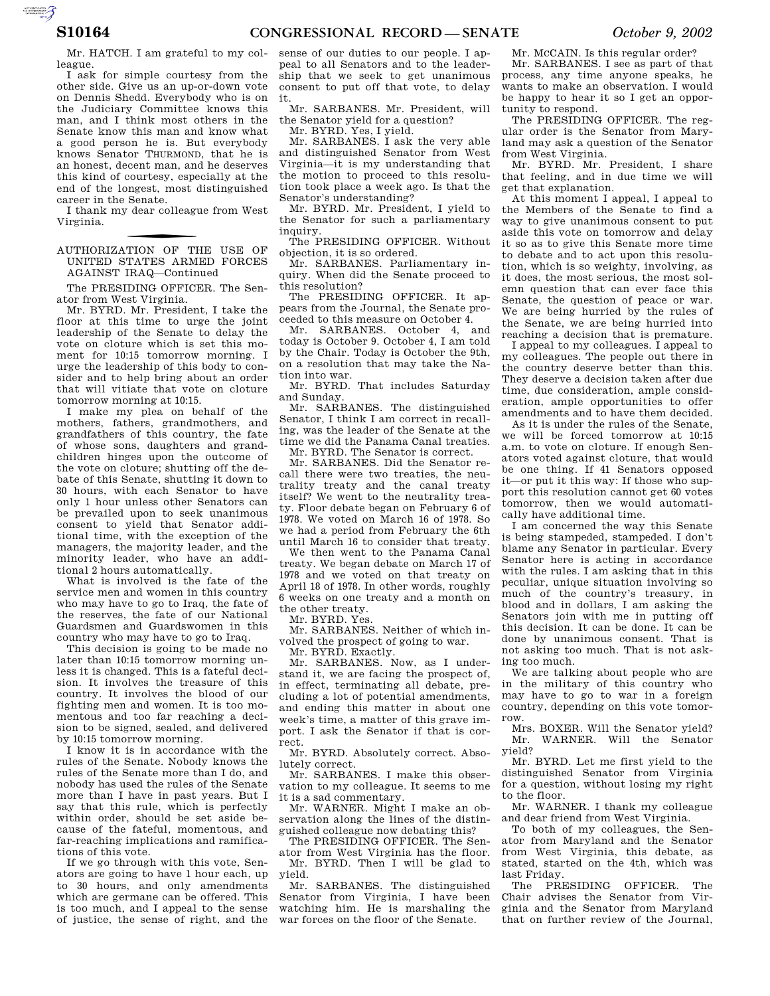Mr. HATCH. I am grateful to my colleague.

I ask for simple courtesy from the other side. Give us an up-or-down vote on Dennis Shedd. Everybody who is on the Judiciary Committee knows this man, and I think most others in the Senate know this man and know what a good person he is. But everybody knows Senator THURMOND, that he is an honest, decent man, and he deserves this kind of courtesy, especially at the end of the longest, most distinguished career in the Senate.

I thank my dear colleague from West Virginia.

AUTHORIZATION OF THE USE OF fUNITED STATES ARMED FORCES AGAINST IRAQ—Continued

The PRESIDING OFFICER. The Senator from West Virginia.

Mr. BYRD. Mr. President, I take the floor at this time to urge the joint leadership of the Senate to delay the vote on cloture which is set this moment for 10:15 tomorrow morning. I urge the leadership of this body to consider and to help bring about an order that will vitiate that vote on cloture tomorrow morning at 10:15.

I make my plea on behalf of the mothers, fathers, grandmothers, and grandfathers of this country, the fate of whose sons, daughters and grandchildren hinges upon the outcome of the vote on cloture; shutting off the debate of this Senate, shutting it down to 30 hours, with each Senator to have only 1 hour unless other Senators can be prevailed upon to seek unanimous consent to yield that Senator additional time, with the exception of the managers, the majority leader, and the minority leader, who have an additional 2 hours automatically.

What is involved is the fate of the service men and women in this country who may have to go to Iraq, the fate of the reserves, the fate of our National Guardsmen and Guardswomen in this country who may have to go to Iraq.

This decision is going to be made no later than 10:15 tomorrow morning unless it is changed. This is a fateful decision. It involves the treasure of this country. It involves the blood of our fighting men and women. It is too momentous and too far reaching a decision to be signed, sealed, and delivered by 10:15 tomorrow morning.

I know it is in accordance with the rules of the Senate. Nobody knows the rules of the Senate more than I do, and nobody has used the rules of the Senate more than I have in past years. But I say that this rule, which is perfectly within order, should be set aside because of the fateful, momentous, and far-reaching implications and ramifications of this vote.

If we go through with this vote, Senators are going to have 1 hour each, up to 30 hours, and only amendments which are germane can be offered. This is too much, and I appeal to the sense of justice, the sense of right, and the

sense of our duties to our people. I appeal to all Senators and to the leadership that we seek to get unanimous consent to put off that vote, to delay it.

Mr. SARBANES. Mr. President, will the Senator yield for a question?

Mr. BYRD. Yes, I yield.

Mr. SARBANES. I ask the very able and distinguished Senator from West Virginia—it is my understanding that the motion to proceed to this resolution took place a week ago. Is that the Senator's understanding?

Mr. BYRD. Mr. President, I yield to the Senator for such a parliamentary inquiry.

The PRESIDING OFFICER. Without objection, it is so ordered.

Mr. SARBANES. Parliamentary inquiry. When did the Senate proceed to this resolution?

The PRESIDING OFFICER. It appears from the Journal, the Senate proceeded to this measure on October 4.

Mr. SARBANES. October 4, and today is October 9. October 4, I am told by the Chair. Today is October the 9th, on a resolution that may take the Nation into war.

Mr. BYRD. That includes Saturday and Sunday.

Mr. SARBANES. The distinguished Senator, I think I am correct in recalling, was the leader of the Senate at the time we did the Panama Canal treaties.

Mr. BYRD. The Senator is correct. Mr. SARBANES. Did the Senator recall there were two treaties, the neu-

trality treaty and the canal treaty itself? We went to the neutrality treaty. Floor debate began on February 6 of 1978. We voted on March 16 of 1978. So we had a period from February the 6th until March 16 to consider that treaty.

We then went to the Panama Canal treaty. We began debate on March 17 of 1978 and we voted on that treaty on April 18 of 1978. In other words, roughly 6 weeks on one treaty and a month on the other treaty.

Mr. BYRD. Yes.

Mr. SARBANES. Neither of which involved the prospect of going to war.

Mr. BYRD. Exactly.

Mr. SARBANES. Now, as I understand it, we are facing the prospect of, in effect, terminating all debate, precluding a lot of potential amendments, and ending this matter in about one week's time, a matter of this grave import. I ask the Senator if that is correct.

Mr. BYRD. Absolutely correct. Absolutely correct.

Mr. SARBANES. I make this observation to my colleague. It seems to me it is a sad commentary.

Mr. WARNER. Might I make an observation along the lines of the distinguished colleague now debating this?

The PRESIDING OFFICER. The Senator from West Virginia has the floor. Mr. BYRD. Then I will be glad to yield.

Mr. SARBANES. The distinguished Senator from Virginia, I have been watching him. He is marshaling the war forces on the floor of the Senate.

Mr. MCCAIN. Is this regular order?

Mr. SARBANES. I see as part of that process, any time anyone speaks, he wants to make an observation. I would be happy to hear it so I get an opportunity to respond.

The PRESIDING OFFICER. The regular order is the Senator from Maryland may ask a question of the Senator from West Virginia.

Mr. BYRD. Mr. President, I share that feeling, and in due time we will get that explanation.

At this moment I appeal, I appeal to the Members of the Senate to find a way to give unanimous consent to put aside this vote on tomorrow and delay it so as to give this Senate more time to debate and to act upon this resolution, which is so weighty, involving, as it does, the most serious, the most solemn question that can ever face this Senate, the question of peace or war. We are being hurried by the rules of the Senate, we are being hurried into reaching a decision that is premature.

I appeal to my colleagues. I appeal to my colleagues. The people out there in the country deserve better than this. They deserve a decision taken after due time, due consideration, ample consideration, ample opportunities to offer amendments and to have them decided.

As it is under the rules of the Senate, we will be forced tomorrow at 10:15 a.m. to vote on cloture. If enough Senators voted against cloture, that would be one thing. If 41 Senators opposed it—or put it this way: If those who support this resolution cannot get 60 votes tomorrow, then we would automatically have additional time.

I am concerned the way this Senate is being stampeded, stampeded. I don't blame any Senator in particular. Every Senator here is acting in accordance with the rules. I am asking that in this peculiar, unique situation involving so much of the country's treasury, in blood and in dollars, I am asking the Senators join with me in putting off this decision. It can be done. It can be done by unanimous consent. That is not asking too much. That is not asking too much.

We are talking about people who are in the military of this country who may have to go to war in a foreign country, depending on this vote tomorrow.

Mrs. BOXER. Will the Senator yield? Mr. WARNER. Will the Senator yield?

Mr. BYRD. Let me first yield to the distinguished Senator from Virginia for a question, without losing my right to the floor.

Mr. WARNER. I thank my colleague and dear friend from West Virginia.

To both of my colleagues, the Senator from Maryland and the Senator from West Virginia, this debate, as stated, started on the 4th, which was last Friday.

The PRESIDING OFFICER. The Chair advises the Senator from Virginia and the Senator from Maryland that on further review of the Journal,

AUTOROUGH AND CROSS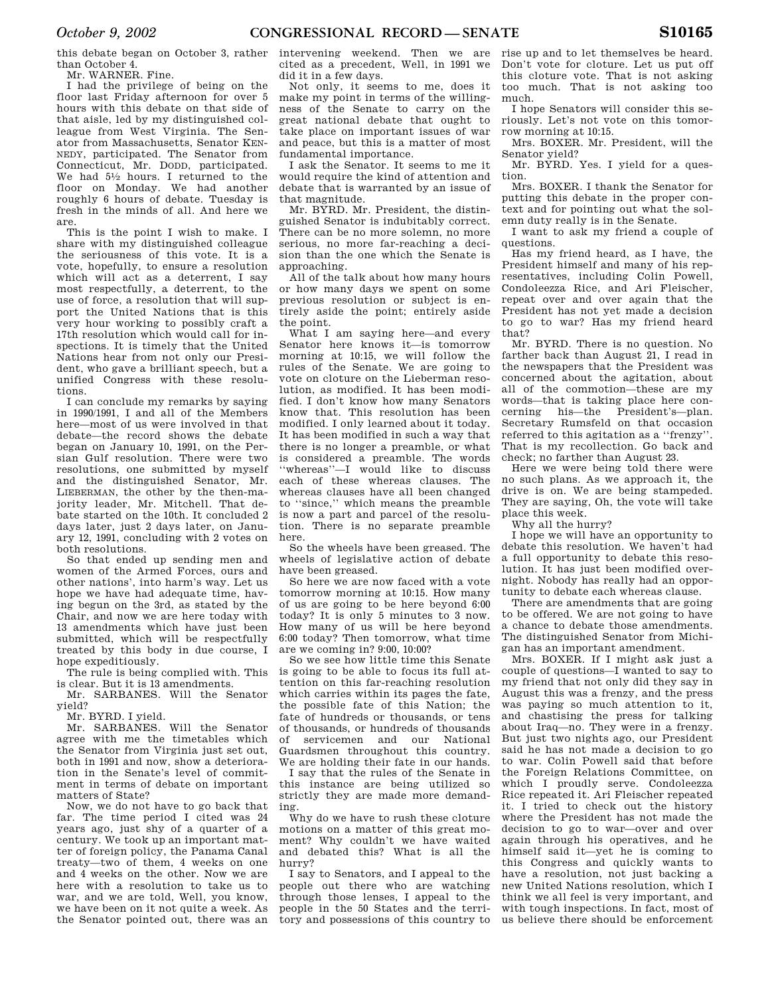this debate began on October 3, rather than October 4.

Mr. WARNER. Fine.

I had the privilege of being on the floor last Friday afternoon for over 5 hours with this debate on that side of that aisle, led by my distinguished colleague from West Virginia. The Senator from Massachusetts, Senator KEN-NEDY, participated. The Senator from Connecticut, Mr. DODD, participated. We had 51⁄2 hours. I returned to the floor on Monday. We had another roughly 6 hours of debate. Tuesday is fresh in the minds of all. And here we are.

This is the point I wish to make. I share with my distinguished colleague the seriousness of this vote. It is a vote, hopefully, to ensure a resolution which will act as a deterrent, I say most respectfully, a deterrent, to the use of force, a resolution that will support the United Nations that is this very hour working to possibly craft a 17th resolution which would call for inspections. It is timely that the United Nations hear from not only our President, who gave a brilliant speech, but a unified Congress with these resolutions.

I can conclude my remarks by saying in 1990/1991, I and all of the Members here—most of us were involved in that debate—the record shows the debate began on January 10, 1991, on the Persian Gulf resolution. There were two resolutions, one submitted by myself and the distinguished Senator, Mr. LIEBERMAN, the other by the then-majority leader, Mr. Mitchell. That debate started on the 10th. It concluded 2 days later, just 2 days later, on January 12, 1991, concluding with 2 votes on both resolutions.

So that ended up sending men and women of the Armed Forces, ours and other nations', into harm's way. Let us hope we have had adequate time, having begun on the 3rd, as stated by the Chair, and now we are here today with 13 amendments which have just been submitted, which will be respectfully treated by this body in due course, I hope expeditiously.

The rule is being complied with. This is clear. But it is 13 amendments.

Mr. SARBANES. Will the Senator yield?

Mr. BYRD. I yield.

Mr. SARBANES. Will the Senator agree with me the timetables which the Senator from Virginia just set out, both in 1991 and now, show a deterioration in the Senate's level of commitment in terms of debate on important matters of State?

Now, we do not have to go back that far. The time period I cited was 24 years ago, just shy of a quarter of a century. We took up an important matter of foreign policy, the Panama Canal treaty—two of them, 4 weeks on one and 4 weeks on the other. Now we are here with a resolution to take us to war, and we are told, Well, you know, we have been on it not quite a week. As the Senator pointed out, there was an

intervening weekend. Then we are cited as a precedent, Well, in 1991 we did it in a few days.

Not only, it seems to me, does it make my point in terms of the willingness of the Senate to carry on the great national debate that ought to take place on important issues of war and peace, but this is a matter of most fundamental importance.

I ask the Senator. It seems to me it would require the kind of attention and debate that is warranted by an issue of that magnitude.

Mr. BYRD. Mr. President, the distinguished Senator is indubitably correct. There can be no more solemn, no more serious, no more far-reaching a decision than the one which the Senate is approaching.

All of the talk about how many hours or how many days we spent on some previous resolution or subject is entirely aside the point; entirely aside the point.

What I am saying here—and every Senator here knows it—is tomorrow morning at 10:15, we will follow the rules of the Senate. We are going to vote on cloture on the Lieberman resolution, as modified. It has been modified. I don't know how many Senators know that. This resolution has been modified. I only learned about it today. It has been modified in such a way that there is no longer a preamble, or what is considered a preamble. The words ''whereas''—I would like to discuss each of these whereas clauses. The whereas clauses have all been changed to ''since,'' which means the preamble is now a part and parcel of the resolution. There is no separate preamble here.

So the wheels have been greased. The wheels of legislative action of debate have been greased.

So here we are now faced with a vote tomorrow morning at 10:15. How many of us are going to be here beyond 6:00 today? It is only 5 minutes to 3 now. How many of us will be here beyond 6:00 today? Then tomorrow, what time are we coming in? 9:00, 10:00?

So we see how little time this Senate is going to be able to focus its full attention on this far-reaching resolution which carries within its pages the fate, the possible fate of this Nation; the fate of hundreds or thousands, or tens of thousands, or hundreds of thousands of servicemen and our National Guardsmen throughout this country. We are holding their fate in our hands.

I say that the rules of the Senate in this instance are being utilized so strictly they are made more demanding.

Why do we have to rush these cloture motions on a matter of this great moment? Why couldn't we have waited and debated this? What is all the hurry?

I say to Senators, and I appeal to the people out there who are watching through those lenses, I appeal to the people in the 50 States and the territory and possessions of this country to

rise up and to let themselves be heard. Don't vote for cloture. Let us put off this cloture vote. That is not asking too much. That is not asking too much.

I hope Senators will consider this seriously. Let's not vote on this tomorrow morning at 10:15.

Mrs. BOXER. Mr. President, will the Senator yield?

Mr. BYRD. Yes. I yield for a question.

Mrs. BOXER. I thank the Senator for putting this debate in the proper context and for pointing out what the solemn duty really is in the Senate.

I want to ask my friend a couple of questions.

Has my friend heard, as I have, the President himself and many of his representatives, including Colin Powell, Condoleezza Rice, and Ari Fleischer, repeat over and over again that the President has not yet made a decision to go to war? Has my friend heard that?

Mr. BYRD. There is no question. No farther back than August 21, I read in the newspapers that the President was concerned about the agitation, about all of the commotion—these are my words—that is taking place here concerning his—the President's—plan. Secretary Rumsfeld on that occasion referred to this agitation as a ''frenzy''. That is my recollection. Go back and check; no farther than August 23.

Here we were being told there were no such plans. As we approach it, the drive is on. We are being stampeded. They are saying, Oh, the vote will take place this week.

Why all the hurry?

I hope we will have an opportunity to debate this resolution. We haven't had a full opportunity to debate this resolution. It has just been modified overnight. Nobody has really had an opportunity to debate each whereas clause.

There are amendments that are going to be offered. We are not going to have a chance to debate those amendments. The distinguished Senator from Michigan has an important amendment.

Mrs. BOXER. If I might ask just a couple of questions—I wanted to say to my friend that not only did they say in August this was a frenzy, and the press was paying so much attention to it, and chastising the press for talking about Iraq—no. They were in a frenzy. But just two nights ago, our President said he has not made a decision to go to war. Colin Powell said that before the Foreign Relations Committee, on which I proudly serve. Condoleezza Rice repeated it. Ari Fleischer repeated it. I tried to check out the history where the President has not made the decision to go to war—over and over again through his operatives, and he himself said it—yet he is coming to this Congress and quickly wants to have a resolution, not just backing a new United Nations resolution, which I think we all feel is very important, and with tough inspections. In fact, most of us believe there should be enforcement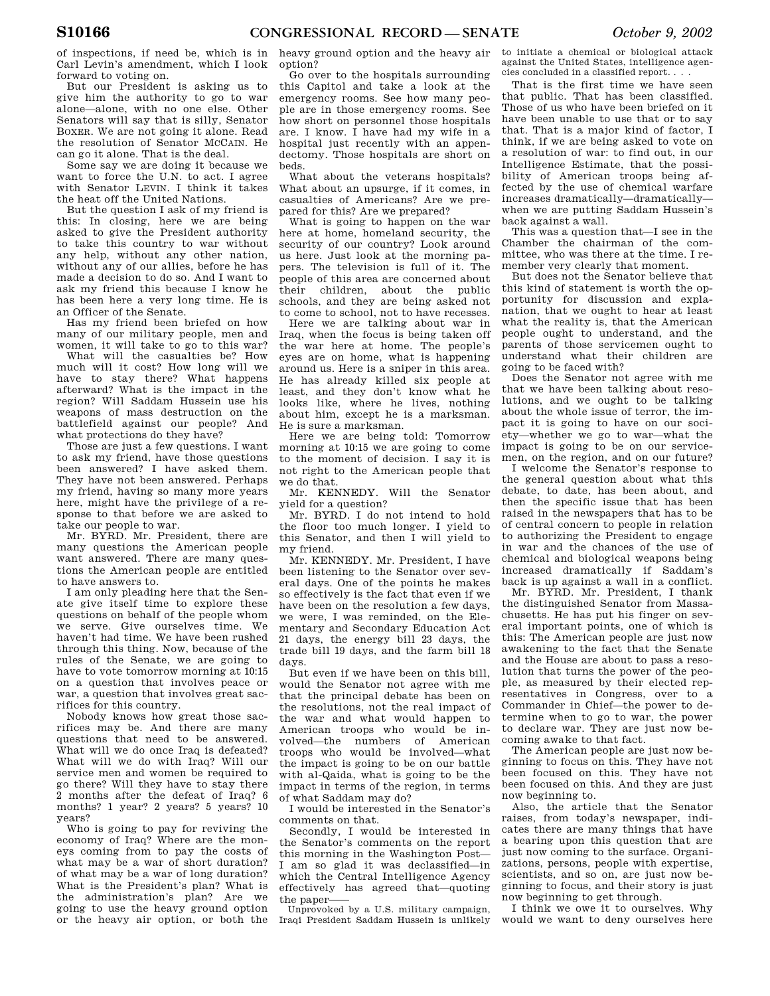of inspections, if need be, which is in Carl Levin's amendment, which I look forward to voting on.

But our President is asking us to give him the authority to go to war alone—alone, with no one else. Other Senators will say that is silly, Senator BOXER. We are not going it alone. Read the resolution of Senator MCCAIN. He can go it alone. That is the deal.

Some say we are doing it because we want to force the U.N. to act. I agree with Senator LEVIN. I think it takes the heat off the United Nations.

But the question I ask of my friend is this: In closing, here we are being asked to give the President authority to take this country to war without any help, without any other nation, without any of our allies, before he has made a decision to do so. And I want to ask my friend this because I know he has been here a very long time. He is an Officer of the Senate.

Has my friend been briefed on how many of our military people, men and women, it will take to go to this war?

What will the casualties be? How much will it cost? How long will we have to stay there? What happens afterward? What is the impact in the region? Will Saddam Hussein use his weapons of mass destruction on the battlefield against our people? And what protections do they have?

Those are just a few questions. I want to ask my friend, have those questions been answered? I have asked them. They have not been answered. Perhaps my friend, having so many more years here, might have the privilege of a response to that before we are asked to take our people to war.

Mr. BYRD. Mr. President, there are many questions the American people want answered. There are many questions the American people are entitled to have answers to.

I am only pleading here that the Senate give itself time to explore these questions on behalf of the people whom we serve. Give ourselves time. We haven't had time. We have been rushed through this thing. Now, because of the rules of the Senate, we are going to have to vote tomorrow morning at 10:15 on a question that involves peace or war, a question that involves great sacrifices for this country.

Nobody knows how great those sacrifices may be. And there are many questions that need to be answered. What will we do once Iraq is defeated? What will we do with Iraq? Will our service men and women be required to go there? Will they have to stay there 2 months after the defeat of Iraq? 6 months? 1 year? 2 years? 5 years? 10 years?

Who is going to pay for reviving the economy of Iraq? Where are the moneys coming from to pay the costs of what may be a war of short duration? of what may be a war of long duration? What is the President's plan? What is the administration's plan? Are we going to use the heavy ground option or the heavy air option, or both the

heavy ground option and the heavy air option?

Go over to the hospitals surrounding this Capitol and take a look at the emergency rooms. See how many people are in those emergency rooms. See how short on personnel those hospitals are. I know. I have had my wife in a hospital just recently with an appendectomy. Those hospitals are short on beds.

What about the veterans hospitals? What about an upsurge, if it comes, in casualties of Americans? Are we prepared for this? Are we prepared?

What is going to happen on the war here at home, homeland security, the security of our country? Look around us here. Just look at the morning papers. The television is full of it. The people of this area are concerned about their children, about the public schools, and they are being asked not to come to school, not to have recesses.

Here we are talking about war in Iraq, when the focus is being taken off the war here at home. The people's eyes are on home, what is happening around us. Here is a sniper in this area. He has already killed six people at least, and they don't know what he looks like, where he lives, nothing about him, except he is a marksman. He is sure a marksman.

Here we are being told: Tomorrow morning at 10:15 we are going to come to the moment of decision. I say it is not right to the American people that we do that.

Mr. KENNEDY. Will the Senator yield for a question?

Mr. BYRD. I do not intend to hold the floor too much longer. I yield to this Senator, and then I will yield to my friend.

Mr. KENNEDY. Mr. President, I have been listening to the Senator over several days. One of the points he makes so effectively is the fact that even if we have been on the resolution a few days, we were, I was reminded, on the Elementary and Secondary Education Act 21 days, the energy bill 23 days, the trade bill 19 days, and the farm bill 18 days.

But even if we have been on this bill, would the Senator not agree with me that the principal debate has been on the resolutions, not the real impact of the war and what would happen to American troops who would be involved—the numbers of American troops who would be involved—what the impact is going to be on our battle with al-Qaida, what is going to be the impact in terms of the region, in terms of what Saddam may do?

I would be interested in the Senator's comments on that.

Secondly, I would be interested in the Senator's comments on the report this morning in the Washington Post— I am so glad it was declassified—in which the Central Intelligence Agency effectively has agreed that—quoting the paper-

Unprovoked by a U.S. military campaign, Iraqi President Saddam Hussein is unlikely to initiate a chemical or biological attack against the United States, intelligence agencies concluded in a classified report. . . .

That is the first time we have seen that public. That has been classified. Those of us who have been briefed on it have been unable to use that or to say that. That is a major kind of factor, I think, if we are being asked to vote on a resolution of war: to find out, in our Intelligence Estimate, that the possibility of American troops being affected by the use of chemical warfare increases dramatically—dramatically when we are putting Saddam Hussein's back against a wall.

This was a question that—I see in the Chamber the chairman of the committee, who was there at the time. I remember very clearly that moment.

But does not the Senator believe that this kind of statement is worth the opportunity for discussion and explanation, that we ought to hear at least what the reality is, that the American people ought to understand, and the parents of those servicemen ought to understand what their children are going to be faced with?

Does the Senator not agree with me that we have been talking about resolutions, and we ought to be talking about the whole issue of terror, the impact it is going to have on our society—whether we go to war—what the impact is going to be on our servicemen, on the region, and on our future?

I welcome the Senator's response to the general question about what this debate, to date, has been about, and then the specific issue that has been raised in the newspapers that has to be of central concern to people in relation to authorizing the President to engage in war and the chances of the use of chemical and biological weapons being increased dramatically if Saddam's back is up against a wall in a conflict.

Mr. BYRD. Mr. President, I thank the distinguished Senator from Massachusetts. He has put his finger on several important points, one of which is this: The American people are just now awakening to the fact that the Senate and the House are about to pass a resolution that turns the power of the people, as measured by their elected representatives in Congress, over to a Commander in Chief—the power to determine when to go to war, the power to declare war. They are just now becoming awake to that fact.

The American people are just now beginning to focus on this. They have not been focused on this. They have not been focused on this. And they are just now beginning to.

Also, the article that the Senator raises, from today's newspaper, indicates there are many things that have a bearing upon this question that are just now coming to the surface. Organizations, persons, people with expertise, scientists, and so on, are just now beginning to focus, and their story is just now beginning to get through.

I think we owe it to ourselves. Why would we want to deny ourselves here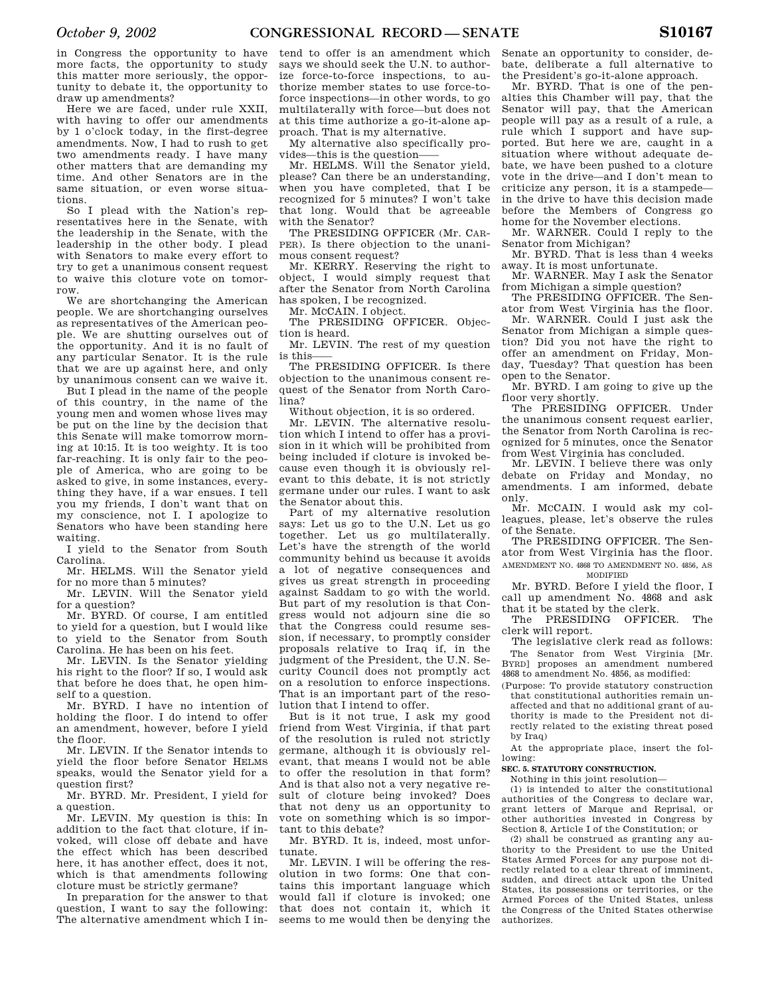in Congress the opportunity to have more facts, the opportunity to study this matter more seriously, the opportunity to debate it, the opportunity to draw up amendments?

Here we are faced, under rule XXII, with having to offer our amendments by 1 o'clock today, in the first-degree amendments. Now, I had to rush to get two amendments ready. I have many other matters that are demanding my time. And other Senators are in the same situation, or even worse situations.

So I plead with the Nation's representatives here in the Senate, with the leadership in the Senate, with the leadership in the other body. I plead with Senators to make every effort to try to get a unanimous consent request to waive this cloture vote on tomorrow.

We are shortchanging the American people. We are shortchanging ourselves as representatives of the American people. We are shutting ourselves out of the opportunity. And it is no fault of any particular Senator. It is the rule that we are up against here, and only by unanimous consent can we waive it.

But I plead in the name of the people of this country, in the name of the young men and women whose lives may be put on the line by the decision that this Senate will make tomorrow morning at 10:15. It is too weighty. It is too far-reaching. It is only fair to the people of America, who are going to be asked to give, in some instances, everything they have, if a war ensues. I tell you my friends, I don't want that on my conscience, not I. I apologize to Senators who have been standing here waiting.

I yield to the Senator from South Carolina.

Mr. HELMS. Will the Senator yield for no more than 5 minutes?

Mr. LEVIN. Will the Senator yield for a question?

Mr. BYRD. Of course, I am entitled to yield for a question, but I would like to yield to the Senator from South Carolina. He has been on his feet.

Mr. LEVIN. Is the Senator yielding his right to the floor? If so, I would ask that before he does that, he open himself to a question.

Mr. BYRD. I have no intention of holding the floor. I do intend to offer an amendment, however, before I yield the floor.

Mr. LEVIN. If the Senator intends to yield the floor before Senator HELMS speaks, would the Senator yield for a question first?

Mr. BYRD. Mr. President, I yield for a question.

Mr. LEVIN. My question is this: In addition to the fact that cloture, if invoked, will close off debate and have the effect which has been described here, it has another effect, does it not, which is that amendments following cloture must be strictly germane?

In preparation for the answer to that question, I want to say the following: The alternative amendment which I in-

tend to offer is an amendment which says we should seek the U.N. to authorize force-to-force inspections, to authorize member states to use force-toforce inspections—in other words, to go multilaterally with force—but does not at this time authorize a go-it-alone approach. That is my alternative.

My alternative also specifically provides—this is the question——

Mr. HELMS. Will the Senator yield, please? Can there be an understanding, when you have completed, that I be recognized for 5 minutes? I won't take that long. Would that be agreeable with the Senator?

The PRESIDING OFFICER (Mr. CAR-PER). Is there objection to the unanimous consent request?

Mr. KERRY. Reserving the right to object, I would simply request that after the Senator from North Carolina has spoken, I be recognized.

Mr. MCCAIN. I object.

The PRESIDING OFFICER. Objection is heard.

Mr. LEVIN. The rest of my question is this——

The PRESIDING OFFICER. Is there objection to the unanimous consent request of the Senator from North Carolina?

Without objection, it is so ordered.

Mr. LEVIN. The alternative resolution which I intend to offer has a provision in it which will be prohibited from being included if cloture is invoked because even though it is obviously relevant to this debate, it is not strictly germane under our rules. I want to ask the Senator about this.

Part of my alternative resolution says: Let us go to the U.N. Let us go together. Let us go multilaterally. Let's have the strength of the world community behind us because it avoids a lot of negative consequences and gives us great strength in proceeding against Saddam to go with the world. But part of my resolution is that Congress would not adjourn sine die so that the Congress could resume session, if necessary, to promptly consider proposals relative to Iraq if, in the judgment of the President, the U.N. Security Council does not promptly act on a resolution to enforce inspections. That is an important part of the resolution that I intend to offer.

But is it not true, I ask my good friend from West Virginia, if that part of the resolution is ruled not strictly germane, although it is obviously relevant, that means I would not be able to offer the resolution in that form? And is that also not a very negative result of cloture being invoked? Does that not deny us an opportunity to vote on something which is so important to this debate?

Mr. BYRD. It is, indeed, most unfortunate.

Mr. LEVIN. I will be offering the resolution in two forms: One that contains this important language which would fall if cloture is invoked; one that does not contain it, which it seems to me would then be denying the Senate an opportunity to consider, debate, deliberate a full alternative to the President's go-it-alone approach.

Mr. BYRD. That is one of the penalties this Chamber will pay, that the Senator will pay, that the American people will pay as a result of a rule, a rule which I support and have supported. But here we are, caught in a situation where without adequate debate, we have been pushed to a cloture vote in the drive—and I don't mean to criticize any person, it is a stampede in the drive to have this decision made before the Members of Congress go home for the November elections.

Mr. WARNER. Could I reply to the Senator from Michigan?

Mr. BYRD. That is less than 4 weeks away. It is most unfortunate.

Mr. WARNER. May I ask the Senator from Michigan a simple question?

The PRESIDING OFFICER. The Senator from West Virginia has the floor.

Mr. WARNER. Could I just ask the Senator from Michigan a simple question? Did you not have the right to offer an amendment on Friday, Monday, Tuesday? That question has been open to the Senator.

Mr. BYRD. I am going to give up the floor very shortly.

The PRESIDING OFFICER. Under the unanimous consent request earlier, the Senator from North Carolina is recognized for 5 minutes, once the Senator from West Virginia has concluded.

Mr. LEVIN. I believe there was only debate on Friday and Monday, no amendments. I am informed, debate only.

Mr. MCCAIN. I would ask my colleagues, please, let's observe the rules of the Senate.

The PRESIDING OFFICER. The Senator from West Virginia has the floor. AMENDMENT NO. 4868 TO AMENDMENT NO. 4856, AS MODIFIED

Mr. BYRD. Before I yield the floor, I call up amendment No. 4868 and ask that it be stated by the clerk.

The PRESIDING OFFICER. The clerk will report.

The legislative clerk read as follows: The Senator from West Virginia [Mr. BYRD] proposes an amendment numbered 4868 to amendment No. 4856, as modified:

(Purpose: To provide statutory construction that constitutional authorities remain unaffected and that no additional grant of authority is made to the President not directly related to the existing threat posed by Iraq)

At the appropriate place, insert the following:

## **SEC. 5. STATUTORY CONSTRUCTION.**

Nothing in this joint resolution— (1) is intended to alter the constitutional authorities of the Congress to declare war, grant letters of Marque and Reprisal, or other authorities invested in Congress by Section 8, Article I of the Constitution; or

(2) shall be construed as granting any authority to the President to use the United States Armed Forces for any purpose not directly related to a clear threat of imminent, sudden, and direct attack upon the United States, its possessions or territories, or the Armed Forces of the United States, unless the Congress of the United States otherwise authorizes.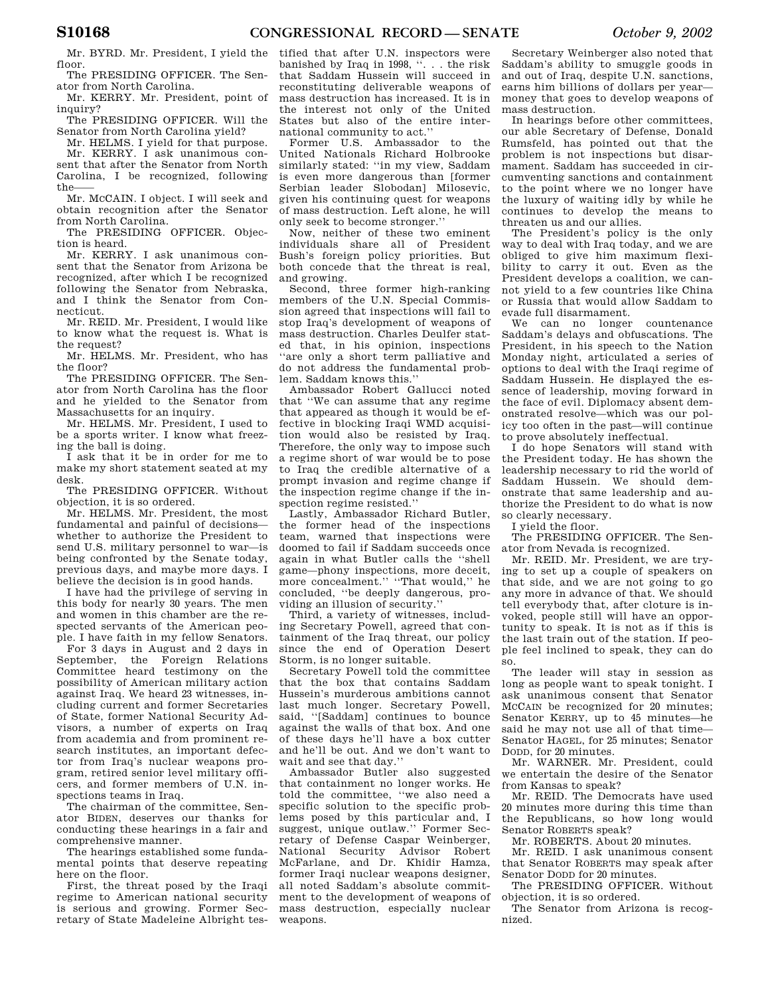Mr. BYRD. Mr. President, I yield the floor.

The PRESIDING OFFICER. The Senator from North Carolina.

Mr. KERRY. Mr. President, point of inquiry?

The PRESIDING OFFICER. Will the Senator from North Carolina yield?

Mr. HELMS. I yield for that purpose. Mr. KERRY. I ask unanimous consent that after the Senator from North Carolina, I be recognized, following the

Mr. MCCAIN. I object. I will seek and obtain recognition after the Senator from North Carolina.

The PRESIDING OFFICER. Objection is heard.

Mr. KERRY. I ask unanimous consent that the Senator from Arizona be recognized, after which I be recognized following the Senator from Nebraska, and I think the Senator from Connecticut.

Mr. REID. Mr. President, I would like to know what the request is. What is the request?

Mr. HELMS. Mr. President, who has the floor?

The PRESIDING OFFICER. The Senator from North Carolina has the floor and he yielded to the Senator from Massachusetts for an inquiry.

Mr. HELMS. Mr. President, I used to be a sports writer. I know what freezing the ball is doing.

I ask that it be in order for me to make my short statement seated at my desk.

The PRESIDING OFFICER. Without objection, it is so ordered.

Mr. HELMS. Mr. President, the most fundamental and painful of decisions whether to authorize the President to send U.S. military personnel to war—is being confronted by the Senate today, previous days, and maybe more days. I believe the decision is in good hands.

I have had the privilege of serving in this body for nearly 30 years. The men and women in this chamber are the respected servants of the American people. I have faith in my fellow Senators.

For 3 days in August and 2 days in September, the Foreign Relations Committee heard testimony on the possibility of American military action against Iraq. We heard 23 witnesses, including current and former Secretaries of State, former National Security Advisors, a number of experts on Iraq from academia and from prominent research institutes, an important defector from Iraq's nuclear weapons program, retired senior level military officers, and former members of U.N. inspections teams in Iraq.

The chairman of the committee, Senator BIDEN, deserves our thanks for conducting these hearings in a fair and comprehensive manner.

The hearings established some fundamental points that deserve repeating here on the floor.

First, the threat posed by the Iraqi regime to American national security is serious and growing. Former Secretary of State Madeleine Albright tes-

tified that after U.N. inspectors were banished by Iraq in 1998,  $\ldots$  the risk that Saddam Hussein will succeed in reconstituting deliverable weapons of mass destruction has increased. It is in the interest not only of the United States but also of the entire international community to act.''

Former U.S. Ambassador to the United Nationals Richard Holbrooke similarly stated: ''in my view, Saddam is even more dangerous than [former Serbian leader Slobodan] Milosevic, given his continuing quest for weapons of mass destruction. Left alone, he will only seek to become stronger.''

Now, neither of these two eminent individuals share all of President Bush's foreign policy priorities. But both concede that the threat is real, and growing.

Second, three former high-ranking members of the U.N. Special Commission agreed that inspections will fail to stop Iraq's development of weapons of mass destruction. Charles Deulfer stated that, in his opinion, inspections ''are only a short term palliative and do not address the fundamental problem. Saddam knows this.''

Ambassador Robert Gallucci noted that ''We can assume that any regime that appeared as though it would be effective in blocking Iraqi WMD acquisition would also be resisted by Iraq. Therefore, the only way to impose such a regime short of war would be to pose to Iraq the credible alternative of a prompt invasion and regime change if the inspection regime change if the inspection regime resisted.''

Lastly, Ambassador Richard Butler, the former head of the inspections team, warned that inspections were doomed to fail if Saddam succeeds once again in what Butler calls the ''shell game—phony inspections, more deceit, more concealment.'' ''That would,'' he concluded, ''be deeply dangerous, providing an illusion of security.''

Third, a variety of witnesses, including Secretary Powell, agreed that containment of the Iraq threat, our policy since the end of Operation Desert Storm, is no longer suitable.

Secretary Powell told the committee that the box that contains Saddam Hussein's murderous ambitions cannot last much longer. Secretary Powell, said, ''[Saddam] continues to bounce against the walls of that box. And one of these days he'll have a box cutter and he'll be out. And we don't want to wait and see that day.''

Ambassador Butler also suggested that containment no longer works. He told the committee, ''we also need a specific solution to the specific problems posed by this particular and, I suggest, unique outlaw.'' Former Secretary of Defense Caspar Weinberger, National Security Advisor Robert McFarlane, and Dr. Khidir Hamza, former Iraqi nuclear weapons designer, all noted Saddam's absolute commitment to the development of weapons of mass destruction, especially nuclear weapons.

Secretary Weinberger also noted that Saddam's ability to smuggle goods in and out of Iraq, despite U.N. sanctions, earns him billions of dollars per year money that goes to develop weapons of mass destruction.

In hearings before other committees, our able Secretary of Defense, Donald Rumsfeld, has pointed out that the problem is not inspections but disarmament. Saddam has succeeded in circumventing sanctions and containment to the point where we no longer have the luxury of waiting idly by while he continues to develop the means to threaten us and our allies.

The President's policy is the only way to deal with Iraq today, and we are obliged to give him maximum flexibility to carry it out. Even as the President develops a coalition, we cannot yield to a few countries like China or Russia that would allow Saddam to evade full disarmament.

We can no longer countenance Saddam's delays and obfuscations. The President, in his speech to the Nation Monday night, articulated a series of options to deal with the Iraqi regime of Saddam Hussein. He displayed the essence of leadership, moving forward in the face of evil. Diplomacy absent demonstrated resolve—which was our policy too often in the past—will continue to prove absolutely ineffectual.

I do hope Senators will stand with the President today. He has shown the leadership necessary to rid the world of Saddam Hussein. We should demonstrate that same leadership and authorize the President to do what is now so clearly necessary.

I yield the floor.

The PRESIDING OFFICER. The Senator from Nevada is recognized.

Mr. REID. Mr. President, we are trying to set up a couple of speakers on that side, and we are not going to go any more in advance of that. We should tell everybody that, after cloture is invoked, people still will have an opportunity to speak. It is not as if this is the last train out of the station. If people feel inclined to speak, they can do so.

The leader will stay in session as long as people want to speak tonight. I ask unanimous consent that Senator MCCAIN be recognized for 20 minutes; Senator KERRY, up to 45 minutes—he said he may not use all of that time— Senator HAGEL, for 25 minutes; Senator DODD, for 20 minutes.

Mr. WARNER. Mr. President, could we entertain the desire of the Senator from Kansas to speak?

Mr. REID. The Democrats have used 20 minutes more during this time than the Republicans, so how long would Senator ROBERTS speak?

Mr. ROBERTS. About 20 minutes.

Mr. REID. I ask unanimous consent that Senator ROBERTS may speak after Senator DODD for 20 minutes.

The PRESIDING OFFICER. Without objection, it is so ordered.

The Senator from Arizona is recognized.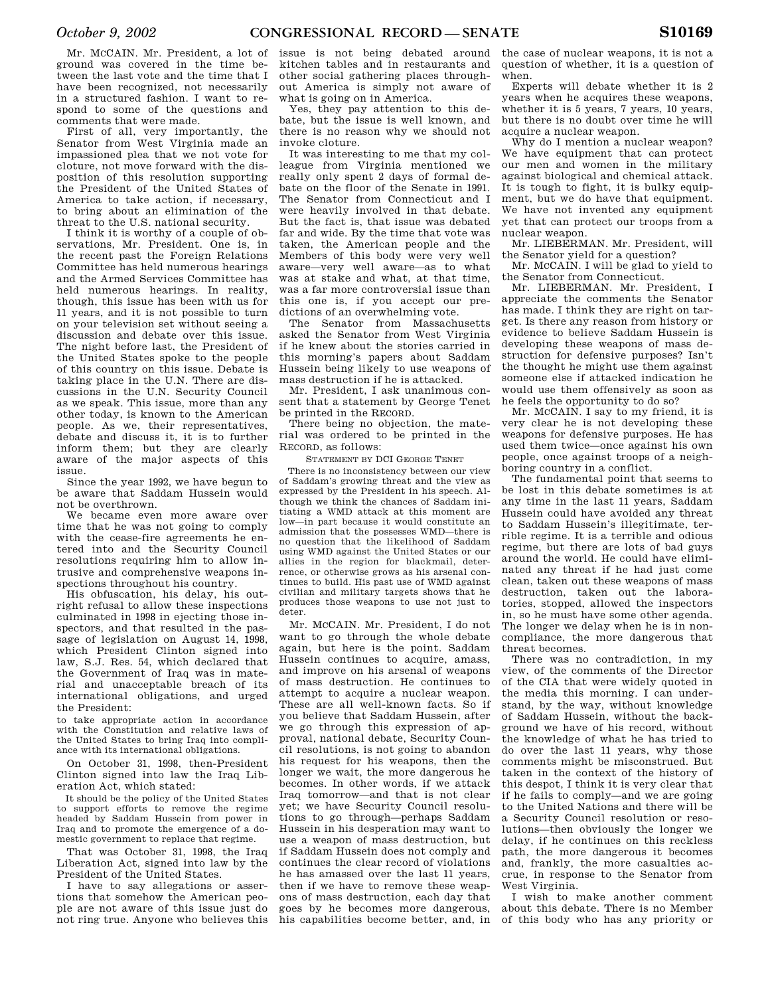Mr. MCCAIN. Mr. President, a lot of ground was covered in the time between the last vote and the time that I have been recognized, not necessarily in a structured fashion. I want to respond to some of the questions and comments that were made.

First of all, very importantly, the Senator from West Virginia made an impassioned plea that we not vote for cloture, not move forward with the disposition of this resolution supporting the President of the United States of America to take action, if necessary, to bring about an elimination of the threat to the U.S. national security.

I think it is worthy of a couple of observations, Mr. President. One is, in the recent past the Foreign Relations Committee has held numerous hearings and the Armed Services Committee has held numerous hearings. In reality, though, this issue has been with us for 11 years, and it is not possible to turn on your television set without seeing a discussion and debate over this issue. The night before last, the President of the United States spoke to the people of this country on this issue. Debate is taking place in the U.N. There are discussions in the U.N. Security Council as we speak. This issue, more than any other today, is known to the American people. As we, their representatives, debate and discuss it, it is to further inform them; but they are clearly aware of the major aspects of this issue.

Since the year 1992, we have begun to be aware that Saddam Hussein would not be overthrown.

We became even more aware over time that he was not going to comply with the cease-fire agreements he entered into and the Security Council resolutions requiring him to allow intrusive and comprehensive weapons inspections throughout his country.

His obfuscation, his delay, his outright refusal to allow these inspections culminated in 1998 in ejecting those inspectors, and that resulted in the passage of legislation on August 14, 1998, which President Clinton signed into law, S.J. Res. 54, which declared that the Government of Iraq was in material and unacceptable breach of its international obligations, and urged the President:

to take appropriate action in accordance with the Constitution and relative laws of the United States to bring Iraq into compliance with its international obligations.

On October 31, 1998, then-President Clinton signed into law the Iraq Liberation Act, which stated:

It should be the policy of the United States to support efforts to remove the regime headed by Saddam Hussein from power in Iraq and to promote the emergence of a domestic government to replace that regime.

That was October 31, 1998, the Iraq Liberation Act, signed into law by the President of the United States.

I have to say allegations or assertions that somehow the American people are not aware of this issue just do not ring true. Anyone who believes this

issue is not being debated around kitchen tables and in restaurants and other social gathering places throughout America is simply not aware of what is going on in America.

Yes, they pay attention to this debate, but the issue is well known, and there is no reason why we should not invoke cloture.

It was interesting to me that my colleague from Virginia mentioned we really only spent 2 days of formal debate on the floor of the Senate in 1991. The Senator from Connecticut and I were heavily involved in that debate. But the fact is, that issue was debated far and wide. By the time that vote was taken, the American people and the Members of this body were very well aware—very well aware—as to what was at stake and what, at that time, was a far more controversial issue than this one is, if you accept our predictions of an overwhelming vote.

The Senator from Massachusetts asked the Senator from West Virginia if he knew about the stories carried in this morning's papers about Saddam Hussein being likely to use weapons of mass destruction if he is attacked.

Mr. President, I ask unanimous consent that a statement by George Tenet be printed in the RECORD.

There being no objection, the material was ordered to be printed in the RECORD, as follows:

STATEMENT BY DCI GEORGE TENET

There is no inconsistency between our view of Saddam's growing threat and the view as expressed by the President in his speech. Although we think the chances of Saddam initiating a WMD attack at this moment are low—in part because it would constitute an admission that the possesses WMD—there is no question that the likelihood of Saddam using WMD against the United States or our allies in the region for blackmail, deterrence, or otherwise grows as his arsenal continues to build. His past use of WMD against civilian and military targets shows that he produces those weapons to use not just to deter.

Mr. MCCAIN. Mr. President, I do not want to go through the whole debate again, but here is the point. Saddam Hussein continues to acquire, amass, and improve on his arsenal of weapons of mass destruction. He continues to attempt to acquire a nuclear weapon. These are all well-known facts. So if you believe that Saddam Hussein, after we go through this expression of approval, national debate, Security Council resolutions, is not going to abandon his request for his weapons, then the longer we wait, the more dangerous he becomes. In other words, if we attack Iraq tomorrow—and that is not clear yet; we have Security Council resolutions to go through—perhaps Saddam Hussein in his desperation may want to use a weapon of mass destruction, but if Saddam Hussein does not comply and continues the clear record of violations he has amassed over the last 11 years, then if we have to remove these weapons of mass destruction, each day that goes by he becomes more dangerous, his capabilities become better, and, in

the case of nuclear weapons, it is not a question of whether, it is a question of when.

Experts will debate whether it is 2 years when he acquires these weapons, whether it is 5 years, 7 years, 10 years, but there is no doubt over time he will acquire a nuclear weapon.

Why do I mention a nuclear weapon? We have equipment that can protect our men and women in the military against biological and chemical attack. It is tough to fight, it is bulky equipment, but we do have that equipment. We have not invented any equipment yet that can protect our troops from a nuclear weapon.

Mr. LIEBERMAN. Mr. President, will the Senator yield for a question?

Mr. MCCAIN. I will be glad to yield to the Senator from Connecticut.

Mr. LIEBERMAN. Mr. President, I appreciate the comments the Senator has made. I think they are right on target. Is there any reason from history or evidence to believe Saddam Hussein is developing these weapons of mass destruction for defensive purposes? Isn't the thought he might use them against someone else if attacked indication he would use them offensively as soon as he feels the opportunity to do so?

Mr. MCCAIN. I say to my friend, it is very clear he is not developing these weapons for defensive purposes. He has used them twice—once against his own people, once against troops of a neighboring country in a conflict.

The fundamental point that seems to be lost in this debate sometimes is at any time in the last 11 years, Saddam Hussein could have avoided any threat to Saddam Hussein's illegitimate, terrible regime. It is a terrible and odious regime, but there are lots of bad guys around the world. He could have eliminated any threat if he had just come clean, taken out these weapons of mass destruction, taken out the laboratories, stopped, allowed the inspectors in, so he must have some other agenda. The longer we delay when he is in noncompliance, the more dangerous that threat becomes.

There was no contradiction, in my view, of the comments of the Director of the CIA that were widely quoted in the media this morning. I can understand, by the way, without knowledge of Saddam Hussein, without the background we have of his record, without the knowledge of what he has tried to do over the last 11 years, why those comments might be misconstrued. But taken in the context of the history of this despot, I think it is very clear that if he fails to comply—and we are going to the United Nations and there will be a Security Council resolution or resolutions—then obviously the longer we delay, if he continues on this reckless path, the more dangerous it becomes and, frankly, the more casualties accrue, in response to the Senator from West Virginia.

I wish to make another comment about this debate. There is no Member of this body who has any priority or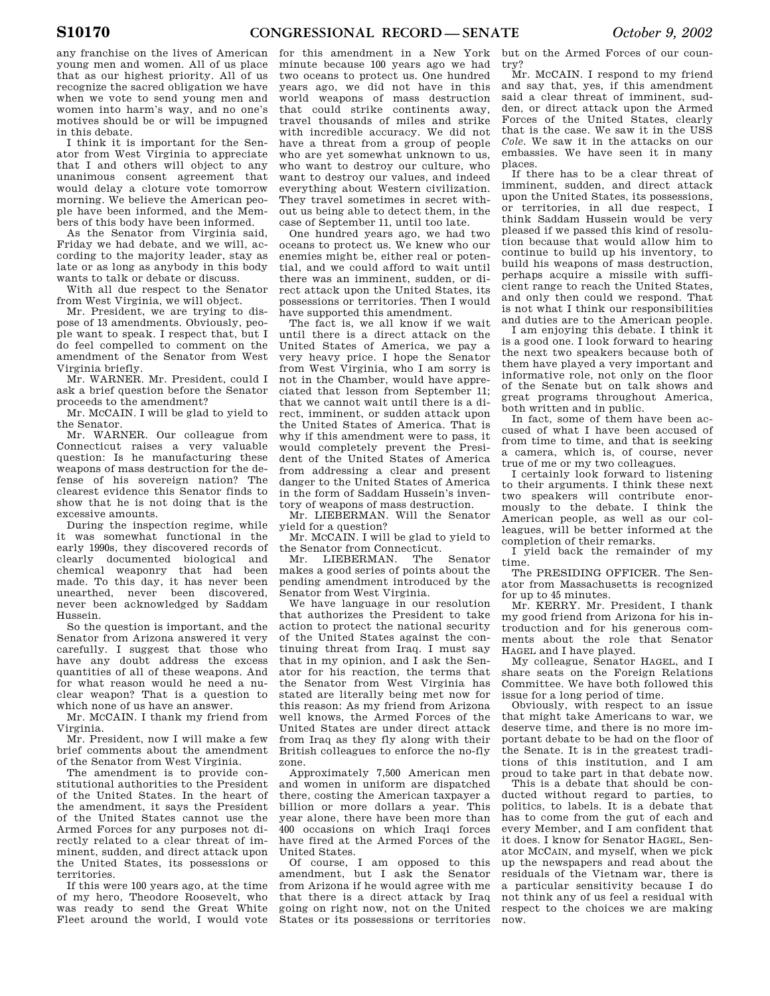any franchise on the lives of American young men and women. All of us place that as our highest priority. All of us recognize the sacred obligation we have when we vote to send young men and women into harm's way, and no one's motives should be or will be impugned in this debate.

I think it is important for the Senator from West Virginia to appreciate that I and others will object to any unanimous consent agreement that would delay a cloture vote tomorrow morning. We believe the American people have been informed, and the Members of this body have been informed.

As the Senator from Virginia said, Friday we had debate, and we will, according to the majority leader, stay as late or as long as anybody in this body wants to talk or debate or discuss.

With all due respect to the Senator from West Virginia, we will object.

Mr. President, we are trying to dispose of 13 amendments. Obviously, people want to speak. I respect that, but I do feel compelled to comment on the amendment of the Senator from West Virginia briefly.

Mr. WARNER. Mr. President, could I ask a brief question before the Senator proceeds to the amendment?

Mr. MCCAIN. I will be glad to yield to the Senator.

Mr. WARNER. Our colleague from Connecticut raises a very valuable question: Is he manufacturing these weapons of mass destruction for the defense of his sovereign nation? The clearest evidence this Senator finds to show that he is not doing that is the excessive amounts.

During the inspection regime, while it was somewhat functional in the early 1990s, they discovered records of clearly documented biological and chemical weaponry that had been made. To this day, it has never been unearthed, never been discovered, never been acknowledged by Saddam Hussein.

So the question is important, and the Senator from Arizona answered it very carefully. I suggest that those who have any doubt address the excess quantities of all of these weapons. And for what reason would he need a nuclear weapon? That is a question to which none of us have an answer.

Mr. MCCAIN. I thank my friend from Virginia.

Mr. President, now I will make a few brief comments about the amendment of the Senator from West Virginia.

The amendment is to provide constitutional authorities to the President of the United States. In the heart of the amendment, it says the President of the United States cannot use the Armed Forces for any purposes not directly related to a clear threat of imminent, sudden, and direct attack upon the United States, its possessions or territories.

If this were 100 years ago, at the time of my hero, Theodore Roosevelt, who was ready to send the Great White Fleet around the world, I would vote

for this amendment in a New York minute because 100 years ago we had two oceans to protect us. One hundred years ago, we did not have in this world weapons of mass destruction that could strike continents away, travel thousands of miles and strike with incredible accuracy. We did not have a threat from a group of people who are yet somewhat unknown to us, who want to destroy our culture, who want to destroy our values, and indeed everything about Western civilization. They travel sometimes in secret without us being able to detect them, in the case of September 11, until too late.

One hundred years ago, we had two oceans to protect us. We knew who our enemies might be, either real or potential, and we could afford to wait until there was an imminent, sudden, or direct attack upon the United States, its possessions or territories. Then I would have supported this amendment.

The fact is, we all know if we wait until there is a direct attack on the United States of America, we pay a very heavy price. I hope the Senator from West Virginia, who I am sorry is not in the Chamber, would have appreciated that lesson from September 11; that we cannot wait until there is a direct, imminent, or sudden attack upon the United States of America. That is why if this amendment were to pass, it would completely prevent the President of the United States of America from addressing a clear and present danger to the United States of America in the form of Saddam Hussein's inventory of weapons of mass destruction.

Mr. LIEBERMAN. Will the Senator yield for a question?

Mr. MCCAIN. I will be glad to yield to the Senator from Connecticut.

Mr. LIEBERMAN. The Senator makes a good series of points about the pending amendment introduced by the Senator from West Virginia.

We have language in our resolution that authorizes the President to take action to protect the national security of the United States against the continuing threat from Iraq. I must say that in my opinion, and I ask the Senator for his reaction, the terms that the Senator from West Virginia has stated are literally being met now for this reason: As my friend from Arizona well knows, the Armed Forces of the United States are under direct attack from Iraq as they fly along with their British colleagues to enforce the no-fly zone.

Approximately 7,500 American men and women in uniform are dispatched there, costing the American taxpayer a billion or more dollars a year. This year alone, there have been more than 400 occasions on which Iraqi forces have fired at the Armed Forces of the United States.

Of course, I am opposed to this amendment, but I ask the Senator from Arizona if he would agree with me that there is a direct attack by Iraq going on right now, not on the United States or its possessions or territories

but on the Armed Forces of our country?

Mr. MCCAIN. I respond to my friend and say that, yes, if this amendment said a clear threat of imminent, sudden, or direct attack upon the Armed Forces of the United States, clearly that is the case. We saw it in the USS *Cole*. We saw it in the attacks on our embassies. We have seen it in many places.

If there has to be a clear threat of imminent, sudden, and direct attack upon the United States, its possessions, or territories, in all due respect, I think Saddam Hussein would be very pleased if we passed this kind of resolution because that would allow him to continue to build up his inventory, to build his weapons of mass destruction, perhaps acquire a missile with sufficient range to reach the United States, and only then could we respond. That is not what I think our responsibilities and duties are to the American people.

I am enjoying this debate. I think it is a good one. I look forward to hearing the next two speakers because both of them have played a very important and informative role, not only on the floor of the Senate but on talk shows and great programs throughout America, both written and in public.

In fact, some of them have been accused of what I have been accused of from time to time, and that is seeking a camera, which is, of course, never true of me or my two colleagues.

I certainly look forward to listening to their arguments. I think these next two speakers will contribute enormously to the debate. I think the American people, as well as our colleagues, will be better informed at the completion of their remarks.

I yield back the remainder of my time.

The PRESIDING OFFICER. The Senator from Massachusetts is recognized for up to 45 minutes.

Mr. KERRY. Mr. President, I thank my good friend from Arizona for his introduction and for his generous comments about the role that Senator HAGEL and I have played.

My colleague, Senator HAGEL, and I share seats on the Foreign Relations Committee. We have both followed this issue for a long period of time.

Obviously, with respect to an issue that might take Americans to war, we deserve time, and there is no more important debate to be had on the floor of the Senate. It is in the greatest traditions of this institution, and I am proud to take part in that debate now.

This is a debate that should be conducted without regard to parties, to politics, to labels. It is a debate that has to come from the gut of each and every Member, and I am confident that it does. I know for Senator HAGEL, Senator MCCAIN, and myself, when we pick up the newspapers and read about the residuals of the Vietnam war, there is a particular sensitivity because I do not think any of us feel a residual with respect to the choices we are making now.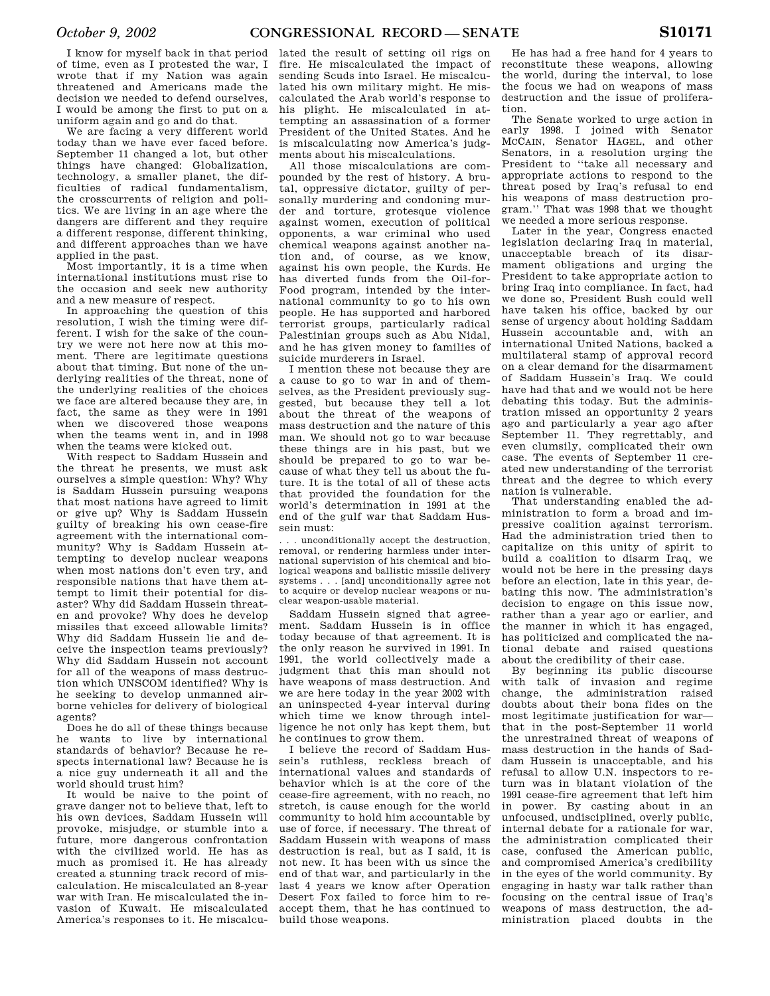I know for myself back in that period of time, even as I protested the war, I wrote that if my Nation was again threatened and Americans made the decision we needed to defend ourselves, I would be among the first to put on a uniform again and go and do that.

We are facing a very different world today than we have ever faced before. September 11 changed a lot, but other things have changed: Globalization, technology, a smaller planet, the difficulties of radical fundamentalism, the crosscurrents of religion and politics. We are living in an age where the dangers are different and they require a different response, different thinking, and different approaches than we have applied in the past.

Most importantly, it is a time when international institutions must rise to the occasion and seek new authority and a new measure of respect.

In approaching the question of this resolution, I wish the timing were different. I wish for the sake of the country we were not here now at this moment. There are legitimate questions about that timing. But none of the underlying realities of the threat, none of the underlying realities of the choices we face are altered because they are, in fact, the same as they were in 1991 when we discovered those weapons when the teams went in, and in 1998 when the teams were kicked out.

With respect to Saddam Hussein and the threat he presents, we must ask ourselves a simple question: Why? Why is Saddam Hussein pursuing weapons that most nations have agreed to limit or give up? Why is Saddam Hussein guilty of breaking his own cease-fire agreement with the international community? Why is Saddam Hussein attempting to develop nuclear weapons when most nations don't even try, and responsible nations that have them attempt to limit their potential for disaster? Why did Saddam Hussein threaten and provoke? Why does he develop missiles that exceed allowable limits? Why did Saddam Hussein lie and deceive the inspection teams previously? Why did Saddam Hussein not account for all of the weapons of mass destruction which UNSCOM identified? Why is he seeking to develop unmanned airborne vehicles for delivery of biological agents?

Does he do all of these things because he wants to live by international standards of behavior? Because he respects international law? Because he is a nice guy underneath it all and the world should trust him?

It would be naive to the point of grave danger not to believe that, left to his own devices, Saddam Hussein will provoke, misjudge, or stumble into a future, more dangerous confrontation with the civilized world. He has as much as promised it. He has already created a stunning track record of miscalculation. He miscalculated an 8-year war with Iran. He miscalculated the invasion of Kuwait. He miscalculated America's responses to it. He miscalcu-

lated the result of setting oil rigs on fire. He miscalculated the impact of sending Scuds into Israel. He miscalculated his own military might. He miscalculated the Arab world's response to his plight. He miscalculated in attempting an assassination of a former President of the United States. And he is miscalculating now America's judgments about his miscalculations.

All those miscalculations are compounded by the rest of history. A brutal, oppressive dictator, guilty of personally murdering and condoning murder and torture, grotesque violence against women, execution of political opponents, a war criminal who used chemical weapons against another nation and, of course, as we know, against his own people, the Kurds. He has diverted funds from the Oil-for-Food program, intended by the international community to go to his own people. He has supported and harbored terrorist groups, particularly radical Palestinian groups such as Abu Nidal, and he has given money to families of suicide murderers in Israel.

I mention these not because they are a cause to go to war in and of themselves, as the President previously suggested, but because they tell a lot about the threat of the weapons of mass destruction and the nature of this man. We should not go to war because these things are in his past, but we should be prepared to go to war because of what they tell us about the future. It is the total of all of these acts that provided the foundation for the world's determination in 1991 at the end of the gulf war that Saddam Hussein must:

. . . unconditionally accept the destruction, removal, or rendering harmless under international supervision of his chemical and biological weapons and ballistic missile delivery systems . . . [and] unconditionally agree not to acquire or develop nuclear weapons or nuclear weapon-usable material.

Saddam Hussein signed that agreement. Saddam Hussein is in office today because of that agreement. It is the only reason he survived in 1991. In 1991, the world collectively made a judgment that this man should not have weapons of mass destruction. And we are here today in the year 2002 with an uninspected 4-year interval during which time we know through intelligence he not only has kept them, but he continues to grow them.

I believe the record of Saddam Hussein's ruthless, reckless breach of international values and standards of behavior which is at the core of the cease-fire agreement, with no reach, no stretch, is cause enough for the world community to hold him accountable by use of force, if necessary. The threat of Saddam Hussein with weapons of mass destruction is real, but as I said, it is not new. It has been with us since the end of that war, and particularly in the last 4 years we know after Operation Desert Fox failed to force him to reaccept them, that he has continued to build those weapons.

He has had a free hand for 4 years to reconstitute these weapons, allowing the world, during the interval, to lose the focus we had on weapons of mass destruction and the issue of proliferation.

The Senate worked to urge action in early 1998. I joined with Senator MCCAIN, Senator HAGEL, and other Senators, in a resolution urging the President to ''take all necessary and appropriate actions to respond to the threat posed by Iraq's refusal to end his weapons of mass destruction program.'' That was 1998 that we thought we needed a more serious response.

Later in the year, Congress enacted legislation declaring Iraq in material, unacceptable breach of its disarmament obligations and urging the President to take appropriate action to bring Iraq into compliance. In fact, had we done so, President Bush could well have taken his office, backed by our sense of urgency about holding Saddam Hussein accountable and, with an international United Nations, backed a multilateral stamp of approval record on a clear demand for the disarmament of Saddam Hussein's Iraq. We could have had that and we would not be here debating this today. But the administration missed an opportunity 2 years ago and particularly a year ago after September 11. They regrettably, and even clumsily, complicated their own case. The events of September 11 created new understanding of the terrorist threat and the degree to which every nation is vulnerable.

That understanding enabled the administration to form a broad and impressive coalition against terrorism. Had the administration tried then to capitalize on this unity of spirit to build a coalition to disarm Iraq, we would not be here in the pressing days before an election, late in this year, debating this now. The administration's decision to engage on this issue now, rather than a year ago or earlier, and the manner in which it has engaged, has politicized and complicated the national debate and raised questions about the credibility of their case.

By beginning its public discourse with talk of invasion and regime change, the administration raised doubts about their bona fides on the most legitimate justification for war that in the post-September 11 world the unrestrained threat of weapons of mass destruction in the hands of Saddam Hussein is unacceptable, and his refusal to allow U.N. inspectors to return was in blatant violation of the 1991 cease-fire agreement that left him in power. By casting about in an unfocused, undisciplined, overly public, internal debate for a rationale for war, the administration complicated their case, confused the American public, and compromised America's credibility in the eyes of the world community. By engaging in hasty war talk rather than focusing on the central issue of Iraq's weapons of mass destruction, the administration placed doubts in the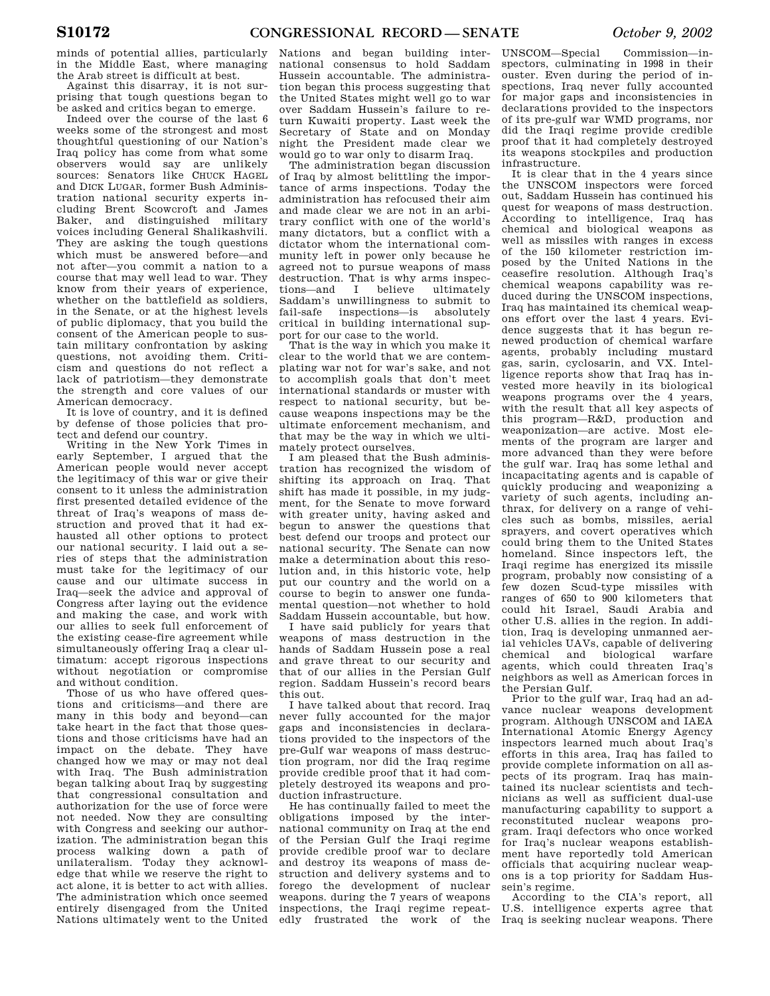minds of potential allies, particularly in the Middle East, where managing the Arab street is difficult at best.

Against this disarray, it is not surprising that tough questions began to be asked and critics began to emerge.

Indeed over the course of the last 6 weeks some of the strongest and most thoughtful questioning of our Nation's Iraq policy has come from what some observers would say are unlikely sources: Senators like CHUCK HAGEL and DICK LUGAR, former Bush Administration national security experts including Brent Scowcroft and James Baker, and distinguished military voices including General Shalikashvili. They are asking the tough questions which must be answered before—and not after—you commit a nation to a course that may well lead to war. They know from their years of experience, whether on the battlefield as soldiers, in the Senate, or at the highest levels of public diplomacy, that you build the consent of the American people to sustain military confrontation by asking questions, not avoiding them. Criticism and questions do not reflect a lack of patriotism—they demonstrate the strength and core values of our American democracy.

It is love of country, and it is defined by defense of those policies that protect and defend our country.

Writing in the New York Times in early September, I argued that the American people would never accept the legitimacy of this war or give their consent to it unless the administration first presented detailed evidence of the threat of Iraq's weapons of mass destruction and proved that it had exhausted all other options to protect our national security. I laid out a series of steps that the administration must take for the legitimacy of our cause and our ultimate success in Iraq—seek the advice and approval of Congress after laying out the evidence and making the case, and work with our allies to seek full enforcement of the existing cease-fire agreement while simultaneously offering Iraq a clear ultimatum: accept rigorous inspections without negotiation or compromise and without condition.

Those of us who have offered questions and criticisms—and there are many in this body and beyond—can take heart in the fact that those questions and those criticisms have had an impact on the debate. They have changed how we may or may not deal with Iraq. The Bush administration began talking about Iraq by suggesting that congressional consultation and authorization for the use of force were not needed. Now they are consulting with Congress and seeking our authorization. The administration began this process walking down a path of unilateralism. Today they acknowledge that while we reserve the right to act alone, it is better to act with allies. The administration which once seemed entirely disengaged from the United Nations ultimately went to the United

Nations and began building international consensus to hold Saddam Hussein accountable. The administration began this process suggesting that the United States might well go to war over Saddam Hussein's failure to return Kuwaiti property. Last week the Secretary of State and on Monday night the President made clear we would go to war only to disarm Iraq.

The administration began discussion of Iraq by almost belittling the importance of arms inspections. Today the administration has refocused their aim and made clear we are not in an arbitrary conflict with one of the world's many dictators, but a conflict with a dictator whom the international community left in power only because he agreed not to pursue weapons of mass destruction. That is why arms inspections—and I believe ultimately Saddam's unwillingness to submit to fail-safe inspections—is absolutely critical in building international support for our case to the world.

That is the way in which you make it clear to the world that we are contemplating war not for war's sake, and not to accomplish goals that don't meet international standards or muster with respect to national security, but because weapons inspections may be the ultimate enforcement mechanism, and that may be the way in which we ultimately protect ourselves.

I am pleased that the Bush administration has recognized the wisdom of shifting its approach on Iraq. That shift has made it possible, in my judgment, for the Senate to move forward with greater unity, having asked and begun to answer the questions that best defend our troops and protect our national security. The Senate can now make a determination about this resolution and, in this historic vote, help put our country and the world on a course to begin to answer one fundamental question—not whether to hold Saddam Hussein accountable, but how.

I have said publicly for years that weapons of mass destruction in the hands of Saddam Hussein pose a real and grave threat to our security and that of our allies in the Persian Gulf region. Saddam Hussein's record bears this out.

I have talked about that record. Iraq never fully accounted for the major gaps and inconsistencies in declarations provided to the inspectors of the pre-Gulf war weapons of mass destruction program, nor did the Iraq regime provide credible proof that it had completely destroyed its weapons and production infrastructure.

He has continually failed to meet the obligations imposed by the international community on Iraq at the end of the Persian Gulf the Iraqi regime provide credible proof war to declare and destroy its weapons of mass destruction and delivery systems and to forego the development of nuclear weapons. during the 7 years of weapons inspections, the Iraqi regime repeatedly frustrated the work of the

UNSCOM—Special Commission—inspectors, culminating in 1998 in their ouster. Even during the period of inspections, Iraq never fully accounted for major gaps and inconsistencies in declarations provided to the inspectors of its pre-gulf war WMD programs, nor did the Iraqi regime provide credible proof that it had completely destroyed its weapons stockpiles and production infrastructure.

It is clear that in the 4 years since the UNSCOM inspectors were forced out, Saddam Hussein has continued his quest for weapons of mass destruction. According to intelligence, Iraq has chemical and biological weapons as well as missiles with ranges in excess of the 150 kilometer restriction imposed by the United Nations in the ceasefire resolution. Although Iraq's chemical weapons capability was reduced during the UNSCOM inspections, Iraq has maintained its chemical weapons effort over the last 4 years. Evidence suggests that it has begun renewed production of chemical warfare agents, probably including mustard gas, sarin, cyclosarin, and VX. Intelligence reports show that Iraq has invested more heavily in its biological weapons programs over the 4 years, with the result that all key aspects of this program—R&D, production and weaponization—are active. Most elements of the program are larger and more advanced than they were before the gulf war. Iraq has some lethal and incapacitating agents and is capable of quickly producing and weaponizing a variety of such agents, including anthrax, for delivery on a range of vehicles such as bombs, missiles, aerial sprayers, and covert operatives which could bring them to the United States homeland. Since inspectors left, the Iraqi regime has energized its missile program, probably now consisting of a few dozen Scud-type missiles with ranges of 650 to 900 kilometers that could hit Israel, Saudi Arabia and other U.S. allies in the region. In addition, Iraq is developing unmanned aerial vehicles UAVs, capable of delivering chemical and biological warfare agents, which could threaten Iraq's neighbors as well as American forces in the Persian Gulf.

Prior to the gulf war, Iraq had an advance nuclear weapons development program. Although UNSCOM and IAEA International Atomic Energy Agency inspectors learned much about Iraq's efforts in this area, Iraq has failed to provide complete information on all aspects of its program. Iraq has maintained its nuclear scientists and technicians as well as sufficient dual-use manufacturing capability to support a reconstituted nuclear weapons program. Iraqi defectors who once worked for Iraq's nuclear weapons establishment have reportedly told American officials that acquiring nuclear weapons is a top priority for Saddam Hussein's regime.

According to the CIA's report, all U.S. intelligence experts agree that Iraq is seeking nuclear weapons. There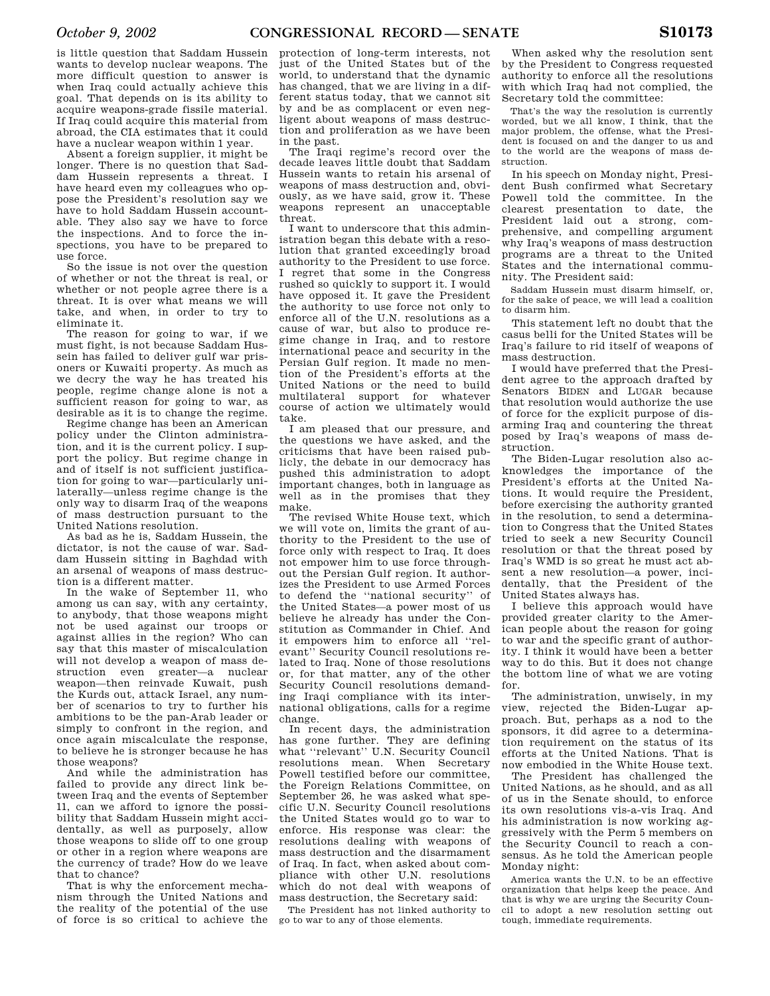is little question that Saddam Hussein wants to develop nuclear weapons. The more difficult question to answer is when Iraq could actually achieve this goal. That depends on is its ability to acquire weapons-grade fissile material. If Iraq could acquire this material from abroad, the CIA estimates that it could have a nuclear weapon within 1 year.

Absent a foreign supplier, it might be longer. There is no question that Saddam Hussein represents a threat. I have heard even my colleagues who oppose the President's resolution say we have to hold Saddam Hussein accountable. They also say we have to force the inspections. And to force the inspections, you have to be prepared to use force.

So the issue is not over the question of whether or not the threat is real, or whether or not people agree there is a threat. It is over what means we will take, and when, in order to try to eliminate it.

The reason for going to war, if we must fight, is not because Saddam Hussein has failed to deliver gulf war prisoners or Kuwaiti property. As much as we decry the way he has treated his people, regime change alone is not a sufficient reason for going to war, as desirable as it is to change the regime.

Regime change has been an American policy under the Clinton administration, and it is the current policy. I support the policy. But regime change in and of itself is not sufficient justification for going to war—particularly unilaterally—unless regime change is the only way to disarm Iraq of the weapons of mass destruction pursuant to the United Nations resolution.

As bad as he is, Saddam Hussein, the dictator, is not the cause of war. Saddam Hussein sitting in Baghdad with an arsenal of weapons of mass destruction is a different matter.

In the wake of September 11, who among us can say, with any certainty, to anybody, that those weapons might not be used against our troops or against allies in the region? Who can say that this master of miscalculation will not develop a weapon of mass destruction even greater—a nuclear weapon—then reinvade Kuwait, push the Kurds out, attack Israel, any number of scenarios to try to further his ambitions to be the pan-Arab leader or simply to confront in the region, and once again miscalculate the response, to believe he is stronger because he has those weapons?

And while the administration has failed to provide any direct link between Iraq and the events of September 11, can we afford to ignore the possibility that Saddam Hussein might accidentally, as well as purposely, allow those weapons to slide off to one group or other in a region where weapons are the currency of trade? How do we leave that to chance?

That is why the enforcement mechanism through the United Nations and the reality of the potential of the use of force is so critical to achieve the protection of long-term interests, not just of the United States but of the world, to understand that the dynamic has changed, that we are living in a different status today, that we cannot sit by and be as complacent or even negligent about weapons of mass destruction and proliferation as we have been in the past.

The Iraqi regime's record over the decade leaves little doubt that Saddam Hussein wants to retain his arsenal of weapons of mass destruction and, obviously, as we have said, grow it. These weapons represent an unacceptable threat.

I want to underscore that this administration began this debate with a resolution that granted exceedingly broad authority to the President to use force. I regret that some in the Congress rushed so quickly to support it. I would have opposed it. It gave the President the authority to use force not only to enforce all of the U.N. resolutions as a cause of war, but also to produce regime change in Iraq, and to restore international peace and security in the Persian Gulf region. It made no mention of the President's efforts at the United Nations or the need to build multilateral support for whatever course of action we ultimately would take.

I am pleased that our pressure, and the questions we have asked, and the criticisms that have been raised publicly, the debate in our democracy has pushed this administration to adopt important changes, both in language as well as in the promises that they make.

The revised White House text, which we will vote on, limits the grant of authority to the President to the use of force only with respect to Iraq. It does not empower him to use force throughout the Persian Gulf region. It authorizes the President to use Armed Forces to defend the ''national security'' of the United States—a power most of us believe he already has under the Constitution as Commander in Chief. And it empowers him to enforce all ''relevant'' Security Council resolutions related to Iraq. None of those resolutions or, for that matter, any of the other Security Council resolutions demanding Iraqi compliance with its international obligations, calls for a regime change.

In recent days, the administration has gone further. They are defining what ''relevant'' U.N. Security Council resolutions mean. When Secretary Powell testified before our committee, the Foreign Relations Committee, on September 26, he was asked what specific U.N. Security Council resolutions the United States would go to war to enforce. His response was clear: the resolutions dealing with weapons of mass destruction and the disarmament of Iraq. In fact, when asked about compliance with other U.N. resolutions which do not deal with weapons of mass destruction, the Secretary said:

The President has not linked authority to go to war to any of those elements.

When asked why the resolution sent by the President to Congress requested authority to enforce all the resolutions with which Iraq had not complied, the Secretary told the committee:

That's the way the resolution is currently worded, but we all know, I think, that the major problem, the offense, what the President is focused on and the danger to us and to the world are the weapons of mass destruction.

In his speech on Monday night, President Bush confirmed what Secretary Powell told the committee. In the clearest presentation to date, the President laid out a strong, comprehensive, and compelling argument why Iraq's weapons of mass destruction programs are a threat to the United States and the international community. The President said:

Saddam Hussein must disarm himself, or, for the sake of peace, we will lead a coalition to disarm him.

This statement left no doubt that the casus belli for the United States will be Iraq's failure to rid itself of weapons of mass destruction.

I would have preferred that the President agree to the approach drafted by Senators BIDEN and LUGAR because that resolution would authorize the use of force for the explicit purpose of disarming Iraq and countering the threat posed by Iraq's weapons of mass destruction.

The Biden-Lugar resolution also acknowledges the importance of the President's efforts at the United Nations. It would require the President, before exercising the authority granted in the resolution, to send a determination to Congress that the United States tried to seek a new Security Council resolution or that the threat posed by Iraq's WMD is so great he must act absent a new resolution—a power, incidentally, that the President of the United States always has.

I believe this approach would have provided greater clarity to the American people about the reason for going to war and the specific grant of authority. I think it would have been a better way to do this. But it does not change the bottom line of what we are voting for.

The administration, unwisely, in my view, rejected the Biden-Lugar approach. But, perhaps as a nod to the sponsors, it did agree to a determination requirement on the status of its efforts at the United Nations. That is now embodied in the White House text.

The President has challenged the United Nations, as he should, and as all of us in the Senate should, to enforce its own resolutions vis-a-vis Iraq. And his administration is now working aggressively with the Perm 5 members on the Security Council to reach a consensus. As he told the American people Monday night:

America wants the U.N. to be an effective organization that helps keep the peace. And that is why we are urging the Security Council to adopt a new resolution setting out tough, immediate requirements.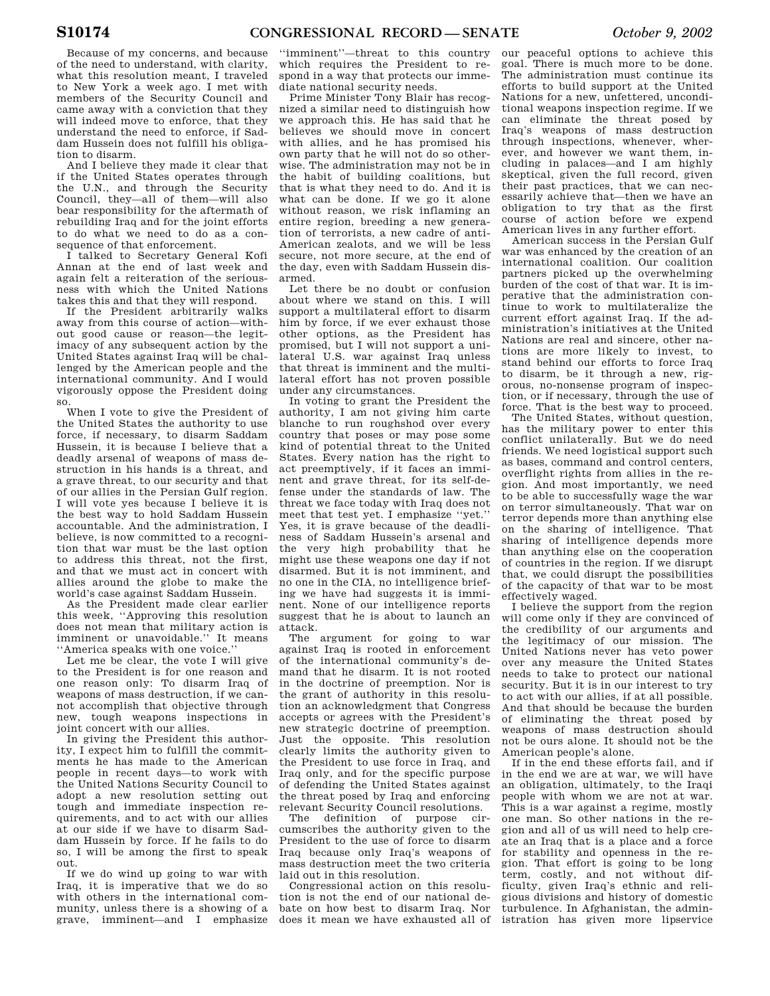Because of my concerns, and because of the need to understand, with clarity, what this resolution meant, I traveled to New York a week ago. I met with members of the Security Council and came away with a conviction that they will indeed move to enforce, that they understand the need to enforce, if Saddam Hussein does not fulfill his obligation to disarm.

And I believe they made it clear that if the United States operates through the U.N., and through the Security Council, they—all of them—will also bear responsibility for the aftermath of rebuilding Iraq and for the joint efforts to do what we need to do as a consequence of that enforcement.

I talked to Secretary General Kofi Annan at the end of last week and again felt a reiteration of the seriousness with which the United Nations takes this and that they will respond.

If the President arbitrarily walks away from this course of action—without good cause or reason—the legitimacy of any subsequent action by the United States against Iraq will be challenged by the American people and the international community. And I would vigorously oppose the President doing so.

When I vote to give the President of the United States the authority to use force, if necessary, to disarm Saddam Hussein, it is because I believe that a deadly arsenal of weapons of mass destruction in his hands is a threat, and a grave threat, to our security and that of our allies in the Persian Gulf region. I will vote yes because I believe it is the best way to hold Saddam Hussein accountable. And the administration, I believe, is now committed to a recognition that war must be the last option to address this threat, not the first, and that we must act in concert with allies around the globe to make the world's case against Saddam Hussein.

As the President made clear earlier this week, ''Approving this resolution does not mean that military action is imminent or unavoidable.'' It means ''America speaks with one voice.''

Let me be clear, the vote I will give to the President is for one reason and one reason only: To disarm Iraq of weapons of mass destruction, if we cannot accomplish that objective through new, tough weapons inspections in joint concert with our allies.

In giving the President this authority, I expect him to fulfill the commitments he has made to the American people in recent days—to work with the United Nations Security Council to adopt a new resolution setting out tough and immediate inspection requirements, and to act with our allies at our side if we have to disarm Saddam Hussein by force. If he fails to do so, I will be among the first to speak out.

If we do wind up going to war with Iraq, it is imperative that we do so with others in the international community, unless there is a showing of a grave, imminent—and I emphasize ''imminent''—threat to this country which requires the President to respond in a way that protects our immediate national security needs.

Prime Minister Tony Blair has recognized a similar need to distinguish how we approach this. He has said that he believes we should move in concert with allies, and he has promised his own party that he will not do so otherwise. The administration may not be in the habit of building coalitions, but that is what they need to do. And it is what can be done. If we go it alone without reason, we risk inflaming an entire region, breeding a new generation of terrorists, a new cadre of anti-American zealots, and we will be less secure, not more secure, at the end of the day, even with Saddam Hussein disarmed.

Let there be no doubt or confusion about where we stand on this. I will support a multilateral effort to disarm him by force, if we ever exhaust those other options, as the President has promised, but I will not support a unilateral U.S. war against Iraq unless that threat is imminent and the multilateral effort has not proven possible under any circumstances.

In voting to grant the President the authority, I am not giving him carte blanche to run roughshod over every country that poses or may pose some kind of potential threat to the United States. Every nation has the right to act preemptively, if it faces an imminent and grave threat, for its self-defense under the standards of law. The threat we face today with Iraq does not meet that test yet. I emphasize ''yet.'' Yes, it is grave because of the deadliness of Saddam Hussein's arsenal and the very high probability that he might use these weapons one day if not disarmed. But it is not imminent, and no one in the CIA, no intelligence briefing we have had suggests it is imminent. None of our intelligence reports suggest that he is about to launch an attack.

The argument for going to war against Iraq is rooted in enforcement of the international community's demand that he disarm. It is not rooted in the doctrine of preemption. Nor is the grant of authority in this resolution an acknowledgment that Congress accepts or agrees with the President's new strategic doctrine of preemption. Just the opposite. This resolution clearly limits the authority given to the President to use force in Iraq, and Iraq only, and for the specific purpose of defending the United States against the threat posed by Iraq and enforcing relevant Security Council resolutions.

The definition of purpose circumscribes the authority given to the President to the use of force to disarm Iraq because only Iraq's weapons of mass destruction meet the two criteria laid out in this resolution.

Congressional action on this resolution is not the end of our national debate on how best to disarm Iraq. Nor does it mean we have exhausted all of istration has given more lipservice

our peaceful options to achieve this goal. There is much more to be done. The administration must continue its efforts to build support at the United Nations for a new, unfettered, unconditional weapons inspection regime. If we can eliminate the threat posed by Iraq's weapons of mass destruction through inspections, whenever, wherever, and however we want them, including in palaces—and I am highly skeptical, given the full record, given their past practices, that we can necessarily achieve that—then we have an obligation to try that as the first course of action before we expend American lives in any further effort.

American success in the Persian Gulf war was enhanced by the creation of an international coalition. Our coalition partners picked up the overwhelming burden of the cost of that war. It is imperative that the administration continue to work to multilateralize the current effort against Iraq. If the administration's initiatives at the United Nations are real and sincere, other nations are more likely to invest, to stand behind our efforts to force Iraq to disarm, be it through a new, rigorous, no-nonsense program of inspection, or if necessary, through the use of force. That is the best way to proceed.

The United States, without question, has the military power to enter this conflict unilaterally. But we do need friends. We need logistical support such as bases, command and control centers, overflight rights from allies in the region. And most importantly, we need to be able to successfully wage the war on terror simultaneously. That war on terror depends more than anything else on the sharing of intelligence. That sharing of intelligence depends more than anything else on the cooperation of countries in the region. If we disrupt that, we could disrupt the possibilities of the capacity of that war to be most effectively waged.

I believe the support from the region will come only if they are convinced of the credibility of our arguments and the legitimacy of our mission. The United Nations never has veto power over any measure the United States needs to take to protect our national security. But it is in our interest to try to act with our allies, if at all possible. And that should be because the burden of eliminating the threat posed by weapons of mass destruction should not be ours alone. It should not be the American people's alone.

If in the end these efforts fail, and if in the end we are at war, we will have an obligation, ultimately, to the Iraqi people with whom we are not at war. This is a war against a regime, mostly one man. So other nations in the region and all of us will need to help create an Iraq that is a place and a force for stability and openness in the region. That effort is going to be long term, costly, and not without difficulty, given Iraq's ethnic and religious divisions and history of domestic turbulence. In Afghanistan, the admin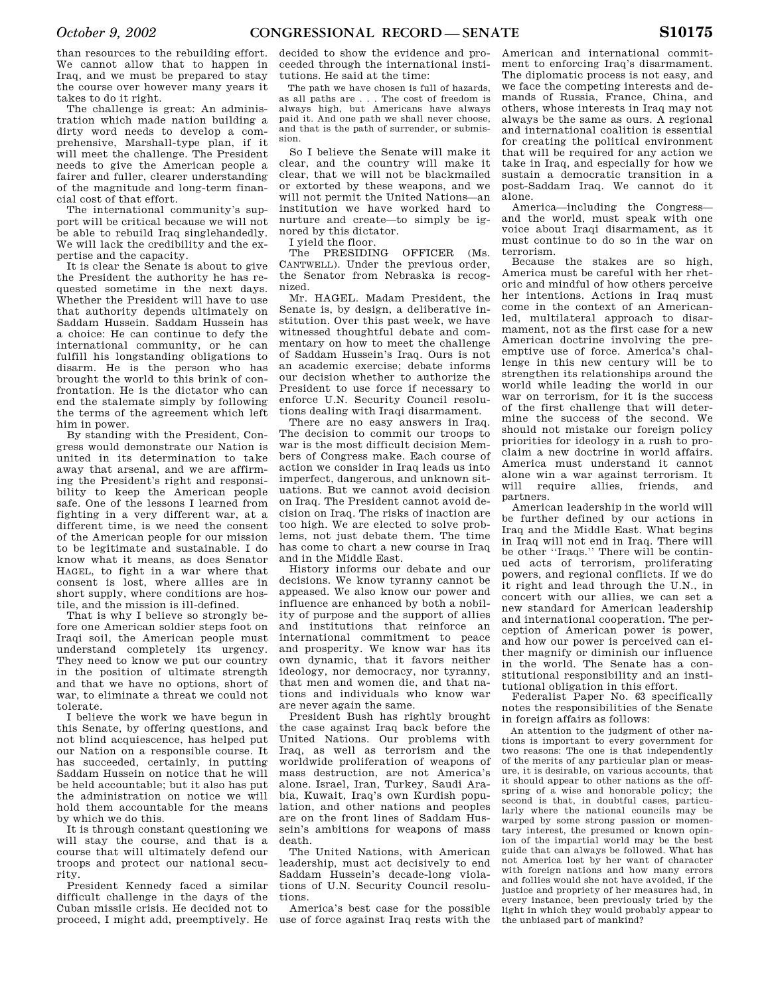than resources to the rebuilding effort. We cannot allow that to happen in Iraq, and we must be prepared to stay the course over however many years it takes to do it right.

The challenge is great: An administration which made nation building a dirty word needs to develop a comprehensive, Marshall-type plan, if it will meet the challenge. The President needs to give the American people a fairer and fuller, clearer understanding of the magnitude and long-term financial cost of that effort.

The international community's support will be critical because we will not be able to rebuild Iraq singlehandedly. We will lack the credibility and the expertise and the capacity.

It is clear the Senate is about to give the President the authority he has requested sometime in the next days. Whether the President will have to use that authority depends ultimately on Saddam Hussein. Saddam Hussein has a choice: He can continue to defy the international community, or he can fulfill his longstanding obligations to disarm. He is the person who has brought the world to this brink of confrontation. He is the dictator who can end the stalemate simply by following the terms of the agreement which left him in power.

By standing with the President, Congress would demonstrate our Nation is united in its determination to take away that arsenal, and we are affirming the President's right and responsibility to keep the American people safe. One of the lessons I learned from fighting in a very different war, at a different time, is we need the consent of the American people for our mission to be legitimate and sustainable. I do know what it means, as does Senator HAGEL, to fight in a war where that consent is lost, where allies are in short supply, where conditions are hostile, and the mission is ill-defined.

That is why I believe so strongly before one American soldier steps foot on Iraqi soil, the American people must understand completely its urgency. They need to know we put our country in the position of ultimate strength and that we have no options, short of war, to eliminate a threat we could not tolerate.

I believe the work we have begun in this Senate, by offering questions, and not blind acquiescence, has helped put our Nation on a responsible course. It has succeeded, certainly, in putting Saddam Hussein on notice that he will be held accountable; but it also has put the administration on notice we will hold them accountable for the means by which we do this.

It is through constant questioning we will stay the course, and that is a course that will ultimately defend our troops and protect our national security.

President Kennedy faced a similar difficult challenge in the days of the Cuban missile crisis. He decided not to proceed, I might add, preemptively. He

decided to show the evidence and proceeded through the international institutions. He said at the time:

The path we have chosen is full of hazards, as all paths are . . . The cost of freedom is always high, but Americans have always paid it. And one path we shall never choose, and that is the path of surrender, or submission.

So I believe the Senate will make it clear, and the country will make it clear, that we will not be blackmailed or extorted by these weapons, and we will not permit the United Nations—an institution we have worked hard to nurture and create—to simply be ignored by this dictator.

I yield the floor.

The PRESIDING OFFICER (Ms. CANTWELL). Under the previous order, the Senator from Nebraska is recognized.

Mr. HAGEL. Madam President, the Senate is, by design, a deliberative institution. Over this past week, we have witnessed thoughtful debate and commentary on how to meet the challenge of Saddam Hussein's Iraq. Ours is not an academic exercise; debate informs our decision whether to authorize the President to use force if necessary to enforce U.N. Security Council resolutions dealing with Iraqi disarmament.

There are no easy answers in Iraq. The decision to commit our troops to war is the most difficult decision Members of Congress make. Each course of action we consider in Iraq leads us into imperfect, dangerous, and unknown situations. But we cannot avoid decision on Iraq. The President cannot avoid decision on Iraq. The risks of inaction are too high. We are elected to solve problems, not just debate them. The time has come to chart a new course in Iraq and in the Middle East.

History informs our debate and our decisions. We know tyranny cannot be appeased. We also know our power and influence are enhanced by both a nobility of purpose and the support of allies and institutions that reinforce an international commitment to peace and prosperity. We know war has its own dynamic, that it favors neither ideology, nor democracy, nor tyranny, that men and women die, and that nations and individuals who know war are never again the same.

President Bush has rightly brought the case against Iraq back before the United Nations. Our problems with Iraq, as well as terrorism and the worldwide proliferation of weapons of mass destruction, are not America's alone. Israel, Iran, Turkey, Saudi Arabia, Kuwait, Iraq's own Kurdish population, and other nations and peoples are on the front lines of Saddam Hussein's ambitions for weapons of mass death.

The United Nations, with American leadership, must act decisively to end Saddam Hussein's decade-long violations of U.N. Security Council resolutions.

America's best case for the possible use of force against Iraq rests with the American and international commitment to enforcing Iraq's disarmament. The diplomatic process is not easy, and we face the competing interests and demands of Russia, France, China, and others, whose interests in Iraq may not always be the same as ours. A regional and international coalition is essential for creating the political environment that will be required for any action we take in Iraq, and especially for how we sustain a democratic transition in a post-Saddam Iraq. We cannot do it alone.

America—including the Congress and the world, must speak with one voice about Iraqi disarmament, as it must continue to do so in the war on terrorism.

Because the stakes are so high, America must be careful with her rhetoric and mindful of how others perceive her intentions. Actions in Iraq must come in the context of an Americanled, multilateral approach to disarmament, not as the first case for a new American doctrine involving the preemptive use of force. America's challenge in this new century will be to strengthen its relationships around the world while leading the world in our war on terrorism, for it is the success of the first challenge that will determine the success of the second. We should not mistake our foreign policy priorities for ideology in a rush to proclaim a new doctrine in world affairs. America must understand it cannot alone win a war against terrorism. It will require allies, friends, and partners.

American leadership in the world will be further defined by our actions in Iraq and the Middle East. What begins in Iraq will not end in Iraq. There will be other ''Iraqs.'' There will be continued acts of terrorism, proliferating powers, and regional conflicts. If we do it right and lead through the U.N., in concert with our allies, we can set a new standard for American leadership and international cooperation. The perception of American power is power, and how our power is perceived can either magnify or diminish our influence in the world. The Senate has a constitutional responsibility and an institutional obligation in this effort.

Federalist Paper No. 63 specifically notes the responsibilities of the Senate in foreign affairs as follows:

An attention to the judgment of other nations is important to every government for two reasons: The one is that independently of the merits of any particular plan or measure, it is desirable, on various accounts, that it should appear to other nations as the offspring of a wise and honorable policy; the second is that, in doubtful cases, particularly where the national councils may be warped by some strong passion or momentary interest, the presumed or known opinion of the impartial world may be the best guide that can always be followed. What has not America lost by her want of character with foreign nations and how many errors and follies would she not have avoided, if the justice and propriety of her measures had, in every instance, been previously tried by the light in which they would probably appear to the unbiased part of mankind?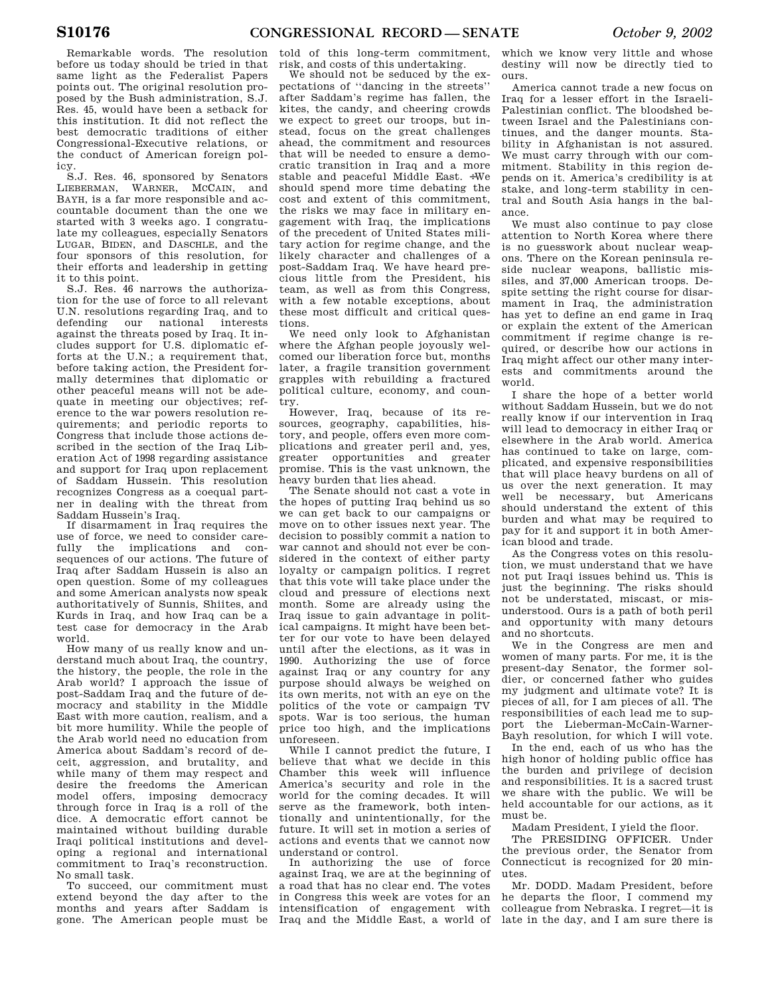Remarkable words. The resolution before us today should be tried in that same light as the Federalist Papers points out. The original resolution proposed by the Bush administration, S.J. Res. 45, would have been a setback for this institution. It did not reflect the best democratic traditions of either Congressional-Executive relations, or the conduct of American foreign policy.

S.J. Res. 46, sponsored by Senators LIEBERMAN, WARNER, MCCAIN, and BAYH, is a far more responsible and accountable document than the one we started with 3 weeks ago. I congratulate my colleagues, especially Senators LUGAR, BIDEN, and DASCHLE, and the four sponsors of this resolution, for their efforts and leadership in getting it to this point.

S.J. Res. 46 narrows the authorization for the use of force to all relevant U.N. resolutions regarding Iraq, and to defending our national interests against the threats posed by Iraq. It includes support for U.S. diplomatic efforts at the U.N.; a requirement that, before taking action, the President formally determines that diplomatic or other peaceful means will not be adequate in meeting our objectives; reference to the war powers resolution requirements; and periodic reports to Congress that include those actions described in the section of the Iraq Liberation Act of 1998 regarding assistance and support for Iraq upon replacement of Saddam Hussein. This resolution recognizes Congress as a coequal partner in dealing with the threat from Saddam Hussein's Iraq.

If disarmament in Iraq requires the use of force, we need to consider carefully the implications and consequences of our actions. The future of Iraq after Saddam Hussein is also an open question. Some of my colleagues and some American analysts now speak authoritatively of Sunnis, Shiites, and Kurds in Iraq, and how Iraq can be a test case for democracy in the Arab world.

How many of us really know and understand much about Iraq, the country, the history, the people, the role in the Arab world? I approach the issue of post-Saddam Iraq and the future of democracy and stability in the Middle East with more caution, realism, and a bit more humility. While the people of the Arab world need no education from America about Saddam's record of deceit, aggression, and brutality, and while many of them may respect and desire the freedoms the American model offers, imposing democracy through force in Iraq is a roll of the dice. A democratic effort cannot be maintained without building durable Iraqi political institutions and developing a regional and international commitment to Iraq's reconstruction. No small task.

To succeed, our commitment must extend beyond the day after to the months and years after Saddam is gone. The American people must be

told of this long-term commitment, risk, and costs of this undertaking.

We should not be seduced by the expectations of ''dancing in the streets'' after Saddam's regime has fallen, the kites, the candy, and cheering crowds we expect to greet our troops, but instead, focus on the great challenges ahead, the commitment and resources that will be needed to ensure a democratic transition in Iraq and a more stable and peaceful Middle East. ÷We should spend more time debating the cost and extent of this commitment, the risks we may face in military engagement with Iraq, the implications of the precedent of United States military action for regime change, and the likely character and challenges of a post-Saddam Iraq. We have heard precious little from the President, his team, as well as from this Congress, with a few notable exceptions, about these most difficult and critical questions.

We need only look to Afghanistan where the Afghan people joyously welcomed our liberation force but, months later, a fragile transition government grapples with rebuilding a fractured political culture, economy, and country.

However, Iraq, because of its resources, geography, capabilities, history, and people, offers even more complications and greater peril and, yes, greater opportunities and greater promise. This is the vast unknown, the heavy burden that lies ahead.

The Senate should not cast a vote in the hopes of putting Iraq behind us so we can get back to our campaigns or move on to other issues next year. The decision to possibly commit a nation to war cannot and should not ever be considered in the context of either party loyalty or campaign politics. I regret that this vote will take place under the cloud and pressure of elections next month. Some are already using the Iraq issue to gain advantage in political campaigns. It might have been better for our vote to have been delayed until after the elections, as it was in 1990. Authorizing the use of force against Iraq or any country for any purpose should always be weighed on its own merits, not with an eye on the politics of the vote or campaign TV spots. War is too serious, the human price too high, and the implications unforeseen.

While I cannot predict the future, I believe that what we decide in this Chamber this week will influence America's security and role in the world for the coming decades. It will serve as the framework, both intentionally and unintentionally, for the future. It will set in motion a series of actions and events that we cannot now understand or control.

In authorizing the use of force against Iraq, we are at the beginning of a road that has no clear end. The votes in Congress this week are votes for an intensification of engagement with

which we know very little and whose destiny will now be directly tied to ours.

America cannot trade a new focus on Iraq for a lesser effort in the Israeli-Palestinian conflict. The bloodshed between Israel and the Palestinians continues, and the danger mounts. Stability in Afghanistan is not assured. We must carry through with our commitment. Stability in this region depends on it. America's credibility is at stake, and long-term stability in central and South Asia hangs in the balance.

We must also continue to pay close attention to North Korea where there is no guesswork about nuclear weapons. There on the Korean peninsula reside nuclear weapons, ballistic missiles, and 37,000 American troops. Despite setting the right course for disarmament in Iraq, the administration has yet to define an end game in Iraq or explain the extent of the American commitment if regime change is required, or describe how our actions in Iraq might affect our other many interests and commitments around the world.

I share the hope of a better world without Saddam Hussein, but we do not really know if our intervention in Iraq will lead to democracy in either Iraq or elsewhere in the Arab world. America has continued to take on large, complicated, and expensive responsibilities that will place heavy burdens on all of us over the next generation. It may well be necessary, but Americans should understand the extent of this burden and what may be required to pay for it and support it in both American blood and trade.

As the Congress votes on this resolution, we must understand that we have not put Iraqi issues behind us. This is just the beginning. The risks should not be understated, miscast, or misunderstood. Ours is a path of both peril and opportunity with many detours and no shortcuts.

We in the Congress are men and women of many parts. For me, it is the present-day Senator, the former soldier, or concerned father who guides my judgment and ultimate vote? It is pieces of all, for I am pieces of all. The responsibilities of each lead me to support the Lieberman-McCain-Warner-Bayh resolution, for which I will vote.

In the end, each of us who has the high honor of holding public office has the burden and privilege of decision and responsibilities. It is a sacred trust we share with the public. We will be held accountable for our actions, as it must be.

Madam President, I yield the floor.

The PRESIDING OFFICER. Under the previous order, the Senator from Connecticut is recognized for 20 minutes.

Iraq and the Middle East, a world of late in the day, and I am sure there is Mr. DODD. Madam President, before he departs the floor, I commend my colleague from Nebraska. I regret—it is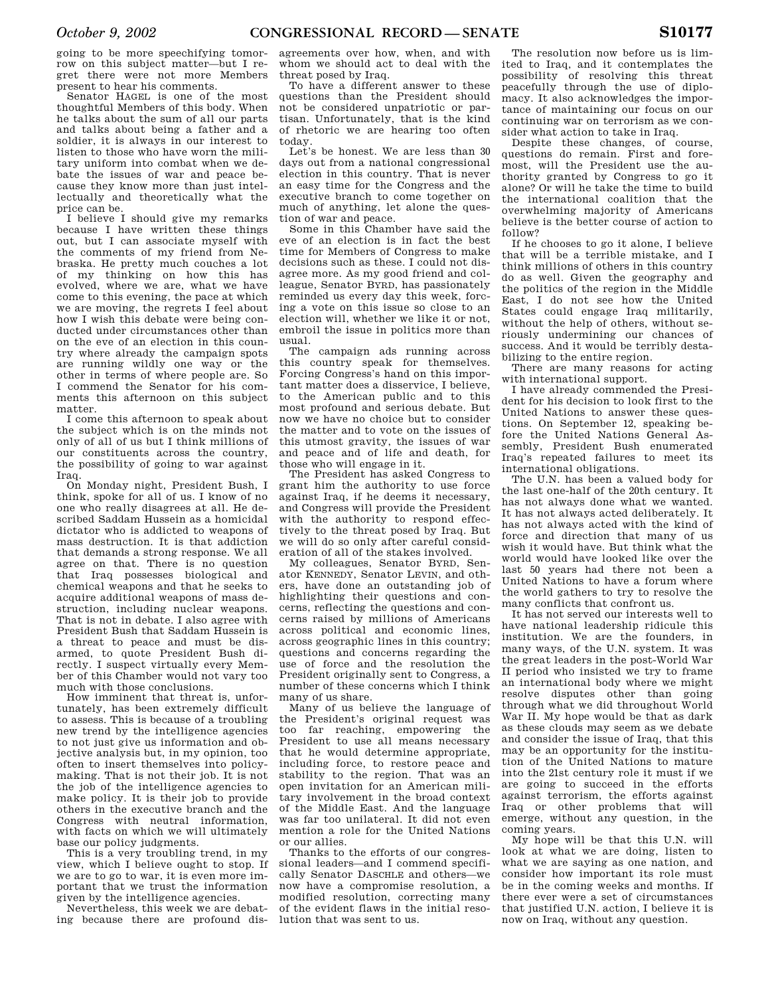going to be more speechifying tomorrow on this subject matter—but I regret there were not more Members present to hear his comments.

Senator HAGEL is one of the most thoughtful Members of this body. When he talks about the sum of all our parts and talks about being a father and a soldier, it is always in our interest to listen to those who have worn the military uniform into combat when we debate the issues of war and peace because they know more than just intellectually and theoretically what the price can be.

I believe I should give my remarks because I have written these things out, but I can associate myself with the comments of my friend from Nebraska. He pretty much couches a lot of my thinking on how this has evolved, where we are, what we have come to this evening, the pace at which we are moving, the regrets I feel about how I wish this debate were being conducted under circumstances other than on the eve of an election in this country where already the campaign spots are running wildly one way or the other in terms of where people are. So I commend the Senator for his comments this afternoon on this subject matter.

I come this afternoon to speak about the subject which is on the minds not only of all of us but I think millions of our constituents across the country, the possibility of going to war against Iraq.

On Monday night, President Bush, I think, spoke for all of us. I know of no one who really disagrees at all. He described Saddam Hussein as a homicidal dictator who is addicted to weapons of mass destruction. It is that addiction that demands a strong response. We all agree on that. There is no question that Iraq possesses biological and chemical weapons and that he seeks to acquire additional weapons of mass destruction, including nuclear weapons. That is not in debate. I also agree with President Bush that Saddam Hussein is a threat to peace and must be disarmed, to quote President Bush directly. I suspect virtually every Member of this Chamber would not vary too much with those conclusions.

How imminent that threat is, unfortunately, has been extremely difficult to assess. This is because of a troubling new trend by the intelligence agencies to not just give us information and objective analysis but, in my opinion, too often to insert themselves into policymaking. That is not their job. It is not the job of the intelligence agencies to make policy. It is their job to provide others in the executive branch and the Congress with neutral information, with facts on which we will ultimately base our policy judgments.

This is a very troubling trend, in my view, which I believe ought to stop. If we are to go to war, it is even more important that we trust the information given by the intelligence agencies.

Nevertheless, this week we are debating because there are profound disagreements over how, when, and with whom we should act to deal with the threat posed by Iraq.

To have a different answer to these questions than the President should not be considered unpatriotic or partisan. Unfortunately, that is the kind of rhetoric we are hearing too often today.

Let's be honest. We are less than 30 days out from a national congressional election in this country. That is never an easy time for the Congress and the executive branch to come together on much of anything, let alone the question of war and peace.

Some in this Chamber have said the eve of an election is in fact the best time for Members of Congress to make decisions such as these. I could not disagree more. As my good friend and colleague, Senator BYRD, has passionately reminded us every day this week, forcing a vote on this issue so close to an election will, whether we like it or not, embroil the issue in politics more than usual.

The campaign ads running across this country speak for themselves. Forcing Congress's hand on this important matter does a disservice, I believe, to the American public and to this most profound and serious debate. But now we have no choice but to consider the matter and to vote on the issues of this utmost gravity, the issues of war and peace and of life and death, for those who will engage in it.

The President has asked Congress to grant him the authority to use force against Iraq, if he deems it necessary, and Congress will provide the President with the authority to respond effectively to the threat posed by Iraq. But we will do so only after careful consideration of all of the stakes involved.

My colleagues, Senator BYRD, Senator KENNEDY, Senator LEVIN, and others, have done an outstanding job of highlighting their questions and concerns, reflecting the questions and concerns raised by millions of Americans across political and economic lines, across geographic lines in this country; questions and concerns regarding the use of force and the resolution the President originally sent to Congress, a number of these concerns which I think many of us share.

Many of us believe the language of the President's original request was too far reaching, empowering the President to use all means necessary that he would determine appropriate, including force, to restore peace and stability to the region. That was an open invitation for an American military involvement in the broad context of the Middle East. And the language was far too unilateral. It did not even mention a role for the United Nations or our allies.

Thanks to the efforts of our congressional leaders—and I commend specifically Senator DASCHLE and others—we now have a compromise resolution, a modified resolution, correcting many of the evident flaws in the initial resolution that was sent to us.

The resolution now before us is limited to Iraq, and it contemplates the possibility of resolving this threat peacefully through the use of diplomacy. It also acknowledges the importance of maintaining our focus on our continuing war on terrorism as we consider what action to take in Iraq.

Despite these changes, of course, questions do remain. First and foremost, will the President use the authority granted by Congress to go it alone? Or will he take the time to build the international coalition that the overwhelming majority of Americans believe is the better course of action to follow?

If he chooses to go it alone, I believe that will be a terrible mistake, and I think millions of others in this country do as well. Given the geography and the politics of the region in the Middle East, I do not see how the United States could engage Iraq militarily, without the help of others, without seriously undermining our chances of success. And it would be terribly destabilizing to the entire region.

There are many reasons for acting with international support.

I have already commended the President for his decision to look first to the United Nations to answer these questions. On September 12, speaking before the United Nations General Assembly, President Bush enumerated Iraq's repeated failures to meet its international obligations.

The U.N. has been a valued body for the last one-half of the 20th century. It has not always done what we wanted. It has not always acted deliberately. It has not always acted with the kind of force and direction that many of us wish it would have. But think what the world would have looked like over the last 50 years had there not been a United Nations to have a forum where the world gathers to try to resolve the many conflicts that confront us.

It has not served our interests well to have national leadership ridicule this institution. We are the founders, in many ways, of the U.N. system. It was the great leaders in the post-World War II period who insisted we try to frame an international body where we might resolve disputes other than going through what we did throughout World War II. My hope would be that as dark as these clouds may seem as we debate and consider the issue of Iraq, that this may be an opportunity for the institution of the United Nations to mature into the 21st century role it must if we are going to succeed in the efforts against terrorism, the efforts against Iraq or other problems that will emerge, without any question, in the coming years.

My hope will be that this U.N. will look at what we are doing, listen to what we are saying as one nation, and consider how important its role must be in the coming weeks and months. If there ever were a set of circumstances that justified U.N. action, I believe it is now on Iraq, without any question.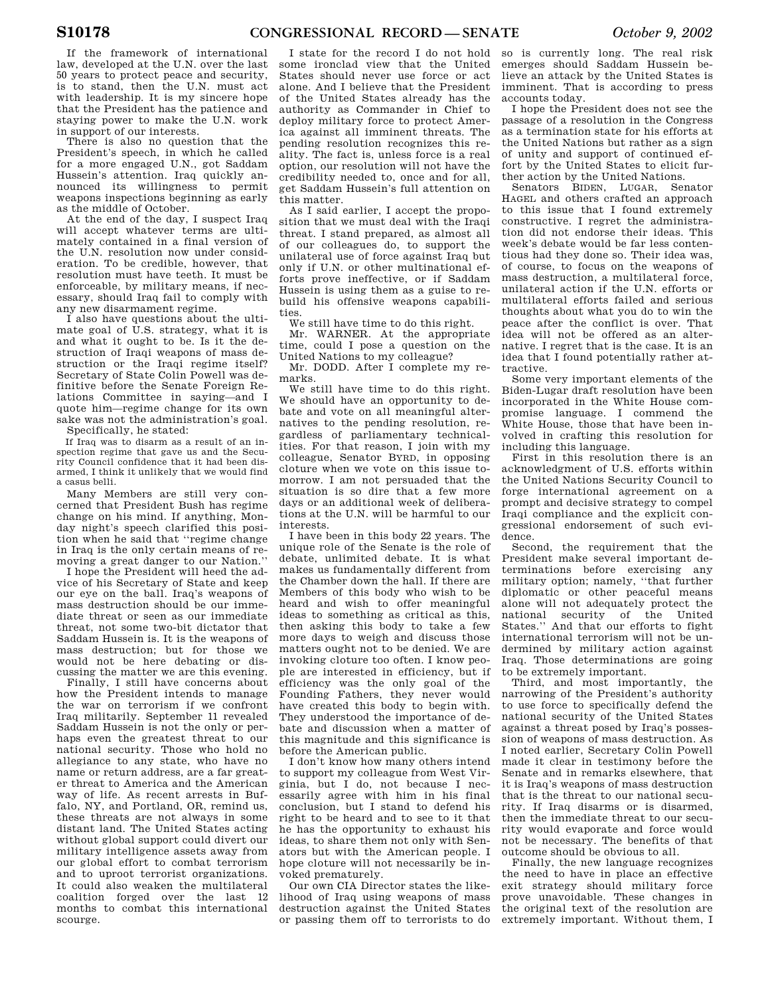If the framework of international law, developed at the U.N. over the last 50 years to protect peace and security, is to stand, then the U.N. must act with leadership. It is my sincere hope that the President has the patience and staying power to make the U.N. work in support of our interests.

There is also no question that the President's speech, in which he called for a more engaged U.N., got Saddam Hussein's attention. Iraq quickly announced its willingness to permit weapons inspections beginning as early as the middle of October.

At the end of the day, I suspect Iraq will accept whatever terms are ultimately contained in a final version of the U.N. resolution now under consideration. To be credible, however, that resolution must have teeth. It must be enforceable, by military means, if necessary, should Iraq fail to comply with any new disarmament regime.

I also have questions about the ultimate goal of U.S. strategy, what it is and what it ought to be. Is it the destruction of Iraqi weapons of mass destruction or the Iraqi regime itself? Secretary of State Colin Powell was definitive before the Senate Foreign Relations Committee in saying—and I quote him—regime change for its own sake was not the administration's goal.

Specifically, he stated:

If Iraq was to disarm as a result of an inspection regime that gave us and the Security Council confidence that it had been disarmed, I think it unlikely that we would find a casus belli.

Many Members are still very concerned that President Bush has regime change on his mind. If anything, Monday night's speech clarified this position when he said that ''regime change in Iraq is the only certain means of removing a great danger to our Nation.''

I hope the President will heed the advice of his Secretary of State and keep our eye on the ball. Iraq's weapons of mass destruction should be our immediate threat or seen as our immediate threat, not some two-bit dictator that Saddam Hussein is. It is the weapons of mass destruction; but for those we would not be here debating or discussing the matter we are this evening.

Finally, I still have concerns about how the President intends to manage the war on terrorism if we confront Iraq militarily. September 11 revealed Saddam Hussein is not the only or perhaps even the greatest threat to our national security. Those who hold no allegiance to any state, who have no name or return address, are a far greater threat to America and the American way of life. As recent arrests in Buffalo, NY, and Portland, OR, remind us, these threats are not always in some distant land. The United States acting without global support could divert our military intelligence assets away from our global effort to combat terrorism and to uproot terrorist organizations. It could also weaken the multilateral coalition forged over the last 12 months to combat this international scourge.

I state for the record I do not hold some ironclad view that the United States should never use force or act alone. And I believe that the President of the United States already has the authority as Commander in Chief to deploy military force to protect America against all imminent threats. The pending resolution recognizes this reality. The fact is, unless force is a real option, our resolution will not have the credibility needed to, once and for all, get Saddam Hussein's full attention on this matter.

As I said earlier, I accept the proposition that we must deal with the Iraqi threat. I stand prepared, as almost all of our colleagues do, to support the unilateral use of force against Iraq but only if U.N. or other multinational efforts prove ineffective, or if Saddam Hussein is using them as a guise to rebuild his offensive weapons capabilities.

We still have time to do this right.

Mr. WARNER. At the appropriate time, could I pose a question on the United Nations to my colleague?

Mr. DODD. After I complete my remarks.

We still have time to do this right. We should have an opportunity to debate and vote on all meaningful alternatives to the pending resolution, regardless of parliamentary technicalities. For that reason, I join with my colleague, Senator BYRD, in opposing cloture when we vote on this issue tomorrow. I am not persuaded that the situation is so dire that a few more days or an additional week of deliberations at the U.N. will be harmful to our interests.

I have been in this body 22 years. The unique role of the Senate is the role of debate, unlimited debate. It is what makes us fundamentally different from the Chamber down the hall. If there are Members of this body who wish to be heard and wish to offer meaningful ideas to something as critical as this, then asking this body to take a few more days to weigh and discuss those matters ought not to be denied. We are invoking cloture too often. I know people are interested in efficiency, but if efficiency was the only goal of the Founding Fathers, they never would have created this body to begin with. They understood the importance of debate and discussion when a matter of this magnitude and this significance is before the American public.

I don't know how many others intend to support my colleague from West Virginia, but I do, not because I necessarily agree with him in his final conclusion, but I stand to defend his right to be heard and to see to it that he has the opportunity to exhaust his ideas, to share them not only with Senators but with the American people. I hope cloture will not necessarily be invoked prematurely.

Our own CIA Director states the likelihood of Iraq using weapons of mass destruction against the United States or passing them off to terrorists to do

so is currently long. The real risk emerges should Saddam Hussein believe an attack by the United States is imminent. That is according to press accounts today.

I hope the President does not see the passage of a resolution in the Congress as a termination state for his efforts at the United Nations but rather as a sign of unity and support of continued effort by the United States to elicit further action by the United Nations.

Senators BIDEN, LUGAR, Senator HAGEL and others crafted an approach to this issue that I found extremely constructive. I regret the administration did not endorse their ideas. This week's debate would be far less contentious had they done so. Their idea was, of course, to focus on the weapons of mass destruction, a multilateral force, unilateral action if the U.N. efforts or multilateral efforts failed and serious thoughts about what you do to win the peace after the conflict is over. That idea will not be offered as an alternative. I regret that is the case. It is an idea that I found potentially rather attractive.

Some very important elements of the Biden-Lugar draft resolution have been incorporated in the White House compromise language. I commend the White House, those that have been involved in crafting this resolution for including this language.

First in this resolution there is an acknowledgment of U.S. efforts within the United Nations Security Council to forge international agreement on a prompt and decisive strategy to compel Iraqi compliance and the explicit congressional endorsement of such evidence.

Second, the requirement that the President make several important determinations before exercising any military option; namely, ''that further diplomatic or other peaceful means alone will not adequately protect the national security of the United States.'' And that our efforts to fight international terrorism will not be undermined by military action against Iraq. Those determinations are going to be extremely important.

Third, and most importantly, the narrowing of the President's authority to use force to specifically defend the national security of the United States against a threat posed by Iraq's possession of weapons of mass destruction. As I noted earlier, Secretary Colin Powell made it clear in testimony before the Senate and in remarks elsewhere, that it is Iraq's weapons of mass destruction that is the threat to our national security. If Iraq disarms or is disarmed, then the immediate threat to our security would evaporate and force would not be necessary. The benefits of that outcome should be obvious to all.

Finally, the new language recognizes the need to have in place an effective exit strategy should military force prove unavoidable. These changes in the original text of the resolution are extremely important. Without them, I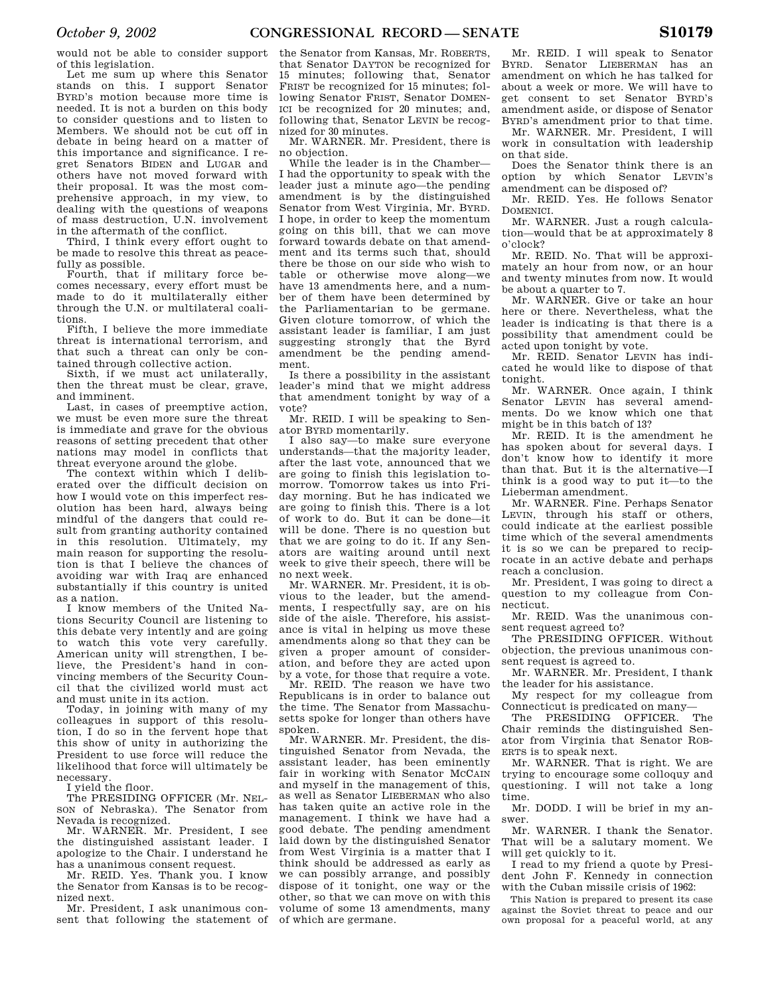would not be able to consider support of this legislation.

Let me sum up where this Senator stands on this. I support Senator BYRD's motion because more time is needed. It is not a burden on this body to consider questions and to listen to Members. We should not be cut off in debate in being heard on a matter of this importance and significance. I regret Senators BIDEN and LUGAR and others have not moved forward with their proposal. It was the most comprehensive approach, in my view, to dealing with the questions of weapons of mass destruction, U.N. involvement in the aftermath of the conflict.

Third, I think every effort ought to be made to resolve this threat as peacefully as possible.

Fourth, that if military force becomes necessary, every effort must be made to do it multilaterally either through the U.N. or multilateral coalitions.

Fifth, I believe the more immediate threat is international terrorism, and that such a threat can only be contained through collective action.

Sixth, if we must act unilaterally, then the threat must be clear, grave, and imminent.

Last, in cases of preemptive action, we must be even more sure the threat is immediate and grave for the obvious reasons of setting precedent that other nations may model in conflicts that threat everyone around the globe.

The context within which I deliberated over the difficult decision on how I would vote on this imperfect resolution has been hard, always being mindful of the dangers that could result from granting authority contained in this resolution. Ultimately, my main reason for supporting the resolution is that I believe the chances of avoiding war with Iraq are enhanced substantially if this country is united as a nation.

I know members of the United Nations Security Council are listening to this debate very intently and are going to watch this vote very carefully. American unity will strengthen, I believe, the President's hand in convincing members of the Security Council that the civilized world must act and must unite in its action.

Today, in joining with many of my colleagues in support of this resolution, I do so in the fervent hope that this show of unity in authorizing the President to use force will reduce the likelihood that force will ultimately be necessary.

I yield the floor.

The PRESIDING OFFICER (Mr. NEL-SON of Nebraska). The Senator from Nevada is recognized.

Mr. WARNER. Mr. President, I see the distinguished assistant leader. I apologize to the Chair. I understand he has a unanimous consent request.

Mr. REID. Yes. Thank you. I know the Senator from Kansas is to be recognized next.

Mr. President, I ask unanimous consent that following the statement of of which are germane.

the Senator from Kansas, Mr. ROBERTS, that Senator DAYTON be recognized for 15 minutes; following that, Senator FRIST be recognized for 15 minutes; following Senator FRIST, Senator DOMEN-ICI be recognized for 20 minutes; and, following that, Senator LEVIN be recognized for 30 minutes.

Mr. WARNER. Mr. President, there is no objection.

While the leader is in the Chamber— I had the opportunity to speak with the leader just a minute ago—the pending amendment is by the distinguished Senator from West Virginia, Mr. BYRD. I hope, in order to keep the momentum going on this bill, that we can move forward towards debate on that amendment and its terms such that, should there be those on our side who wish to table or otherwise move along—we have 13 amendments here, and a number of them have been determined by the Parliamentarian to be germane. Given cloture tomorrow, of which the assistant leader is familiar, I am just suggesting strongly that the Byrd amendment be the pending amendment.

Is there a possibility in the assistant leader's mind that we might address that amendment tonight by way of a vote?

Mr. REID. I will be speaking to Senator BYRD momentarily.

I also say—to make sure everyone understands—that the majority leader, after the last vote, announced that we are going to finish this legislation tomorrow. Tomorrow takes us into Friday morning. But he has indicated we are going to finish this. There is a lot of work to do. But it can be done—it will be done. There is no question but that we are going to do it. If any Senators are waiting around until next week to give their speech, there will be no next week.

Mr. WARNER. Mr. President, it is obvious to the leader, but the amendments, I respectfully say, are on his side of the aisle. Therefore, his assistance is vital in helping us move these amendments along so that they can be given a proper amount of consideration, and before they are acted upon by a vote, for those that require a vote.

Mr. REID. The reason we have two Republicans is in order to balance out the time. The Senator from Massachusetts spoke for longer than others have spoken.

Mr. WARNER. Mr. President, the distinguished Senator from Nevada, the assistant leader, has been eminently fair in working with Senator MCCAIN and myself in the management of this, as well as Senator LIEBERMAN who also has taken quite an active role in the management. I think we have had a good debate. The pending amendment laid down by the distinguished Senator from West Virginia is a matter that I think should be addressed as early as we can possibly arrange, and possibly dispose of it tonight, one way or the other, so that we can move on with this volume of some 13 amendments, many

Mr. REID. I will speak to Senator BYRD. Senator LIEBERMAN has an amendment on which he has talked for about a week or more. We will have to get consent to set Senator BYRD's amendment aside, or dispose of Senator BYRD's amendment prior to that time.

Mr. WARNER. Mr. President, I will work in consultation with leadership on that side.

Does the Senator think there is an option by which Senator LEVIN's amendment can be disposed of?

Mr. REID. Yes. He follows Senator DOMENICI.

Mr. WARNER. Just a rough calculation—would that be at approximately 8 o'clock?

Mr. REID. No. That will be approximately an hour from now, or an hour and twenty minutes from now. It would be about a quarter to 7.

Mr. WARNER. Give or take an hour here or there. Nevertheless, what the leader is indicating is that there is a possibility that amendment could be acted upon tonight by vote.

Mr. REID. Senator LEVIN has indicated he would like to dispose of that tonight.

Mr. WARNER. Once again, I think Senator LEVIN has several amendments. Do we know which one that might be in this batch of 13?

Mr. REID. It is the amendment he has spoken about for several days. I don't know how to identify it more than that. But it is the alternative—I think is a good way to put it—to the Lieberman amendment.

Mr. WARNER. Fine. Perhaps Senator LEVIN, through his staff or others, could indicate at the earliest possible time which of the several amendments it is so we can be prepared to reciprocate in an active debate and perhaps reach a conclusion.

Mr. President, I was going to direct a question to my colleague from Connecticut.

Mr. REID. Was the unanimous consent request agreed to?

The PRESIDING OFFICER. Without objection, the previous unanimous consent request is agreed to.

Mr. WARNER. Mr. President, I thank the leader for his assistance.

My respect for my colleague from Connecticut is predicated on many—<br>The PRESIDING OFFICER. The

The PRESIDING OFFICER. Chair reminds the distinguished Senator from Virginia that Senator ROB-ERTS is to speak next.

Mr. WARNER. That is right. We are trying to encourage some colloquy and questioning. I will not take a long time.

Mr. DODD. I will be brief in my answer.

Mr. WARNER. I thank the Senator. That will be a salutary moment. We will get quickly to it.

I read to my friend a quote by President John F. Kennedy in connection with the Cuban missile crisis of 1962:

This Nation is prepared to present its case against the Soviet threat to peace and our own proposal for a peaceful world, at any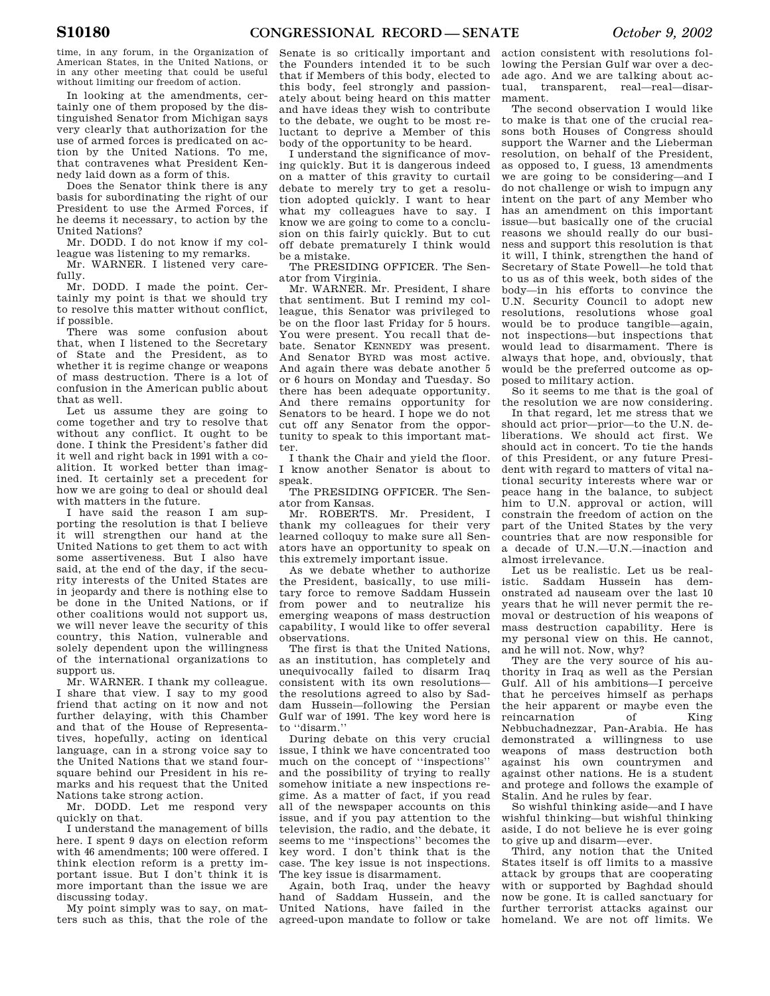time, in any forum, in the Organization of American States, in the United Nations, or in any other meeting that could be useful without limiting our freedom of action.

In looking at the amendments, certainly one of them proposed by the distinguished Senator from Michigan says very clearly that authorization for the use of armed forces is predicated on action by the United Nations. To me, that contravenes what President Kennedy laid down as a form of this.

Does the Senator think there is any basis for subordinating the right of our President to use the Armed Forces, if he deems it necessary, to action by the United Nations?

Mr. DODD. I do not know if my colleague was listening to my remarks.

Mr. WARNER. I listened very carefully.

Mr. DODD. I made the point. Certainly my point is that we should try to resolve this matter without conflict, if possible.

There was some confusion about that, when I listened to the Secretary of State and the President, as to whether it is regime change or weapons of mass destruction. There is a lot of confusion in the American public about that as well.

Let us assume they are going to come together and try to resolve that without any conflict. It ought to be done. I think the President's father did it well and right back in 1991 with a coalition. It worked better than imagined. It certainly set a precedent for how we are going to deal or should deal with matters in the future.

I have said the reason I am supporting the resolution is that I believe it will strengthen our hand at the United Nations to get them to act with some assertiveness. But I also have said, at the end of the day, if the security interests of the United States are in jeopardy and there is nothing else to be done in the United Nations, or if other coalitions would not support us, we will never leave the security of this country, this Nation, vulnerable and solely dependent upon the willingness of the international organizations to support us.

Mr. WARNER. I thank my colleague. I share that view. I say to my good friend that acting on it now and not further delaying, with this Chamber and that of the House of Representatives, hopefully, acting on identical language, can in a strong voice say to the United Nations that we stand foursquare behind our President in his remarks and his request that the United Nations take strong action.

Mr. DODD. Let me respond very quickly on that.

I understand the management of bills here. I spent 9 days on election reform with 46 amendments; 100 were offered. I think election reform is a pretty important issue. But I don't think it is more important than the issue we are discussing today.

My point simply was to say, on matters such as this, that the role of the

Senate is so critically important and the Founders intended it to be such that if Members of this body, elected to this body, feel strongly and passionately about being heard on this matter and have ideas they wish to contribute to the debate, we ought to be most reluctant to deprive a Member of this body of the opportunity to be heard.

I understand the significance of moving quickly. But it is dangerous indeed on a matter of this gravity to curtail debate to merely try to get a resolution adopted quickly. I want to hear what my colleagues have to say. I know we are going to come to a conclusion on this fairly quickly. But to cut off debate prematurely I think would be a mistake.

The PRESIDING OFFICER. The Senator from Virginia.

Mr. WARNER. Mr. President, I share that sentiment. But I remind my colleague, this Senator was privileged to be on the floor last Friday for 5 hours. You were present. You recall that debate. Senator KENNEDY was present. And Senator BYRD was most active. And again there was debate another 5 or 6 hours on Monday and Tuesday. So there has been adequate opportunity. And there remains opportunity for Senators to be heard. I hope we do not cut off any Senator from the opportunity to speak to this important matter.

I thank the Chair and yield the floor. I know another Senator is about to speak.

The PRESIDING OFFICER. The Senator from Kansas.

Mr. ROBERTS. Mr. President, I thank my colleagues for their very learned colloquy to make sure all Senators have an opportunity to speak on this extremely important issue.

As we debate whether to authorize the President, basically, to use military force to remove Saddam Hussein from power and to neutralize his emerging weapons of mass destruction capability, I would like to offer several observations.

The first is that the United Nations, as an institution, has completely and unequivocally failed to disarm Iraq consistent with its own resolutions the resolutions agreed to also by Saddam Hussein—following the Persian Gulf war of 1991. The key word here is to ''disarm.''

During debate on this very crucial issue, I think we have concentrated too much on the concept of ''inspections'' and the possibility of trying to really somehow initiate a new inspections regime. As a matter of fact, if you read all of the newspaper accounts on this issue, and if you pay attention to the television, the radio, and the debate, it seems to me ''inspections'' becomes the key word. I don't think that is the case. The key issue is not inspections. The key issue is disarmament.

Again, both Iraq, under the heavy hand of Saddam Hussein, and the United Nations, have failed in the agreed-upon mandate to follow or take

action consistent with resolutions following the Persian Gulf war over a decade ago. And we are talking about actual, transparent, real—real—disarmament.

The second observation I would like to make is that one of the crucial reasons both Houses of Congress should support the Warner and the Lieberman resolution, on behalf of the President, as opposed to, I guess, 13 amendments we are going to be considering—and I do not challenge or wish to impugn any intent on the part of any Member who has an amendment on this important issue—but basically one of the crucial reasons we should really do our business and support this resolution is that it will, I think, strengthen the hand of Secretary of State Powell—he told that to us as of this week, both sides of the body—in his efforts to convince the U.N. Security Council to adopt new resolutions, resolutions whose goal would be to produce tangible—again, not inspections—but inspections that would lead to disarmament. There is always that hope, and, obviously, that would be the preferred outcome as opposed to military action.

So it seems to me that is the goal of the resolution we are now considering.

In that regard, let me stress that we should act prior—prior—to the U.N. deliberations. We should act first. We should act in concert. To tie the hands of this President, or any future President with regard to matters of vital national security interests where war or peace hang in the balance, to subject him to U.N. approval or action, will constrain the freedom of action on the part of the United States by the very countries that are now responsible for a decade of U.N.—U.N.—inaction and almost irrelevance.

Let us be realistic. Let us be realistic. Saddam Hussein has demonstrated ad nauseam over the last 10 years that he will never permit the removal or destruction of his weapons of mass destruction capability. Here is my personal view on this. He cannot, and he will not. Now, why?

They are the very source of his authority in Iraq as well as the Persian Gulf. All of his ambitions—I perceive that he perceives himself as perhaps the heir apparent or maybe even the reincarnation of King Nebbuchadnezzar, Pan-Arabia. He has demonstrated a willingness to use weapons of mass destruction both against his own countrymen and against other nations. He is a student and protege and follows the example of Stalin. And he rules by fear.

So wishful thinking aside—and I have wishful thinking—but wishful thinking aside, I do not believe he is ever going to give up and disarm—ever.

Third, any notion that the United States itself is off limits to a massive attack by groups that are cooperating with or supported by Baghdad should now be gone. It is called sanctuary for further terrorist attacks against our homeland. We are not off limits. We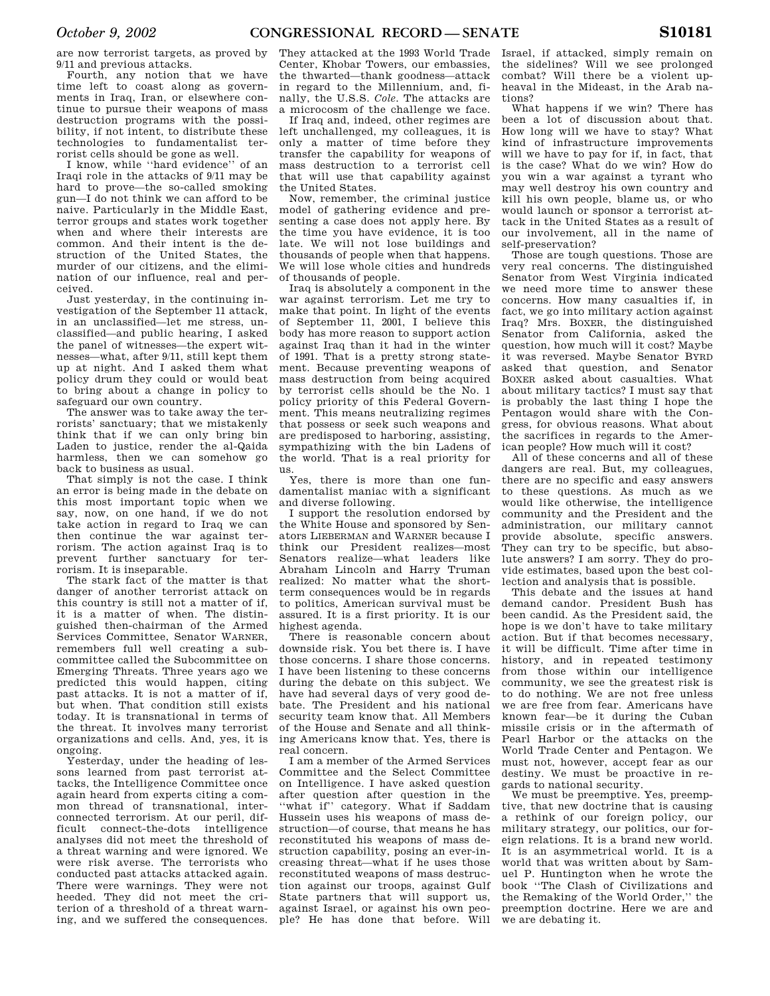are now terrorist targets, as proved by 9/11 and previous attacks.

Fourth, any notion that we have time left to coast along as governments in Iraq, Iran, or elsewhere continue to pursue their weapons of mass destruction programs with the possibility, if not intent, to distribute these technologies to fundamentalist terrorist cells should be gone as well.

I know, while ''hard evidence'' of an Iraqi role in the attacks of 9/11 may be hard to prove—the so-called smoking gun—I do not think we can afford to be naive. Particularly in the Middle East, terror groups and states work together when and where their interests are common. And their intent is the destruction of the United States, the murder of our citizens, and the elimination of our influence, real and perceived.

Just yesterday, in the continuing investigation of the September 11 attack, in an unclassified—let me stress, unclassified—and public hearing, I asked the panel of witnesses—the expert witnesses—what, after 9/11, still kept them up at night. And I asked them what policy drum they could or would beat to bring about a change in policy to safeguard our own country.

The answer was to take away the terrorists' sanctuary; that we mistakenly think that if we can only bring bin Laden to justice, render the al-Qaida harmless, then we can somehow go back to business as usual.

That simply is not the case. I think an error is being made in the debate on this most important topic when we say, now, on one hand, if we do not take action in regard to Iraq we can then continue the war against terrorism. The action against Iraq is to prevent further sanctuary for terrorism. It is inseparable.

The stark fact of the matter is that danger of another terrorist attack on this country is still not a matter of if, it is a matter of when. The distinguished then-chairman of the Armed Services Committee, Senator WARNER, remembers full well creating a subcommittee called the Subcommittee on Emerging Threats. Three years ago we predicted this would happen, citing past attacks. It is not a matter of if, but when. That condition still exists today. It is transnational in terms of the threat. It involves many terrorist organizations and cells. And, yes, it is ongoing.

Yesterday, under the heading of lessons learned from past terrorist attacks, the Intelligence Committee once again heard from experts citing a common thread of transnational, interconnected terrorism. At our peril, difficult connect-the-dots intelligence analyses did not meet the threshold of a threat warning and were ignored. We were risk averse. The terrorists who conducted past attacks attacked again. There were warnings. They were not heeded. They did not meet the criterion of a threshold of a threat warning, and we suffered the consequences.

They attacked at the 1993 World Trade Center, Khobar Towers, our embassies, the thwarted—thank goodness—attack in regard to the Millennium, and, finally, the U.S.S. *Cole*. The attacks are a microcosm of the challenge we face.

If Iraq and, indeed, other regimes are left unchallenged, my colleagues, it is only a matter of time before they transfer the capability for weapons of mass destruction to a terrorist cell that will use that capability against the United States.

Now, remember, the criminal justice model of gathering evidence and presenting a case does not apply here. By the time you have evidence, it is too late. We will not lose buildings and thousands of people when that happens. We will lose whole cities and hundreds of thousands of people.

Iraq is absolutely a component in the war against terrorism. Let me try to make that point. In light of the events of September 11, 2001, I believe this body has more reason to support action against Iraq than it had in the winter of 1991. That is a pretty strong statement. Because preventing weapons of mass destruction from being acquired by terrorist cells should be the No. 1 policy priority of this Federal Government. This means neutralizing regimes that possess or seek such weapons and are predisposed to harboring, assisting, sympathizing with the bin Ladens of the world. That is a real priority for us.

Yes, there is more than one fundamentalist maniac with a significant and diverse following.

I support the resolution endorsed by the White House and sponsored by Senators LIEBERMAN and WARNER because I think our President realizes—most Senators realize—what leaders like Abraham Lincoln and Harry Truman realized: No matter what the shortterm consequences would be in regards to politics, American survival must be assured. It is a first priority. It is our highest agenda.

There is reasonable concern about downside risk. You bet there is. I have those concerns. I share those concerns. I have been listening to these concerns during the debate on this subject. We have had several days of very good debate. The President and his national security team know that. All Members of the House and Senate and all thinking Americans know that. Yes, there is real concern.

I am a member of the Armed Services Committee and the Select Committee on Intelligence. I have asked question after question after question in the ''what if'' category. What if Saddam Hussein uses his weapons of mass destruction—of course, that means he has reconstituted his weapons of mass destruction capability, posing an ever-increasing threat—what if he uses those reconstituted weapons of mass destruction against our troops, against Gulf State partners that will support us, against Israel, or against his own people? He has done that before. Will

Israel, if attacked, simply remain on the sidelines? Will we see prolonged combat? Will there be a violent upheaval in the Mideast, in the Arab nations?

What happens if we win? There has been a lot of discussion about that. How long will we have to stay? What kind of infrastructure improvements will we have to pay for if, in fact, that is the case? What do we win? How do you win a war against a tyrant who may well destroy his own country and kill his own people, blame us, or who would launch or sponsor a terrorist attack in the United States as a result of our involvement, all in the name of self-preservation?

Those are tough questions. Those are very real concerns. The distinguished Senator from West Virginia indicated we need more time to answer these concerns. How many casualties if, in fact, we go into military action against Iraq? Mrs. BOXER, the distinguished Senator from California, asked the question, how much will it cost? Maybe it was reversed. Maybe Senator BYRD asked that question, and Senator BOXER asked about casualties. What about military tactics? I must say that is probably the last thing I hope the Pentagon would share with the Congress, for obvious reasons. What about the sacrifices in regards to the American people? How much will it cost?

All of these concerns and all of these dangers are real. But, my colleagues, there are no specific and easy answers to these questions. As much as we would like otherwise, the intelligence community and the President and the administration, our military cannot provide absolute, specific answers. They can try to be specific, but absolute answers? I am sorry. They do provide estimates, based upon the best collection and analysis that is possible.

This debate and the issues at hand demand candor. President Bush has been candid. As the President said, the hope is we don't have to take military action. But if that becomes necessary, it will be difficult. Time after time in history, and in repeated testimony from those within our intelligence community, we see the greatest risk is to do nothing. We are not free unless we are free from fear. Americans have known fear—be it during the Cuban missile crisis or in the aftermath of Pearl Harbor or the attacks on the World Trade Center and Pentagon. We must not, however, accept fear as our destiny. We must be proactive in regards to national security.

We must be preemptive. Yes, preemptive, that new doctrine that is causing a rethink of our foreign policy, our military strategy, our politics, our foreign relations. It is a brand new world. It is an asymmetrical world. It is a world that was written about by Samuel P. Huntington when he wrote the book ''The Clash of Civilizations and the Remaking of the World Order,'' the preemption doctrine. Here we are and we are debating it.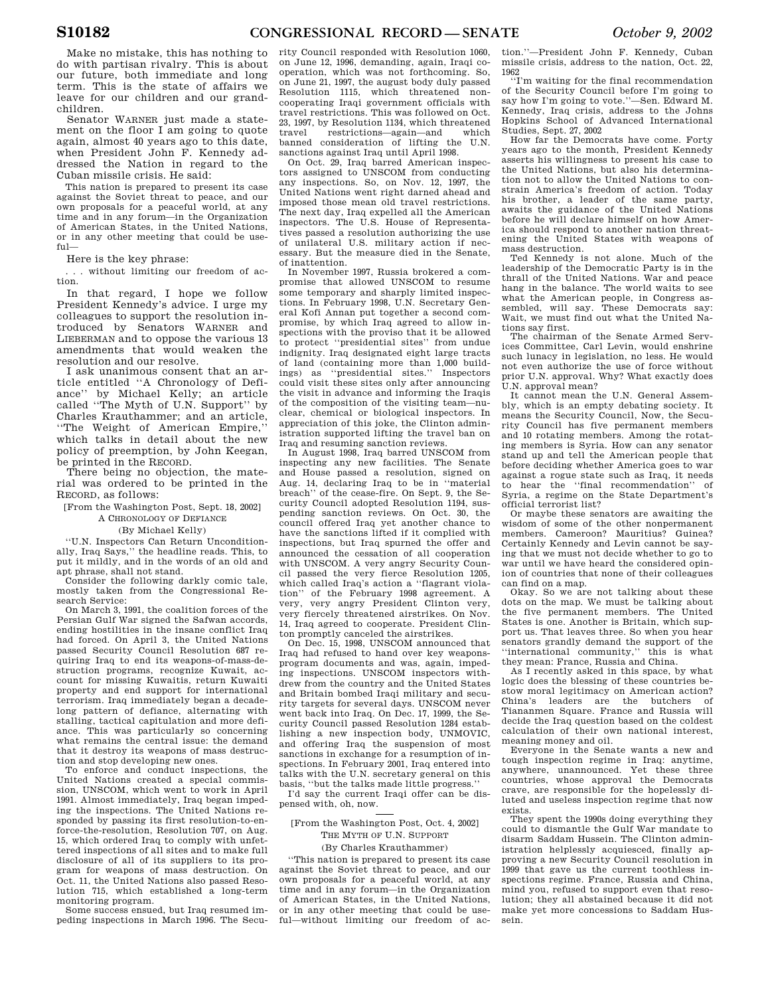Make no mistake, this has nothing to do with partisan rivalry. This is about our future, both immediate and long term. This is the state of affairs we leave for our children and our grandchildren.

Senator WARNER just made a statement on the floor I am going to quote again, almost 40 years ago to this date, when President John F. Kennedy addressed the Nation in regard to the Cuban missile crisis. He said:

This nation is prepared to present its case against the Soviet threat to peace, and our own proposals for a peaceful world, at any time and in any forum—in the Organization of American States, in the United Nations, or in any other meeting that could be useful—

Here is the key phrase:

.. without limiting our freedom of action.

In that regard, I hope we follow President Kennedy's advice. I urge my colleagues to support the resolution introduced by Senators WARNER and LIEBERMAN and to oppose the various 13 amendments that would weaken the resolution and our resolve.

I ask unanimous consent that an article entitled ''A Chronology of Defiance'' by Michael Kelly; an article called ''The Myth of U.N. Support'' by Charles Krauthammer; and an article, ''The Weight of American Empire,'' which talks in detail about the new policy of preemption, by John Keegan, be printed in the RECORD.

There being no objection, the material was ordered to be printed in the RECORD, as follows:

[From the Washington Post, Sept. 18, 2002]

# A CHRONOLOGY OF DEFIANCE

(By Michael Kelly)

''U.N. Inspectors Can Return Unconditionally, Iraq Says,'' the headline reads. This, to put it mildly, and in the words of an old and

apt phrase, shall not stand. Consider the following darkly comic tale, mostly taken from the Congressional Research Service:

On March 3, 1991, the coalition forces of the Persian Gulf War signed the Safwan accords, ending hostilities in the insane conflict Iraq had forced. On April 3, the United Nations passed Security Council Resolution 687 requiring Iraq to end its weapons-of-mass-destruction programs, recognize Kuwait, account for missing Kuwaitis, return Kuwaiti property and end support for international terrorism. Iraq immediately began a decadelong pattern of defiance, alternating with stalling, tactical capitulation and more defiance. This was particularly so concerning what remains the central issue: the demand that it destroy its weapons of mass destruction and stop developing new ones.

To enforce and conduct inspections, the United Nations created a special commission, UNSCOM, which went to work in April 1991. Almost immediately, Iraq began impeding the inspections. The United Nations responded by passing its first resolution-to-enforce-the-resolution, Resolution 707, on Aug. 15, which ordered Iraq to comply with unfettered inspections of all sites and to make full disclosure of all of its suppliers to its program for weapons of mass destruction. On Oct. 11, the United Nations also passed Resolution 715, which established a long-term monitoring program.

Some success ensued, but Iraq resumed impeding inspections in March 1996. The Secu-

rity Council responded with Resolution 1060, on June 12, 1996, demanding, again, Iraqi cooperation, which was not forthcoming. So, on June 21, 1997, the august body duly passed Resolution 1115, which threatened noncooperating Iraqi government officials with travel restrictions. This was followed on Oct. 23, 1997, by Resolution 1134, which threatened travel restrictions—again—and which banned consideration of lifting the U.N. sanctions against Iraq until April 1998.

On Oct. 29, Iraq barred American inspectors assigned to UNSCOM from conducting any inspections. So, on Nov. 12, 1997, the United Nations went right darned ahead and imposed those mean old travel restrictions. The next day, Iraq expelled all the American inspectors. The U.S. House of Representatives passed a resolution authorizing the use of unilateral U.S. military action if necessary. But the measure died in the Senate, of inattention.

In November 1997, Russia brokered a compromise that allowed UNSCOM to resume some temporary and sharply limited inspections. In February 1998, U.N. Secretary General Kofi Annan put together a second compromise, by which Iraq agreed to allow inspections with the proviso that it be allowed to protect ''presidential sites'' from undue indignity. Iraq designated eight large tracts of land (containing more than 1,000 buildings) as ''presidential sites.'' Inspectors could visit these sites only after announcing the visit in advance and informing the Iraqis of the composition of the visiting team—nuclear, chemical or biological inspectors. In appreciation of this joke, the Clinton administration supported lifting the travel ban on Iraq and resuming sanction reviews.

In August 1998, Iraq barred UNSCOM from inspecting any new facilities. The Senate and House passed a resolution, signed on Aug. 14, declaring Iraq to be in ''material breach'' of the cease-fire. On Sept. 9, the Security Council adopted Resolution 1194, suspending sanction reviews. On Oct. 30, the council offered Iraq yet another chance to have the sanctions lifted if it complied with inspections, but Iraq spurned the offer and announced the cessation of all cooperation with UNSCOM. A very angry Security Council passed the very fierce Resolution 1205, which called Iraq's action a ''flagrant violation'' of the February 1998 agreement. A very, very angry President Clinton very, very fiercely threatened airstrikes. On Nov. 14, Iraq agreed to cooperate. President Clinton promptly canceled the airstrikes.

On Dec. 15, 1998, UNSCOM announced that Iraq had refused to hand over key weaponsprogram documents and was, again, impeding inspections. UNSCOM inspectors withdrew from the country and the United States and Britain bombed Iraqi military and security targets for several days. UNSCOM never went back into Iraq. On Dec. 17, 1999, the Security Council passed Resolution 1284 establishing a new inspection body, UNMOVIC, and offering Iraq the suspension of most sanctions in exchange for a resumption of inspections. In February 2001, Iraq entered into talks with the U.N. secretary general on this basis, ''but the talks made little progress.''

I'd say the current Iraqi offer can be dispensed with, oh, now.

### [From the Washington Post, Oct. 4, 2002] THE MYTH OF U.N. SUPPORT (By Charles Krauthammer)

''This nation is prepared to present its case against the Soviet threat to peace, and our own proposals for a peaceful world, at any time and in any forum—in the Organization of American States, in the United Nations, or in any other meeting that could be useful—without limiting our freedom of action.''—President John F. Kennedy, Cuban missile crisis, address to the nation, Oct. 22, 1962

''I'm waiting for the final recommendation of the Security Council before I'm going to say how I'm going to vote.''—Sen. Edward M. Kennedy, Iraq crisis, address to the Johns Hopkins School of Advanced International Studies, Sept. 27, 2002

How far the Democrats have come. Forty years ago to the month, President Kennedy asserts his willingness to present his case to the United Nations, but also his determination not to allow the United Nations to constrain America's freedom of action. Today his brother, a leader of the same party, awaits the guidance of the United Nations before he will declare himself on how America should respond to another nation threatening the United States with weapons of mass destruction.

Ted Kennedy is not alone. Much of the leadership of the Democratic Party is in the thrall of the United Nations. War and peace hang in the balance. The world waits to see what the American people, in Congress assembled, will say. These Democrats say: Wait, we must find out what the United Nations say first.

The chairman of the Senate Armed Services Committee, Carl Levin, would enshrine such lunacy in legislation, no less. He would not even authorize the use of force without prior U.N. approval. Why? What exactly does U.N. approval mean?

It cannot mean the U.N. General Assembly, which is an empty debating society. It means the Security Council, Now, the Security Council has five permanent members and 10 rotating members. Among the rotating members is Syria. How can any senator stand up and tell the American people that before deciding whether America goes to war against a rogue state such as Iraq, it needs<br>to hear the "final recommendation" of to hear the "final recommendation" Syria, a regime on the State Department's official terrorist list?

Or maybe these senators are awaiting the wisdom of some of the other nonpermanent members. Cameroon? Mauritius? Guinea? Certainly Kennedy and Levin cannot be saying that we must not decide whether to go to war until we have heard the considered opinion of countries that none of their colleagues can find on a map.

Okay. So we are not talking about these dots on the map. We must be talking about the five permanent members. The United States is one. Another is Britain, which support us. That leaves three. So when you hear senators grandly demand the support of the ''international community,'' this is what they mean: France, Russia and China.

As I recently asked in this space, by what logic does the blessing of these countries bestow moral legitimacy on American action? China's leaders are the butchers of Tiananmen Square. France and Russia will decide the Iraq question based on the coldest calculation of their own national interest, meaning money and oil.

Everyone in the Senate wants a new and tough inspection regime in Iraq: anytime, anywhere, unannounced. Yet these three countries, whose approval the Democrats crave, are responsible for the hopelessly diluted and useless inspection regime that now exists.

They spent the 1990s doing everything they could to dismantle the Gulf War mandate to disarm Saddam Hussein. The Clinton administration helplessly acquiesced, finally approving a new Security Council resolution in 1999 that gave us the current toothless inspections regime. France, Russia and China, mind you, refused to support even that resolution; they all abstained because it did not make yet more concessions to Saddam Hussein.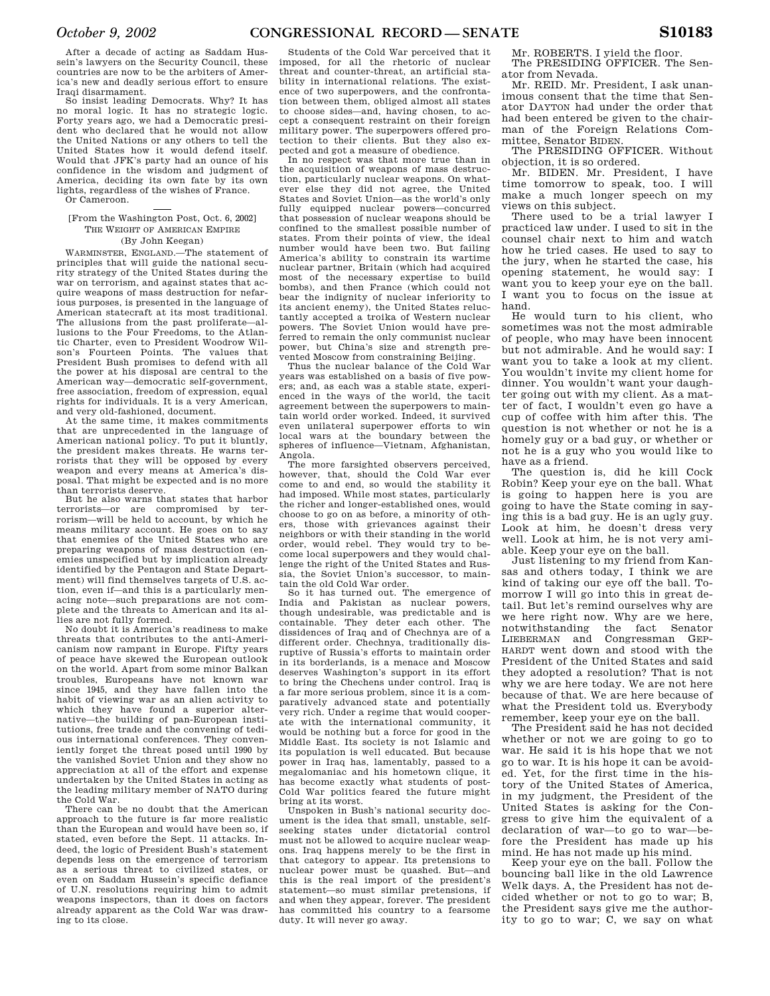After a decade of acting as Saddam Hussein's lawyers on the Security Council, these countries are now to be the arbiters of America's new and deadly serious effort to ensure Iraqi disarmament.

So insist leading Democrats. Why? It has no moral logic. It has no strategic logic. Forty years ago, we had a Democratic president who declared that he would not allow the United Nations or any others to tell the United States how it would defend itself. Would that JFK's party had an ounce of his confidence in the wisdom and judgment of America, deciding its own fate by its own lights, regardless of the wishes of France.

Or Cameroon.

# [From the Washington Post, Oct. 6, 2002] THE WEIGHT OF AMERICAN EMPIRE

(By John Keegan)

WARMINSTER, ENGLAND.—The statement of principles that will guide the national security strategy of the United States during the war on terrorism, and against states that acquire weapons of mass destruction for nefarious purposes, is presented in the language of American statecraft at its most traditional. The allusions from the past proliferate—allusions to the Four Freedoms, to the Atlantic Charter, even to President Woodrow Wilson's Fourteen Points. The values that President Bush promises to defend with all the power at his disposal are central to the American way—democratic self-government, free association, freedom of expression, equal rights for individuals. It is a very American, and very old-fashioned, document.

At the same time, it makes commitments that are unprecedented in the language of American national policy. To put it bluntly, the president makes threats. He warns terrorists that they will be opposed by every weapon and every means at America's disposal. That might be expected and is no more than terrorists deserve.

But he also warns that states that harbor terrorists—or are compromised by terrorism—will be held to account, by which he means military account. He goes on to say that enemies of the United States who are preparing weapons of mass destruction (enemies unspecified but by implication already identified by the Pentagon and State Department) will find themselves targets of U.S. action, even if—and this is a particularly menacing note—such preparations are not complete and the threats to American and its allies are not fully formed.

No doubt it is America's readiness to make threats that contributes to the anti-Americanism now rampant in Europe. Fifty years of peace have skewed the European outlook on the world. Apart from some minor Balkan troubles, Europeans have not known war since 1945, and they have fallen into the habit of viewing war as an alien activity to which they have found a superior alternative—the building of pan-European institutions, free trade and the convening of tedious international conferences. They conveniently forget the threat posed until 1990 by the vanished Soviet Union and they show no appreciation at all of the effort and expense undertaken by the United States in acting as the leading military member of NATO during the Cold War.

There can be no doubt that the American approach to the future is far more realistic than the European and would have been so, if stated, even before the Sept. 11 attacks. Indeed, the logic of President Bush's statement depends less on the emergence of terrorism as a serious threat to civilized states, or even on Saddam Hussein's specific defiance of U.N. resolutions requiring him to admit weapons inspectors, than it does on factors already apparent as the Cold War was drawing to its close.

Students of the Cold War perceived that it imposed, for all the rhetoric of nuclear threat and counter-threat, an artificial stability in international relations. The existence of two superpowers, and the confrontation between them, obliged almost all states to choose sides—and, having chosen, to accept a consequent restraint on their foreign military power. The superpowers offered protection to their clients. But they also expected and got a measure of obedience.

In no respect was that more true than in the acquisition of weapons of mass destruction, particularly nuclear weapons. On whatever else they did not agree, the United States and Soviet Union—as the world's only fully equipped nuclear powers—concurred that possession of nuclear weapons should be confined to the smallest possible number of states. From their points of view, the ideal number would have been two. But failing America's ability to constrain its wartime nuclear partner, Britain (which had acquired most of the necessary expertise to build bombs), and then France (which could not bear the indignity of nuclear inferiority to its ancient enemy), the United States reluctantly accepted a troika of Western nuclear powers. The Soviet Union would have preferred to remain the only communist nuclear power, but China's size and strength prevented Moscow from constraining Beijing.

Thus the nuclear balance of the Cold War years was established on a basis of five powers; and, as each was a stable state, experienced in the ways of the world, the tacit agreement between the superpowers to maintain world order worked. Indeed, it survived even unilateral superpower efforts to win local wars at the boundary between the spheres of influence—Vietnam, Afghanistan, Angola.

The more farsighted observers perceived, however, that, should the Cold War ever come to and end, so would the stability it had imposed. While most states, particularly the richer and longer-established ones, would choose to go on as before, a minority of others, those with grievances against their neighbors or with their standing in the world order, would rebel. They would try to become local superpowers and they would challenge the right of the United States and Russia, the Soviet Union's successor, to maintain the old Cold War order.

So it has turned out. The emergence of India and Pakistan as nuclear powers, though undesirable, was predictable and is containable. They deter each other. The dissidences of Iraq and of Chechnya are of a different order. Chechnya, traditionally disruptive of Russia's efforts to maintain order in its borderlands, is a menace and Moscow deserves Washington's support in its effort to bring the Chechens under control. Iraq is a far more serious problem, since it is a comparatively advanced state and potentially very rich. Under a regime that would cooperate with the international community, it would be nothing but a force for good in the Middle East. Its society is not Islamic and its population is well educated. But because power in Iraq has, lamentably, passed to a megalomaniac and his hometown clique, it has become exactly what students of post-Cold War politics feared the future might bring at its worst.

Unspoken in Bush's national security document is the idea that small, unstable, selfseeking states under dictatorial control must not be allowed to acquire nuclear weapons. Iraq happens merely to be the first in that category to appear. Its pretensions to nuclear power must be quashed. But—and this is the real import of the president's statement—so must similar pretensions, if and when they appear, forever. The president has committed his country to a fearsome duty. It will never go away.

Mr. ROBERTS. I yield the floor. The PRESIDING OFFICER. The Senator from Nevada.

Mr. REID. Mr. President, I ask unanimous consent that the time that Senator DAYTON had under the order that had been entered be given to the chairman of the Foreign Relations Committee, Senator BIDEN.

The PRESIDING OFFICER. Without objection, it is so ordered.

Mr. BIDEN. Mr. President, I have time tomorrow to speak, too. I will make a much longer speech on my views on this subject.

There used to be a trial lawyer I practiced law under. I used to sit in the counsel chair next to him and watch how he tried cases. He used to say to the jury, when he started the case, his opening statement, he would say: I want you to keep your eye on the ball. I want you to focus on the issue at hand.

He would turn to his client, who sometimes was not the most admirable of people, who may have been innocent but not admirable. And he would say: I want you to take a look at my client. You wouldn't invite my client home for dinner. You wouldn't want your daughter going out with my client. As a matter of fact, I wouldn't even go have a cup of coffee with him after this. The question is not whether or not he is a homely guy or a bad guy, or whether or not he is a guy who you would like to have as a friend.

The question is, did he kill Cock Robin? Keep your eye on the ball. What is going to happen here is you are going to have the State coming in saying this is a bad guy. He is an ugly guy. Look at him, he doesn't dress very well. Look at him, he is not very amiable. Keep your eye on the ball.

Just listening to my friend from Kansas and others today, I think we are kind of taking our eye off the ball. Tomorrow I will go into this in great detail. But let's remind ourselves why are we here right now. Why are we here, notwithstanding the fact Senator LIEBERMAN and Congressman GEP-HARDT went down and stood with the President of the United States and said they adopted a resolution? That is not why we are here today. We are not here because of that. We are here because of what the President told us. Everybody remember, keep your eye on the ball.

The President said he has not decided whether or not we are going to go to war. He said it is his hope that we not go to war. It is his hope it can be avoided. Yet, for the first time in the history of the United States of America, in my judgment, the President of the United States is asking for the Congress to give him the equivalent of a declaration of war—to go to war—before the President has made up his mind. He has not made up his mind.

Keep your eye on the ball. Follow the bouncing ball like in the old Lawrence Welk days. A, the President has not decided whether or not to go to war; B, the President says give me the authority to go to war; C, we say on what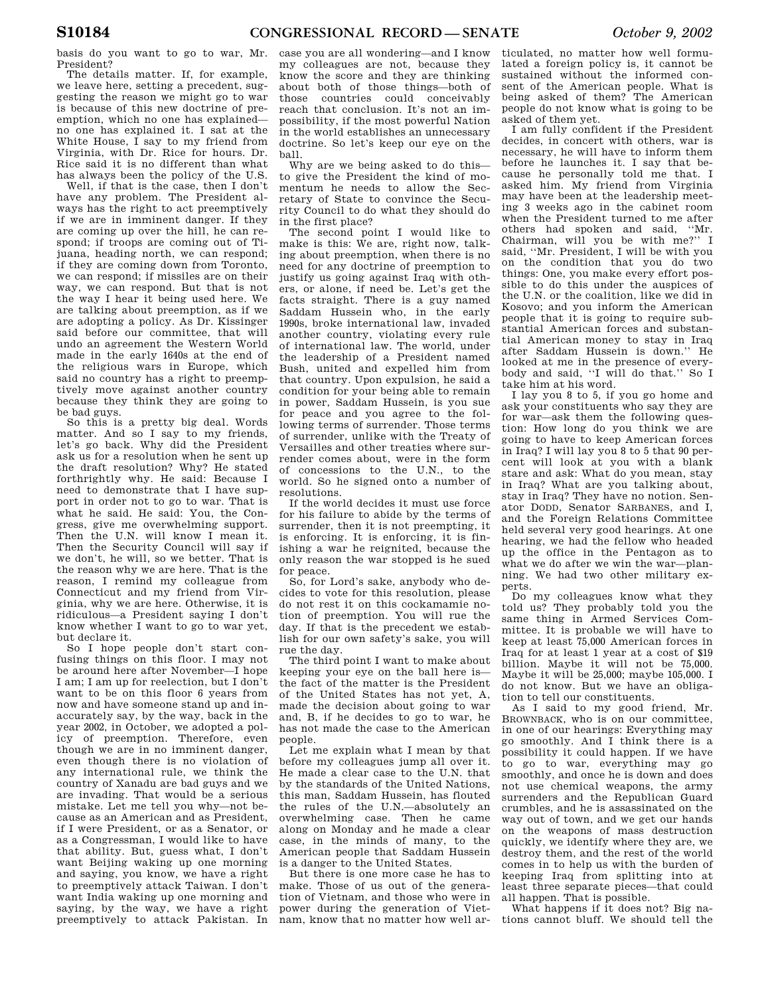basis do you want to go to war, Mr. President?

The details matter. If, for example, we leave here, setting a precedent, suggesting the reason we might go to war is because of this new doctrine of preemption, which no one has explained no one has explained it. I sat at the White House, I say to my friend from Virginia, with Dr. Rice for hours. Dr. Rice said it is no different than what has always been the policy of the U.S.

Well, if that is the case, then I don't have any problem. The President always has the right to act preemptively if we are in imminent danger. If they are coming up over the hill, he can respond; if troops are coming out of Tijuana, heading north, we can respond; if they are coming down from Toronto, we can respond; if missiles are on their way, we can respond. But that is not the way I hear it being used here. We are talking about preemption, as if we are adopting a policy. As Dr. Kissinger said before our committee, that will undo an agreement the Western World made in the early 1640s at the end of the religious wars in Europe, which said no country has a right to preemptively move against another country because they think they are going to be bad guys.

So this is a pretty big deal. Words matter. And so I say to my friends, let's go back. Why did the President ask us for a resolution when he sent up the draft resolution? Why? He stated forthrightly why. He said: Because I need to demonstrate that I have support in order not to go to war. That is what he said. He said: You, the Congress, give me overwhelming support. Then the U.N. will know I mean it. Then the Security Council will say if we don't, he will, so we better. That is the reason why we are here. That is the reason, I remind my colleague from Connecticut and my friend from Virginia, why we are here. Otherwise, it is ridiculous—a President saying I don't know whether I want to go to war yet, but declare it.

So I hope people don't start confusing things on this floor. I may not be around here after November—I hope I am; I am up for reelection, but I don't want to be on this floor 6 years from now and have someone stand up and inaccurately say, by the way, back in the year 2002, in October, we adopted a policy of preemption. Therefore, even though we are in no imminent danger, even though there is no violation of any international rule, we think the country of Xanadu are bad guys and we are invading. That would be a serious mistake. Let me tell you why—not because as an American and as President, if I were President, or as a Senator, or as a Congressman, I would like to have that ability. But, guess what, I don't want Beijing waking up one morning and saying, you know, we have a right to preemptively attack Taiwan. I don't want India waking up one morning and saying, by the way, we have a right preemptively to attack Pakistan. In

case you are all wondering—and I know my colleagues are not, because they know the score and they are thinking about both of those things—both of those countries could conceivably reach that conclusion. It's not an impossibility, if the most powerful Nation in the world establishes an unnecessary doctrine. So let's keep our eye on the ball.

Why are we being asked to do this to give the President the kind of momentum he needs to allow the Secretary of State to convince the Security Council to do what they should do in the first place?

The second point I would like to make is this: We are, right now, talking about preemption, when there is no need for any doctrine of preemption to justify us going against Iraq with others, or alone, if need be. Let's get the facts straight. There is a guy named Saddam Hussein who, in the early 1990s, broke international law, invaded another country, violating every rule of international law. The world, under the leadership of a President named Bush, united and expelled him from that country. Upon expulsion, he said a condition for your being able to remain in power, Saddam Hussein, is you sue for peace and you agree to the following terms of surrender. Those terms of surrender, unlike with the Treaty of Versailles and other treaties where surrender comes about, were in the form of concessions to the U.N., to the world. So he signed onto a number of resolutions.

If the world decides it must use force for his failure to abide by the terms of surrender, then it is not preempting, it is enforcing. It is enforcing, it is finishing a war he reignited, because the only reason the war stopped is he sued for peace.

So, for Lord's sake, anybody who decides to vote for this resolution, please do not rest it on this cockamamie notion of preemption. You will rue the day. If that is the precedent we establish for our own safety's sake, you will rue the day.

The third point I want to make about keeping your eye on the ball here is the fact of the matter is the President of the United States has not yet, A, made the decision about going to war and, B, if he decides to go to war, he has not made the case to the American people.

Let me explain what I mean by that before my colleagues jump all over it. He made a clear case to the U.N. that by the standards of the United Nations, this man, Saddam Hussein, has flouted the rules of the U.N.—absolutely an overwhelming case. Then he came along on Monday and he made a clear case, in the minds of many, to the American people that Saddam Hussein is a danger to the United States.

But there is one more case he has to make. Those of us out of the generation of Vietnam, and those who were in power during the generation of Vietnam, know that no matter how well ar-

ticulated, no matter how well formulated a foreign policy is, it cannot be sustained without the informed consent of the American people. What is being asked of them? The American people do not know what is going to be asked of them yet.

I am fully confident if the President decides, in concert with others, war is necessary, he will have to inform them before he launches it. I say that because he personally told me that. I asked him. My friend from Virginia may have been at the leadership meeting 3 weeks ago in the cabinet room when the President turned to me after others had spoken and said, ''Mr. Chairman, will you be with me?'' I said, ''Mr. President, I will be with you on the condition that you do two things: One, you make every effort possible to do this under the auspices of the U.N. or the coalition, like we did in Kosovo; and you inform the American people that it is going to require substantial American forces and substantial American money to stay in Iraq after Saddam Hussein is down.'' He looked at me in the presence of everybody and said, ''I will do that.'' So I take him at his word.

I lay you 8 to 5, if you go home and ask your constituents who say they are for war—ask them the following question: How long do you think we are going to have to keep American forces in Iraq? I will lay you 8 to 5 that 90 percent will look at you with a blank stare and ask: What do you mean, stay in Iraq? What are you talking about, stay in Iraq? They have no notion. Senator DODD, Senator SARBANES, and I, and the Foreign Relations Committee held several very good hearings. At one hearing, we had the fellow who headed up the office in the Pentagon as to what we do after we win the war—planning. We had two other military experts.

Do my colleagues know what they told us? They probably told you the same thing in Armed Services Committee. It is probable we will have to keep at least 75,000 American forces in Iraq for at least 1 year at a cost of \$19 billion. Maybe it will not be 75,000. Maybe it will be 25,000; maybe 105,000. I do not know. But we have an obligation to tell our constituents.

As I said to my good friend, Mr. BROWNBACK, who is on our committee, in one of our hearings: Everything may go smoothly. And I think there is a possibility it could happen. If we have to go to war, everything may go smoothly, and once he is down and does not use chemical weapons, the army surrenders and the Republican Guard crumbles, and he is assassinated on the way out of town, and we get our hands on the weapons of mass destruction quickly, we identify where they are, we destroy them, and the rest of the world comes in to help us with the burden of keeping Iraq from splitting into at least three separate pieces—that could all happen. That is possible.

What happens if it does not? Big nations cannot bluff. We should tell the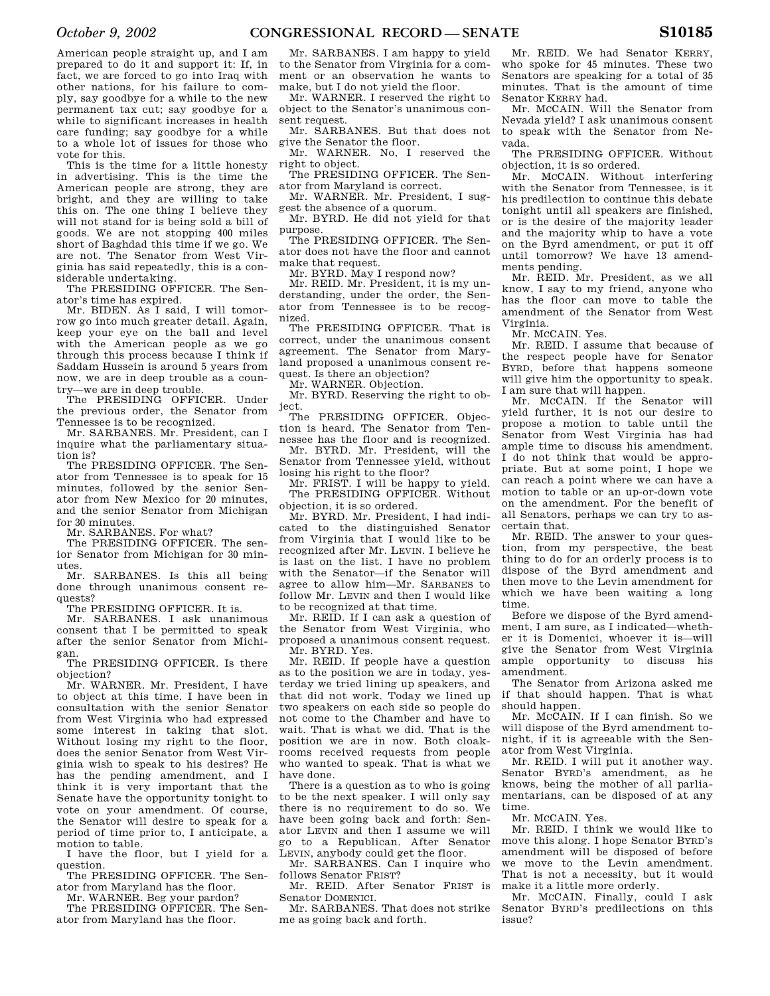American people straight up, and I am prepared to do it and support it: If, in fact, we are forced to go into Iraq with other nations, for his failure to comply, say goodbye for a while to the new permanent tax cut; say goodbye for a while to significant increases in health care funding; say goodbye for a while to a whole lot of issues for those who vote for this.

This is the time for a little honesty in advertising. This is the time the American people are strong, they are bright, and they are willing to take this on. The one thing I believe they will not stand for is being sold a bill of goods. We are not stopping 400 miles short of Baghdad this time if we go. We are not. The Senator from West Virginia has said repeatedly, this is a considerable undertaking.

The PRESIDING OFFICER. The Senator's time has expired.

Mr. BIDEN. As I said, I will tomorrow go into much greater detail. Again, keep your eye on the ball and level with the American people as we go through this process because I think if Saddam Hussein is around 5 years from now, we are in deep trouble as a country—we are in deep trouble.

The PRESIDING OFFICER. Under the previous order, the Senator from Tennessee is to be recognized.

Mr. SARBANES. Mr. President, can I inquire what the parliamentary situation is?

The PRESIDING OFFICER. The Senator from Tennessee is to speak for 15 minutes, followed by the senior Senator from New Mexico for 20 minutes, and the senior Senator from Michigan for 30 minutes.

Mr. SARBANES. For what?

The PRESIDING OFFICER. The senior Senator from Michigan for 30 minutes.

Mr. SARBANES. Is this all being done through unanimous consent requests?

The PRESIDING OFFICER. It is.

Mr. SARBANES. I ask unanimous consent that I be permitted to speak after the senior Senator from Michigan.

The PRESIDING OFFICER. Is there objection?

Mr. WARNER. Mr. President, I have to object at this time. I have been in consultation with the senior Senator from West Virginia who had expressed some interest in taking that slot. Without losing my right to the floor, does the senior Senator from West Virginia wish to speak to his desires? He has the pending amendment, and I think it is very important that the Senate have the opportunity tonight to vote on your amendment. Of course, the Senator will desire to speak for a period of time prior to, I anticipate, a motion to table.

I have the floor, but I yield for a question.

The PRESIDING OFFICER. The Senator from Maryland has the floor.

Mr. WARNER. Beg your pardon?

The PRESIDING OFFICER. The Senator from Maryland has the floor.

Mr. SARBANES. I am happy to yield to the Senator from Virginia for a comment or an observation he wants to make, but I do not yield the floor.

Mr. WARNER. I reserved the right to object to the Senator's unanimous consent request.

Mr. SARBANES. But that does not give the Senator the floor.

Mr. WARNER. No, I reserved the right to object.

The PRESIDING OFFICER. The Senator from Maryland is correct.

Mr. WARNER. Mr. President, I suggest the absence of a quorum.

Mr. BYRD. He did not yield for that purpose.

The PRESIDING OFFICER. The Senator does not have the floor and cannot make that request.

Mr. BYRD. May I respond now?

Mr. REID. Mr. President, it is my understanding, under the order, the Senator from Tennessee is to be recognized.

The PRESIDING OFFICER. That is correct, under the unanimous consent agreement. The Senator from Maryland proposed a unanimous consent request. Is there an objection?

Mr. WARNER. Objection.

Mr. BYRD. Reserving the right to object.

The PRESIDING OFFICER. Objection is heard. The Senator from Tennessee has the floor and is recognized.

Mr. BYRD. Mr. President, will the Senator from Tennessee yield, without losing his right to the floor?

Mr. FRIST. I will be happy to yield. The PRESIDING OFFICER. Without objection, it is so ordered.

Mr. BYRD. Mr. President, I had indicated to the distinguished Senator from Virginia that I would like to be recognized after Mr. LEVIN. I believe he is last on the list. I have no problem with the Senator—if the Senator will agree to allow him—Mr. SARBANES to follow Mr. LEVIN and then I would like to be recognized at that time.

Mr. REID. If I can ask a question of the Senator from West Virginia, who proposed a unanimous consent request. Mr. BYRD. Yes.

Mr. REID. If people have a question as to the position we are in today, yesterday we tried lining up speakers, and that did not work. Today we lined up two speakers on each side so people do not come to the Chamber and have to wait. That is what we did. That is the position we are in now. Both cloakrooms received requests from people who wanted to speak. That is what we have done.

There is a question as to who is going to be the next speaker. I will only say there is no requirement to do so. We have been going back and forth: Senator LEVIN and then I assume we will go to a Republican. After Senator LEVIN, anybody could get the floor.

Mr. SARBANES. Can I inquire who follows Senator FRIST?

Mr. REID. After Senator FRIST is Senator DOMENICI.

Mr. SARBANES. That does not strike me as going back and forth.

Mr. REID. We had Senator KERRY, who spoke for 45 minutes. These two Senators are speaking for a total of 35 minutes. That is the amount of time Senator KERRY had.

Mr. MCCAIN. Will the Senator from Nevada yield? I ask unanimous consent to speak with the Senator from Nevada.

The PRESIDING OFFICER. Without objection, it is so ordered.

Mr. MCCAIN. Without interfering with the Senator from Tennessee, is it his predilection to continue this debate tonight until all speakers are finished, or is the desire of the majority leader and the majority whip to have a vote on the Byrd amendment, or put it off until tomorrow? We have 13 amendments pending.

Mr. REID. Mr. President, as we all know, I say to my friend, anyone who has the floor can move to table the amendment of the Senator from West Virginia.

Mr. McCAIN. Yes.

Mr. REID. I assume that because of the respect people have for Senator BYRD, before that happens someone will give him the opportunity to speak. I am sure that will happen.

Mr. MCCAIN. If the Senator will yield further, it is not our desire to propose a motion to table until the Senator from West Virginia has had ample time to discuss his amendment. I do not think that would be appropriate. But at some point, I hope we can reach a point where we can have a motion to table or an up-or-down vote on the amendment. For the benefit of all Senators, perhaps we can try to ascertain that.

Mr. REID. The answer to your question, from my perspective, the best thing to do for an orderly process is to dispose of the Byrd amendment and then move to the Levin amendment for which we have been waiting a long time.

Before we dispose of the Byrd amendment, I am sure, as I indicated—whether it is Domenici, whoever it is—will give the Senator from West Virginia ample opportunity to discuss his amendment.

The Senator from Arizona asked me if that should happen. That is what should happen.

Mr. MCCAIN. If I can finish. So we will dispose of the Byrd amendment tonight, if it is agreeable with the Senator from West Virginia.

Mr. REID. I will put it another way. Senator BYRD's amendment, as he knows, being the mother of all parliamentarians, can be disposed of at any time.

Mr. MCCAIN. Yes.

Mr. REID. I think we would like to move this along. I hope Senator BYRD's amendment will be disposed of before we move to the Levin amendment. That is not a necessity, but it would make it a little more orderly.

Mr. MCCAIN. Finally, could I ask Senator BYRD's predilections on this issue?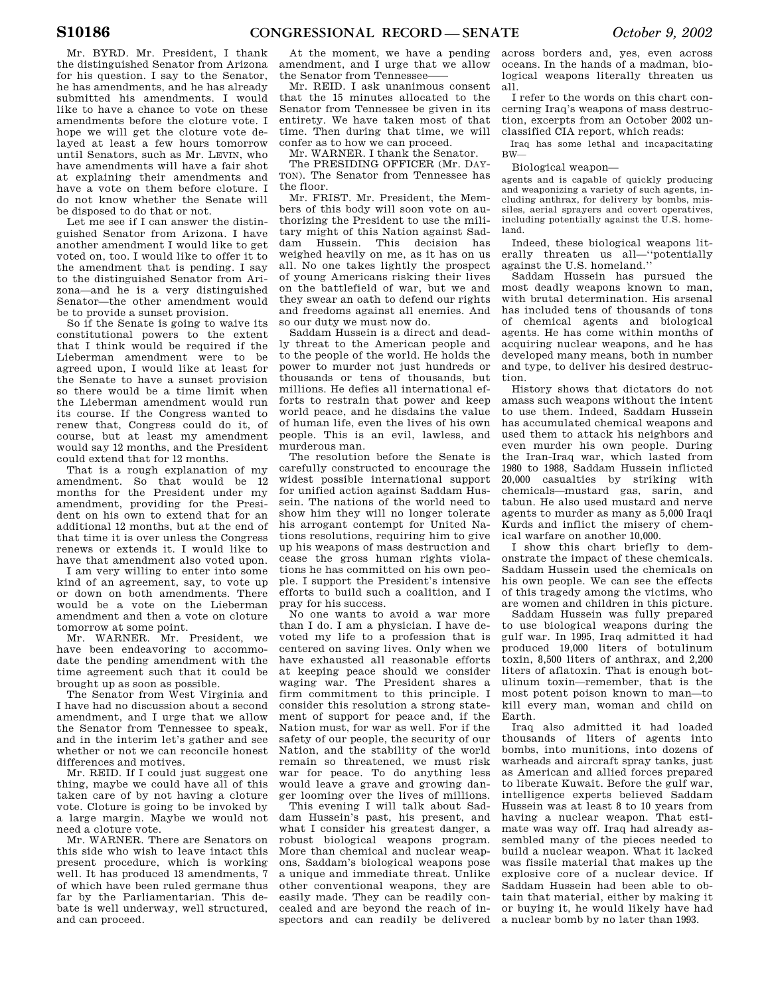Mr. BYRD. Mr. President, I thank the distinguished Senator from Arizona for his question. I say to the Senator, he has amendments, and he has already submitted his amendments. I would like to have a chance to vote on these amendments before the cloture vote. I hope we will get the cloture vote delayed at least a few hours tomorrow until Senators, such as Mr. LEVIN, who have amendments will have a fair shot at explaining their amendments and have a vote on them before cloture. I do not know whether the Senate will be disposed to do that or not.

Let me see if I can answer the distinguished Senator from Arizona. I have another amendment I would like to get voted on, too. I would like to offer it to the amendment that is pending. I say to the distinguished Senator from Arizona—and he is a very distinguished Senator—the other amendment would be to provide a sunset provision.

So if the Senate is going to waive its constitutional powers to the extent that I think would be required if the Lieberman amendment were to be agreed upon, I would like at least for the Senate to have a sunset provision so there would be a time limit when the Lieberman amendment would run its course. If the Congress wanted to renew that, Congress could do it, of course, but at least my amendment would say 12 months, and the President could extend that for 12 months.

That is a rough explanation of my amendment. So that would be 12 months for the President under my amendment, providing for the President on his own to extend that for an additional 12 months, but at the end of that time it is over unless the Congress renews or extends it. I would like to have that amendment also voted upon.

I am very willing to enter into some kind of an agreement, say, to vote up or down on both amendments. There would be a vote on the Lieberman amendment and then a vote on cloture tomorrow at some point.

Mr. WARNER. Mr. President, we have been endeavoring to accommodate the pending amendment with the time agreement such that it could be brought up as soon as possible.

The Senator from West Virginia and I have had no discussion about a second amendment, and I urge that we allow the Senator from Tennessee to speak, and in the interim let's gather and see whether or not we can reconcile honest differences and motives.

Mr. REID. If I could just suggest one thing, maybe we could have all of this taken care of by not having a cloture vote. Cloture is going to be invoked by a large margin. Maybe we would not need a cloture vote.

Mr. WARNER. There are Senators on this side who wish to leave intact this present procedure, which is working well. It has produced 13 amendments, 7 of which have been ruled germane thus far by the Parliamentarian. This debate is well underway, well structured, and can proceed.

At the moment, we have a pending amendment, and I urge that we allow the Senator from Tennessee-

Mr. REID. I ask unanimous consent that the 15 minutes allocated to the Senator from Tennessee be given in its entirety. We have taken most of that time. Then during that time, we will confer as to how we can proceed.

Mr. WARNER. I thank the Senator.

The PRESIDING OFFICER (Mr. DAY-TON). The Senator from Tennessee has the floor.

Mr. FRIST. Mr. President, the Members of this body will soon vote on authorizing the President to use the military might of this Nation against Saddam Hussein. This decision has weighed heavily on me, as it has on us all. No one takes lightly the prospect of young Americans risking their lives on the battlefield of war, but we and they swear an oath to defend our rights and freedoms against all enemies. And so our duty we must now do.

Saddam Hussein is a direct and deadly threat to the American people and to the people of the world. He holds the power to murder not just hundreds or thousands or tens of thousands, but millions. He defies all international efforts to restrain that power and keep world peace, and he disdains the value of human life, even the lives of his own people. This is an evil, lawless, and murderous man.

The resolution before the Senate is carefully constructed to encourage the widest possible international support for unified action against Saddam Hussein. The nations of the world need to show him they will no longer tolerate his arrogant contempt for United Nations resolutions, requiring him to give up his weapons of mass destruction and cease the gross human rights violations he has committed on his own people. I support the President's intensive efforts to build such a coalition, and I pray for his success.

No one wants to avoid a war more than I do. I am a physician. I have devoted my life to a profession that is centered on saving lives. Only when we have exhausted all reasonable efforts at keeping peace should we consider waging war. The President shares a firm commitment to this principle. I consider this resolution a strong statement of support for peace and, if the Nation must, for war as well. For if the safety of our people, the security of our Nation, and the stability of the world remain so threatened, we must risk war for peace. To do anything less would leave a grave and growing danger looming over the lives of millions.

This evening I will talk about Saddam Hussein's past, his present, and what I consider his greatest danger, a robust biological weapons program. More than chemical and nuclear weapons, Saddam's biological weapons pose a unique and immediate threat. Unlike other conventional weapons, they are easily made. They can be readily concealed and are beyond the reach of inspectors and can readily be delivered

across borders and, yes, even across oceans. In the hands of a madman, biological weapons literally threaten us all.

I refer to the words on this chart concerning Iraq's weapons of mass destruction, excerpts from an October 2002 unclassified CIA report, which reads:

Iraq has some lethal and incapacitating BW—

Biological weapon—

agents and is capable of quickly producing and weaponizing a variety of such agents, including anthrax, for delivery by bombs, missiles, aerial sprayers and covert operatives, including potentially against the U.S. homeland.

Indeed, these biological weapons literally threaten us all—''potentially against the U.S. homeland.''

Saddam Hussein has pursued the most deadly weapons known to man, with brutal determination. His arsenal has included tens of thousands of tons of chemical agents and biological agents. He has come within months of acquiring nuclear weapons, and he has developed many means, both in number and type, to deliver his desired destruction.

History shows that dictators do not amass such weapons without the intent to use them. Indeed, Saddam Hussein has accumulated chemical weapons and used them to attack his neighbors and even murder his own people. During the Iran-Iraq war, which lasted from 1980 to 1988, Saddam Hussein inflicted 20,000 casualties by striking with chemicals—mustard gas, sarin, and tabun. He also used mustard and nerve agents to murder as many as 5,000 Iraqi Kurds and inflict the misery of chemical warfare on another 10,000.

I show this chart briefly to demonstrate the impact of these chemicals. Saddam Hussein used the chemicals on his own people. We can see the effects of this tragedy among the victims, who are women and children in this picture.

Saddam Hussein was fully prepared to use biological weapons during the gulf war. In 1995, Iraq admitted it had produced 19,000 liters of botulinum toxin, 8,500 liters of anthrax, and 2,200 liters of aflatoxin. That is enough botulinum toxin—remember, that is the most potent poison known to man—to kill every man, woman and child on Earth.

Iraq also admitted it had loaded thousands of liters of agents into bombs, into munitions, into dozens of warheads and aircraft spray tanks, just as American and allied forces prepared to liberate Kuwait. Before the gulf war, intelligence experts believed Saddam Hussein was at least 8 to 10 years from having a nuclear weapon. That estimate was way off. Iraq had already assembled many of the pieces needed to build a nuclear weapon. What it lacked was fissile material that makes up the explosive core of a nuclear device. If Saddam Hussein had been able to obtain that material, either by making it or buying it, he would likely have had a nuclear bomb by no later than 1993.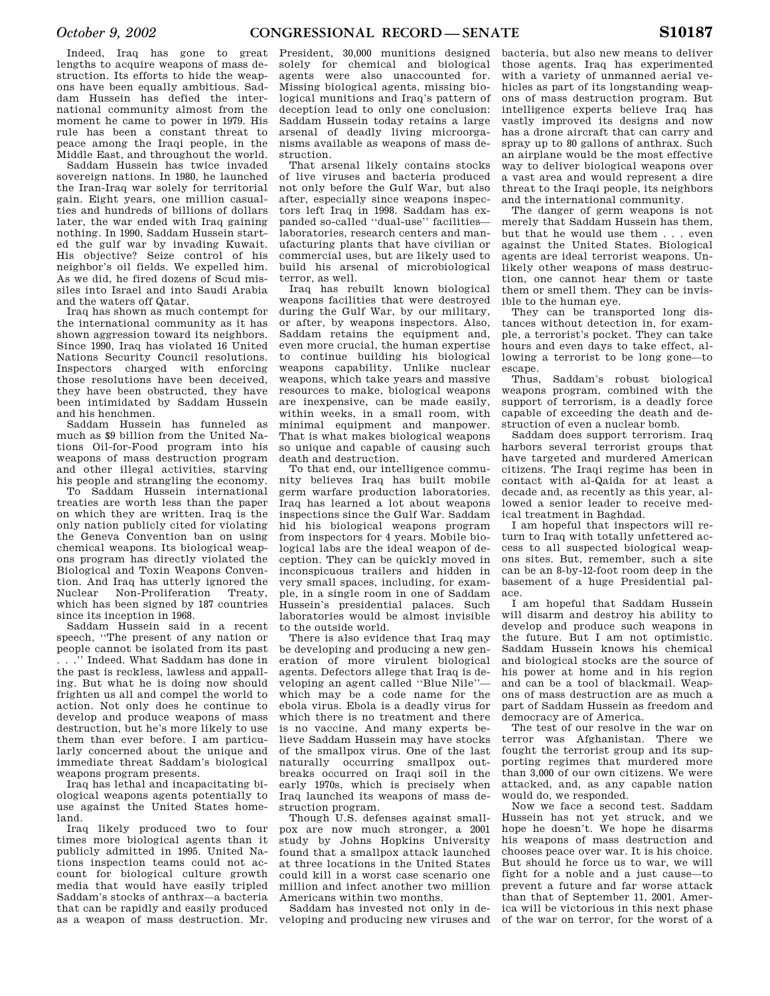Indeed, Iraq has gone to great lengths to acquire weapons of mass destruction. Its efforts to hide the weapons have been equally ambitious. Saddam Hussein has defied the international community almost from the moment he came to power in 1979. His rule has been a constant threat to peace among the Iraqi people, in the Middle East, and throughout the world.

Saddam Hussein has twice invaded sovereign nations. In 1980, he launched the Iran-Iraq war solely for territorial gain. Eight years, one million casualties and hundreds of billions of dollars later, the war ended with Iraq gaining nothing. In 1990, Saddam Hussein started the gulf war by invading Kuwait. His objective? Seize control of his neighbor's oil fields. We expelled him. As we did, he fired dozens of Scud missiles into Israel and into Saudi Arabia and the waters off Qatar.

Iraq has shown as much contempt for the international community as it has shown aggression toward its neighbors. Since 1990, Iraq has violated 16 United Nations Security Council resolutions. Inspectors charged with enforcing those resolutions have been deceived, they have been obstructed, they have been intimidated by Saddam Hussein and his henchmen.

Saddam Hussein has funneled as much as \$9 billion from the United Nations Oil-for-Food program into his weapons of mass destruction program and other illegal activities, starving his people and strangling the economy.

To Saddam Hussein international treaties are worth less than the paper on which they are written. Iraq is the only nation publicly cited for violating the Geneva Convention ban on using chemical weapons. Its biological weapons program has directly violated the Biological and Toxin Weapons Convention. And Iraq has utterly ignored the Nuclear Non-Proliferation Treaty, which has been signed by 187 countries since its inception in 1968.

Saddam Hussein said in a recent speech, ''The present of any nation or people cannot be isolated from its past ...'' Indeed. What Saddam has done in the past is reckless, lawless and appalling. But what he is doing now should frighten us all and compel the world to action. Not only does he continue to develop and produce weapons of mass destruction, but he's more likely to use them than ever before. I am particularly concerned about the unique and immediate threat Saddam's biological weapons program presents.

Iraq has lethal and incapacitating biological weapons agents potentially to use against the United States homeland.

Iraq likely produced two to four times more biological agents than it publicly admitted in 1995. United Nations inspection teams could not account for biological culture growth media that would have easily tripled Saddam's stocks of anthrax—a bacteria that can be rapidly and easily produced as a weapon of mass destruction. Mr.

President, 30,000 munitions designed solely for chemical and biological agents were also unaccounted for. Missing biological agents, missing biological munitions and Iraq's pattern of deception lead to only one conclusion: Saddam Hussein today retains a large arsenal of deadly living microorganisms available as weapons of mass destruction.

That arsenal likely contains stocks of live viruses and bacteria produced not only before the Gulf War, but also after, especially since weapons inspectors left Iraq in 1998. Saddam has expanded so-called ''dual-use'' facilities laboratories, research centers and manufacturing plants that have civilian or commercial uses, but are likely used to build his arsenal of microbiological terror, as well.

Iraq has rebuilt known biological weapons facilities that were destroyed during the Gulf War, by our military, or after, by weapons inspectors. Also, Saddam retains the equipment and, even more crucial, the human expertise to continue building his biological weapons capability. Unlike nuclear weapons, which take years and massive resources to make, biological weapons are inexpensive, can be made easily, within weeks, in a small room, with minimal equipment and manpower. That is what makes biological weapons so unique and capable of causing such death and destruction.

To that end, our intelligence community believes Iraq has built mobile germ warfare production laboratories. Iraq has learned a lot about weapons inspections since the Gulf War. Saddam hid his biological weapons program from inspectors for 4 years. Mobile biological labs are the ideal weapon of deception. They can be quickly moved in inconspicuous trailers and hidden in very small spaces, including, for example, in a single room in one of Saddam Hussein's presidential palaces. Such laboratories would be almost invisible to the outside world.

There is also evidence that Iraq may be developing and producing a new generation of more virulent biological agents. Defectors allege that Iraq is developing an agent called ''Blue Nile'' which may be a code name for the ebola virus. Ebola is a deadly virus for which there is no treatment and there is no vaccine. And many experts believe Saddam Hussein may have stocks of the smallpox virus. One of the last naturally occurring smallpox outbreaks occurred on Iraqi soil in the early 1970s, which is precisely when Iraq launched its weapons of mass destruction program.

Though U.S. defenses against smallpox are now much stronger, a 2001 study by Johns Hopkins University found that a smallpox attack launched at three locations in the United States could kill in a worst case scenario one million and infect another two million Americans within two months.

Saddam has invested not only in developing and producing new viruses and

bacteria, but also new means to deliver those agents. Iraq has experimented with a variety of unmanned aerial vehicles as part of its longstanding weapons of mass destruction program. But intelligence experts believe Iraq has vastly improved its designs and now has a drone aircraft that can carry and spray up to 80 gallons of anthrax. Such an airplane would be the most effective way to deliver biological weapons over a vast area and would represent a dire threat to the Iraqi people, its neighbors and the international community.

The danger of germ weapons is not merely that Saddam Hussein has them, but that he would use them . . . even against the United States. Biological agents are ideal terrorist weapons. Unlikely other weapons of mass destruction, one cannot hear them or taste them or smell them. They can be invisible to the human eye.

They can be transported long distances without detection in, for example, a terrorist's pocket. They can take hours and even days to take effect, allowing a terrorist to be long gone—to escape.<br>Thus

Saddam's robust biological weapons program, combined with the support of terrorism, is a deadly force capable of exceeding the death and destruction of even a nuclear bomb.

Saddam does support terrorism. Iraq harbors several terrorist groups that have targeted and murdered American citizens. The Iraqi regime has been in contact with al-Qaida for at least a decade and, as recently as this year, allowed a senior leader to receive medical treatment in Baghdad.

I am hopeful that inspectors will return to Iraq with totally unfettered access to all suspected biological weapons sites. But, remember, such a site can be an 8-by-12-foot room deep in the basement of a huge Presidential palace.

I am hopeful that Saddam Hussein will disarm and destroy his ability to develop and produce such weapons in the future. But I am not optimistic. Saddam Hussein knows his chemical and biological stocks are the source of his power at home and in his region and can be a tool of blackmail. Weapons of mass destruction are as much a part of Saddam Hussein as freedom and democracy are of America.

The test of our resolve in the war on terror was Afghanistan. There we fought the terrorist group and its supporting regimes that murdered more than 3,000 of our own citizens. We were attacked, and, as any capable nation would do, we responded.

Now we face a second test. Saddam Hussein has not yet struck, and we hope he doesn't. We hope he disarms his weapons of mass destruction and chooses peace over war. It is his choice. But should he force us to war, we will fight for a noble and a just cause—to prevent a future and far worse attack than that of September 11, 2001. America will be victorious in this next phase of the war on terror, for the worst of a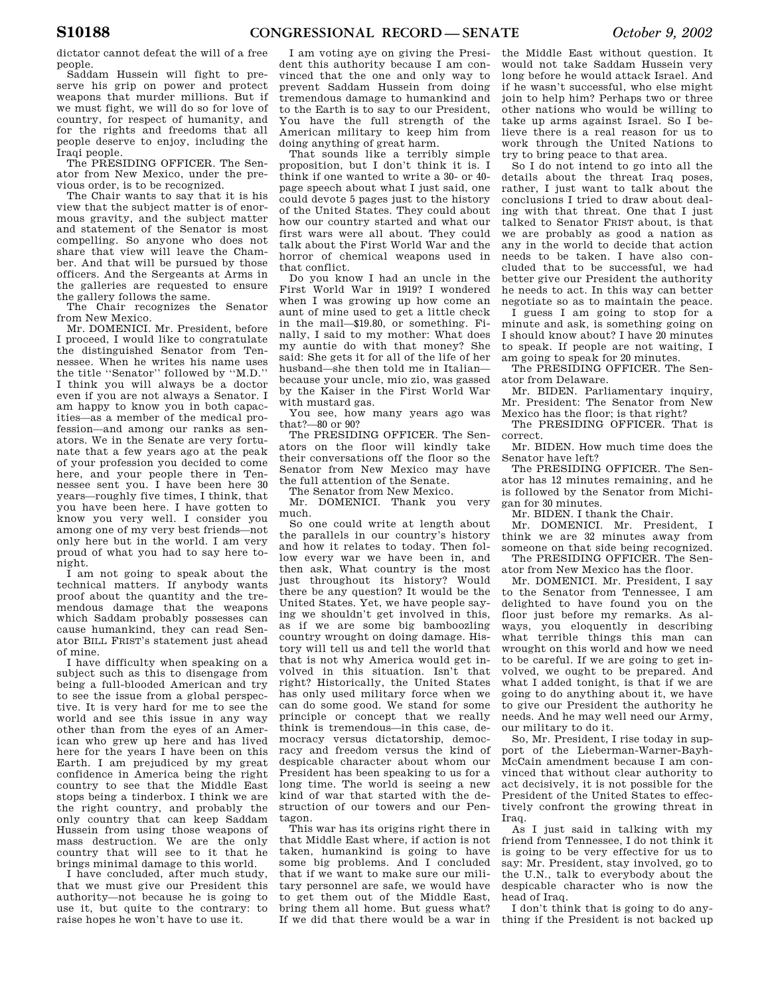dictator cannot defeat the will of a free people.

Saddam Hussein will fight to preserve his grip on power and protect weapons that murder millions. But if we must fight, we will do so for love of country, for respect of humanity, and for the rights and freedoms that all people deserve to enjoy, including the Iraqi people.

The PRESIDING OFFICER. The Senator from New Mexico, under the previous order, is to be recognized.

The Chair wants to say that it is his view that the subject matter is of enormous gravity, and the subject matter and statement of the Senator is most compelling. So anyone who does not share that view will leave the Chamber. And that will be pursued by those officers. And the Sergeants at Arms in the galleries are requested to ensure the gallery follows the same.

The Chair recognizes the Senator from New Mexico.

Mr. DOMENICI. Mr. President, before I proceed, I would like to congratulate the distinguished Senator from Tennessee. When he writes his name uses the title ''Senator'' followed by ''M.D.'' I think you will always be a doctor even if you are not always a Senator. I am happy to know you in both capacities—as a member of the medical profession—and among our ranks as senators. We in the Senate are very fortunate that a few years ago at the peak of your profession you decided to come here, and your people there in Tennessee sent you. I have been here 30 years—roughly five times, I think, that you have been here. I have gotten to know you very well. I consider you among one of my very best friends—not only here but in the world. I am very proud of what you had to say here tonight.

I am not going to speak about the technical matters. If anybody wants proof about the quantity and the tremendous damage that the weapons which Saddam probably possesses can cause humankind, they can read Senator BILL FRIST's statement just ahead of mine.

I have difficulty when speaking on a subject such as this to disengage from being a full-blooded American and try to see the issue from a global perspective. It is very hard for me to see the world and see this issue in any way other than from the eyes of an American who grew up here and has lived here for the years I have been on this Earth. I am prejudiced by my great confidence in America being the right country to see that the Middle East stops being a tinderbox. I think we are the right country, and probably the only country that can keep Saddam Hussein from using those weapons of mass destruction. We are the only country that will see to it that he brings minimal damage to this world.

I have concluded, after much study, that we must give our President this authority—not because he is going to use it, but quite to the contrary: to raise hopes he won't have to use it.

I am voting aye on giving the President this authority because I am convinced that the one and only way to prevent Saddam Hussein from doing tremendous damage to humankind and to the Earth is to say to our President, You have the full strength of the American military to keep him from doing anything of great harm.

That sounds like a terribly simple proposition, but I don't think it is. I think if one wanted to write a 30- or 40 page speech about what I just said, one could devote 5 pages just to the history of the United States. They could about how our country started and what our first wars were all about. They could talk about the First World War and the horror of chemical weapons used in that conflict.

Do you know I had an uncle in the First World War in 1919? I wondered when I was growing up how come an aunt of mine used to get a little check in the mail—\$19.80, or something. Finally, I said to my mother: What does my auntie do with that money? She said: She gets it for all of the life of her husband—she then told me in Italian because your uncle, mio zio, was gassed by the Kaiser in the First World War with mustard gas.

You see, how many years ago was that?—80 or 90?

The PRESIDING OFFICER. The Senators on the floor will kindly take their conversations off the floor so the Senator from New Mexico may have the full attention of the Senate.

The Senator from New Mexico.

Mr. DOMENICI. Thank you very much.

So one could write at length about the parallels in our country's history and how it relates to today. Then follow every war we have been in, and then ask, What country is the most just throughout its history? Would there be any question? It would be the United States. Yet, we have people saying we shouldn't get involved in this, as if we are some big bamboozling country wrought on doing damage. History will tell us and tell the world that that is not why America would get involved in this situation. Isn't that right? Historically, the United States has only used military force when we can do some good. We stand for some principle or concept that we really think is tremendous—in this case, democracy versus dictatorship, democracy and freedom versus the kind of despicable character about whom our President has been speaking to us for a long time. The world is seeing a new kind of war that started with the destruction of our towers and our Pentagon.

This war has its origins right there in that Middle East where, if action is not taken, humankind is going to have some big problems. And I concluded that if we want to make sure our military personnel are safe, we would have to get them out of the Middle East, bring them all home. But guess what?

the Middle East without question. It would not take Saddam Hussein very long before he would attack Israel. And if he wasn't successful, who else might join to help him? Perhaps two or three other nations who would be willing to take up arms against Israel. So I believe there is a real reason for us to work through the United Nations to try to bring peace to that area.

So I do not intend to go into all the details about the threat Iraq poses, rather, I just want to talk about the conclusions I tried to draw about dealing with that threat. One that I just talked to Senator FRIST about, is that we are probably as good a nation as any in the world to decide that action needs to be taken. I have also concluded that to be successful, we had better give our President the authority he needs to act. In this way can better negotiate so as to maintain the peace.

I guess I am going to stop for a minute and ask, is something going on I should know about? I have 20 minutes to speak. If people are not waiting, I am going to speak for 20 minutes.

The PRESIDING OFFICER. The Senator from Delaware.

Mr. BIDEN. Parliamentary inquiry, Mr. President: The Senator from New Mexico has the floor; is that right?

The PRESIDING OFFICER. That is correct.

Mr. BIDEN. How much time does the Senator have left?

The PRESIDING OFFICER. The Senator has 12 minutes remaining, and he is followed by the Senator from Michigan for 30 minutes.

Mr. BIDEN. I thank the Chair.

Mr. DOMENICI. Mr. President, I think we are 32 minutes away from someone on that side being recognized.

The PRESIDING OFFICER. The Senator from New Mexico has the floor.

Mr. DOMENICI. Mr. President, I say to the Senator from Tennessee, I am delighted to have found you on the floor just before my remarks. As always, you eloquently in describing what terrible things this man can wrought on this world and how we need to be careful. If we are going to get involved, we ought to be prepared. And what I added tonight, is that if we are going to do anything about it, we have to give our President the authority he needs. And he may well need our Army, our military to do it.

So, Mr. President, I rise today in support of the Lieberman-Warner-Bayh-McCain amendment because I am convinced that without clear authority to act decisively, it is not possible for the President of the United States to effectively confront the growing threat in Iraq.

As I just said in talking with my friend from Tennessee, I do not think it is going to be very effective for us to say: Mr. President, stay involved, go to the U.N., talk to everybody about the despicable character who is now the head of Iraq.

If we did that there would be a war in thing if the President is not backed up I don't think that is going to do any-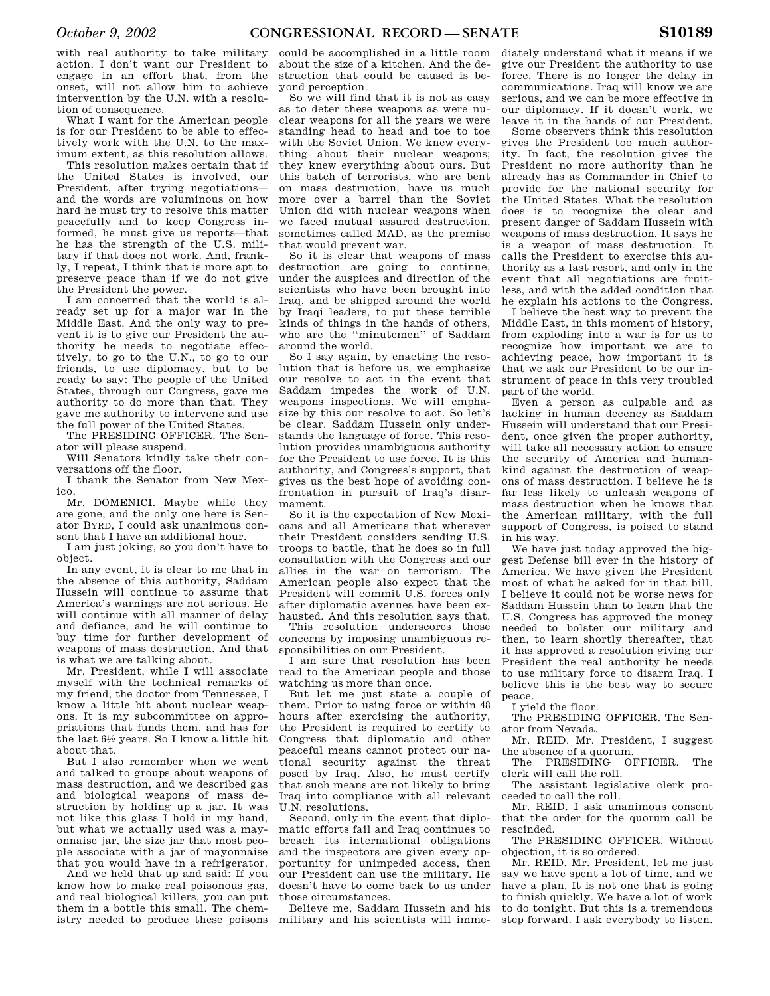with real authority to take military action. I don't want our President to engage in an effort that, from the onset, will not allow him to achieve intervention by the U.N. with a resolution of consequence.

What I want for the American people is for our President to be able to effectively work with the U.N. to the maximum extent, as this resolution allows.

This resolution makes certain that if the United States is involved, our President, after trying negotiations and the words are voluminous on how hard he must try to resolve this matter peacefully and to keep Congress informed, he must give us reports—that he has the strength of the U.S. military if that does not work. And, frankly, I repeat, I think that is more apt to preserve peace than if we do not give the President the power.

I am concerned that the world is already set up for a major war in the Middle East. And the only way to prevent it is to give our President the authority he needs to negotiate effectively, to go to the U.N., to go to our friends, to use diplomacy, but to be ready to say: The people of the United States, through our Congress, gave me authority to do more than that. They gave me authority to intervene and use the full power of the United States.

The PRESIDING OFFICER. The Senator will please suspend.

Will Senators kindly take their conversations off the floor.

I thank the Senator from New Mexico.

Mr. DOMENICI. Maybe while they are gone, and the only one here is Senator BYRD, I could ask unanimous consent that I have an additional hour.

I am just joking, so you don't have to object.

In any event, it is clear to me that in the absence of this authority, Saddam Hussein will continue to assume that America's warnings are not serious. He will continue with all manner of delay and defiance, and he will continue to buy time for further development of weapons of mass destruction. And that is what we are talking about.

Mr. President, while I will associate myself with the technical remarks of my friend, the doctor from Tennessee, I know a little bit about nuclear weapons. It is my subcommittee on appropriations that funds them, and has for the last 61⁄2 years. So I know a little bit about that.

But I also remember when we went and talked to groups about weapons of mass destruction, and we described gas and biological weapons of mass destruction by holding up a jar. It was not like this glass I hold in my hand, but what we actually used was a mayonnaise jar, the size jar that most people associate with a jar of mayonnaise that you would have in a refrigerator.

And we held that up and said: If you know how to make real poisonous gas, and real biological killers, you can put them in a bottle this small. The chemistry needed to produce these poisons

could be accomplished in a little room about the size of a kitchen. And the destruction that could be caused is beyond perception.

So we will find that it is not as easy as to deter these weapons as were nuclear weapons for all the years we were standing head to head and toe to toe with the Soviet Union. We knew everything about their nuclear weapons; they knew everything about ours. But this batch of terrorists, who are bent on mass destruction, have us much more over a barrel than the Soviet Union did with nuclear weapons when we faced mutual assured destruction, sometimes called MAD, as the premise that would prevent war.

So it is clear that weapons of mass destruction are going to continue, under the auspices and direction of the scientists who have been brought into Iraq, and be shipped around the world by Iraqi leaders, to put these terrible kinds of things in the hands of others, who are the ''minutemen'' of Saddam around the world.

So I say again, by enacting the resolution that is before us, we emphasize our resolve to act in the event that Saddam impedes the work of U.N. weapons inspections. We will emphasize by this our resolve to act. So let's be clear. Saddam Hussein only understands the language of force. This resolution provides unambiguous authority for the President to use force. It is this authority, and Congress's support, that gives us the best hope of avoiding confrontation in pursuit of Iraq's disarmament.

So it is the expectation of New Mexicans and all Americans that wherever their President considers sending U.S. troops to battle, that he does so in full consultation with the Congress and our allies in the war on terrorism. The American people also expect that the President will commit U.S. forces only after diplomatic avenues have been exhausted. And this resolution says that.

This resolution underscores those concerns by imposing unambiguous responsibilities on our President.

I am sure that resolution has been read to the American people and those watching us more than once.

But let me just state a couple of them. Prior to using force or within 48 hours after exercising the authority, the President is required to certify to Congress that diplomatic and other peaceful means cannot protect our national security against the threat posed by Iraq. Also, he must certify that such means are not likely to bring Iraq into compliance with all relevant U.N. resolutions.

Second, only in the event that diplomatic efforts fail and Iraq continues to breach its international obligations and the inspectors are given every opportunity for unimpeded access, then our President can use the military. He doesn't have to come back to us under those circumstances.

Believe me, Saddam Hussein and his military and his scientists will imme-

diately understand what it means if we give our President the authority to use force. There is no longer the delay in communications. Iraq will know we are serious, and we can be more effective in our diplomacy. If it doesn't work, we leave it in the hands of our President.

Some observers think this resolution gives the President too much authority. In fact, the resolution gives the President no more authority than he already has as Commander in Chief to provide for the national security for the United States. What the resolution does is to recognize the clear and present danger of Saddam Hussein with weapons of mass destruction. It says he is a weapon of mass destruction. It calls the President to exercise this authority as a last resort, and only in the event that all negotiations are fruitless, and with the added condition that he explain his actions to the Congress.

I believe the best way to prevent the Middle East, in this moment of history, from exploding into a war is for us to recognize how important we are to achieving peace, how important it is that we ask our President to be our instrument of peace in this very troubled part of the world.

Even a person as culpable and as lacking in human decency as Saddam Hussein will understand that our President, once given the proper authority, will take all necessary action to ensure the security of America and humankind against the destruction of weapons of mass destruction. I believe he is far less likely to unleash weapons of mass destruction when he knows that the American military, with the full support of Congress, is poised to stand in his way.

We have just today approved the biggest Defense bill ever in the history of America. We have given the President most of what he asked for in that bill. I believe it could not be worse news for Saddam Hussein than to learn that the U.S. Congress has approved the money needed to bolster our military and then, to learn shortly thereafter, that it has approved a resolution giving our President the real authority he needs to use military force to disarm Iraq. I believe this is the best way to secure peace.

I yield the floor.

The PRESIDING OFFICER. The Senator from Nevada.

Mr. REID. Mr. President, I suggest the absence of a quorum.

The PRESIDING OFFICER. The clerk will call the roll.

The assistant legislative clerk proceeded to call the roll.

Mr. REID. I ask unanimous consent that the order for the quorum call be rescinded.

The PRESIDING OFFICER. Without objection, it is so ordered.

Mr. REID. Mr. President, let me just say we have spent a lot of time, and we have a plan. It is not one that is going to finish quickly. We have a lot of work to do tonight. But this is a tremendous step forward. I ask everybody to listen.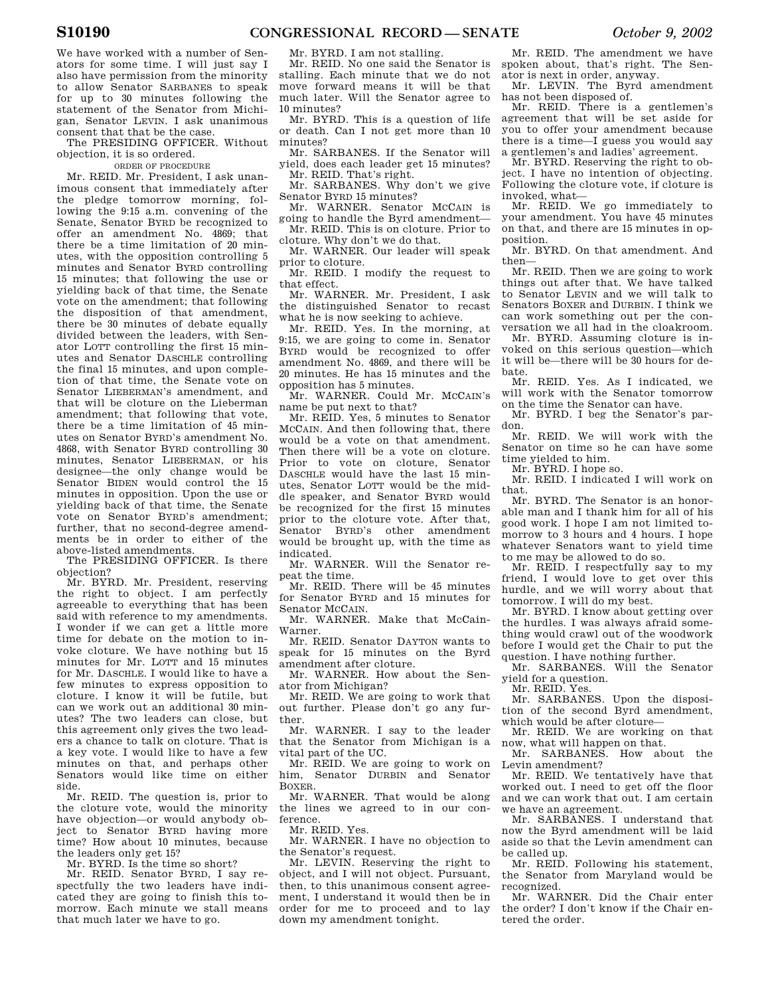We have worked with a number of Senators for some time. I will just say I also have permission from the minority to allow Senator SARBANES to speak for up to 30 minutes following the statement of the Senator from Michigan, Senator LEVIN. I ask unanimous consent that that be the case.

The PRESIDING OFFICER. Without objection, it is so ordered.

ORDER OF PROCEDURE

Mr. REID. Mr. President, I ask unanimous consent that immediately after the pledge tomorrow morning, following the 9:15 a.m. convening of the Senate, Senator BYRD be recognized to offer an amendment No. 4869; that there be a time limitation of 20 minutes, with the opposition controlling 5 minutes and Senator BYRD controlling 15 minutes; that following the use or yielding back of that time, the Senate vote on the amendment; that following the disposition of that amendment, there be 30 minutes of debate equally divided between the leaders, with Senator LOTT controlling the first 15 minutes and Senator DASCHLE controlling the final 15 minutes, and upon completion of that time, the Senate vote on Senator LIEBERMAN's amendment, and that will be cloture on the Lieberman amendment; that following that vote, there be a time limitation of 45 minutes on Senator BYRD's amendment No. 4868, with Senator BYRD controlling 30 minutes, Senator LIEBERMAN, or his designee—the only change would be Senator BIDEN would control the 15 minutes in opposition. Upon the use or yielding back of that time, the Senate vote on Senator BYRD's amendment; further, that no second-degree amendments be in order to either of the above-listed amendments.

The PRESIDING OFFICER. Is there objection?

Mr. BYRD. Mr. President, reserving the right to object. I am perfectly agreeable to everything that has been said with reference to my amendments. I wonder if we can get a little more time for debate on the motion to invoke cloture. We have nothing but 15 minutes for Mr. LOTT and 15 minutes for Mr. DASCHLE. I would like to have a few minutes to express opposition to cloture. I know it will be futile, but can we work out an additional 30 minutes? The two leaders can close, but this agreement only gives the two leaders a chance to talk on cloture. That is a key vote. I would like to have a few minutes on that, and perhaps other Senators would like time on either side.

Mr. REID. The question is, prior to the cloture vote, would the minority have objection—or would anybody object to Senator BYRD having more time? How about 10 minutes, because the leaders only get 15?

Mr. BYRD. Is the time so short?

Mr. REID. Senator BYRD, I say respectfully the two leaders have indicated they are going to finish this tomorrow. Each minute we stall means that much later we have to go.

Mr. BYRD. I am not stalling.

Mr. REID. No one said the Senator is stalling. Each minute that we do not move forward means it will be that much later. Will the Senator agree to 10 minutes?

Mr. BYRD. This is a question of life or death. Can I not get more than 10 minutes?

Mr. SARBANES. If the Senator will yield, does each leader get 15 minutes? Mr. REID. That's right.

Mr. SARBANES. Why don't we give Senator BYRD 15 minutes?

Mr. WARNER. Senator MCCAIN is going to handle the Byrd amendment—

Mr. REID. This is on cloture. Prior to cloture. Why don't we do that.

Mr. WARNER. Our leader will speak prior to cloture.

Mr. REID. I modify the request to that effect.

Mr. WARNER. Mr. President, I ask the distinguished Senator to recast what he is now seeking to achieve.

Mr. REID. Yes. In the morning, at 9:15, we are going to come in. Senator BYRD would be recognized to offer amendment No. 4869, and there will be 20 minutes. He has 15 minutes and the opposition has 5 minutes.

Mr. WARNER. Could Mr. MCCAIN's name be put next to that?

Mr. REID. Yes, 5 minutes to Senator MCCAIN. And then following that, there would be a vote on that amendment. Then there will be a vote on cloture. Prior to vote on cloture, Senator DASCHLE would have the last 15 minutes, Senator LOTT would be the middle speaker, and Senator BYRD would be recognized for the first 15 minutes prior to the cloture vote. After that, Senator BYRD's other amendment would be brought up, with the time as indicated.

Mr. WARNER. Will the Senator repeat the time.

Mr. REID. There will be 45 minutes for Senator BYRD and 15 minutes for Senator MCCAIN.

Mr. WARNER. Make that McCain-Warner.

Mr. REID. Senator DAYTON wants to speak for 15 minutes on the Byrd amendment after cloture.

Mr. WARNER. How about the Senator from Michigan?

Mr. REID. We are going to work that out further. Please don't go any further.

Mr. WARNER. I say to the leader that the Senator from Michigan is a vital part of the UC.

Mr. REID. We are going to work on him, Senator DURBIN and Senator BOXER.

Mr. WARNER. That would be along the lines we agreed to in our conference.

Mr. REID. Yes.

Mr. WARNER. I have no objection to the Senator's request.

Mr. LEVIN. Reserving the right to object, and I will not object. Pursuant, then, to this unanimous consent agreement, I understand it would then be in order for me to proceed and to lay down my amendment tonight.

Mr. REID. The amendment we have spoken about, that's right. The Senator is next in order, anyway.

Mr. LEVIN. The Byrd amendment has not been disposed of.

Mr. REID. There is a gentlemen's agreement that will be set aside for you to offer your amendment because there is a time—I guess you would say a gentlemen's and ladies' agreement.

Mr. BYRD. Reserving the right to object. I have no intention of objecting. Following the cloture vote, if cloture is invoked, what—

Mr. REID. We go immediately to your amendment. You have 45 minutes on that, and there are 15 minutes in opposition.

Mr. BYRD. On that amendment. And then—

Mr. REID. Then we are going to work things out after that. We have talked to Senator LEVIN and we will talk to Senators BOXER and DURBIN. I think we can work something out per the conversation we all had in the cloakroom.

Mr. BYRD. Assuming cloture is invoked on this serious question—which it will be—there will be 30 hours for debate.

Mr. REID. Yes. As I indicated, we will work with the Senator tomorrow on the time the Senator can have.

Mr. BYRD. I beg the Senator's pardon.

Mr. REID. We will work with the Senator on time so he can have some time yielded to him.

Mr. BYRD. I hope so.

Mr. REID. I indicated I will work on that.

Mr. BYRD. The Senator is an honorable man and I thank him for all of his good work. I hope I am not limited tomorrow to 3 hours and 4 hours. I hope whatever Senators want to yield time to me may be allowed to do so.

Mr. REID. I respectfully say to my friend, I would love to get over this hurdle, and we will worry about that tomorrow. I will do my best.

Mr. BYRD. I know about getting over the hurdles. I was always afraid something would crawl out of the woodwork before I would get the Chair to put the question. I have nothing further.

Mr. SARBANES. Will the Senator yield for a question.

Mr. REID. Yes.

Mr. SARBANES. Upon the disposition of the second Byrd amendment, which would be after cloture—

Mr. REID. We are working on that now, what will happen on that.

Mr. SARBANES. How about the Levin amendment?

Mr. REID. We tentatively have that worked out. I need to get off the floor and we can work that out. I am certain we have an agreement.

Mr. SARBANES. I understand that now the Byrd amendment will be laid aside so that the Levin amendment can be called up.

Mr. REID. Following his statement, the Senator from Maryland would be recognized.

Mr. WARNER. Did the Chair enter the order? I don't know if the Chair entered the order.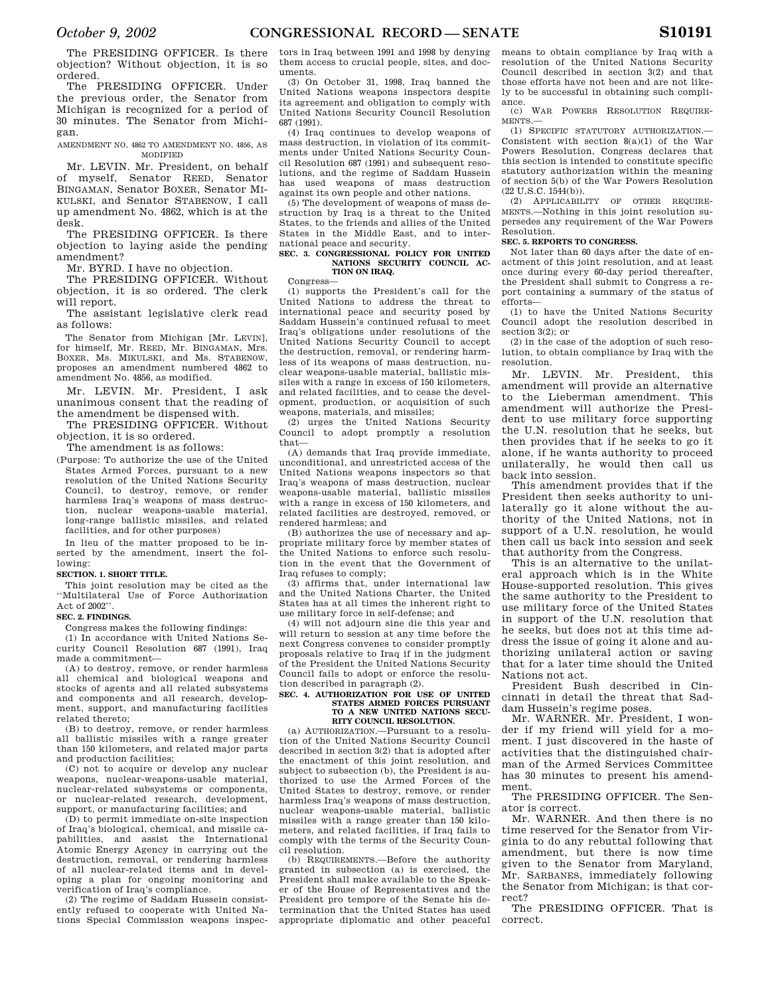The PRESIDING OFFICER. Is there objection? Without objection, it is so ordered.

The PRESIDING OFFICER. Under the previous order, the Senator from Michigan is recognized for a period of 30 minutes. The Senator from Michigan.

AMENDMENT NO. 4862 TO AMENDMENT NO. 4856, AS **MODIFIED** 

Mr. LEVIN. Mr. President, on behalf of myself, Senator REED, Senator BINGAMAN, Senator BOXER, Senator MI-KULSKI, and Senator STABENOW, I call up amendment No. 4862, which is at the desk.

The PRESIDING OFFICER. Is there objection to laying aside the pending amendment?

Mr. BYRD. I have no objection.

The PRESIDING OFFICER. Without objection, it is so ordered. The clerk will report.

The assistant legislative clerk read as follows:

The Senator from Michigan [Mr. LEVIN], for himself, Mr. REED, Mr. BINGAMAN, Mrs. BOXER, Ms. MIKULSKI, and Ms. STABENOW, proposes an amendment numbered 4862 to amendment No. 4856, as modified.

Mr. LEVIN. Mr. President, I ask unanimous consent that the reading of the amendment be dispensed with.

The PRESIDING OFFICER. Without objection, it is so ordered.

The amendment is as follows:

(Purpose: To authorize the use of the United States Armed Forces, pursuant to a new resolution of the United Nations Security Council, to destroy, remove, or render harmless Iraq's weapons of mass destruction, nuclear weapons-usable material, long-range ballistic missiles, and related facilities, and for other purposes)

In lieu of the matter proposed to be inserted by the amendment, insert the following:

#### **SECTION. 1. SHORT TITLE.**

This joint resolution may be cited as the ''Multilateral Use of Force Authorization Act of 2002''.

#### **SEC. 2. FINDINGS.**

Congress makes the following findings:

(1) In accordance with United Nations Security Council Resolution 687 (1991), Iraq made a commitment—

(A) to destroy, remove, or render harmless all chemical and biological weapons and stocks of agents and all related subsystems and components and all research, development, support, and manufacturing facilities related thereto;

(B) to destroy, remove, or render harmless all ballistic missiles with a range greater than 150 kilometers, and related major parts and production facilities;

(C) not to acquire or develop any nuclear weapons, nuclear-weapons-usable material, nuclear-related subsystems or components, or nuclear-related research, development, support, or manufacturing facilities; and

(D) to permit immediate on-site inspection of Iraq's biological, chemical, and missile capabilities, and assist the International Atomic Energy Agency in carrying out the destruction, removal, or rendering harmless of all nuclear-related items and in developing a plan for ongoing monitoring and verification of Iraq's compliance.

(2) The regime of Saddam Hussein consistently refused to cooperate with United Nations Special Commission weapons inspectors in Iraq between 1991 and 1998 by denying them access to crucial people, sites, and documents.

(3) On October 31, 1998, Iraq banned the United Nations weapons inspectors despite its agreement and obligation to comply with United Nations Security Council Resolution 687 (1991).

(4) Iraq continues to develop weapons of mass destruction, in violation of its commitments under United Nations Security Council Resolution 687 (1991) and subsequent resolutions, and the regime of Saddam Hussein has used weapons of mass destruction against its own people and other nations.

(5) The development of weapons of mass destruction by Iraq is a threat to the United States, to the friends and allies of the United States in the Middle East, and to international peace and security.

#### **SEC. 3. CONGRESSIONAL POLICY FOR UNITED NATIONS SECURITY COUNCIL AC-TION ON IRAQ.**

Congress—

(1) supports the President's call for the United Nations to address the threat to international peace and security posed by Saddam Hussein's continued refusal to meet Iraq's obligations under resolutions of the United Nations Security Council to accept the destruction, removal, or rendering harmless of its weapons of mass destruction, nuclear weapons-usable material, ballistic missiles with a range in excess of 150 kilometers, and related facilities, and to cease the development, production, or acquisition of such weapons, materials, and missiles;

(2) urges the United Nations Security Council to adopt promptly a resolution that—

(A) demands that Iraq provide immediate, unconditional, and unrestricted access of the United Nations weapons inspectors so that Iraq's weapons of mass destruction, nuclear weapons-usable material, ballistic missiles with a range in excess of 150 kilometers, and related facilities are destroyed, removed, or rendered harmless; and

(B) authorizes the use of necessary and appropriate military force by member states of the United Nations to enforce such resolution in the event that the Government of Iraq refuses to comply;

(3) affirms that, under international law and the United Nations Charter, the United States has at all times the inherent right to use military force in self-defense; and

(4) will not adjourn sine die this year and will return to session at any time before the next Congress convenes to consider promptly proposals relative to Iraq if in the judgment of the President the United Nations Security Council fails to adopt or enforce the resolution described in paragraph (2).

#### **SEC. 4. AUTHORIZATION FOR USE OF UNITED STATES ARMED FORCES PURSUANT TO A NEW UNITED NATIONS SECU-RITY COUNCIL RESOLUTION.**

(a) AUTHORIZATION.—Pursuant to a resolution of the United Nations Security Council described in section 3(2) that is adopted after the enactment of this joint resolution, and subject to subsection (b), the President is authorized to use the Armed Forces of the United States to destroy, remove, or render harmless Iraq's weapons of mass destruction, nuclear weapons-usable material, ballistic missiles with a range greater than 150 kilometers, and related facilities, if Iraq fails to comply with the terms of the Security Council resolution.

(b) REQUIREMENTS.—Before the authority granted in subsection (a) is exercised, the President shall make available to the Speaker of the House of Representatives and the President pro tempore of the Senate his determination that the United States has used appropriate diplomatic and other peaceful

means to obtain compliance by Iraq with a resolution of the United Nations Security Council described in section 3(2) and that those efforts have not been and are not likely to be successful in obtaining such compliance.

(c) WAR POWERS RESOLUTION REQUIRE-MENTS.—

(1) SPECIFIC STATUTORY AUTHORIZATION.— Consistent with section  $8(a)(1)$  of the War Powers Resolution, Congress declares that this section is intended to constitute specific statutory authorization within the meaning of section 5(b) of the War Powers Resolution  $(22 \text{ U.S. C. } 1544(b))$ .

(2) APPLICABILITY OF OTHER REQUIRE-MENTS.—Nothing in this joint resolution supersedes any requirement of the War Powers Resolution.

### **SEC. 5. REPORTS TO CONGRESS.**

Not later than 60 days after the date of enactment of this joint resolution, and at least once during every 60-day period thereafter, the President shall submit to Congress a report containing a summary of the status of efforts—

(1) to have the United Nations Security Council adopt the resolution described in section 3(2); or

(2) in the case of the adoption of such resolution, to obtain compliance by Iraq with the resolution.

Mr. LEVIN. Mr. President, this amendment will provide an alternative to the Lieberman amendment. This amendment will authorize the President to use military force supporting the U.N. resolution that he seeks, but then provides that if he seeks to go it alone, if he wants authority to proceed unilaterally, he would then call us back into session.

This amendment provides that if the President then seeks authority to unilaterally go it alone without the authority of the United Nations, not in support of a U.N. resolution, he would then call us back into session and seek that authority from the Congress.

This is an alternative to the unilateral approach which is in the White House-supported resolution. This gives the same authority to the President to use military force of the United States in support of the U.N. resolution that he seeks, but does not at this time address the issue of going it alone and authorizing unilateral action or saving that for a later time should the United Nations not act.

President Bush described in Cincinnati in detail the threat that Saddam Hussein's regime poses.

Mr. WARNER. Mr. President, I wonder if my friend will yield for a moment. I just discovered in the haste of activities that the distinguished chairman of the Armed Services Committee has 30 minutes to present his amendment.

The PRESIDING OFFICER. The Senator is correct.

Mr. WARNER. And then there is no time reserved for the Senator from Virginia to do any rebuttal following that amendment, but there is now time given to the Senator from Maryland, Mr. SARBANES, immediately following the Senator from Michigan; is that correct?

The PRESIDING OFFICER. That is correct.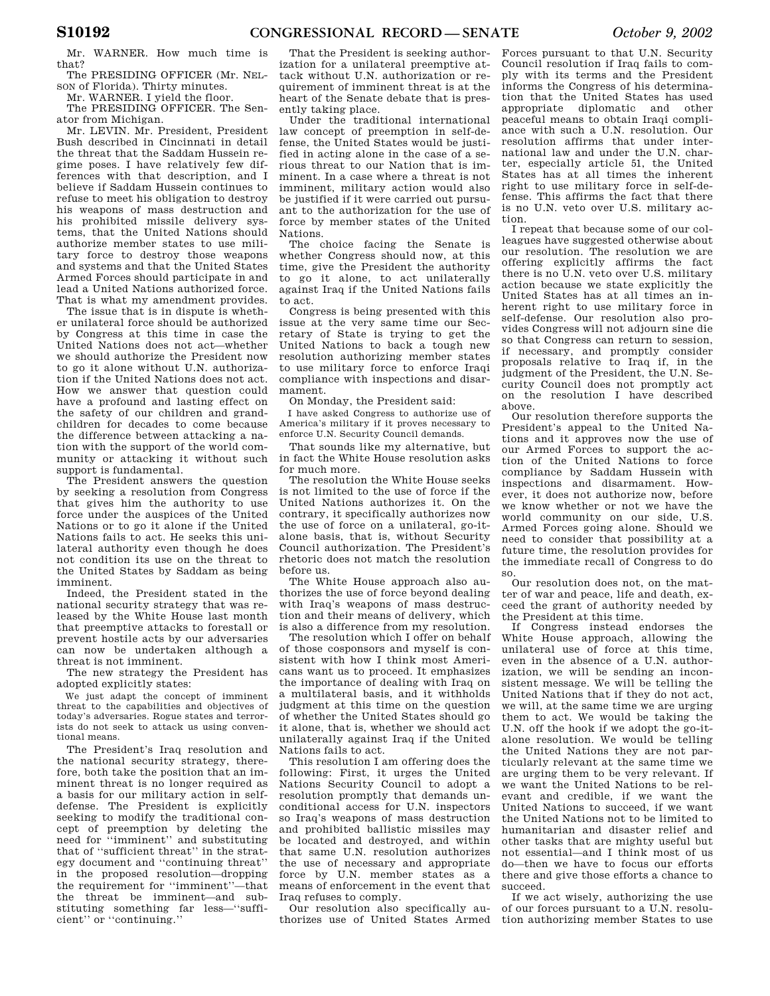Mr. WARNER. How much time is that?

The PRESIDING OFFICER (Mr. NEL-SON of Florida). Thirty minutes.

Mr. WARNER. I yield the floor. The PRESIDING OFFICER. The Sen-

ator from Michigan.

Mr. LEVIN. Mr. President, President Bush described in Cincinnati in detail the threat that the Saddam Hussein regime poses. I have relatively few differences with that description, and I believe if Saddam Hussein continues to refuse to meet his obligation to destroy his weapons of mass destruction and his prohibited missile delivery systems, that the United Nations should authorize member states to use military force to destroy those weapons and systems and that the United States Armed Forces should participate in and lead a United Nations authorized force. That is what my amendment provides.

The issue that is in dispute is whether unilateral force should be authorized by Congress at this time in case the United Nations does not act—whether we should authorize the President now to go it alone without U.N. authorization if the United Nations does not act. How we answer that question could have a profound and lasting effect on the safety of our children and grandchildren for decades to come because the difference between attacking a nation with the support of the world community or attacking it without such support is fundamental.

The President answers the question by seeking a resolution from Congress that gives him the authority to use force under the auspices of the United Nations or to go it alone if the United Nations fails to act. He seeks this unilateral authority even though he does not condition its use on the threat to the United States by Saddam as being imminent.

Indeed, the President stated in the national security strategy that was released by the White House last month that preemptive attacks to forestall or prevent hostile acts by our adversaries can now be undertaken although a threat is not imminent.

The new strategy the President has adopted explicitly states:

We just adapt the concept of imminent threat to the capabilities and objectives of today's adversaries. Rogue states and terrorists do not seek to attack us using conventional means.

The President's Iraq resolution and the national security strategy, therefore, both take the position that an imminent threat is no longer required as a basis for our military action in selfdefense. The President is explicitly seeking to modify the traditional concept of preemption by deleting the need for ''imminent'' and substituting that of ''sufficient threat'' in the strategy document and ''continuing threat'' in the proposed resolution—dropping the requirement for ''imminent''—that the threat be imminent—and substituting something far less—''sufficient'' or ''continuing.''

That the President is seeking authorization for a unilateral preemptive attack without U.N. authorization or requirement of imminent threat is at the heart of the Senate debate that is presently taking place.

Under the traditional international law concept of preemption in self-defense, the United States would be justified in acting alone in the case of a serious threat to our Nation that is imminent. In a case where a threat is not imminent, military action would also be justified if it were carried out pursuant to the authorization for the use of force by member states of the United Nations.

The choice facing the Senate is whether Congress should now, at this time, give the President the authority to go it alone, to act unilaterally against Iraq if the United Nations fails to act.

Congress is being presented with this issue at the very same time our Secretary of State is trying to get the United Nations to back a tough new resolution authorizing member states to use military force to enforce Iraqi compliance with inspections and disarmament.

On Monday, the President said:

I have asked Congress to authorize use of America's military if it proves necessary to enforce U.N. Security Council demands.

That sounds like my alternative, but in fact the White House resolution asks for much more.

The resolution the White House seeks is not limited to the use of force if the United Nations authorizes it. On the contrary, it specifically authorizes now the use of force on a unilateral, go-italone basis, that is, without Security Council authorization. The President's rhetoric does not match the resolution before us.

The White House approach also authorizes the use of force beyond dealing with Iraq's weapons of mass destruction and their means of delivery, which is also a difference from my resolution.

The resolution which I offer on behalf of those cosponsors and myself is consistent with how I think most Americans want us to proceed. It emphasizes the importance of dealing with Iraq on a multilateral basis, and it withholds judgment at this time on the question of whether the United States should go it alone, that is, whether we should act unilaterally against Iraq if the United Nations fails to act.

This resolution I am offering does the following: First, it urges the United Nations Security Council to adopt a resolution promptly that demands unconditional access for U.N. inspectors so Iraq's weapons of mass destruction and prohibited ballistic missiles may be located and destroyed, and within that same U.N. resolution authorizes the use of necessary and appropriate force by U.N. member states as a means of enforcement in the event that Iraq refuses to comply.

Our resolution also specifically authorizes use of United States Armed

Forces pursuant to that U.N. Security Council resolution if Iraq fails to comply with its terms and the President informs the Congress of his determination that the United States has used appropriate diplomatic and other peaceful means to obtain Iraqi compliance with such a U.N. resolution. Our resolution affirms that under international law and under the U.N. charter, especially article 51, the United States has at all times the inherent right to use military force in self-defense. This affirms the fact that there is no U.N. veto over U.S. military action.

I repeat that because some of our colleagues have suggested otherwise about our resolution. The resolution we are offering explicitly affirms the fact there is no U.N. veto over U.S. military action because we state explicitly the United States has at all times an inherent right to use military force in self-defense. Our resolution also provides Congress will not adjourn sine die so that Congress can return to session, if necessary, and promptly consider proposals relative to Iraq if, in the judgment of the President, the U.N. Security Council does not promptly act on the resolution I have described above.

Our resolution therefore supports the President's appeal to the United Nations and it approves now the use of our Armed Forces to support the action of the United Nations to force compliance by Saddam Hussein with inspections and disarmament. However, it does not authorize now, before we know whether or not we have the world community on our side, U.S. Armed Forces going alone. Should we need to consider that possibility at a future time, the resolution provides for the immediate recall of Congress to do so.

Our resolution does not, on the matter of war and peace, life and death, exceed the grant of authority needed by the President at this time.

If Congress instead endorses the White House approach, allowing the unilateral use of force at this time, even in the absence of a U.N. authorization, we will be sending an inconsistent message. We will be telling the United Nations that if they do not act, we will, at the same time we are urging them to act. We would be taking the U.N. off the hook if we adopt the go-italone resolution. We would be telling the United Nations they are not particularly relevant at the same time we are urging them to be very relevant. If we want the United Nations to be relevant and credible, if we want the United Nations to succeed, if we want the United Nations not to be limited to humanitarian and disaster relief and other tasks that are mighty useful but not essential—and I think most of us do—then we have to focus our efforts there and give those efforts a chance to succeed.

If we act wisely, authorizing the use of our forces pursuant to a U.N. resolution authorizing member States to use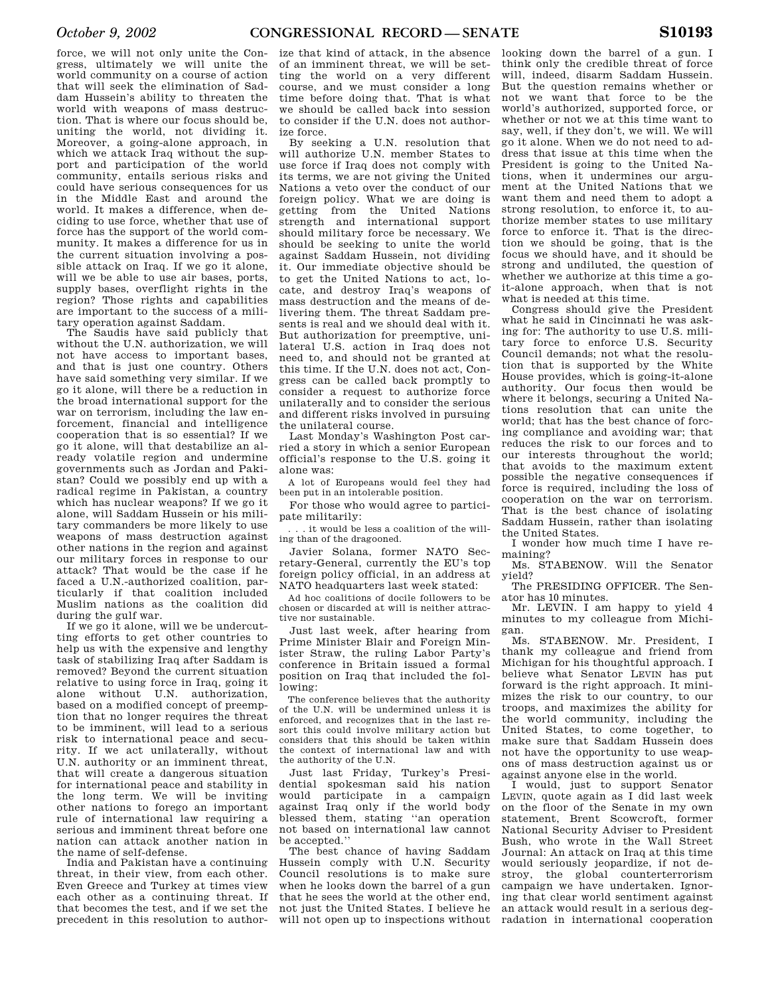force, we will not only unite the Congress, ultimately we will unite the world community on a course of action that will seek the elimination of Saddam Hussein's ability to threaten the world with weapons of mass destruction. That is where our focus should be, uniting the world, not dividing it. Moreover, a going-alone approach, in which we attack Iraq without the support and participation of the world community, entails serious risks and could have serious consequences for us in the Middle East and around the world. It makes a difference, when deciding to use force, whether that use of force has the support of the world community. It makes a difference for us in the current situation involving a possible attack on Iraq. If we go it alone, will we be able to use air bases, ports, supply bases, overflight rights in the region? Those rights and capabilities are important to the success of a military operation against Saddam.

The Saudis have said publicly that without the U.N. authorization, we will not have access to important bases, and that is just one country. Others have said something very similar. If we go it alone, will there be a reduction in the broad international support for the war on terrorism, including the law enforcement, financial and intelligence cooperation that is so essential? If we go it alone, will that destabilize an already volatile region and undermine governments such as Jordan and Pakistan? Could we possibly end up with a radical regime in Pakistan, a country which has nuclear weapons? If we go it alone, will Saddam Hussein or his military commanders be more likely to use weapons of mass destruction against other nations in the region and against our military forces in response to our attack? That would be the case if he faced a U.N.-authorized coalition, particularly if that coalition included Muslim nations as the coalition did during the gulf war.

If we go it alone, will we be undercutting efforts to get other countries to help us with the expensive and lengthy task of stabilizing Iraq after Saddam is removed? Beyond the current situation relative to using force in Iraq, going it alone without U.N. authorization, based on a modified concept of preemption that no longer requires the threat to be imminent, will lead to a serious risk to international peace and security. If we act unilaterally, without U.N. authority or an imminent threat, that will create a dangerous situation for international peace and stability in the long term. We will be inviting other nations to forego an important rule of international law requiring a serious and imminent threat before one nation can attack another nation in the name of self-defense.

India and Pakistan have a continuing threat, in their view, from each other. Even Greece and Turkey at times view each other as a continuing threat. If that becomes the test, and if we set the precedent in this resolution to author-

ize that kind of attack, in the absence of an imminent threat, we will be setting the world on a very different course, and we must consider a long time before doing that. That is what we should be called back into session to consider if the U.N. does not authorize force.

By seeking a U.N. resolution that will authorize U.N. member States to use force if Iraq does not comply with its terms, we are not giving the United Nations a veto over the conduct of our foreign policy. What we are doing is getting from the United Nations strength and international support should military force be necessary. We should be seeking to unite the world against Saddam Hussein, not dividing it. Our immediate objective should be to get the United Nations to act, locate, and destroy Iraq's weapons of mass destruction and the means of delivering them. The threat Saddam presents is real and we should deal with it. But authorization for preemptive, unilateral U.S. action in Iraq does not need to, and should not be granted at this time. If the U.N. does not act, Congress can be called back promptly to consider a request to authorize force unilaterally and to consider the serious and different risks involved in pursuing the unilateral course.

Last Monday's Washington Post carried a story in which a senior European official's response to the U.S. going it alone was:

A lot of Europeans would feel they had been put in an intolerable position.

For those who would agree to participate militarily:

. . . it would be less a coalition of the willing than of the dragooned.

Javier Solana, former NATO Secretary-General, currently the EU's top foreign policy official, in an address at NATO headquarters last week stated:

Ad hoc coalitions of docile followers to be chosen or discarded at will is neither attractive nor sustainable.

Just last week, after hearing from Prime Minister Blair and Foreign Minister Straw, the ruling Labor Party's conference in Britain issued a formal position on Iraq that included the following:

The conference believes that the authority of the U.N. will be undermined unless it is enforced, and recognizes that in the last resort this could involve military action but considers that this should be taken within the context of international law and with the authority of the U.N.

Just last Friday, Turkey's Presidential spokesman said his nation would participate in a campaign against Iraq only if the world body blessed them, stating ''an operation not based on international law cannot be accepted.''

The best chance of having Saddam Hussein comply with U.N. Security Council resolutions is to make sure when he looks down the barrel of a gun that he sees the world at the other end, not just the United States. I believe he will not open up to inspections without

looking down the barrel of a gun. I think only the credible threat of force will, indeed, disarm Saddam Hussein. But the question remains whether or not we want that force to be the world's authorized, supported force, or whether or not we at this time want to say, well, if they don't, we will. We will go it alone. When we do not need to address that issue at this time when the President is going to the United Nations, when it undermines our argument at the United Nations that we want them and need them to adopt a strong resolution, to enforce it, to authorize member states to use military force to enforce it. That is the direction we should be going, that is the focus we should have, and it should be strong and undiluted, the question of whether we authorize at this time a goit-alone approach, when that is not what is needed at this time.

Congress should give the President what he said in Cincinnati he was asking for: The authority to use U.S. military force to enforce U.S. Security Council demands; not what the resolution that is supported by the White House provides, which is going-it-alone authority. Our focus then would be where it belongs, securing a United Nations resolution that can unite the world; that has the best chance of forcing compliance and avoiding war; that reduces the risk to our forces and to our interests throughout the world; that avoids to the maximum extent possible the negative consequences if force is required, including the loss of cooperation on the war on terrorism. That is the best chance of isolating Saddam Hussein, rather than isolating the United States.

I wonder how much time I have remaining?

Ms. STABENOW. Will the Senator yield?

The PRESIDING OFFICER. The Senator has 10 minutes.

Mr. LEVIN. I am happy to yield 4 minutes to my colleague from Michigan.

Ms. STABENOW. Mr. President, I thank my colleague and friend from Michigan for his thoughtful approach. I believe what Senator LEVIN has put forward is the right approach. It minimizes the risk to our country, to our troops, and maximizes the ability for the world community, including the United States, to come together, to make sure that Saddam Hussein does not have the opportunity to use weapons of mass destruction against us or against anyone else in the world.

I would, just to support Senator LEVIN, quote again as I did last week on the floor of the Senate in my own statement, Brent Scowcroft, former National Security Adviser to President Bush, who wrote in the Wall Street Journal: An attack on Iraq at this time would seriously jeopardize, if not destroy, the global counterterrorism campaign we have undertaken. Ignoring that clear world sentiment against an attack would result in a serious degradation in international cooperation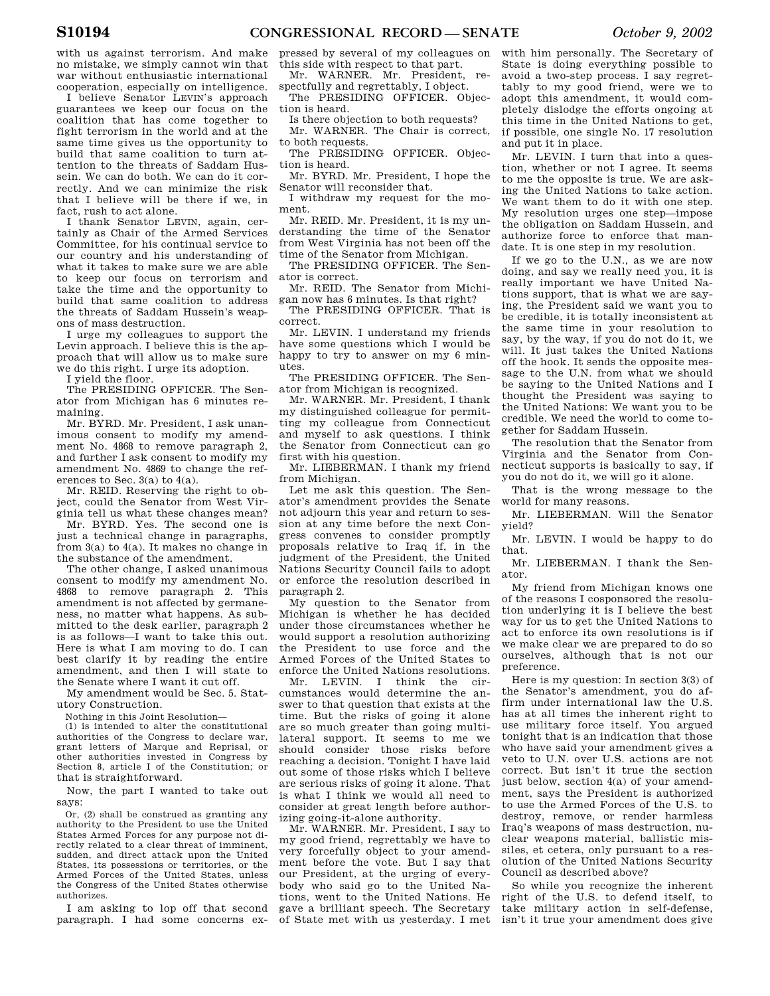with us against terrorism. And make no mistake, we simply cannot win that war without enthusiastic international cooperation, especially on intelligence.

I believe Senator LEVIN's approach guarantees we keep our focus on the coalition that has come together to fight terrorism in the world and at the same time gives us the opportunity to build that same coalition to turn attention to the threats of Saddam Hussein. We can do both. We can do it correctly. And we can minimize the risk that I believe will be there if we, in fact, rush to act alone.

I thank Senator LEVIN, again, certainly as Chair of the Armed Services Committee, for his continual service to our country and his understanding of what it takes to make sure we are able to keep our focus on terrorism and take the time and the opportunity to build that same coalition to address the threats of Saddam Hussein's weapons of mass destruction.

I urge my colleagues to support the Levin approach. I believe this is the approach that will allow us to make sure we do this right. I urge its adoption.

I yield the floor.

The PRESIDING OFFICER. The Senator from Michigan has 6 minutes remaining.

Mr. BYRD. Mr. President, I ask unanimous consent to modify my amendment No. 4868 to remove paragraph 2, and further I ask consent to modify my amendment No. 4869 to change the references to Sec. 3(a) to 4(a).

Mr. REID. Reserving the right to object, could the Senator from West Virginia tell us what these changes mean?

Mr. BYRD. Yes. The second one is just a technical change in paragraphs, from 3(a) to 4(a). It makes no change in the substance of the amendment.

The other change, I asked unanimous consent to modify my amendment No. 4868 to remove paragraph 2. This amendment is not affected by germaneness, no matter what happens. As submitted to the desk earlier, paragraph 2 is as follows—I want to take this out. Here is what I am moving to do. I can best clarify it by reading the entire amendment, and then I will state to the Senate where I want it cut off.

My amendment would be Sec. 5. Statutory Construction.

Nothing in this Joint Resolution—

(1) is intended to alter the constitutional authorities of the Congress to declare war, grant letters of Marque and Reprisal, or other authorities invested in Congress by Section 8, article I of the Constitution; or that is straightforward.

Now, the part I wanted to take out says:

Or, (2) shall be construed as granting any authority to the President to use the United States Armed Forces for any purpose not directly related to a clear threat of imminent, sudden, and direct attack upon the United States, its possessions or territories, or the Armed Forces of the United States, unless the Congress of the United States otherwise authorizes.

I am asking to lop off that second paragraph. I had some concerns expressed by several of my colleagues on this side with respect to that part.

Mr. WARNER. Mr. President,

spectfully and regrettably, I object. The PRESIDING OFFICER. Objection is heard.

Is there objection to both requests? Mr. WARNER. The Chair is correct,

to both requests. The PRESIDING OFFICER. Objec-

tion is heard. Mr. BYRD. Mr. President, I hope the

Senator will reconsider that. I withdraw my request for the mo-

ment.

Mr. REID. Mr. President, it is my understanding the time of the Senator from West Virginia has not been off the time of the Senator from Michigan.

The PRESIDING OFFICER. The Senator is correct.

Mr. REID. The Senator from Michigan now has 6 minutes. Is that right?

The PRESIDING OFFICER. That is correct.

Mr. LEVIN. I understand my friends have some questions which I would be happy to try to answer on my 6 minutes.

The PRESIDING OFFICER. The Senator from Michigan is recognized.

Mr. WARNER. Mr. President, I thank my distinguished colleague for permitting my colleague from Connecticut and myself to ask questions. I think the Senator from Connecticut can go first with his question.

Mr. LIEBERMAN. I thank my friend from Michigan.

Let me ask this question. The Senator's amendment provides the Senate not adjourn this year and return to session at any time before the next Congress convenes to consider promptly proposals relative to Iraq if, in the judgment of the President, the United Nations Security Council fails to adopt or enforce the resolution described in paragraph 2.

My question to the Senator from Michigan is whether he has decided under those circumstances whether he would support a resolution authorizing the President to use force and the Armed Forces of the United States to enforce the United Nations resolutions.

Mr. LEVIN. I think the circumstances would determine the answer to that question that exists at the time. But the risks of going it alone are so much greater than going multilateral support. It seems to me we should consider those risks before reaching a decision. Tonight I have laid out some of those risks which I believe are serious risks of going it alone. That is what I think we would all need to consider at great length before authorizing going-it-alone authority.

Mr. WARNER. Mr. President, I say to my good friend, regrettably we have to very forcefully object to your amendment before the vote. But I say that our President, at the urging of everybody who said go to the United Nations, went to the United Nations. He gave a brilliant speech. The Secretary of State met with us yesterday. I met

with him personally. The Secretary of State is doing everything possible to avoid a two-step process. I say regrettably to my good friend, were we to adopt this amendment, it would completely dislodge the efforts ongoing at this time in the United Nations to get, if possible, one single No. 17 resolution and put it in place.

Mr. LEVIN. I turn that into a question, whether or not I agree. It seems to me the opposite is true. We are asking the United Nations to take action. We want them to do it with one step. My resolution urges one step—impose the obligation on Saddam Hussein, and authorize force to enforce that mandate. It is one step in my resolution.

If we go to the U.N., as we are now doing, and say we really need you, it is really important we have United Nations support, that is what we are saying, the President said we want you to be credible, it is totally inconsistent at the same time in your resolution to say, by the way, if you do not do it, we will. It just takes the United Nations off the hook. It sends the opposite message to the U.N. from what we should be saying to the United Nations and I thought the President was saying to the United Nations: We want you to be credible. We need the world to come together for Saddam Hussein.

The resolution that the Senator from Virginia and the Senator from Connecticut supports is basically to say, if you do not do it, we will go it alone.

That is the wrong message to the world for many reasons.

Mr. LIEBERMAN. Will the Senator yield?

Mr. LEVIN. I would be happy to do that.

Mr. LIEBERMAN. I thank the Senator.

My friend from Michigan knows one of the reasons I cosponsored the resolution underlying it is I believe the best way for us to get the United Nations to act to enforce its own resolutions is if we make clear we are prepared to do so ourselves, although that is not our preference.

Here is my question: In section 3(3) of the Senator's amendment, you do affirm under international law the U.S. has at all times the inherent right to use military force itself. You argued tonight that is an indication that those who have said your amendment gives a veto to U.N. over U.S. actions are not correct. But isn't it true the section just below, section 4(a) of your amendment, says the President is authorized to use the Armed Forces of the U.S. to destroy, remove, or render harmless Iraq's weapons of mass destruction, nuclear weapons material, ballistic missiles, et cetera, only pursuant to a resolution of the United Nations Security Council as described above?

So while you recognize the inherent right of the U.S. to defend itself, to take military action in self-defense, isn't it true your amendment does give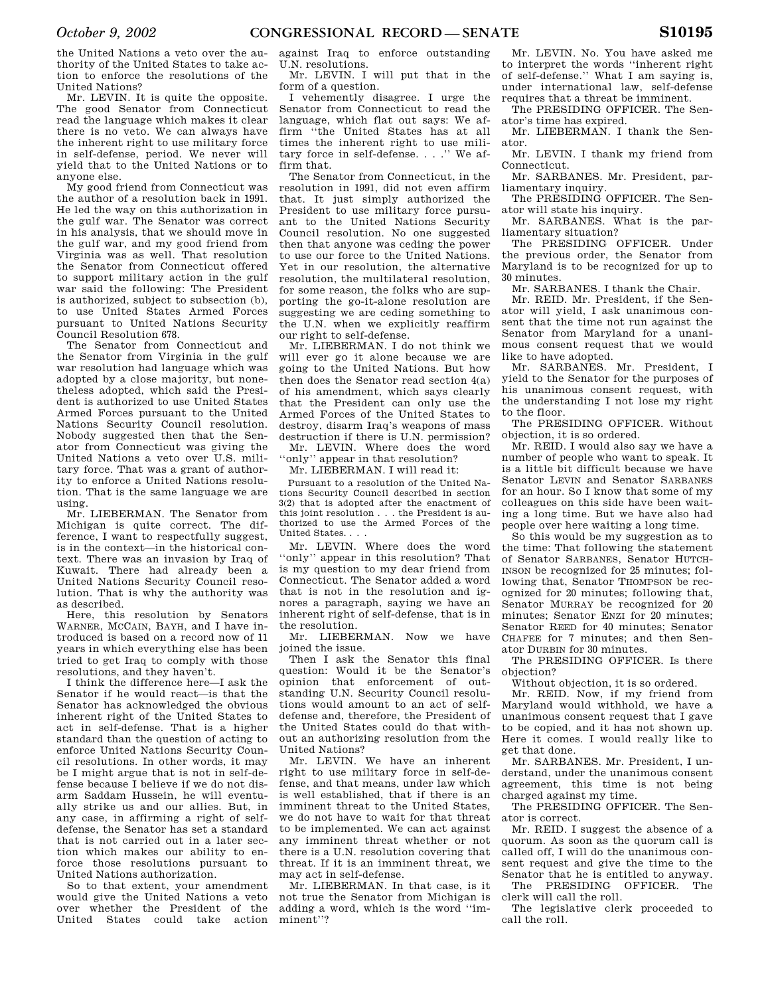the United Nations a veto over the authority of the United States to take action to enforce the resolutions of the United Nations?

Mr. LEVIN. It is quite the opposite. The good Senator from Connecticut read the language which makes it clear there is no veto. We can always have the inherent right to use military force in self-defense, period. We never will yield that to the United Nations or to anyone else.

My good friend from Connecticut was the author of a resolution back in 1991. He led the way on this authorization in the gulf war. The Senator was correct in his analysis, that we should move in the gulf war, and my good friend from Virginia was as well. That resolution the Senator from Connecticut offered to support military action in the gulf war said the following: The President is authorized, subject to subsection (b), to use United States Armed Forces pursuant to United Nations Security Council Resolution 678.

The Senator from Connecticut and the Senator from Virginia in the gulf war resolution had language which was adopted by a close majority, but nonetheless adopted, which said the President is authorized to use United States Armed Forces pursuant to the United Nations Security Council resolution. Nobody suggested then that the Senator from Connecticut was giving the United Nations a veto over U.S. military force. That was a grant of authority to enforce a United Nations resolution. That is the same language we are using.

Mr. LIEBERMAN. The Senator from Michigan is quite correct. The difference, I want to respectfully suggest, is in the context—in the historical context. There was an invasion by Iraq of Kuwait. There had already been a United Nations Security Council resolution. That is why the authority was as described.

Here, this resolution by Senators WARNER, MCCAIN, BAYH, and I have introduced is based on a record now of 11 years in which everything else has been tried to get Iraq to comply with those resolutions, and they haven't.

I think the difference here—I ask the Senator if he would react—is that the Senator has acknowledged the obvious inherent right of the United States to act in self-defense. That is a higher standard than the question of acting to enforce United Nations Security Council resolutions. In other words, it may be I might argue that is not in self-defense because I believe if we do not disarm Saddam Hussein, he will eventually strike us and our allies. But, in any case, in affirming a right of selfdefense, the Senator has set a standard that is not carried out in a later section which makes our ability to enforce those resolutions pursuant to United Nations authorization.

So to that extent, your amendment would give the United Nations a veto over whether the President of the United States could take action

against Iraq to enforce outstanding U.N. resolutions.

Mr. LEVIN. I will put that in the form of a question.

I vehemently disagree. I urge the Senator from Connecticut to read the language, which flat out says: We affirm ''the United States has at all times the inherent right to use military force in self-defense. . . .'' We affirm that.

The Senator from Connecticut, in the resolution in 1991, did not even affirm that. It just simply authorized the President to use military force pursuant to the United Nations Security Council resolution. No one suggested then that anyone was ceding the power to use our force to the United Nations. Yet in our resolution, the alternative resolution, the multilateral resolution, for some reason, the folks who are supporting the go-it-alone resolution are suggesting we are ceding something to the U.N. when we explicitly reaffirm our right to self-defense.

Mr. LIEBERMAN. I do not think we will ever go it alone because we are going to the United Nations. But how then does the Senator read section 4(a) of his amendment, which says clearly that the President can only use the Armed Forces of the United States to destroy, disarm Iraq's weapons of mass destruction if there is U.N. permission?

Mr. LEVIN. Where does the word 'only'' appear in that resolution? Mr. LIEBERMAN. I will read it:

Pursuant to a resolution of the United Nations Security Council described in section 3(2) that is adopted after the enactment of this joint resolution . . . the President is authorized to use the Armed Forces of the United States. . . .

Mr. LEVIN. Where does the word 'only'' appear in this resolution? That is my question to my dear friend from Connecticut. The Senator added a word that is not in the resolution and ignores a paragraph, saying we have an inherent right of self-defense, that is in the resolution.

Mr. LIEBERMAN. Now we have joined the issue.

Then I ask the Senator this final question: Would it be the Senator's opinion that enforcement of outstanding U.N. Security Council resolutions would amount to an act of selfdefense and, therefore, the President of the United States could do that without an authorizing resolution from the United Nations?

Mr. LEVIN. We have an inherent right to use military force in self-defense, and that means, under law which is well established, that if there is an imminent threat to the United States, we do not have to wait for that threat to be implemented. We can act against any imminent threat whether or not there is a U.N. resolution covering that threat. If it is an imminent threat, we may act in self-defense.

Mr. LIEBERMAN. In that case, is it not true the Senator from Michigan is adding a word, which is the word ''imminent''?

Mr. LEVIN. No. You have asked me to interpret the words ''inherent right of self-defense.'' What I am saying is, under international law, self-defense requires that a threat be imminent.

The PRESIDING OFFICER. The Senator's time has expired.

Mr. LIEBERMAN. I thank the Senator.

Mr. LEVIN. I thank my friend from Connecticut.

Mr. SARBANES. Mr. President, parliamentary inquiry.

The PRESIDING OFFICER. The Senator will state his inquiry.

Mr. SARBANES. What is the parliamentary situation?

The PRESIDING OFFICER. Under the previous order, the Senator from Maryland is to be recognized for up to 30 minutes.

Mr. SARBANES. I thank the Chair.

Mr. REID. Mr. President, if the Senator will yield, I ask unanimous consent that the time not run against the Senator from Maryland for a unanimous consent request that we would like to have adopted.

Mr. SARBANES. Mr. President, I yield to the Senator for the purposes of his unanimous consent request, with the understanding I not lose my right to the floor.

The PRESIDING OFFICER. Without objection, it is so ordered.

Mr. REID. I would also say we have a number of people who want to speak. It is a little bit difficult because we have Senator LEVIN and Senator SARBANES for an hour. So I know that some of my colleagues on this side have been waiting a long time. But we have also had people over here waiting a long time.

So this would be my suggestion as to the time: That following the statement of Senator SARBANES, Senator HUTCH-INSON be recognized for 25 minutes; following that, Senator THOMPSON be recognized for 20 minutes; following that, Senator MURRAY be recognized for 20 minutes; Senator ENZI for 20 minutes; Senator REED for 40 minutes; Senator CHAFEE for 7 minutes; and then Senator DURBIN for 30 minutes.

The PRESIDING OFFICER. Is there objection?

Without objection, it is so ordered.

Mr. REID. Now, if my friend from Maryland would withhold, we have a unanimous consent request that I gave to be copied, and it has not shown up. Here it comes. I would really like to get that done.

Mr. SARBANES. Mr. President, I understand, under the unanimous consent agreement, this time is not being charged against my time.

The PRESIDING OFFICER. The Senator is correct.

Mr. REID. I suggest the absence of a quorum. As soon as the quorum call is called off, I will do the unanimous consent request and give the time to the Senator that he is entitled to anyway.

The PRESIDING OFFICER. The clerk will call the roll.

The legislative clerk proceeded to call the roll.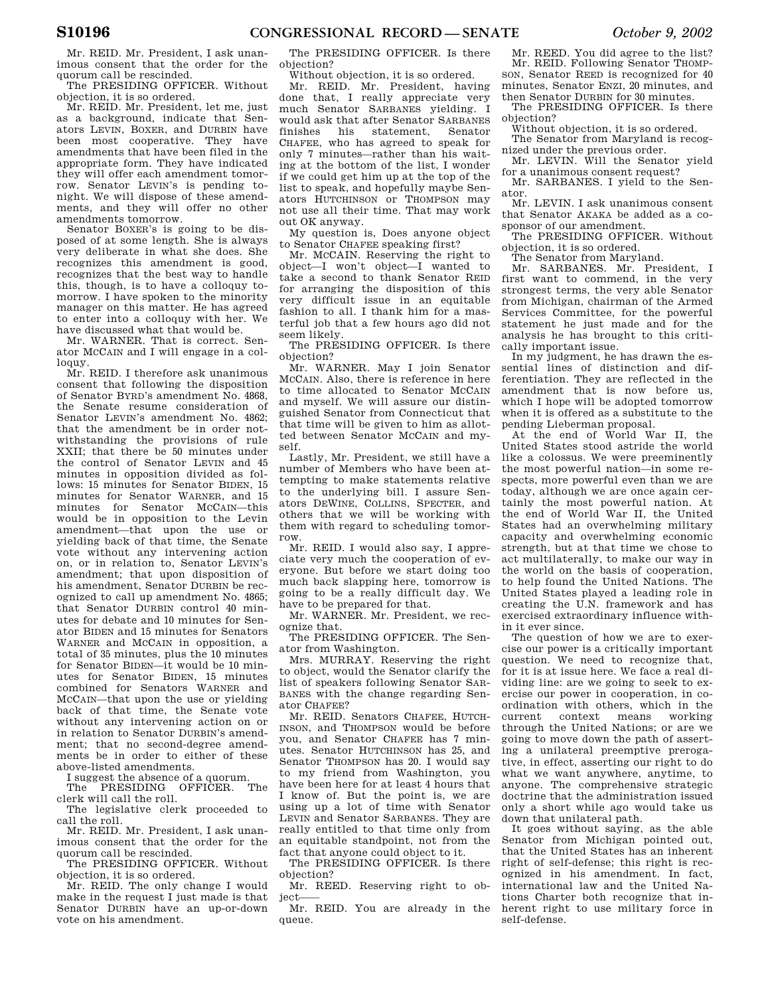Mr. REID. Mr. President, I ask unanimous consent that the order for the quorum call be rescinded.

The PRESIDING OFFICER. Without objection, it is so ordered.

Mr. REID. Mr. President, let me, just as a background, indicate that Senators LEVIN, BOXER, and DURBIN have been most cooperative. They have amendments that have been filed in the appropriate form. They have indicated they will offer each amendment tomorrow. Senator LEVIN's is pending tonight. We will dispose of these amendments, and they will offer no other amendments tomorrow.

Senator BOXER's is going to be disposed of at some length. She is always very deliberate in what she does. She recognizes this amendment is good, recognizes that the best way to handle this, though, is to have a colloquy tomorrow. I have spoken to the minority manager on this matter. He has agreed to enter into a colloquy with her. We have discussed what that would be.

Mr. WARNER. That is correct. Senator MCCAIN and I will engage in a colloquy.

Mr. REID. I therefore ask unanimous consent that following the disposition of Senator BYRD's amendment No. 4868, the Senate resume consideration of Senator LEVIN's amendment No. 4862; that the amendment be in order notwithstanding the provisions of rule XXII; that there be 50 minutes under the control of Senator LEVIN and 45 minutes in opposition divided as follows: 15 minutes for Senator BIDEN, 15 minutes for Senator WARNER, and 15 minutes for Senator MCCAIN—this would be in opposition to the Levin amendment—that upon the use or yielding back of that time, the Senate vote without any intervening action on, or in relation to, Senator LEVIN's amendment; that upon disposition of his amendment, Senator DURBIN be recognized to call up amendment No. 4865; that Senator DURBIN control 40 minutes for debate and 10 minutes for Senator BIDEN and 15 minutes for Senators WARNER and MCCAIN in opposition, a total of 35 minutes, plus the 10 minutes for Senator BIDEN—it would be 10 minutes for Senator BIDEN, 15 minutes combined for Senators WARNER and MCCAIN—that upon the use or yielding back of that time, the Senate vote without any intervening action on or in relation to Senator DURBIN's amendment; that no second-degree amendments be in order to either of these above-listed amendments.

I suggest the absence of a quorum.

The PRESIDING OFFICER. The clerk will call the roll.

The legislative clerk proceeded to call the roll.

Mr. REID. Mr. President, I ask unanimous consent that the order for the quorum call be rescinded.

The PRESIDING OFFICER. Without objection, it is so ordered.

Mr. REID. The only change I would make in the request I just made is that Senator DURBIN have an up-or-down vote on his amendment.

The PRESIDING OFFICER. Is there objection?

Without objection, it is so ordered.

Mr. REID. Mr. President, having done that, I really appreciate very much Senator SARBANES yielding. I would ask that after Senator SARBANES finishes his statement, Senator CHAFEE, who has agreed to speak for only 7 minutes—rather than his waiting at the bottom of the list, I wonder if we could get him up at the top of the list to speak, and hopefully maybe Senators HUTCHINSON or THOMPSON may not use all their time. That may work out OK anyway.

My question is, Does anyone object to Senator CHAFEE speaking first?

Mr. MCCAIN. Reserving the right to object—I won't object—I wanted to take a second to thank Senator REID for arranging the disposition of this very difficult issue in an equitable fashion to all. I thank him for a masterful job that a few hours ago did not seem likely.

The PRESIDING OFFICER. Is there objection?

Mr. WARNER. May I join Senator MCCAIN. Also, there is reference in here to time allocated to Senator MCCAIN and myself. We will assure our distinguished Senator from Connecticut that that time will be given to him as allotted between Senator MCCAIN and myself.

Lastly, Mr. President, we still have a number of Members who have been attempting to make statements relative to the underlying bill. I assure Senators DEWINE, COLLINS, SPECTER, and others that we will be working with them with regard to scheduling tomorrow.

Mr. REID. I would also say, I appreciate very much the cooperation of everyone. But before we start doing too much back slapping here, tomorrow is going to be a really difficult day. We have to be prepared for that.

Mr. WARNER. Mr. President, we recognize that.

The PRESIDING OFFICER. The Senator from Washington.

Mrs. MURRAY. Reserving the right to object, would the Senator clarify the list of speakers following Senator SAR-BANES with the change regarding Senator CHAFEE?

Mr. REID. Senators CHAFEE, HUTCH-INSON, and THOMPSON would be before you, and Senator CHAFEE has 7 minutes. Senator HUTCHINSON has 25, and Senator Thompson has 20. I would say to my friend from Washington, you have been here for at least 4 hours that I know of. But the point is, we are using up a lot of time with Senator LEVIN and Senator SARBANES. They are really entitled to that time only from an equitable standpoint, not from the fact that anyone could object to it.

The PRESIDING OFFICER. Is there objection?

Mr. REED. Reserving right to object-

Mr. REID. You are already in the queue.

Mr. REED. You did agree to the list? Mr. REID. Following Senator THOMP-SON, Senator REED is recognized for 40 minutes, Senator ENZI, 20 minutes, and then Senator DURBIN for 30 minutes.

The PRESIDING OFFICER. Is there objection?

Without objection, it is so ordered.

The Senator from Maryland is recognized under the previous order.

Mr. LEVIN. Will the Senator yield for a unanimous consent request? Mr. SARBANES. I yield to the Sen-

ator. Mr. LEVIN. I ask unanimous consent

that Senator AKAKA be added as a cosponsor of our amendment.

The PRESIDING OFFICER. Without objection, it is so ordered.

The Senator from Maryland.

Mr. SARBANES. Mr. President, I first want to commend, in the very strongest terms, the very able Senator from Michigan, chairman of the Armed Services Committee, for the powerful statement he just made and for the analysis he has brought to this critically important issue.

In my judgment, he has drawn the essential lines of distinction and differentiation. They are reflected in the amendment that is now before us, which I hope will be adopted tomorrow when it is offered as a substitute to the pending Lieberman proposal.

At the end of World War II, the United States stood astride the world like a colossus. We were preeminently the most powerful nation—in some respects, more powerful even than we are today, although we are once again certainly the most powerful nation. At the end of World War II, the United States had an overwhelming military capacity and overwhelming economic strength, but at that time we chose to act multilaterally, to make our way in the world on the basis of cooperation, to help found the United Nations. The United States played a leading role in creating the U.N. framework and has exercised extraordinary influence within it ever since.

The question of how we are to exercise our power is a critically important question. We need to recognize that, for it is at issue here. We face a real dividing line: are we going to seek to exercise our power in cooperation, in coordination with others, which in the current context means working through the United Nations; or are we going to move down the path of asserting a unilateral preemptive prerogative, in effect, asserting our right to do what we want anywhere, anytime, to anyone. The comprehensive strategic doctrine that the administration issued only a short while ago would take us down that unilateral path.

It goes without saying, as the able Senator from Michigan pointed out, that the United States has an inherent right of self-defense; this right is recognized in his amendment. In fact, international law and the United Nations Charter both recognize that inherent right to use military force in self-defense.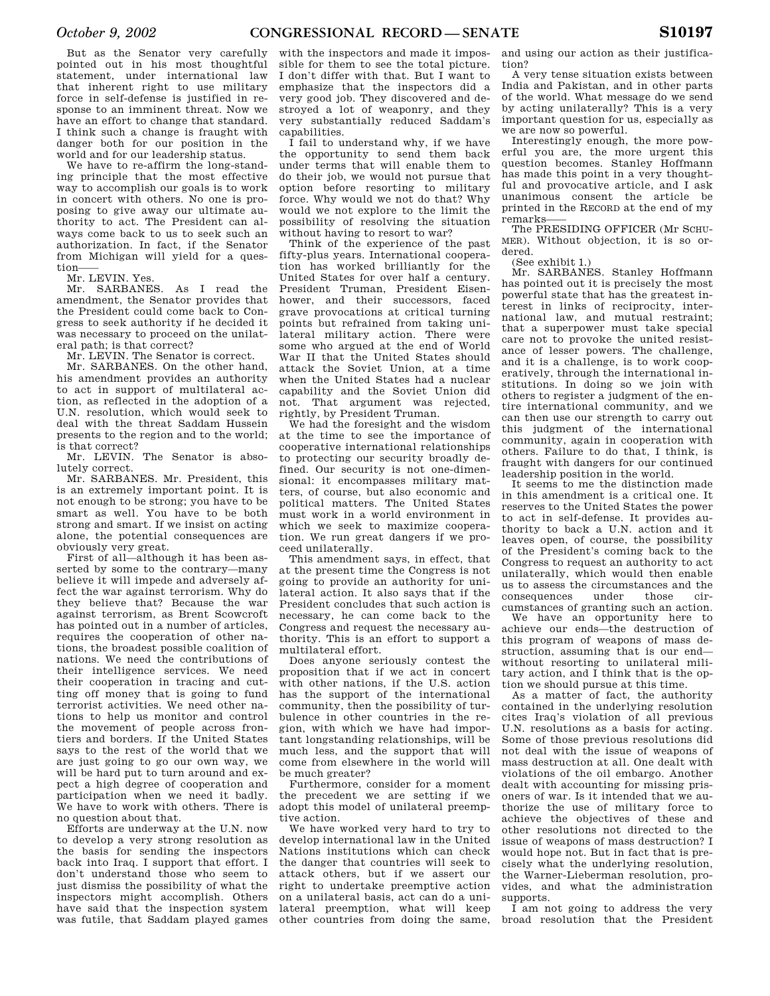But as the Senator very carefully pointed out in his most thoughtful statement, under international law that inherent right to use military force in self-defense is justified in response to an imminent threat. Now we have an effort to change that standard. I think such a change is fraught with danger both for our position in the world and for our leadership status.

We have to re-affirm the long-standing principle that the most effective way to accomplish our goals is to work in concert with others. No one is proposing to give away our ultimate authority to act. The President can always come back to us to seek such an authorization. In fact, if the Senator from Michigan will yield for a question-

Mr. LEVIN. Yes.

Mr. SARBANES. As I read the amendment, the Senator provides that the President could come back to Congress to seek authority if he decided it was necessary to proceed on the unilateral path; is that correct?

Mr. LEVIN. The Senator is correct.

Mr. SARBANES. On the other hand, his amendment provides an authority to act in support of multilateral action, as reflected in the adoption of a U.N. resolution, which would seek to deal with the threat Saddam Hussein presents to the region and to the world; is that correct?

Mr. LEVIN. The Senator is absolutely correct.

Mr. SARBANES. Mr. President, this is an extremely important point. It is not enough to be strong; you have to be smart as well. You have to be both strong and smart. If we insist on acting alone, the potential consequences are obviously very great.

First of all—although it has been asserted by some to the contrary—many believe it will impede and adversely affect the war against terrorism. Why do they believe that? Because the war against terrorism, as Brent Scowcroft has pointed out in a number of articles, requires the cooperation of other nations, the broadest possible coalition of nations. We need the contributions of their intelligence services. We need their cooperation in tracing and cutting off money that is going to fund terrorist activities. We need other nations to help us monitor and control the movement of people across frontiers and borders. If the United States says to the rest of the world that we are just going to go our own way, we will be hard put to turn around and expect a high degree of cooperation and participation when we need it badly. We have to work with others. There is no question about that.

Efforts are underway at the U.N. now to develop a very strong resolution as the basis for sending the inspectors back into Iraq. I support that effort. I don't understand those who seem to just dismiss the possibility of what the inspectors might accomplish. Others have said that the inspection system was futile, that Saddam played games

with the inspectors and made it impossible for them to see the total picture. I don't differ with that. But I want to emphasize that the inspectors did a very good job. They discovered and destroyed a lot of weaponry, and they very substantially reduced Saddam's capabilities.

I fail to understand why, if we have the opportunity to send them back under terms that will enable them to do their job, we would not pursue that option before resorting to military force. Why would we not do that? Why would we not explore to the limit the possibility of resolving the situation without having to resort to war?

Think of the experience of the past fifty-plus years. International cooperation has worked brilliantly for the United States for over half a century. President Truman, President Eisenhower, and their successors, faced grave provocations at critical turning points but refrained from taking unilateral military action. There were some who argued at the end of World War II that the United States should attack the Soviet Union, at a time when the United States had a nuclear capability and the Soviet Union did not. That argument was rejected, rightly, by President Truman.

We had the foresight and the wisdom at the time to see the importance of cooperative international relationships to protecting our security broadly defined. Our security is not one-dimensional: it encompasses military matters, of course, but also economic and political matters. The United States must work in a world environment in which we seek to maximize cooperation. We run great dangers if we proceed unilaterally.

This amendment says, in effect, that at the present time the Congress is not going to provide an authority for unilateral action. It also says that if the President concludes that such action is necessary, he can come back to the Congress and request the necessary authority. This is an effort to support a multilateral effort.

Does anyone seriously contest the proposition that if we act in concert with other nations, if the U.S. action has the support of the international community, then the possibility of turbulence in other countries in the region, with which we have had important longstanding relationships, will be much less, and the support that will come from elsewhere in the world will be much greater?

Furthermore, consider for a moment the precedent we are setting if we adopt this model of unilateral preemptive action.

We have worked very hard to try to develop international law in the United Nations institutions which can check the danger that countries will seek to attack others, but if we assert our right to undertake preemptive action on a unilateral basis, act can do a unilateral preemption, what will keep other countries from doing the same,

and using our action as their justification?

A very tense situation exists between India and Pakistan, and in other parts of the world. What message do we send by acting unilaterally? This is a very important question for us, especially as we are now so powerful.

Interestingly enough, the more powerful you are, the more urgent this question becomes. Stanley Hoffmann has made this point in a very thoughtful and provocative article, and I ask unanimous consent the article be printed in the RECORD at the end of my remarks——

The PRESIDING OFFICER (Mr SCHU-MER). Without objection, it is so ordered.

(See exhibit 1.)

Mr. SARBANES. Stanley Hoffmann has pointed out it is precisely the most powerful state that has the greatest interest in links of reciprocity, international law, and mutual restraint; that a superpower must take special care not to provoke the united resistance of lesser powers. The challenge, and it is a challenge, is to work cooperatively, through the international institutions. In doing so we join with others to register a judgment of the entire international community, and we can then use our strength to carry out this judgment of the international community, again in cooperation with others. Failure to do that, I think, is fraught with dangers for our continued leadership position in the world.

It seems to me the distinction made in this amendment is a critical one. It reserves to the United States the power to act in self-defense. It provides authority to back a U.N. action and it leaves open, of course, the possibility of the President's coming back to the Congress to request an authority to act unilaterally, which would then enable us to assess the circumstances and the consequences under those circumstances of granting such an action.

We have an opportunity here to achieve our ends—the destruction of this program of weapons of mass destruction, assuming that is our end without resorting to unilateral military action, and I think that is the option we should pursue at this time.

As a matter of fact, the authority contained in the underlying resolution cites Iraq's violation of all previous U.N. resolutions as a basis for acting. Some of those previous resolutions did not deal with the issue of weapons of mass destruction at all. One dealt with violations of the oil embargo. Another dealt with accounting for missing prisoners of war. Is it intended that we authorize the use of military force to achieve the objectives of these and other resolutions not directed to the issue of weapons of mass destruction? I would hope not. But in fact that is precisely what the underlying resolution, the Warner-Lieberman resolution, provides, and what the administration supports.

I am not going to address the very broad resolution that the President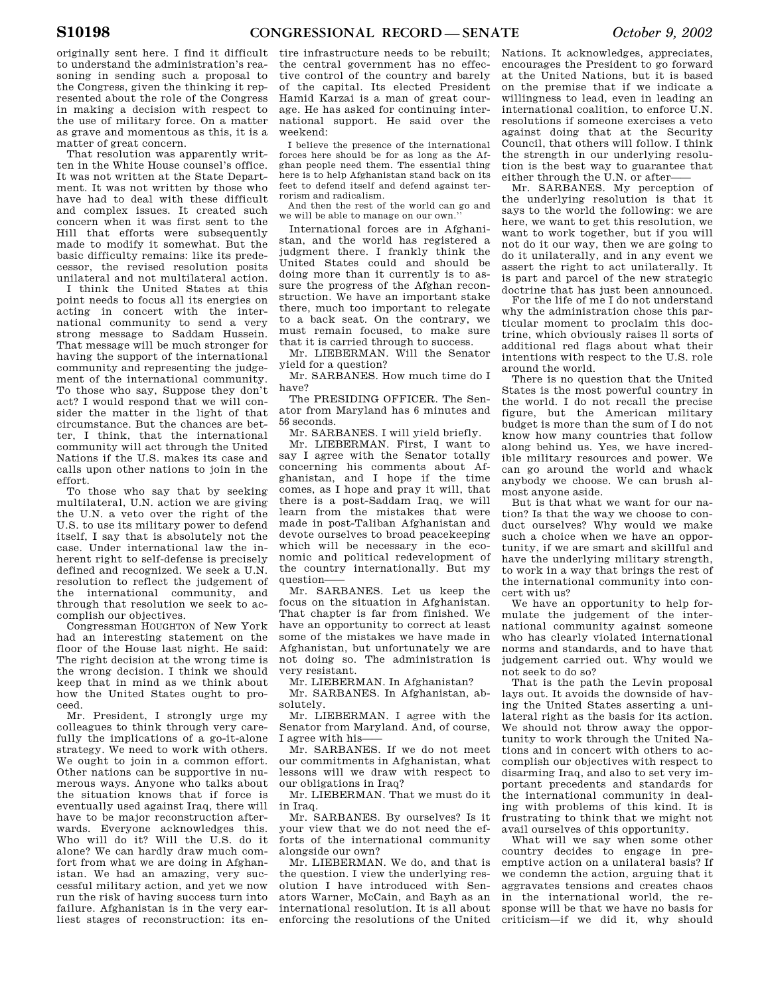originally sent here. I find it difficult to understand the administration's reasoning in sending such a proposal to the Congress, given the thinking it represented about the role of the Congress in making a decision with respect to the use of military force. On a matter as grave and momentous as this, it is a matter of great concern.

That resolution was apparently written in the White House counsel's office. It was not written at the State Department. It was not written by those who have had to deal with these difficult and complex issues. It created such concern when it was first sent to the Hill that efforts were subsequently made to modify it somewhat. But the basic difficulty remains: like its predecessor, the revised resolution posits unilateral and not multilateral action.

I think the United States at this point needs to focus all its energies on acting in concert with the international community to send a very strong message to Saddam Hussein. That message will be much stronger for having the support of the international community and representing the judgement of the international community. To those who say, Suppose they don't act? I would respond that we will consider the matter in the light of that circumstance. But the chances are better, I think, that the international community will act through the United Nations if the U.S. makes its case and calls upon other nations to join in the effort.

To those who say that by seeking multilateral, U.N. action we are giving the U.N. a veto over the right of the U.S. to use its military power to defend itself, I say that is absolutely not the case. Under international law the inherent right to self-defense is precisely defined and recognized. We seek a U.N. resolution to reflect the judgement of the international community, and through that resolution we seek to accomplish our objectives.

Congressman HOUGHTON of New York had an interesting statement on the floor of the House last night. He said: The right decision at the wrong time is the wrong decision. I think we should keep that in mind as we think about how the United States ought to proceed.

Mr. President, I strongly urge my colleagues to think through very carefully the implications of a go-it-alone strategy. We need to work with others. We ought to join in a common effort. Other nations can be supportive in numerous ways. Anyone who talks about the situation knows that if force is eventually used against Iraq, there will have to be major reconstruction afterwards. Everyone acknowledges this. Who will do it? Will the U.S. do it alone? We can hardly draw much comfort from what we are doing in Afghanistan. We had an amazing, very successful military action, and yet we now run the risk of having success turn into failure. Afghanistan is in the very earliest stages of reconstruction: its en-

tire infrastructure needs to be rebuilt; the central government has no effective control of the country and barely of the capital. Its elected President Hamid Karzai is a man of great courage. He has asked for continuing international support. He said over the weekend:

I believe the presence of the international forces here should be for as long as the Afghan people need them. The essential thing here is to help Afghanistan stand back on its feet to defend itself and defend against terrorism and radicalism.

And then the rest of the world can go and we will be able to manage on our own.

International forces are in Afghanistan, and the world has registered a judgment there. I frankly think the United States could and should be doing more than it currently is to assure the progress of the Afghan reconstruction. We have an important stake there, much too important to relegate to a back seat. On the contrary, we must remain focused, to make sure that it is carried through to success.

Mr. LIEBERMAN. Will the Senator yield for a question?

Mr. SARBANES. How much time do I have?

The PRESIDING OFFICER. The Senator from Maryland has 6 minutes and 56 seconds.

Mr. SARBANES. I will yield briefly.

Mr. LIEBERMAN. First, I want to say I agree with the Senator totally concerning his comments about Afghanistan, and I hope if the time comes, as I hope and pray it will, that there is a post-Saddam Iraq, we will learn from the mistakes that were made in post-Taliban Afghanistan and devote ourselves to broad peacekeeping which will be necessary in the economic and political redevelopment of the country internationally. But my question——

Mr. SARBANES. Let us keep the focus on the situation in Afghanistan. That chapter is far from finished. We have an opportunity to correct at least some of the mistakes we have made in Afghanistan, but unfortunately we are not doing so. The administration is very resistant.

Mr. LIEBERMAN. In Afghanistan?

Mr. SARBANES. In Afghanistan, absolutely.

Mr. LIEBERMAN. I agree with the Senator from Maryland. And, of course, I agree with his——

Mr. SARBANES. If we do not meet our commitments in Afghanistan, what lessons will we draw with respect to our obligations in Iraq?

Mr. LIEBERMAN. That we must do it in Iraq.

Mr. SARBANES. By ourselves? Is it your view that we do not need the efforts of the international community alongside our own?

Mr. LIEBERMAN. We do, and that is the question. I view the underlying resolution I have introduced with Senators Warner, McCain, and Bayh as an international resolution. It is all about enforcing the resolutions of the United

Nations. It acknowledges, appreciates, encourages the President to go forward at the United Nations, but it is based on the premise that if we indicate a willingness to lead, even in leading an international coalition, to enforce U.N. resolutions if someone exercises a veto against doing that at the Security Council, that others will follow. I think the strength in our underlying resolution is the best way to guarantee that either through the U.N. or after——

Mr. SARBANES. My perception of the underlying resolution is that it says to the world the following: we are here, we want to get this resolution, we want to work together, but if you will not do it our way, then we are going to do it unilaterally, and in any event we assert the right to act unilaterally. It is part and parcel of the new strategic doctrine that has just been announced.

For the life of me I do not understand why the administration chose this particular moment to proclaim this doctrine, which obviously raises ll sorts of additional red flags about what their intentions with respect to the U.S. role around the world.

There is no question that the United States is the most powerful country in the world. I do not recall the precise figure, but the American military budget is more than the sum of I do not know how many countries that follow along behind us. Yes, we have incredible military resources and power. We can go around the world and whack anybody we choose. We can brush almost anyone aside.

But is that what we want for our nation? Is that the way we choose to conduct ourselves? Why would we make such a choice when we have an opportunity, if we are smart and skillful and have the underlying military strength, to work in a way that brings the rest of the international community into concert with us?

We have an opportunity to help formulate the judgement of the international community against someone who has clearly violated international norms and standards, and to have that judgement carried out. Why would we not seek to do so?

That is the path the Levin proposal lays out. It avoids the downside of having the United States asserting a unilateral right as the basis for its action. We should not throw away the opportunity to work through the United Nations and in concert with others to accomplish our objectives with respect to disarming Iraq, and also to set very important precedents and standards for the international community in dealing with problems of this kind. It is frustrating to think that we might not avail ourselves of this opportunity.

What will we say when some other country decides to engage in preemptive action on a unilateral basis? If we condemn the action, arguing that it aggravates tensions and creates chaos in the international world, the response will be that we have no basis for criticism—if we did it, why should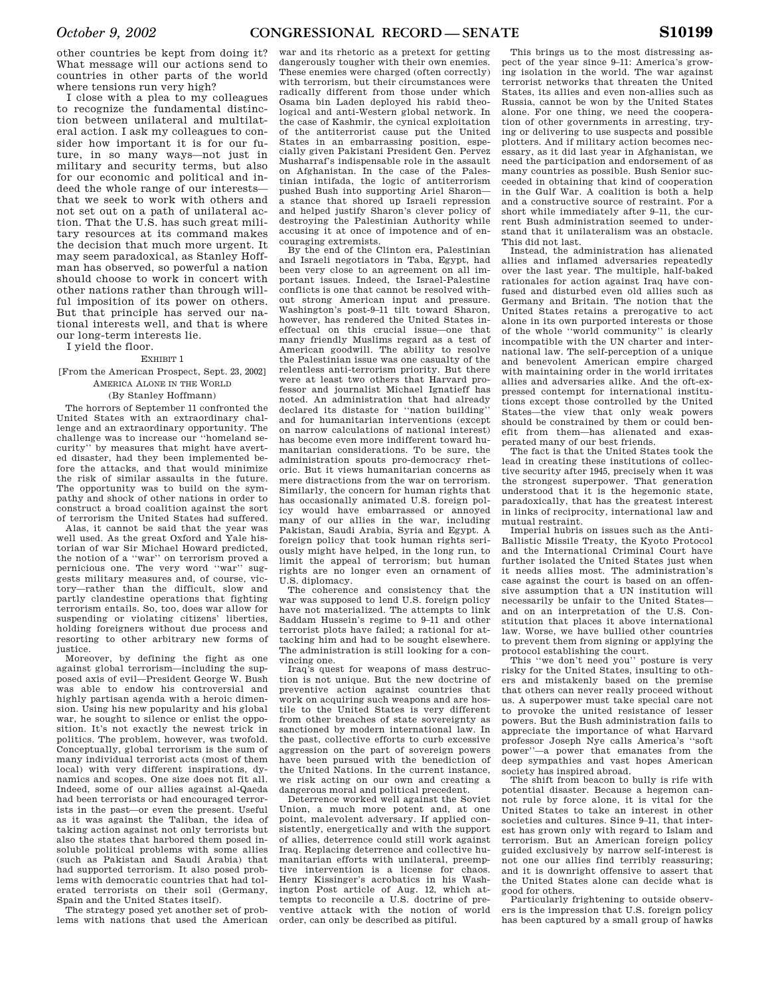other countries be kept from doing it? What message will our actions send to countries in other parts of the world where tensions run very high?

I close with a plea to my colleagues to recognize the fundamental distinction between unilateral and multilateral action. I ask my colleagues to consider how important it is for our future, in so many ways—not just in military and security terms, but also for our economic and political and indeed the whole range of our interests that we seek to work with others and not set out on a path of unilateral action. That the U.S. has such great military resources at its command makes the decision that much more urgent. It may seem paradoxical, as Stanley Hoffman has observed, so powerful a nation should choose to work in concert with other nations rather than through willful imposition of its power on others. But that principle has served our national interests well, and that is where our long-term interests lie. I yield the floor.

## EXHIBIT 1

[From the American Prospect, Sept. 23, 2002] AMERICA ALONE IN THE WORLD (By Stanley Hoffmann)

The horrors of September 11 confronted the United States with an extraordinary challenge and an extraordinary opportunity. The challenge was to increase our ''homeland security'' by measures that might have averted disaster, had they been implemented before the attacks, and that would minimize the risk of similar assaults in the future. The opportunity was to build on the sympathy and shock of other nations in order to construct a broad coalition against the sort of terrorism the United States had suffered.

Alas, it cannot be said that the year was well used. As the great Oxford and Yale historian of war Sir Michael Howard predicted, the notion of a ''war'' on terrorism proved a pernicious one. The very word ''war'' suggests military measures and, of course, victory—rather than the difficult, slow and partly clandestine operations that fighting terrorism entails. So, too, does war allow for suspending or violating citizens' liberties, holding foreigners without due process and resorting to other arbitrary new forms of justice.

Moreover, by defining the fight as one against global terrorism—including the supposed axis of evil—President George W. Bush was able to endow his controversial and highly partisan agenda with a heroic dimension. Using his new popularity and his global war, he sought to silence or enlist the opposition. It's not exactly the newest trick in politics. The problem, however, was twofold. Conceptually, global terrorism is the sum of many individual terrorist acts (most of them local) with very different inspirations, dynamics and scopes. One size does not fit all. Indeed, some of our allies against al-Qaeda had been terrorists or had encouraged terrorists in the past—or even the present. Useful as it was against the Taliban, the idea of taking action against not only terrorists but also the states that harbored them posed insoluble political problems with some allies (such as Pakistan and Saudi Arabia) that had supported terrorism. It also posed problems with democratic countries that had tolerated terrorists on their soil (Germany, Spain and the United States itself).

The strategy posed yet another set of problems with nations that used the American

war and its rhetoric as a pretext for getting dangerously tougher with their own enemies. These enemies were charged (often correctly) with terrorism, but their circumstances were radically different from those under which Osama bin Laden deployed his rabid theological and anti-Western global network. In the case of Kashmir, the cynical exploitation of the antiterrorist cause put the United States in an embarrassing position, especially given Pakistani President Gen. Pervez Musharraf's indispensable role in the assault on Afghanistan. In the case of the Palestinian intifada, the logic of antiterrorism pushed Bush into supporting Ariel Sharon a stance that shored up Israeli repression and helped justify Sharon's clever policy of destroying the Palestinian Authority while accusing it at once of impotence and of encouraging extremists.

By the end of the Clinton era, Palestinian and Israeli negotiators in Taba, Egypt, had been very close to an agreement on all important issues. Indeed, the Israel-Palestine conflicts is one that cannot be resolved without strong American input and pressure. Washington's post-9-11 tilt toward Sharon, however, has rendered the United States ineffectual on this crucial issue—one that many friendly Muslims regard as a test of American goodwill. The ability to resolve the Palestinian issue was one casualty of the relentless anti-terrorism priority. But there were at least two others that Harvard professor and journalist Michael Ignatieff has noted. An administration that had already declared its distaste for ''nation building'' and for humanitarian interventions (except on narrow calculations of national interest) has become even more indifferent toward humanitarian considerations. To be sure, the administration spouts pro-democracy rhetoric. But it views humanitarian concerns as mere distractions from the war on terrorism. Similarly, the concern for human rights that has occasionally animated U.S. foreign policy would have embarrassed or annoyed many of our allies in the war, including Pakistan, Saudi Arabia, Syria and Egypt. A foreign policy that took human rights seriously might have helped, in the long run, to limit the appeal of terrorism; but human rights are no longer even an ornament of U.S. diplomacy.

The coherence and consistency that the war was supposed to lend U.S. foreign policy have not materialized. The attempts to link Saddam Hussein's regime to 9–11 and other terrorist plots have failed; a rational for attacking him and had to be sought elsewhere. The administration is still looking for a convincing one.

Iraq's quest for weapons of mass destruction is not unique. But the new doctrine of preventive action against countries that work on acquiring such weapons and are hostile to the United States is very different from other breaches of state sovereignty as sanctioned by modern international law. In the past, collective efforts to curb excessive aggression on the part of sovereign powers have been pursued with the benediction of the United Nations. In the current instance, we risk acting on our own and creating a dangerous moral and political precedent.

Deterrence worked well against the Soviet Union, a much more potent and, at one point, malevolent adversary. If applied consistently, energetically and with the support of allies, deterrence could still work against Iraq. Replacing deterrence and collective humanitarian efforts with unilateral, preemptive intervention is a license for chaos. Henry Kissinger's acrobatics in his Washington Post article of Aug. 12, which attempts to reconcile a U.S. doctrine of preventive attack with the notion of world order, can only be described as pitiful.

This brings us to the most distressing aspect of the year since 9–11: America's growing isolation in the world. The war against terrorist networks that threaten the United States, its allies and even non-allies such as Russia, cannot be won by the United States alone. For one thing, we need the cooperation of other governments in arresting, trying or delivering to use suspects and possible plotters. And if military action becomes necessary, as it did last year in Afghanistan, we need the participation and endorsement of as many countries as possible. Bush Senior succeeded in obtaining that kind of cooperation in the Gulf War. A coalition is both a help and a constructive source of restraint. For a short while immediately after 9–11, the current Bush administration seemed to understand that it unilateralism was an obstacle. This did not last.

Instead, the administration has alienated allies and inflamed adversaries repeatedly over the last year. The multiple, half-baked rationales for action against Iraq have confused and disturbed even old allies such as Germany and Britain. The notion that the United States retains a prerogative to act alone in its own purported interests or those of the whole ''world community'' is clearly incompatible with the UN charter and international law. The self-perception of a unique and benevolent American empire charged with maintaining order in the world irritates allies and adversaries alike. And the oft-expressed contempt for international institutions except those controlled by the United States—the view that only weak powers should be constrained by them or could benefit from them—has alienated and exasperated many of our best friends.

The fact is that the United States took the lead in creating these institutions of collective security after 1945, precisely when it was the strongest superpower. That generation understood that it is the hegemonic state, paradoxically, that has the greatest interest in links of reciprocity, international law and mutual restraint.

Imperial hubris on issues such as the Anti-Ballistic Missile Treaty, the Kyoto Protocol and the International Criminal Court have further isolated the United States just when it needs allies most. The administration's case against the court is based on an offensive assumption that a UN institution will necessarily be unfair to the United States and on an interpretation of the U.S. Constitution that places it above international law. Worse, we have bullied other countries to prevent them from signing or applying the protocol establishing the court.

This ''we don't need you'' posture is very risky for the United States, insulting to others and mistakenly based on the premise that others can never really proceed without us. A superpower must take special care not to provoke the united resistance of lesser powers. But the Bush administration fails to appreciate the importance of what Harvard professor Joseph Nye calls America's ''soft power''—a power that emanates from the deep sympathies and vast hopes American society has inspired abroad.

The shift from beacon to bully is rife with potential disaster. Because a hegemon cannot rule by force alone, it is vital for the United States to take an interest in other societies and cultures. Since 9–11, that interest has grown only with regard to Islam and terrorism. But an American foreign policy guided exclusively by narrow self-interest is not one our allies find terribly reassuring; and it is downright offensive to assert that the United States alone can decide what is good for others.

Particularly frightening to outside observers is the impression that U.S. foreign policy has been captured by a small group of hawks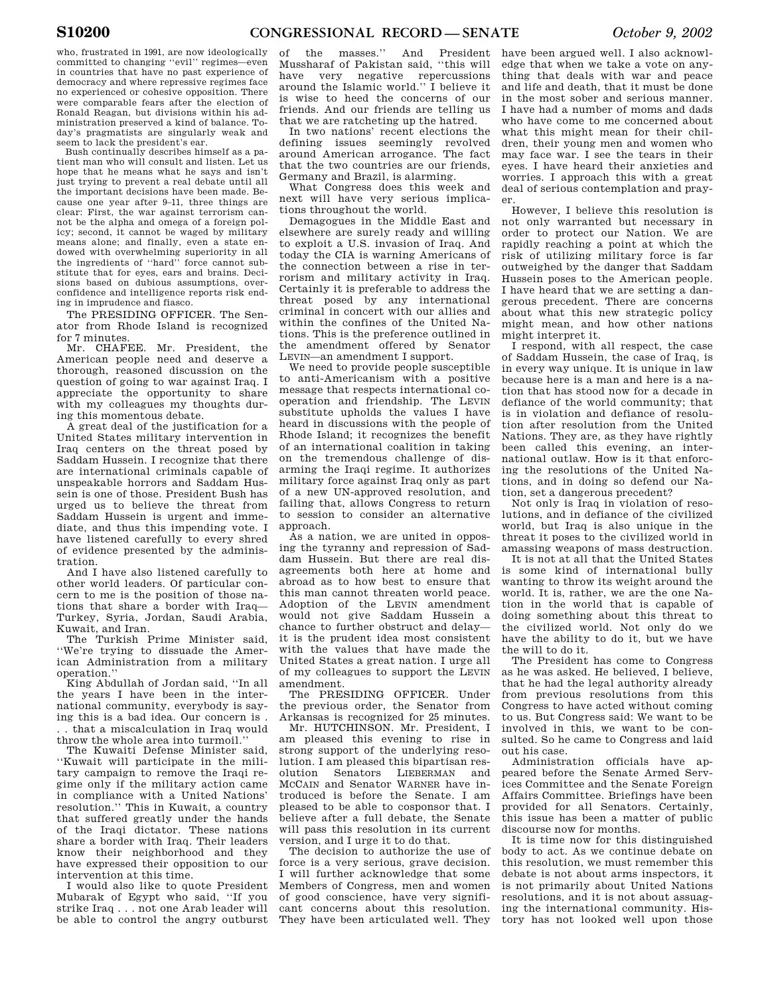who, frustrated in 1991, are now ideologically committed to changing ''evil'' regimes—even in countries that have no past experience of democracy and where repressive regimes face no experienced or cohesive opposition. There were comparable fears after the election of Ronald Reagan, but divisions within his administration preserved a kind of balance. Today's pragmatists are singularly weak and seem to lack the president's ear.

Bush continually describes himself as a patient man who will consult and listen. Let us hope that he means what he says and isn't just trying to prevent a real debate until all the important decisions have been made. Because one year after 9–11, three things are clear: First, the war against terrorism cannot be the alpha and omega of a foreign policy; second, it cannot be waged by military means alone; and finally, even a state endowed with overwhelming superiority in all the ingredients of ''hard'' force cannot substitute that for eyes, ears and brains. Decisions based on dubious assumptions, overconfidence and intelligence reports risk ending in imprudence and fiasco.

The PRESIDING OFFICER. The Senator from Rhode Island is recognized for 7 minutes.

Mr. CHAFEE. Mr. President, the American people need and deserve a thorough, reasoned discussion on the question of going to war against Iraq. I appreciate the opportunity to share with my colleagues my thoughts during this momentous debate.

A great deal of the justification for a United States military intervention in Iraq centers on the threat posed by Saddam Hussein. I recognize that there are international criminals capable of unspeakable horrors and Saddam Hussein is one of those. President Bush has urged us to believe the threat from Saddam Hussein is urgent and immediate, and thus this impending vote. I have listened carefully to every shred of evidence presented by the administration.

And I have also listened carefully to other world leaders. Of particular concern to me is the position of those nations that share a border with Iraq— Turkey, Syria, Jordan, Saudi Arabia, Kuwait, and Iran.

The Turkish Prime Minister said, ''We're trying to dissuade the American Administration from a military operation.''

King Abdullah of Jordan said, ''In all the years I have been in the international community, everybody is saying this is a bad idea. Our concern is . . . that a miscalculation in Iraq would throw the whole area into turmoil.''

The Kuwaiti Defense Minister said, ''Kuwait will participate in the military campaign to remove the Iraqi regime only if the military action came in compliance with a United Nations' resolution.'' This in Kuwait, a country that suffered greatly under the hands of the Iraqi dictator. These nations share a border with Iraq. Their leaders know their neighborhood and they have expressed their opposition to our intervention at this time.

I would also like to quote President Mubarak of Egypt who said, ''If you strike Iraq . . . not one Arab leader will be able to control the angry outburst

of the masses.'' And President Mussharaf of Pakistan said, ''this will have very negative repercussions around the Islamic world.'' I believe it is wise to heed the concerns of our friends. And our friends are telling us that we are ratcheting up the hatred.

In two nations' recent elections the defining issues seemingly revolved around American arrogance. The fact that the two countries are our friends, Germany and Brazil, is alarming.

What Congress does this week and next will have very serious implications throughout the world.

Demagogues in the Middle East and elsewhere are surely ready and willing to exploit a U.S. invasion of Iraq. And today the CIA is warning Americans of the connection between a rise in terrorism and military activity in Iraq. Certainly it is preferable to address the threat posed by any international criminal in concert with our allies and within the confines of the United Nations. This is the preference outlined in the amendment offered by Senator LEVIN—an amendment I support.

We need to provide people susceptible to anti-Americanism with a positive message that respects international cooperation and friendship. The LEVIN substitute upholds the values I have heard in discussions with the people of Rhode Island; it recognizes the benefit of an international coalition in taking on the tremendous challenge of disarming the Iraqi regime. It authorizes military force against Iraq only as part of a new UN-approved resolution, and failing that, allows Congress to return to session to consider an alternative approach

As a nation, we are united in opposing the tyranny and repression of Saddam Hussein. But there are real disagreements both here at home and abroad as to how best to ensure that this man cannot threaten world peace. Adoption of the LEVIN amendment would not give Saddam Hussein a chance to further obstruct and delay it is the prudent idea most consistent with the values that have made the United States a great nation. I urge all of my colleagues to support the LEVIN amendment.

The PRESIDING OFFICER. Under the previous order, the Senator from Arkansas is recognized for 25 minutes.

Mr. HUTCHINSON. Mr. President, I am pleased this evening to rise in strong support of the underlying resolution. I am pleased this bipartisan resolution Senators LIEBERMAN and MCCAIN and Senator WARNER have introduced is before the Senate. I am pleased to be able to cosponsor that. I believe after a full debate, the Senate will pass this resolution in its current version, and I urge it to do that.

The decision to authorize the use of force is a very serious, grave decision. I will further acknowledge that some Members of Congress, men and women of good conscience, have very significant concerns about this resolution. They have been articulated well. They

have been argued well. I also acknowledge that when we take a vote on anything that deals with war and peace and life and death, that it must be done in the most sober and serious manner. I have had a number of moms and dads who have come to me concerned about what this might mean for their children, their young men and women who may face war. I see the tears in their eyes. I have heard their anxieties and worries. I approach this with a great deal of serious contemplation and prayer.

However, I believe this resolution is not only warranted but necessary in order to protect our Nation. We are rapidly reaching a point at which the risk of utilizing military force is far outweighed by the danger that Saddam Hussein poses to the American people. I have heard that we are setting a dangerous precedent. There are concerns about what this new strategic policy might mean, and how other nations might interpret it.

I respond, with all respect, the case of Saddam Hussein, the case of Iraq, is in every way unique. It is unique in law because here is a man and here is a nation that has stood now for a decade in defiance of the world community; that is in violation and defiance of resolution after resolution from the United Nations. They are, as they have rightly been called this evening, an international outlaw. How is it that enforcing the resolutions of the United Nations, and in doing so defend our Nation, set a dangerous precedent?

Not only is Iraq in violation of resolutions, and in defiance of the civilized world, but Iraq is also unique in the threat it poses to the civilized world in amassing weapons of mass destruction.

It is not at all that the United States is some kind of international bully wanting to throw its weight around the world. It is, rather, we are the one Nation in the world that is capable of doing something about this threat to the civilized world. Not only do we have the ability to do it, but we have the will to do it.

The President has come to Congress as he was asked. He believed, I believe, that he had the legal authority already from previous resolutions from this Congress to have acted without coming to us. But Congress said: We want to be involved in this, we want to be consulted. So he came to Congress and laid out his case.

Administration officials have appeared before the Senate Armed Services Committee and the Senate Foreign Affairs Committee. Briefings have been provided for all Senators. Certainly, this issue has been a matter of public discourse now for months.

It is time now for this distinguished body to act. As we continue debate on this resolution, we must remember this debate is not about arms inspectors, it is not primarily about United Nations resolutions, and it is not about assuaging the international community. History has not looked well upon those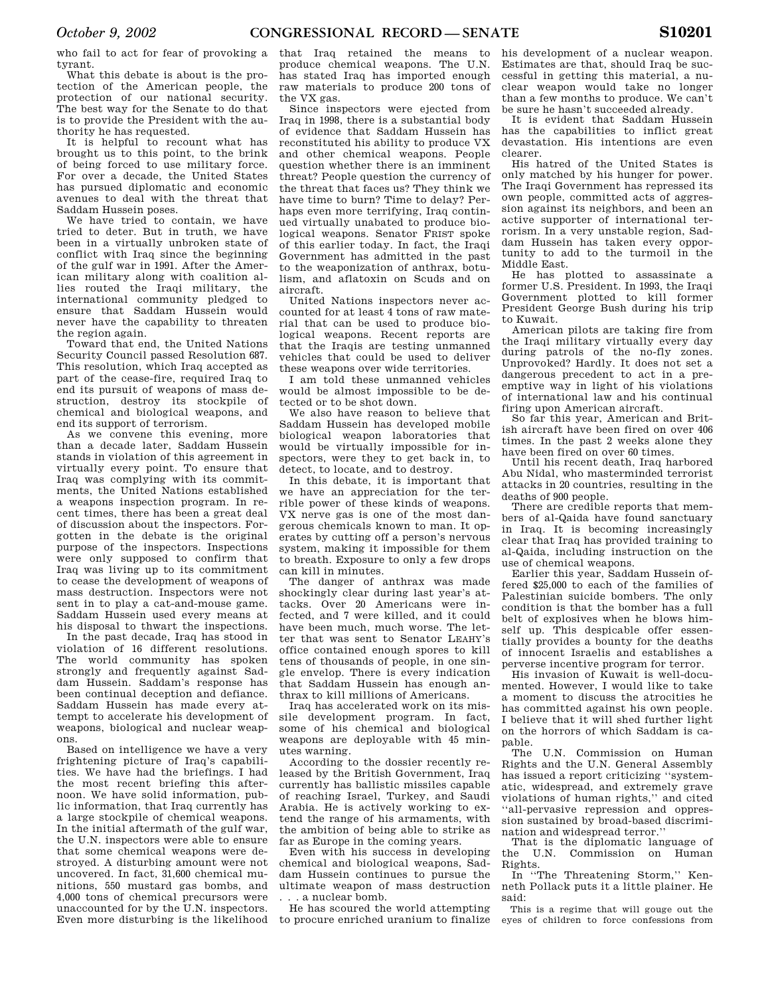who fail to act for fear of provoking a tyrant.

What this debate is about is the protection of the American people, the protection of our national security. The best way for the Senate to do that is to provide the President with the authority he has requested.

It is helpful to recount what has brought us to this point, to the brink of being forced to use military force. For over a decade, the United States has pursued diplomatic and economic avenues to deal with the threat that Saddam Hussein poses.

We have tried to contain, we have tried to deter. But in truth, we have been in a virtually unbroken state of conflict with Iraq since the beginning of the gulf war in 1991. After the American military along with coalition allies routed the Iraqi military, the international community pledged to ensure that Saddam Hussein would never have the capability to threaten the region again.

Toward that end, the United Nations Security Council passed Resolution 687. This resolution, which Iraq accepted as part of the cease-fire, required Iraq to end its pursuit of weapons of mass destruction, destroy its stockpile of chemical and biological weapons, and end its support of terrorism.

As we convene this evening, more than a decade later, Saddam Hussein stands in violation of this agreement in virtually every point. To ensure that Iraq was complying with its commitments, the United Nations established a weapons inspection program. In recent times, there has been a great deal of discussion about the inspectors. Forgotten in the debate is the original purpose of the inspectors. Inspections were only supposed to confirm that Iraq was living up to its commitment to cease the development of weapons of mass destruction. Inspectors were not sent in to play a cat-and-mouse game. Saddam Hussein used every means at his disposal to thwart the inspections.

In the past decade, Iraq has stood in violation of 16 different resolutions. The world community has spoken strongly and frequently against Saddam Hussein. Saddam's response has been continual deception and defiance. Saddam Hussein has made every attempt to accelerate his development of weapons, biological and nuclear weapons.

Based on intelligence we have a very frightening picture of Iraq's capabilities. We have had the briefings. I had the most recent briefing this afternoon. We have solid information, public information, that Iraq currently has a large stockpile of chemical weapons. In the initial aftermath of the gulf war, the U.N. inspectors were able to ensure that some chemical weapons were destroyed. A disturbing amount were not uncovered. In fact, 31,600 chemical munitions, 550 mustard gas bombs, and 4,000 tons of chemical precursors were unaccounted for by the U.N. inspectors. Even more disturbing is the likelihood that Iraq retained the means to produce chemical weapons. The U.N. has stated Iraq has imported enough raw materials to produce 200 tons of the VX gas.

Since inspectors were ejected from Iraq in 1998, there is a substantial body of evidence that Saddam Hussein has reconstituted his ability to produce VX and other chemical weapons. People question whether there is an imminent threat? People question the currency of the threat that faces us? They think we have time to burn? Time to delay? Perhaps even more terrifying. Iraq continued virtually unabated to produce biological weapons. Senator FRIST spoke of this earlier today. In fact, the Iraqi Government has admitted in the past to the weaponization of anthrax, botulism, and aflatoxin on Scuds and on aircraft.

United Nations inspectors never accounted for at least 4 tons of raw material that can be used to produce biological weapons. Recent reports are that the Iraqis are testing unmanned vehicles that could be used to deliver these weapons over wide territories.

I am told these unmanned vehicles would be almost impossible to be detected or to be shot down.

We also have reason to believe that Saddam Hussein has developed mobile biological weapon laboratories that would be virtually impossible for inspectors, were they to get back in, to detect, to locate, and to destroy.

In this debate, it is important that we have an appreciation for the terrible power of these kinds of weapons. VX nerve gas is one of the most dangerous chemicals known to man. It operates by cutting off a person's nervous system, making it impossible for them to breath. Exposure to only a few drops can kill in minutes.

The danger of anthrax was made shockingly clear during last year's attacks. Over 20 Americans were infected, and 7 were killed, and it could have been much, much worse. The letter that was sent to Senator LEAHY's office contained enough spores to kill tens of thousands of people, in one single envelop. There is every indication that Saddam Hussein has enough anthrax to kill millions of Americans.

Iraq has accelerated work on its missile development program. In fact, some of his chemical and biological weapons are deployable with 45 minutes warning.

According to the dossier recently released by the British Government, Iraq currently has ballistic missiles capable of reaching Israel, Turkey, and Saudi Arabia. He is actively working to extend the range of his armaments, with the ambition of being able to strike as far as Europe in the coming years.

Even with his success in developing chemical and biological weapons, Saddam Hussein continues to pursue the ultimate weapon of mass destruction . . . a nuclear bomb.

He has scoured the world attempting to procure enriched uranium to finalize his development of a nuclear weapon. Estimates are that, should Iraq be successful in getting this material, a nuclear weapon would take no longer than a few months to produce. We can't be sure he hasn't succeeded already.

It is evident that Saddam Hussein has the capabilities to inflict great devastation. His intentions are even clearer.

His hatred of the United States is only matched by his hunger for power. The Iraqi Government has repressed its own people, committed acts of aggression against its neighbors, and been an active supporter of international terrorism. In a very unstable region, Saddam Hussein has taken every opportunity to add to the turmoil in the Middle East.

He has plotted to assassinate a former U.S. President. In 1993, the Iraqi Government plotted to kill former President George Bush during his trip to Kuwait.

American pilots are taking fire from the Iraqi military virtually every day during patrols of the no-fly zones. Unprovoked? Hardly. It does not set a dangerous precedent to act in a preemptive way in light of his violations of international law and his continual firing upon American aircraft.

So far this year, American and British aircraft have been fired on over 406 times. In the past 2 weeks alone they have been fired on over 60 times.

Until his recent death, Iraq harbored Abu Nidal, who masterminded terrorist attacks in 20 countries, resulting in the deaths of 900 people.

There are credible reports that members of al-Qaida have found sanctuary in Iraq. It is becoming increasingly clear that Iraq has provided training to al-Qaida, including instruction on the use of chemical weapons.

Earlier this year, Saddam Hussein offered \$25,000 to each of the families of Palestinian suicide bombers. The only condition is that the bomber has a full belt of explosives when he blows himself up. This despicable offer essentially provides a bounty for the deaths of innocent Israelis and establishes a perverse incentive program for terror.

His invasion of Kuwait is well-documented. However, I would like to take a moment to discuss the atrocities he has committed against his own people. I believe that it will shed further light on the horrors of which Saddam is capable.

The U.N. Commission on Human Rights and the U.N. General Assembly has issued a report criticizing ''systematic, widespread, and extremely grave violations of human rights,'' and cited ''all-pervasive repression and oppression sustained by broad-based discrimination and widespread terror.''

That is the diplomatic language of the U.N. Commission on Human Rights.

In ''The Threatening Storm,'' Kenneth Pollack puts it a little plainer. He said:

This is a regime that will gouge out the eyes of children to force confessions from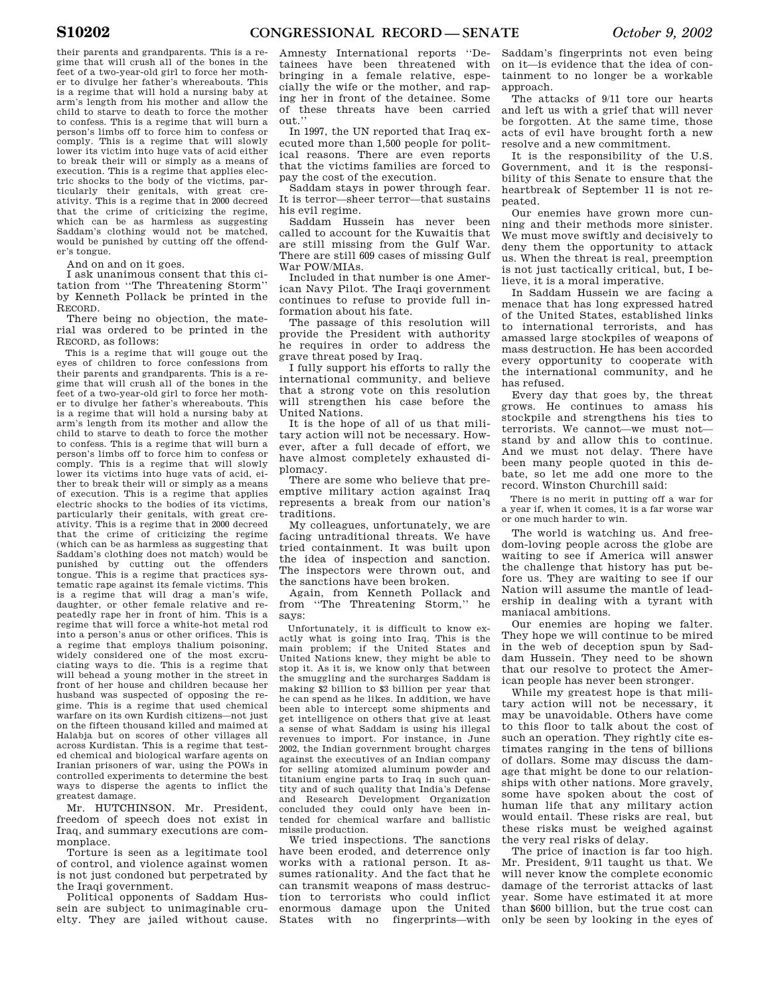their parents and grandparents. This is a regime that will crush all of the bones in the feet of a two-year-old girl to force her mother to divulge her father's whereabouts. This is a regime that will hold a nursing baby at arm's length from his mother and allow the child to starve to death to force the mother to confess. This is a regime that will burn a person's limbs off to force him to confess or comply. This is a regime that will slowly lower its victim into huge vats of acid either to break their will or simply as a means of execution. This is a regime that applies electric shocks to the body of the victims, particularly their genitals, with great creativity. This is a regime that in 2000 decreed that the crime of criticizing the regime, which can be as harmless as suggesting Saddam's clothing would not be matched, would be punished by cutting off the offender's tongue.

And on and on it goes.

I ask unanimous consent that this citation from ''The Threatening Storm'' by Kenneth Pollack be printed in the RECORD.

There being no objection, the material was ordered to be printed in the RECORD, as follows:

This is a regime that will gouge out the eyes of children to force confessions from their parents and grandparents. This is a regime that will crush all of the bones in the feet of a two-year-old girl to force her mother to divulge her father's whereabouts. This is a regime that will hold a nursing baby at arm's length from its mother and allow the child to starve to death to force the mother to confess. This is a regime that will burn a person's limbs off to force him to confess or comply. This is a regime that will slowly lower its victims into huge vats of acid, either to break their will or simply as a means of execution. This is a regime that applies electric shocks to the bodies of its victims, particularly their genitals, with great creativity. This is a regime that in 2000 decreed that the crime of criticizing the regime (which can be as harmless as suggesting that Saddam's clothing does not match) would be punished by cutting out the offenders tongue. This is a regime that practices systematic rape against its female victims. This is a regime that will drag a man's wife, daughter, or other female relative and repeatedly rape her in front of him. This is a regime that will force a white-hot metal rod into a person's anus or other orifices. This is a regime that employs thalium poisoning, widely considered one of the most excruciating ways to die. This is a regime that will behead a young mother in the street in front of her house and children because her husband was suspected of opposing the regime. This is a regime that used chemical warfare on its own Kurdish citizens—not just on the fifteen thousand killed and maimed at Halabja but on scores of other villages all across Kurdistan. This is a regime that tested chemical and biological warfare agents on Iranian prisoners of war, using the POWs in controlled experiments to determine the best ways to disperse the agents to inflict the greatest damage.

Mr. HUTCHINSON. Mr. President, freedom of speech does not exist in Iraq, and summary executions are commonplace.

Torture is seen as a legitimate tool of control, and violence against women is not just condoned but perpetrated by the Iraqi government.

Political opponents of Saddam Hussein are subject to unimaginable cruelty. They are jailed without cause.

Amnesty International reports ''Detainees have been threatened with bringing in a female relative, especially the wife or the mother, and raping her in front of the detainee. Some of these threats have been carried out.''

In 1997, the UN reported that Iraq executed more than 1,500 people for political reasons. There are even reports that the victims families are forced to pay the cost of the execution.

Saddam stays in power through fear. It is terror—sheer terror—that sustains his evil regime.

Saddam Hussein has never been called to account for the Kuwaitis that are still missing from the Gulf War. There are still 609 cases of missing Gulf War POW/MIAs.

Included in that number is one American Navy Pilot. The Iraqi government continues to refuse to provide full information about his fate.

The passage of this resolution will provide the President with authority he requires in order to address the grave threat posed by Iraq.

I fully support his efforts to rally the international community, and believe that a strong vote on this resolution will strengthen his case before the United Nations.

It is the hope of all of us that military action will not be necessary. However, after a full decade of effort, we have almost completely exhausted diplomacy.

There are some who believe that preemptive military action against Iraq represents a break from our nation's traditions.

My colleagues, unfortunately, we are facing untraditional threats. We have tried containment. It was built upon the idea of inspection and sanction. The inspectors were thrown out, and the sanctions have been broken.

Again, from Kenneth Pollack and from ''The Threatening Storm,'' he says:

Unfortunately, it is difficult to know exactly what is going into Iraq. This is the main problem; if the United States and United Nations knew, they might be able to stop it. As it is, we know only that between the smuggling and the surcharges Saddam is making \$2 billion to \$3 billion per year that he can spend as he likes. In addition, we have been able to intercept some shipments and get intelligence on others that give at least a sense of what Saddam is using his illegal revenues to import. For instance, in June 2002, the Indian government brought charges against the executives of an Indian company for selling atomized aluminum powder and titanium engine parts to Iraq in such quantity and of such quality that India's Defense and Research Development Organization concluded they could only have been intended for chemical warfare and ballistic missile production.

We tried inspections. The sanctions have been eroded, and deterrence only works with a rational person. It assumes rationality. And the fact that he can transmit weapons of mass destruction to terrorists who could inflict enormous damage upon the United States with no fingerprints—with

Saddam's fingerprints not even being on it—is evidence that the idea of containment to no longer be a workable approach.

The attacks of 9/11 tore our hearts and left us with a grief that will never be forgotten. At the same time, those acts of evil have brought forth a new resolve and a new commitment.

It is the responsibility of the U.S. Government, and it is the responsibility of this Senate to ensure that the heartbreak of September 11 is not repeated.

Our enemies have grown more cunning and their methods more sinister. We must move swiftly and decisively to deny them the opportunity to attack us. When the threat is real, preemption is not just tactically critical, but, I believe, it is a moral imperative.

In Saddam Hussein we are facing a menace that has long expressed hatred of the United States, established links to international terrorists, and has amassed large stockpiles of weapons of mass destruction. He has been accorded every opportunity to cooperate with the international community, and he has refused.

Every day that goes by, the threat grows. He continues to amass his stockpile and strengthens his ties to terrorists. We cannot—we must not stand by and allow this to continue. And we must not delay. There have been many people quoted in this debate, so let me add one more to the record. Winston Churchill said:

There is no merit in putting off a war for a year if, when it comes, it is a far worse war or one much harder to win.

The world is watching us. And freedom-loving people across the globe are waiting to see if America will answer the challenge that history has put before us. They are waiting to see if our Nation will assume the mantle of leadership in dealing with a tyrant with maniacal ambitions.

Our enemies are hoping we falter. They hope we will continue to be mired in the web of deception spun by Saddam Hussein. They need to be shown that our resolve to protect the American people has never been stronger.

While my greatest hope is that military action will not be necessary, it may be unavoidable. Others have come to this floor to talk about the cost of such an operation. They rightly cite estimates ranging in the tens of billions of dollars. Some may discuss the damage that might be done to our relationships with other nations. More gravely, some have spoken about the cost of human life that any military action would entail. These risks are real, but these risks must be weighed against the very real risks of delay.

The price of inaction is far too high. Mr. President, 9/11 taught us that. We will never know the complete economic damage of the terrorist attacks of last year. Some have estimated it at more than \$600 billion, but the true cost can only be seen by looking in the eyes of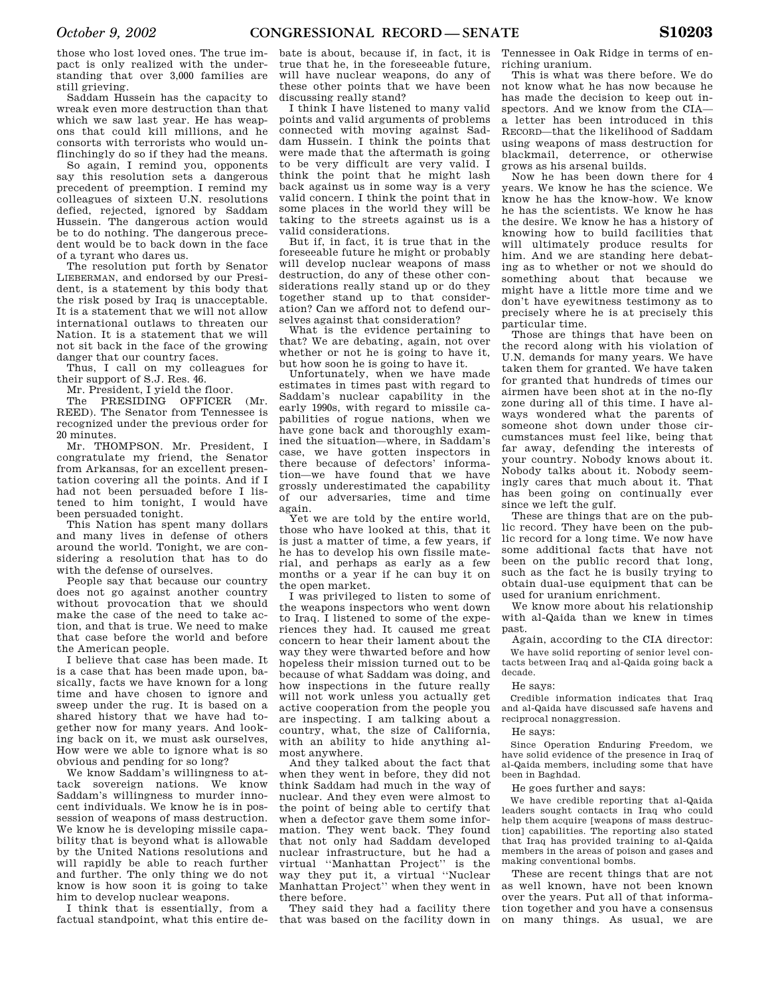those who lost loved ones. The true impact is only realized with the understanding that over 3,000 families are still grieving.

Saddam Hussein has the capacity to wreak even more destruction than that which we saw last year. He has weapons that could kill millions, and he consorts with terrorists who would unflinchingly do so if they had the means.

So again, I remind you, opponents say this resolution sets a dangerous precedent of preemption. I remind my colleagues of sixteen U.N. resolutions defied, rejected, ignored by Saddam Hussein. The dangerous action would be to do nothing. The dangerous precedent would be to back down in the face of a tyrant who dares us.

The resolution put forth by Senator LIEBERMAN, and endorsed by our President, is a statement by this body that the risk posed by Iraq is unacceptable. It is a statement that we will not allow international outlaws to threaten our Nation. It is a statement that we will not sit back in the face of the growing danger that our country faces.

Thus, I call on my colleagues for their support of S.J. Res. 46.

Mr. President, I yield the floor.

The PRESIDING OFFICER (Mr. REED). The Senator from Tennessee is recognized under the previous order for 20 minutes.

Mr. THOMPSON. Mr. President, I congratulate my friend, the Senator from Arkansas, for an excellent presentation covering all the points. And if I had not been persuaded before I listened to him tonight, I would have been persuaded tonight.

This Nation has spent many dollars and many lives in defense of others around the world. Tonight, we are considering a resolution that has to do with the defense of ourselves.

People say that because our country does not go against another country without provocation that we should make the case of the need to take action, and that is true. We need to make that case before the world and before the American people.

I believe that case has been made. It is a case that has been made upon, basically, facts we have known for a long time and have chosen to ignore and sweep under the rug. It is based on a shared history that we have had together now for many years. And looking back on it, we must ask ourselves, How were we able to ignore what is so obvious and pending for so long?

We know Saddam's willingness to attack sovereign nations. We know Saddam's willingness to murder innocent individuals. We know he is in possession of weapons of mass destruction. We know he is developing missile capability that is beyond what is allowable by the United Nations resolutions and will rapidly be able to reach further and further. The only thing we do not know is how soon it is going to take him to develop nuclear weapons.

I think that is essentially, from a factual standpoint, what this entire debate is about, because if, in fact, it is true that he, in the foreseeable future, will have nuclear weapons, do any of these other points that we have been discussing really stand?

I think I have listened to many valid points and valid arguments of problems connected with moving against Saddam Hussein. I think the points that were made that the aftermath is going to be very difficult are very valid. I think the point that he might lash back against us in some way is a very valid concern. I think the point that in some places in the world they will be taking to the streets against us is a valid considerations.

But if, in fact, it is true that in the foreseeable future he might or probably will develop nuclear weapons of mass destruction, do any of these other considerations really stand up or do they together stand up to that consideration? Can we afford not to defend ourselves against that consideration?

What is the evidence pertaining to that? We are debating, again, not over whether or not he is going to have it, but how soon he is going to have it.

Unfortunately, when we have made estimates in times past with regard to Saddam's nuclear capability in the early 1990s, with regard to missile capabilities of rogue nations, when we have gone back and thoroughly examined the situation—where, in Saddam's case, we have gotten inspectors in there because of defectors' information—we have found that we have grossly underestimated the capability of our adversaries, time and time again.

Yet we are told by the entire world, those who have looked at this, that it is just a matter of time, a few years, if he has to develop his own fissile material, and perhaps as early as a few months or a year if he can buy it on the open market.

I was privileged to listen to some of the weapons inspectors who went down to Iraq. I listened to some of the experiences they had. It caused me great concern to hear their lament about the way they were thwarted before and how hopeless their mission turned out to be because of what Saddam was doing, and how inspections in the future really will not work unless you actually get active cooperation from the people you are inspecting. I am talking about a country, what, the size of California, with an ability to hide anything almost anywhere.

And they talked about the fact that when they went in before, they did not think Saddam had much in the way of nuclear. And they even were almost to the point of being able to certify that when a defector gave them some information. They went back. They found that not only had Saddam developed nuclear infrastructure, but he had a virtual ''Manhattan Project'' is the way they put it, a virtual ''Nuclear Manhattan Project'' when they went in there before.

They said they had a facility there that was based on the facility down in

Tennessee in Oak Ridge in terms of enriching uranium.

This is what was there before. We do not know what he has now because he has made the decision to keep out inspectors. And we know from the CIA a letter has been introduced in this RECORD—that the likelihood of Saddam using weapons of mass destruction for blackmail, deterrence, or otherwise grows as his arsenal builds.

Now he has been down there for 4 years. We know he has the science. We know he has the know-how. We know he has the scientists. We know he has the desire. We know he has a history of knowing how to build facilities that will ultimately produce results for him. And we are standing here debating as to whether or not we should do something about that because we might have a little more time and we don't have eyewitness testimony as to precisely where he is at precisely this particular time.

Those are things that have been on the record along with his violation of U.N. demands for many years. We have taken them for granted. We have taken for granted that hundreds of times our airmen have been shot at in the no-fly zone during all of this time. I have always wondered what the parents of someone shot down under those circumstances must feel like, being that far away, defending the interests of your country. Nobody knows about it. Nobody talks about it. Nobody seemingly cares that much about it. That has been going on continually ever since we left the gulf.

These are things that are on the public record. They have been on the public record for a long time. We now have some additional facts that have not been on the public record that long, such as the fact he is busily trying to obtain dual-use equipment that can be used for uranium enrichment.

We know more about his relationship with al-Qaida than we knew in times past.

Again, according to the CIA director: We have solid reporting of senior level contacts between Iraq and al-Qaida going back a decade.

#### He says:

Credible information indicates that Iraq and al-Qaida have discussed safe havens and reciprocal nonaggression.

### He says:

Since Operation Enduring Freedom, we have solid evidence of the presence in Iraq of al-Qaida members, including some that have been in Baghdad.

## He goes further and says:

We have credible reporting that al-Qaida leaders sought contacts in Iraq who could help them acquire [weapons of mass destruction] capabilities. The reporting also stated that Iraq has provided training to al-Qaida members in the areas of poison and gases and making conventional bombs.

These are recent things that are not as well known, have not been known over the years. Put all of that information together and you have a consensus on many things. As usual, we are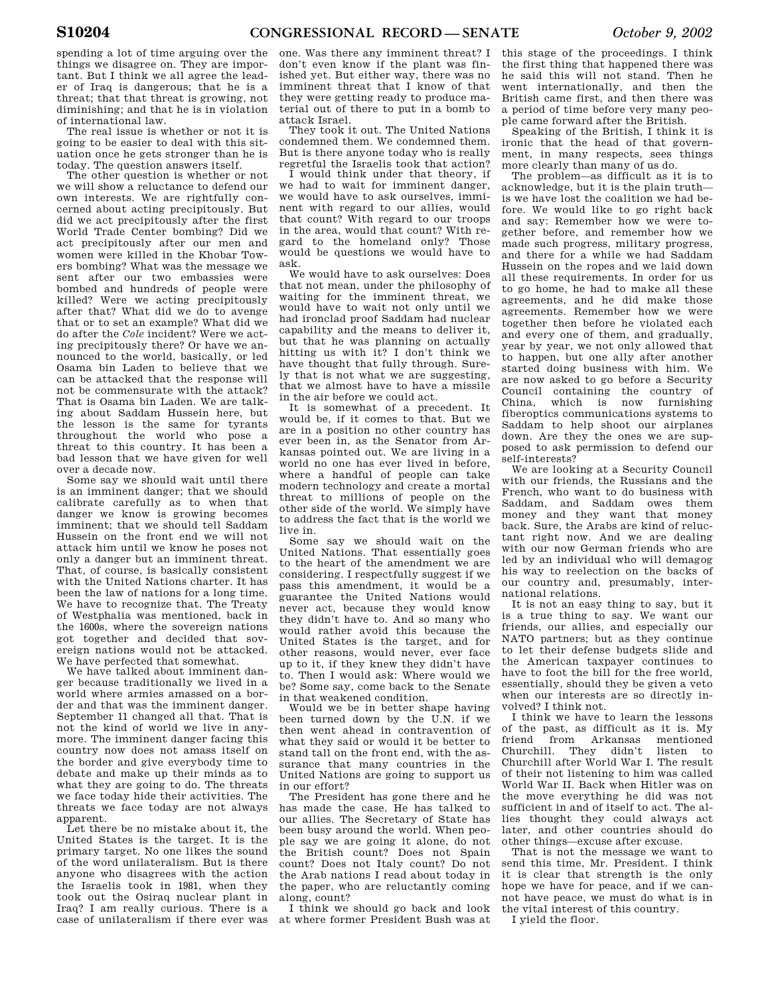spending a lot of time arguing over the things we disagree on. They are important. But I think we all agree the leader of Iraq is dangerous; that he is a threat; that that threat is growing, not diminishing; and that he is in violation of international law.

The real issue is whether or not it is going to be easier to deal with this situation once he gets stronger than he is today. The question answers itself.

The other question is whether or not we will show a reluctance to defend our own interests. We are rightfully concerned about acting precipitously. But did we act precipitously after the first World Trade Center bombing? Did we act precipitously after our men and women were killed in the Khobar Towers bombing? What was the message we sent after our two embassies were bombed and hundreds of people were killed? Were we acting precipitously after that? What did we do to avenge that or to set an example? What did we do after the *Cole* incident? Were we acting precipitously there? Or have we announced to the world, basically, or led Osama bin Laden to believe that we can be attacked that the response will not be commensurate with the attack? That is Osama bin Laden. We are talking about Saddam Hussein here, but the lesson is the same for tyrants throughout the world who pose a threat to this country. It has been a bad lesson that we have given for well over a decade now.

Some say we should wait until there is an imminent danger; that we should calibrate carefully as to when that danger we know is growing becomes imminent; that we should tell Saddam Hussein on the front end we will not attack him until we know he poses not only a danger but an imminent threat. That, of course, is basically consistent with the United Nations charter. It has been the law of nations for a long time. We have to recognize that. The Treaty of Westphalia was mentioned, back in the 1600s, where the sovereign nations got together and decided that sovereign nations would not be attacked. We have perfected that somewhat.

We have talked about imminent danger because traditionally we lived in a world where armies amassed on a border and that was the imminent danger. September 11 changed all that. That is not the kind of world we live in anymore. The imminent danger facing this country now does not amass itself on the border and give everybody time to debate and make up their minds as to what they are going to do. The threats we face today hide their activities. The threats we face today are not always apparent.

Let there be no mistake about it, the United States is the target. It is the primary target. No one likes the sound of the word unilateralism. But is there anyone who disagrees with the action the Israelis took in 1981, when they took out the Osiraq nuclear plant in Iraq? I am really curious. There is a case of unilateralism if there ever was

one. Was there any imminent threat? I don't even know if the plant was finished yet. But either way, there was no imminent threat that I know of that they were getting ready to produce material out of there to put in a bomb to attack Israel.

They took it out. The United Nations condemned them. We condemned them. But is there anyone today who is really regretful the Israelis took that action?

I would think under that theory, if we had to wait for imminent danger, we would have to ask ourselves, imminent with regard to our allies, would that count? With regard to our troops in the area, would that count? With regard to the homeland only? Those would be questions we would have to ask.

We would have to ask ourselves: Does that not mean, under the philosophy of waiting for the imminent threat, we would have to wait not only until we had ironclad proof Saddam had nuclear capability and the means to deliver it, but that he was planning on actually hitting us with it? I don't think we have thought that fully through. Surely that is not what we are suggesting, that we almost have to have a missile in the air before we could act.

It is somewhat of a precedent. It would be, if it comes to that. But we are in a position no other country has ever been in, as the Senator from Arkansas pointed out. We are living in a world no one has ever lived in before, where a handful of people can take modern technology and create a mortal threat to millions of people on the other side of the world. We simply have to address the fact that is the world we live in.

Some say we should wait on the United Nations. That essentially goes to the heart of the amendment we are considering. I respectfully suggest if we pass this amendment, it would be a guarantee the United Nations would never act, because they would know they didn't have to. And so many who would rather avoid this because the United States is the target, and for other reasons, would never, ever face up to it, if they knew they didn't have to. Then I would ask: Where would we be? Some say, come back to the Senate in that weakened condition.

Would we be in better shape having been turned down by the U.N. if we then went ahead in contravention of what they said or would it be better to stand tall on the front end, with the assurance that many countries in the United Nations are going to support us in our effort?

The President has gone there and he has made the case. He has talked to our allies. The Secretary of State has been busy around the world. When people say we are going it alone, do not the British count? Does not Spain count? Does not Italy count? Do not the Arab nations I read about today in the paper, who are reluctantly coming along, count?

I think we should go back and look at where former President Bush was at

this stage of the proceedings. I think the first thing that happened there was he said this will not stand. Then he went internationally, and then the British came first, and then there was a period of time before very many people came forward after the British.

Speaking of the British, I think it is ironic that the head of that government, in many respects, sees things more clearly than many of us do.

The problem—as difficult as it is to acknowledge, but it is the plain truth is we have lost the coalition we had before. We would like to go right back and say: Remember how we were together before, and remember how we made such progress, military progress, and there for a while we had Saddam Hussein on the ropes and we laid down all these requirements. In order for us to go home, he had to make all these agreements, and he did make those agreements. Remember how we were together then before he violated each and every one of them, and gradually, year by year, we not only allowed that to happen, but one ally after another started doing business with him. We are now asked to go before a Security Council containing the country of China. which is now furnishing which is now furnishing fiberoptics communications systems to Saddam to help shoot our airplanes down. Are they the ones we are supposed to ask permission to defend our self-interests?

We are looking at a Security Council with our friends, the Russians and the French, who want to do business with Saddam, and Saddam owes them money and they want that money back. Sure, the Arabs are kind of reluctant right now. And we are dealing with our now German friends who are led by an individual who will demagog his way to reelection on the backs of our country and, presumably, international relations.

It is not an easy thing to say, but it is a true thing to say. We want our friends, our allies, and especially our NATO partners; but as they continue to let their defense budgets slide and the American taxpayer continues to have to foot the bill for the free world, essentially, should they be given a veto when our interests are so directly involved? I think not.

I think we have to learn the lessons of the past, as difficult as it is. My friend from Arkansas mentioned Churchill. They didn't listen to Churchill after World War I. The result of their not listening to him was called World War II. Back when Hitler was on the move everything he did was not sufficient in and of itself to act. The allies thought they could always act later, and other countries should do other things—excuse after excuse.

That is not the message we want to send this time, Mr. President. I think it is clear that strength is the only hope we have for peace, and if we cannot have peace, we must do what is in the vital interest of this country.

I yield the floor.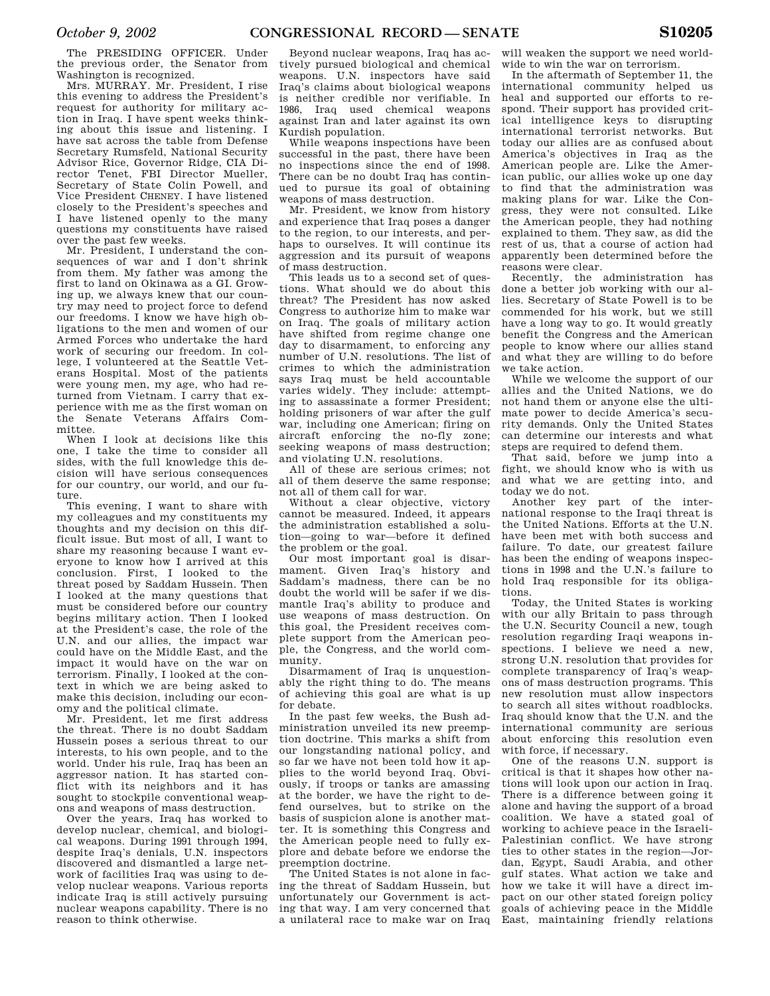The PRESIDING OFFICER. Under the previous order, the Senator from Washington is recognized.

Mrs. MURRAY. Mr. President, I rise this evening to address the President's request for authority for military action in Iraq. I have spent weeks thinking about this issue and listening. I have sat across the table from Defense Secretary Rumsfeld, National Security Advisor Rice, Governor Ridge, CIA Director Tenet, FBI Director Mueller, Secretary of State Colin Powell, and Vice President CHENEY. I have listened closely to the President's speeches and I have listened openly to the many questions my constituents have raised over the past few weeks.

Mr. President, I understand the consequences of war and I don't shrink from them. My father was among the first to land on Okinawa as a GI. Growing up, we always knew that our country may need to project force to defend our freedoms. I know we have high obligations to the men and women of our Armed Forces who undertake the hard work of securing our freedom. In college, I volunteered at the Seattle Veterans Hospital. Most of the patients were young men, my age, who had returned from Vietnam. I carry that experience with me as the first woman on the Senate Veterans Affairs Committee.

When I look at decisions like this one, I take the time to consider all sides, with the full knowledge this decision will have serious consequences for our country, our world, and our future.

This evening, I want to share with my colleagues and my constituents my thoughts and my decision on this difficult issue. But most of all, I want to share my reasoning because I want everyone to know how I arrived at this conclusion. First, I looked to the threat posed by Saddam Hussein. Then I looked at the many questions that must be considered before our country begins military action. Then I looked at the President's case, the role of the U.N. and our allies, the impact war could have on the Middle East, and the impact it would have on the war on terrorism. Finally, I looked at the context in which we are being asked to make this decision, including our economy and the political climate.

Mr. President, let me first address the threat. There is no doubt Saddam Hussein poses a serious threat to our interests, to his own people, and to the world. Under his rule, Iraq has been an aggressor nation. It has started conflict with its neighbors and it has sought to stockpile conventional weapons and weapons of mass destruction.

Over the years, Iraq has worked to develop nuclear, chemical, and biological weapons. During 1991 through 1994, despite Iraq's denials, U.N. inspectors discovered and dismantled a large network of facilities Iraq was using to develop nuclear weapons. Various reports indicate Iraq is still actively pursuing nuclear weapons capability. There is no reason to think otherwise.

Beyond nuclear weapons, Iraq has actively pursued biological and chemical weapons. U.N. inspectors have said Iraq's claims about biological weapons is neither credible nor verifiable. In 1986, Iraq used chemical weapons against Iran and later against its own Kurdish population.

While weapons inspections have been successful in the past, there have been no inspections since the end of 1998. There can be no doubt Iraq has continued to pursue its goal of obtaining weapons of mass destruction.

Mr. President, we know from history and experience that Iraq poses a danger to the region, to our interests, and perhaps to ourselves. It will continue its aggression and its pursuit of weapons of mass destruction.

This leads us to a second set of questions. What should we do about this threat? The President has now asked Congress to authorize him to make war on Iraq. The goals of military action have shifted from regime change one day to disarmament, to enforcing any number of U.N. resolutions. The list of crimes to which the administration says Iraq must be held accountable varies widely. They include: attempting to assassinate a former President; holding prisoners of war after the gulf war, including one American; firing on aircraft enforcing the no-fly zone; seeking weapons of mass destruction; and violating U.N. resolutions.

All of these are serious crimes; not all of them deserve the same response; not all of them call for war.

Without a clear objective, victory cannot be measured. Indeed, it appears the administration established a solution—going to war—before it defined the problem or the goal.

Our most important goal is disarmament. Given Iraq's history and Saddam's madness, there can be no doubt the world will be safer if we dismantle Iraq's ability to produce and use weapons of mass destruction. On this goal, the President receives complete support from the American people, the Congress, and the world community.

Disarmament of Iraq is unquestionably the right thing to do. The means of achieving this goal are what is up for debate.

In the past few weeks, the Bush administration unveiled its new preemption doctrine. This marks a shift from our longstanding national policy, and so far we have not been told how it applies to the world beyond Iraq. Obviously, if troops or tanks are amassing at the border, we have the right to defend ourselves, but to strike on the basis of suspicion alone is another matter. It is something this Congress and the American people need to fully explore and debate before we endorse the preemption doctrine.

The United States is not alone in facing the threat of Saddam Hussein, but unfortunately our Government is acting that way. I am very concerned that a unilateral race to make war on Iraq

will weaken the support we need worldwide to win the war on terrorism.

In the aftermath of September 11, the international community helped us heal and supported our efforts to respond. Their support has provided critical intelligence keys to disrupting international terrorist networks. But today our allies are as confused about America's objectives in Iraq as the American people are. Like the American public, our allies woke up one day to find that the administration was making plans for war. Like the Congress, they were not consulted. Like the American people, they had nothing explained to them. They saw, as did the rest of us, that a course of action had apparently been determined before the reasons were clear.

Recently, the administration has done a better job working with our allies. Secretary of State Powell is to be commended for his work, but we still have a long way to go. It would greatly benefit the Congress and the American people to know where our allies stand and what they are willing to do before we take action.

While we welcome the support of our allies and the United Nations, we do not hand them or anyone else the ultimate power to decide America's security demands. Only the United States can determine our interests and what steps are required to defend them.

That said, before we jump into a fight, we should know who is with us and what we are getting into, and today we do not.

Another key part of the international response to the Iraqi threat is the United Nations. Efforts at the U.N. have been met with both success and failure. To date, our greatest failure has been the ending of weapons inspections in 1998 and the U.N.'s failure to hold Iraq responsible for its obligations.

Today, the United States is working with our ally Britain to pass through the U.N. Security Council a new, tough resolution regarding Iraqi weapons inspections. I believe we need a new strong U.N. resolution that provides for complete transparency of Iraq's weapons of mass destruction programs. This new resolution must allow inspectors to search all sites without roadblocks. Iraq should know that the U.N. and the international community are serious about enforcing this resolution even with force, if necessary.

One of the reasons U.N. support is critical is that it shapes how other nations will look upon our action in Iraq. There is a difference between going it alone and having the support of a broad coalition. We have a stated goal of working to achieve peace in the Israeli-Palestinian conflict. We have strong ties to other states in the region—Jordan, Egypt, Saudi Arabia, and other gulf states. What action we take and how we take it will have a direct impact on our other stated foreign policy goals of achieving peace in the Middle East, maintaining friendly relations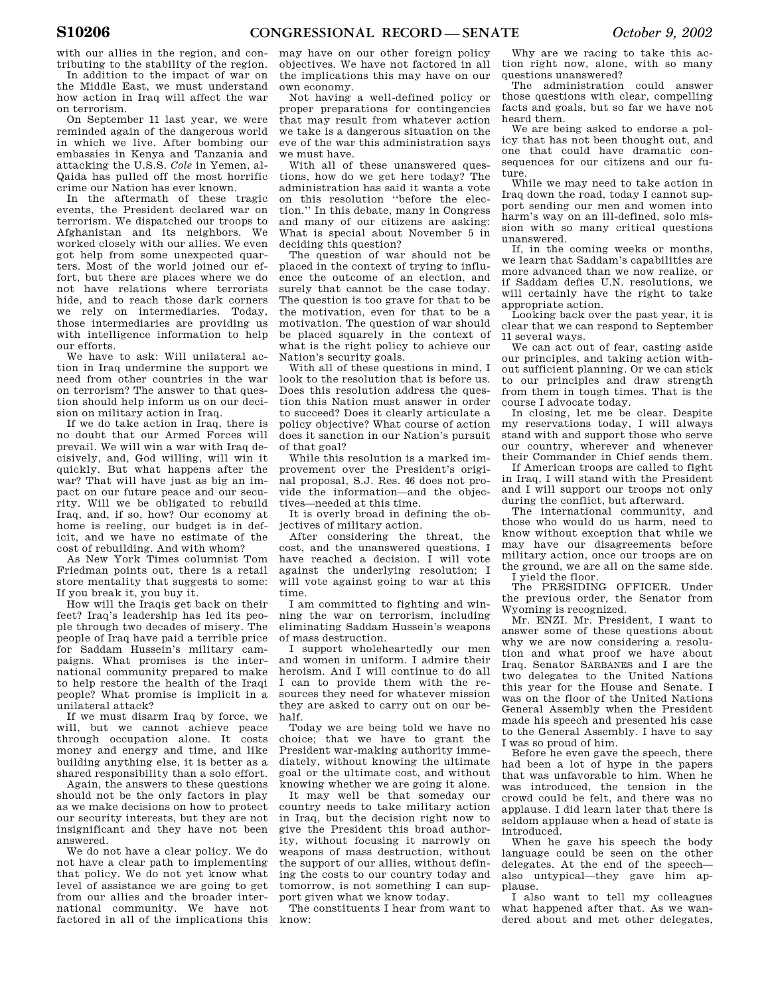with our allies in the region, and contributing to the stability of the region.

In addition to the impact of war on the Middle East, we must understand how action in Iraq will affect the war on terrorism.

On September 11 last year, we were reminded again of the dangerous world in which we live. After bombing our embassies in Kenya and Tanzania and attacking the U.S.S. *Cole* in Yemen, al-Qaida has pulled off the most horrific crime our Nation has ever known.

In the aftermath of these tragic events, the President declared war on terrorism. We dispatched our troops to Afghanistan and its neighbors. We worked closely with our allies. We even got help from some unexpected quarters. Most of the world joined our effort, but there are places where we do not have relations where terrorists hide, and to reach those dark corners we rely on intermediaries. Today, those intermediaries are providing us with intelligence information to help our efforts.

We have to ask: Will unilateral action in Iraq undermine the support we need from other countries in the war on terrorism? The answer to that question should help inform us on our decision on military action in Iraq.

If we do take action in Iraq, there is no doubt that our Armed Forces will prevail. We will win a war with Iraq decisively, and, God willing, will win it quickly. But what happens after the war? That will have just as big an impact on our future peace and our security. Will we be obligated to rebuild Iraq, and, if so, how? Our economy at home is reeling, our budget is in deficit, and we have no estimate of the cost of rebuilding. And with whom?

As New York Times columnist Tom Friedman points out, there is a retail store mentality that suggests to some: If you break it, you buy it.

How will the Iraqis get back on their feet? Iraq's leadership has led its people through two decades of misery. The people of Iraq have paid a terrible price for Saddam Hussein's military campaigns. What promises is the international community prepared to make to help restore the health of the Iraqi people? What promise is implicit in a unilateral attack?

If we must disarm Iraq by force, we will, but we cannot achieve peace through occupation alone. It costs money and energy and time, and like building anything else, it is better as a shared responsibility than a solo effort.

Again, the answers to these questions should not be the only factors in play as we make decisions on how to protect our security interests, but they are not insignificant and they have not been answered.

We do not have a clear policy. We do not have a clear path to implementing that policy. We do not yet know what level of assistance we are going to get from our allies and the broader international community. We have not factored in all of the implications this

may have on our other foreign policy objectives. We have not factored in all the implications this may have on our own economy.

Not having a well-defined policy or proper preparations for contingencies that may result from whatever action we take is a dangerous situation on the eve of the war this administration says we must have.

With all of these unanswered questions, how do we get here today? The administration has said it wants a vote on this resolution ''before the election.'' In this debate, many in Congress and many of our citizens are asking: What is special about November 5 in deciding this question?

The question of war should not be placed in the context of trying to influence the outcome of an election, and surely that cannot be the case today. The question is too grave for that to be the motivation, even for that to be a motivation. The question of war should be placed squarely in the context of what is the right policy to achieve our Nation's security goals.

With all of these questions in mind, I look to the resolution that is before us. Does this resolution address the question this Nation must answer in order to succeed? Does it clearly articulate a policy objective? What course of action does it sanction in our Nation's pursuit of that goal?

While this resolution is a marked improvement over the President's original proposal, S.J. Res. 46 does not provide the information—and the objectives—needed at this time.

It is overly broad in defining the objectives of military action.

After considering the threat, the cost, and the unanswered questions, I have reached a decision. I will vote against the underlying resolution; I will vote against going to war at this time.

I am committed to fighting and winning the war on terrorism, including eliminating Saddam Hussein's weapons of mass destruction.

I support wholeheartedly our men and women in uniform. I admire their heroism. And I will continue to do all I can to provide them with the resources they need for whatever mission they are asked to carry out on our behalf.

Today we are being told we have no choice; that we have to grant the President war-making authority immediately, without knowing the ultimate goal or the ultimate cost, and without knowing whether we are going it alone.

It may well be that someday our country needs to take military action in Iraq, but the decision right now to give the President this broad authority, without focusing it narrowly on weapons of mass destruction, without the support of our allies, without defining the costs to our country today and tomorrow, is not something I can support given what we know today.

The constituents I hear from want to know:

Why are we racing to take this action right now, alone, with so many questions unanswered?

The administration could answer those questions with clear, compelling facts and goals, but so far we have not heard them.

We are being asked to endorse a policy that has not been thought out, and one that could have dramatic consequences for our citizens and our future.

While we may need to take action in Iraq down the road, today I cannot support sending our men and women into harm's way on an ill-defined, solo mission with so many critical questions unanswered.

If, in the coming weeks or months, we learn that Saddam's capabilities are more advanced than we now realize, or if Saddam defies U.N. resolutions, we will certainly have the right to take appropriate action.

Looking back over the past year, it is clear that we can respond to September 11 several ways.

We can act out of fear, casting aside our principles, and taking action without sufficient planning. Or we can stick to our principles and draw strength from them in tough times. That is the course I advocate today.

In closing, let me be clear. Despite my reservations today, I will always stand with and support those who serve our country, wherever and whenever their Commander in Chief sends them.

If American troops are called to fight in Iraq, I will stand with the President and I will support our troops not only during the conflict, but afterward.

The international community, and those who would do us harm, need to know without exception that while we may have our disagreements before military action, once our troops are on the ground, we are all on the same side. I yield the floor.

The PRESIDING OFFICER. Under the previous order, the Senator from Wyoming is recognized.

Mr. ENZI. Mr. President, I want to answer some of these questions about why we are now considering a resolution and what proof we have about Iraq. Senator SARBANES and I are the two delegates to the United Nations this year for the House and Senate. I was on the floor of the United Nations General Assembly when the President made his speech and presented his case to the General Assembly. I have to say I was so proud of him.

Before he even gave the speech, there had been a lot of hype in the papers that was unfavorable to him. When he was introduced, the tension in the crowd could be felt, and there was no applause. I did learn later that there is seldom applause when a head of state is introduced.

When he gave his speech the body language could be seen on the other delegates. At the end of the speech also untypical—they gave him applause.

I also want to tell my colleagues what happened after that. As we wandered about and met other delegates,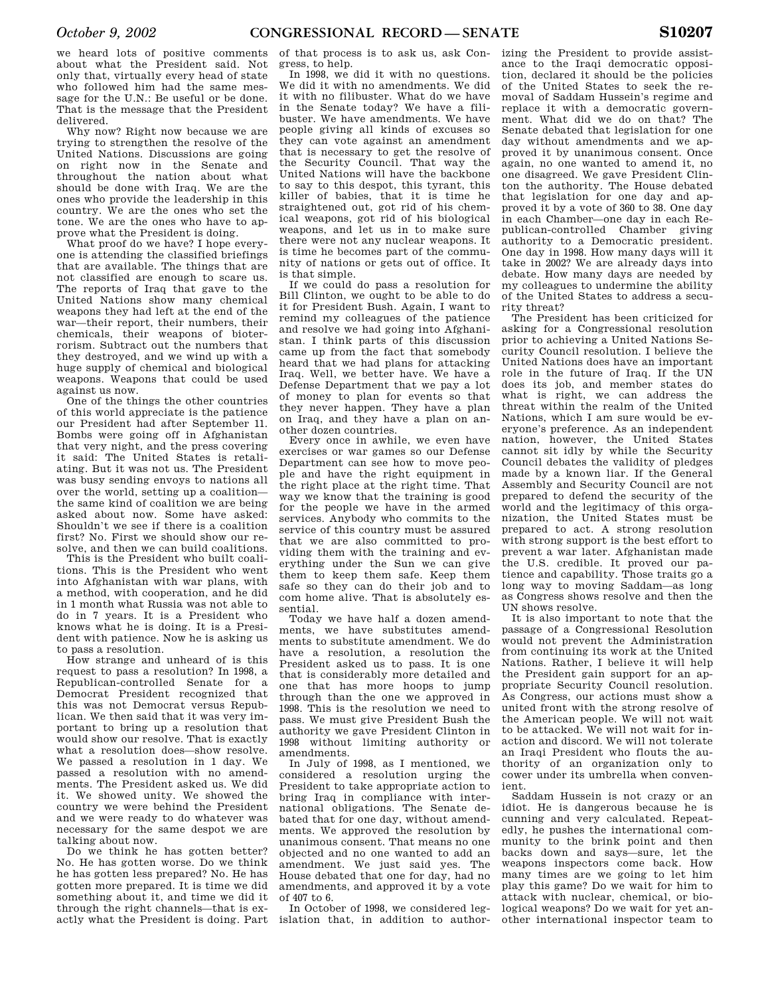we heard lots of positive comments about what the President said. Not only that, virtually every head of state who followed him had the same message for the U.N.: Be useful or be done. That is the message that the President delivered.

Why now? Right now because we are trying to strengthen the resolve of the United Nations. Discussions are going on right now in the Senate and throughout the nation about what should be done with Iraq. We are the ones who provide the leadership in this country. We are the ones who set the tone. We are the ones who have to approve what the President is doing.

What proof do we have? I hope everyone is attending the classified briefings that are available. The things that are not classified are enough to scare us. The reports of Iraq that gave to the United Nations show many chemical weapons they had left at the end of the war—their report, their numbers, their chemicals, their weapons of bioterrorism. Subtract out the numbers that they destroyed, and we wind up with a huge supply of chemical and biological weapons. Weapons that could be used against us now.

One of the things the other countries of this world appreciate is the patience our President had after September 11. Bombs were going off in Afghanistan that very night, and the press covering it said: The United States is retaliating. But it was not us. The President was busy sending envoys to nations all over the world, setting up a coalition the same kind of coalition we are being asked about now. Some have asked: Shouldn't we see if there is a coalition first? No. First we should show our resolve, and then we can build coalitions.

This is the President who built coalitions. This is the President who went into Afghanistan with war plans, with a method, with cooperation, and he did in 1 month what Russia was not able to do in 7 years. It is a President who knows what he is doing. It is a President with patience. Now he is asking us to pass a resolution.

How strange and unheard of is this request to pass a resolution? In 1998, a Republican-controlled Senate for a Democrat President recognized that this was not Democrat versus Republican. We then said that it was very important to bring up a resolution that would show our resolve. That is exactly what a resolution does—show resolve. We passed a resolution in 1 day. We passed a resolution with no amendments. The President asked us. We did it. We showed unity. We showed the country we were behind the President and we were ready to do whatever was necessary for the same despot we are talking about now.

Do we think he has gotten better? No. He has gotten worse. Do we think he has gotten less prepared? No. He has gotten more prepared. It is time we did something about it, and time we did it through the right channels—that is exactly what the President is doing. Part

of that process is to ask us, ask Congress, to help.

In 1998, we did it with no questions. We did it with no amendments. We did it with no filibuster. What do we have in the Senate today? We have a filibuster. We have amendments. We have people giving all kinds of excuses so they can vote against an amendment that is necessary to get the resolve of the Security Council. That way the United Nations will have the backbone to say to this despot, this tyrant, this killer of babies, that it is time he straightened out, got rid of his chemical weapons, got rid of his biological weapons, and let us in to make sure there were not any nuclear weapons. It is time he becomes part of the community of nations or gets out of office. It is that simple.

If we could do pass a resolution for Bill Clinton, we ought to be able to do it for President Bush. Again, I want to remind my colleagues of the patience and resolve we had going into Afghanistan. I think parts of this discussion came up from the fact that somebody heard that we had plans for attacking Iraq. Well, we better have. We have a Defense Department that we pay a lot of money to plan for events so that they never happen. They have a plan on Iraq, and they have a plan on another dozen countries.

Every once in awhile, we even have exercises or war games so our Defense Department can see how to move people and have the right equipment in the right place at the right time. That way we know that the training is good for the people we have in the armed services. Anybody who commits to the service of this country must be assured that we are also committed to providing them with the training and everything under the Sun we can give them to keep them safe. Keep them safe so they can do their job and to com home alive. That is absolutely essential.

Today we have half a dozen amendments, we have substitutes amendments to substitute amendment. We do have a resolution, a resolution the President asked us to pass. It is one that is considerably more detailed and one that has more hoops to jump through than the one we approved in 1998. This is the resolution we need to pass. We must give President Bush the authority we gave President Clinton in 1998 without limiting authority or amendments.

In July of 1998, as I mentioned, we considered a resolution urging the President to take appropriate action to bring Iraq in compliance with international obligations. The Senate debated that for one day, without amendments. We approved the resolution by unanimous consent. That means no one objected and no one wanted to add an amendment. We just said yes. The House debated that one for day, had no amendments, and approved it by a vote of  $407$  to  $6$ .

In October of 1998, we considered legislation that, in addition to authorizing the President to provide assistance to the Iraqi democratic opposition, declared it should be the policies of the United States to seek the removal of Saddam Hussein's regime and replace it with a democratic government. What did we do on that? The Senate debated that legislation for one day without amendments and we approved it by unanimous consent. Once again, no one wanted to amend it, no one disagreed. We gave President Clinton the authority. The House debated that legislation for one day and approved it by a vote of 360 to 38. One day in each Chamber—one day in each Republican-controlled Chamber giving authority to a Democratic president. One day in 1998. How many days will it take in 2002? We are already days into debate. How many days are needed by my colleagues to undermine the ability of the United States to address a security threat?

The President has been criticized for asking for a Congressional resolution prior to achieving a United Nations Security Council resolution. I believe the United Nations does have an important role in the future of Iraq. If the UN does its job, and member states do what is right, we can address the threat within the realm of the United Nations, which I am sure would be everyone's preference. As an independent nation, however, the United States cannot sit idly by while the Security Council debates the validity of pledges made by a known liar. If the General Assembly and Security Council are not prepared to defend the security of the world and the legitimacy of this organization, the United States must be prepared to act. A strong resolution with strong support is the best effort to prevent a war later. Afghanistan made the U.S. credible. It proved our patience and capability. Those traits go a long way to moving Saddam—as long as Congress shows resolve and then the UN shows resolve.

It is also important to note that the passage of a Congressional Resolution would not prevent the Administration from continuing its work at the United Nations. Rather, I believe it will help the President gain support for an appropriate Security Council resolution. As Congress, our actions must show a united front with the strong resolve of the American people. We will not wait to be attacked. We will not wait for inaction and discord. We will not tolerate an Iraqi President who flouts the authority of an organization only to cower under its umbrella when convenient.

Saddam Hussein is not crazy or an idiot. He is dangerous because he is cunning and very calculated. Repeatedly, he pushes the international community to the brink point and then backs down and says—sure, let the weapons inspectors come back. How many times are we going to let him play this game? Do we wait for him to attack with nuclear, chemical, or biological weapons? Do we wait for yet another international inspector team to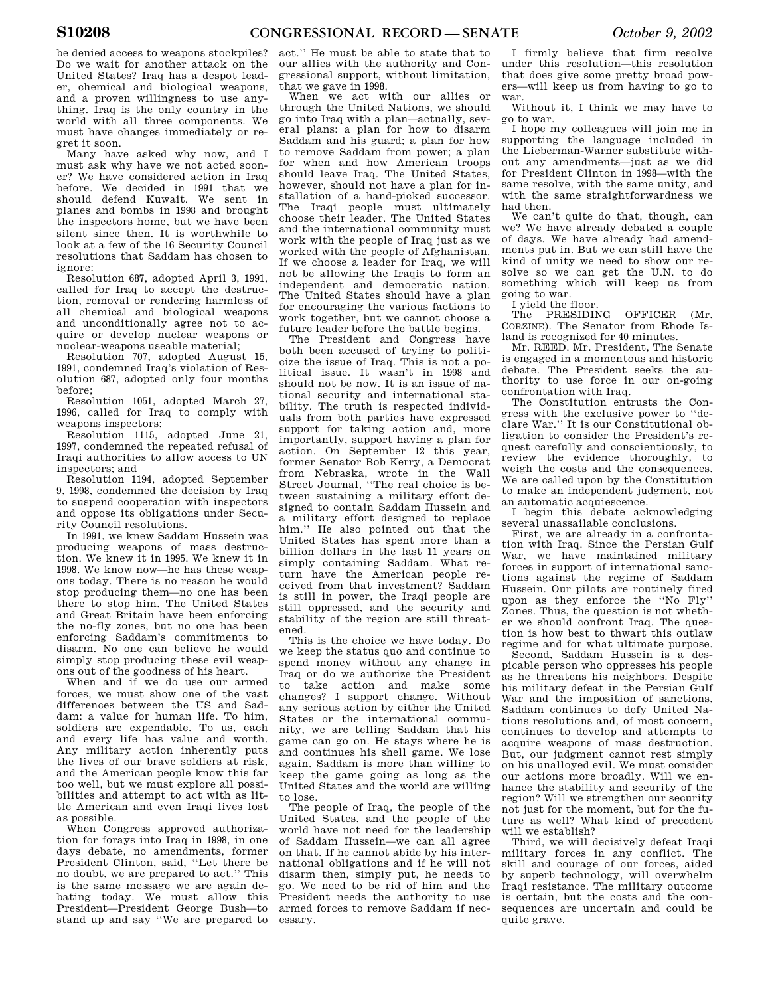be denied access to weapons stockpiles? Do we wait for another attack on the United States? Iraq has a despot leader, chemical and biological weapons, and a proven willingness to use anything. Iraq is the only country in the world with all three components. We must have changes immediately or regret it soon.

Many have asked why now, and I must ask why have we not acted sooner? We have considered action in Iraq before. We decided in 1991 that we should defend Kuwait. We sent in planes and bombs in 1998 and brought the inspectors home, but we have been silent since then. It is worthwhile to look at a few of the 16 Security Council resolutions that Saddam has chosen to ignore:

Resolution 687, adopted April 3, 1991, called for Iraq to accept the destruction, removal or rendering harmless of all chemical and biological weapons and unconditionally agree not to acquire or develop nuclear weapons or nuclear-weapons useable material;

Resolution 707, adopted August 15, 1991, condemned Iraq's violation of Resolution 687, adopted only four months before;

Resolution 1051, adopted March 27, 1996, called for Iraq to comply with weapons inspectors;

Resolution 1115, adopted June 21, 1997, condemned the repeated refusal of Iraqi authorities to allow access to UN inspectors; and

Resolution 1194, adopted September 9, 1998, condemned the decision by Iraq to suspend cooperation with inspectors and oppose its obligations under Security Council resolutions.

In 1991, we knew Saddam Hussein was producing weapons of mass destruction. We knew it in 1995. We knew it in 1998. We know now—he has these weapons today. There is no reason he would stop producing them—no one has been there to stop him. The United States and Great Britain have been enforcing the no-fly zones, but no one has been enforcing Saddam's commitments to disarm. No one can believe he would simply stop producing these evil weapons out of the goodness of his heart.

When and if we do use our armed forces, we must show one of the vast differences between the US and Saddam: a value for human life. To him, soldiers are expendable. To us, each and every life has value and worth. Any military action inherently puts the lives of our brave soldiers at risk, and the American people know this far too well, but we must explore all possibilities and attempt to act with as little American and even Iraqi lives lost as possible.

When Congress approved authorization for forays into Iraq in 1998, in one days debate, no amendments, former President Clinton, said, ''Let there be no doubt, we are prepared to act.'' This is the same message we are again debating today. We must allow this President—President George Bush—to stand up and say ''We are prepared to

act.'' He must be able to state that to our allies with the authority and Congressional support, without limitation, that we gave in 1998.

When we act with our allies or through the United Nations, we should go into Iraq with a plan—actually, several plans: a plan for how to disarm Saddam and his guard; a plan for how to remove Saddam from power; a plan for when and how American troops should leave Iraq. The United States. however, should not have a plan for installation of a hand-picked successor. The Iraqi people must ultimately choose their leader. The United States and the international community must work with the people of Iraq just as we worked with the people of Afghanistan. If we choose a leader for Iraq, we will not be allowing the Iraqis to form an independent and democratic nation. The United States should have a plan for encouraging the various factions to work together, but we cannot choose a future leader before the battle begins.

The President and Congress have both been accused of trying to politicize the issue of Iraq. This is not a political issue. It wasn't in 1998 and should not be now. It is an issue of national security and international stability. The truth is respected individuals from both parties have expressed support for taking action and, more importantly, support having a plan for action. On September 12 this year, former Senator Bob Kerry, a Democrat from Nebraska, wrote in the Wall Street Journal, ''The real choice is between sustaining a military effort designed to contain Saddam Hussein and a military effort designed to replace him.'' He also pointed out that the United States has spent more than a billion dollars in the last 11 years on simply containing Saddam. What return have the American people received from that investment? Saddam is still in power, the Iraqi people are still oppressed, and the security and stability of the region are still threatened.

This is the choice we have today. Do we keep the status quo and continue to spend money without any change in Iraq or do we authorize the President to take action and make some changes? I support change. Without any serious action by either the United States or the international community, we are telling Saddam that his game can go on. He stays where he is and continues his shell game. We lose again. Saddam is more than willing to keep the game going as long as the United States and the world are willing to lose.

The people of Iraq, the people of the United States, and the people of the world have not need for the leadership of Saddam Hussein—we can all agree on that. If he cannot abide by his international obligations and if he will not disarm then, simply put, he needs to go. We need to be rid of him and the President needs the authority to use armed forces to remove Saddam if necessary.

I firmly believe that firm resolve under this resolution—this resolution that does give some pretty broad powers—will keep us from having to go to war.

Without it, I think we may have to go to war.

I hope my colleagues will join me in supporting the language included in the Lieberman-Warner substitute without any amendments—just as we did for President Clinton in 1998—with the same resolve, with the same unity, and with the same straightforwardness we had then.

We can't quite do that, though, can we? We have already debated a couple of days. We have already had amendments put in. But we can still have the kind of unity we need to show our resolve so we can get the U.N. to do something which will keep us from going to war.

I yield the floor.

The PRESIDING OFFICER (Mr. CORZINE). The Senator from Rhode Island is recognized for 40 minutes.

Mr. REED. Mr. President, The Senate is engaged in a momentous and historic debate. The President seeks the authority to use force in our on-going confrontation with Iraq.

The Constitution entrusts the Congress with the exclusive power to ''declare War.'' It is our Constitutional obligation to consider the President's request carefully and conscientiously, to review the evidence thoroughly, to weigh the costs and the consequences. We are called upon by the Constitution to make an independent judgment, not an automatic acquiescence.

I begin this debate acknowledging several unassailable conclusions.

First, we are already in a confrontation with Iraq. Since the Persian Gulf War, we have maintained military forces in support of international sanctions against the regime of Saddam Hussein. Our pilots are routinely fired upon as they enforce the ''No Fly'' Zones. Thus, the question is not whether we should confront Iraq. The question is how best to thwart this outlaw regime and for what ultimate purpose.

Second, Saddam Hussein is a despicable person who oppresses his people as he threatens his neighbors. Despite his military defeat in the Persian Gulf War and the imposition of sanctions, Saddam continues to defy United Nations resolutions and, of most concern, continues to develop and attempts to acquire weapons of mass destruction. But, our judgment cannot rest simply on his unalloyed evil. We must consider our actions more broadly. Will we enhance the stability and security of the region? Will we strengthen our security not just for the moment, but for the future as well? What kind of precedent will we establish?

Third, we will decisively defeat Iraqi military forces in any conflict. The skill and courage of our forces, aided by superb technology, will overwhelm Iraqi resistance. The military outcome is certain, but the costs and the consequences are uncertain and could be quite grave.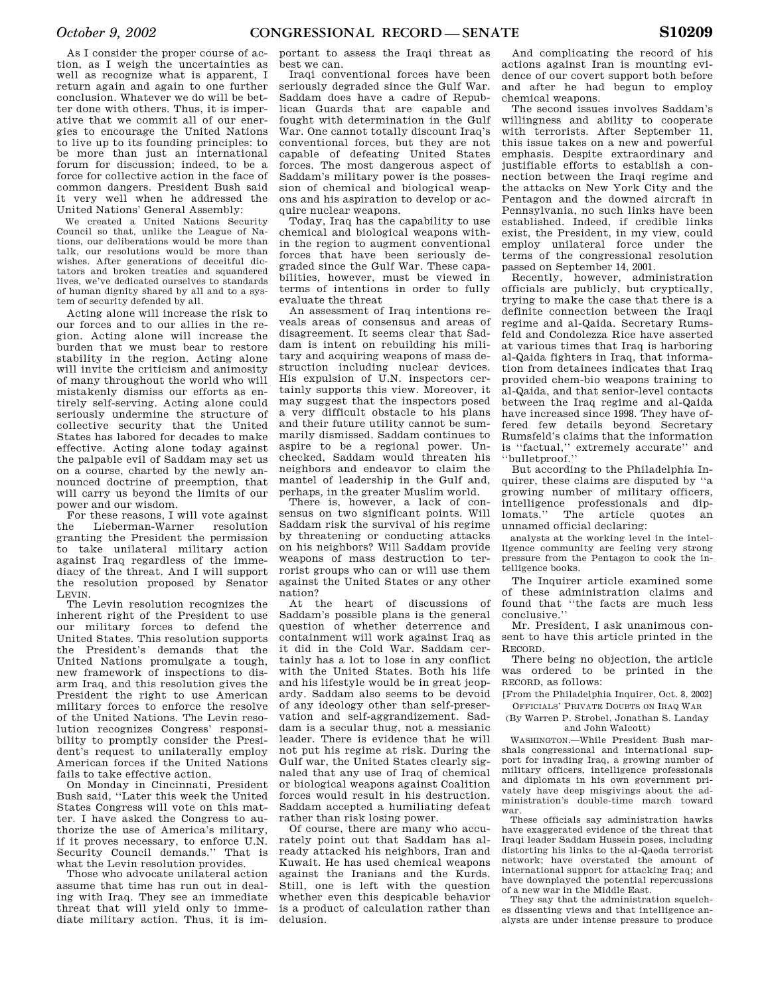As I consider the proper course of action, as I weigh the uncertainties as well as recognize what is apparent, I return again and again to one further conclusion. Whatever we do will be better done with others. Thus, it is imperative that we commit all of our energies to encourage the United Nations to live up to its founding principles: to be more than just an international forum for discussion; indeed, to be a force for collective action in the face of common dangers. President Bush said it very well when he addressed the United Nations' General Assembly:

We created a United Nations Security Council so that, unlike the League of Nations, our deliberations would be more than talk, our resolutions would be more than wishes. After generations of deceitful dictators and broken treaties and squandered lives, we've dedicated ourselves to standards of human dignity shared by all and to a system of security defended by all.

Acting alone will increase the risk to our forces and to our allies in the region. Acting alone will increase the burden that we must bear to restore stability in the region. Acting alone will invite the criticism and animosity of many throughout the world who will mistakenly dismiss our efforts as entirely self-serving. Acting alone could seriously undermine the structure of collective security that the United States has labored for decades to make effective. Acting alone today against the palpable evil of Saddam may set us on a course, charted by the newly announced doctrine of preemption, that will carry us beyond the limits of our power and our wisdom.

For these reasons, I will vote against the Lieberman-Warner resolution granting the President the permission to take unilateral military action against Iraq regardless of the immediacy of the threat. And I will support the resolution proposed by Senator LEVIN.

The Levin resolution recognizes the inherent right of the President to use our military forces to defend the United States. This resolution supports the President's demands that the United Nations promulgate a tough, new framework of inspections to disarm Iraq, and this resolution gives the President the right to use American military forces to enforce the resolve of the United Nations. The Levin resolution recognizes Congress' responsibility to promptly consider the President's request to unilaterally employ American forces if the United Nations fails to take effective action.

On Monday in Cincinnati, President Bush said, ''Later this week the United States Congress will vote on this matter. I have asked the Congress to authorize the use of America's military, if it proves necessary, to enforce U.N. Security Council demands.'' That is what the Levin resolution provides.

Those who advocate unilateral action assume that time has run out in dealing with Iraq. They see an immediate threat that will yield only to immediate military action. Thus, it is im-

portant to assess the Iraqi threat as best we can.

Iraqi conventional forces have been seriously degraded since the Gulf War. Saddam does have a cadre of Republican Guards that are capable and fought with determination in the Gulf War. One cannot totally discount Iraq's conventional forces, but they are not capable of defeating United States forces. The most dangerous aspect of Saddam's military power is the possession of chemical and biological weapons and his aspiration to develop or acquire nuclear weapons.

Today, Iraq has the capability to use chemical and biological weapons within the region to augment conventional forces that have been seriously degraded since the Gulf War. These capabilities, however, must be viewed in terms of intentions in order to fully evaluate the threat

An assessment of Iraq intentions reveals areas of consensus and areas of disagreement. It seems clear that Saddam is intent on rebuilding his military and acquiring weapons of mass destruction including nuclear devices. His expulsion of U.N. inspectors certainly supports this view. Moreover, it may suggest that the inspectors posed a very difficult obstacle to his plans and their future utility cannot be summarily dismissed. Saddam continues to aspire to be a regional power. Unchecked, Saddam would threaten his neighbors and endeavor to claim the mantel of leadership in the Gulf and, perhaps, in the greater Muslim world.

There is, however, a lack of consensus on two significant points. Will Saddam risk the survival of his regime by threatening or conducting attacks on his neighbors? Will Saddam provide weapons of mass destruction to terrorist groups who can or will use them against the United States or any other nation?

At the heart of discussions of Saddam's possible plans is the general question of whether deterrence and containment will work against Iraq as it did in the Cold War. Saddam certainly has a lot to lose in any conflict with the United States. Both his life and his lifestyle would be in great jeopardy. Saddam also seems to be devoid of any ideology other than self-preservation and self-aggrandizement. Saddam is a secular thug, not a messianic leader. There is evidence that he will not put his regime at risk. During the Gulf war, the United States clearly signaled that any use of Iraq of chemical or biological weapons against Coalition forces would result in his destruction. Saddam accepted a humiliating defeat rather than risk losing power.

Of course, there are many who accurately point out that Saddam has already attacked his neighbors, Iran and Kuwait. He has used chemical weapons against the Iranians and the Kurds. Still, one is left with the question whether even this despicable behavior is a product of calculation rather than delusion.

And complicating the record of his actions against Iran is mounting evidence of our covert support both before and after he had begun to employ chemical weapons.

The second issues involves Saddam's willingness and ability to cooperate with terrorists. After September 11, this issue takes on a new and powerful emphasis. Despite extraordinary and justifiable efforts to establish a connection between the Iraqi regime and the attacks on New York City and the Pentagon and the downed aircraft in Pennsylvania, no such links have been established. Indeed, if credible links exist, the President, in my view, could employ unilateral force under the terms of the congressional resolution passed on September 14, 2001.

Recently, however, administration officials are publicly, but cryptically, trying to make the case that there is a definite connection between the Iraqi regime and al-Qaida. Secretary Rumsfeld and Condolezza Rice have asserted at various times that Iraq is harboring al-Qaida fighters in Iraq, that information from detainees indicates that Iraq provided chem-bio weapons training to al-Qaida, and that senior-level contacts between the Iraq regime and al-Qaida have increased since 1998. They have offered few details beyond Secretary Rumsfeld's claims that the information is ''factual,'' extremely accurate'' and ''bulletproof.''

But according to the Philadelphia Inquirer, these claims are disputed by ''a growing number of military officers, intelligence professionals and diplomats.'' The article quotes an unnamed official declaring:

analysts at the working level in the intelligence community are feeling very strong pressure from the Pentagon to cook the intelligence books.

The Inquirer article examined some of these administration claims and found that ''the facts are much less conclusive.''

Mr. President, I ask unanimous consent to have this article printed in the RECORD.

There being no objection, the article was ordered to be printed in the RECORD, as follows:

[From the Philadelphia Inquirer, Oct. 8, 2002] OFFICIALS' PRIVATE DOUBTS ON IRAQ WAR

(By Warren P. Strobel, Jonathan S. Landay and John Walcott)

WASHINGTON.—While President Bush marshals congressional and international support for invading Iraq, a growing number of military officers, intelligence professionals and diplomats in his own government privately have deep misgivings about the administration's double-time march toward war.

These officials say administration hawks have exaggerated evidence of the threat that Iraqi leader Saddam Hussein poses, including distorting his links to the al-Qaeda terrorist network; have overstated the amount of international support for attacking Iraq; and have downplayed the potential repercussions of a new war in the Middle East.

They say that the administration squelches dissenting views and that intelligence analysts are under intense pressure to produce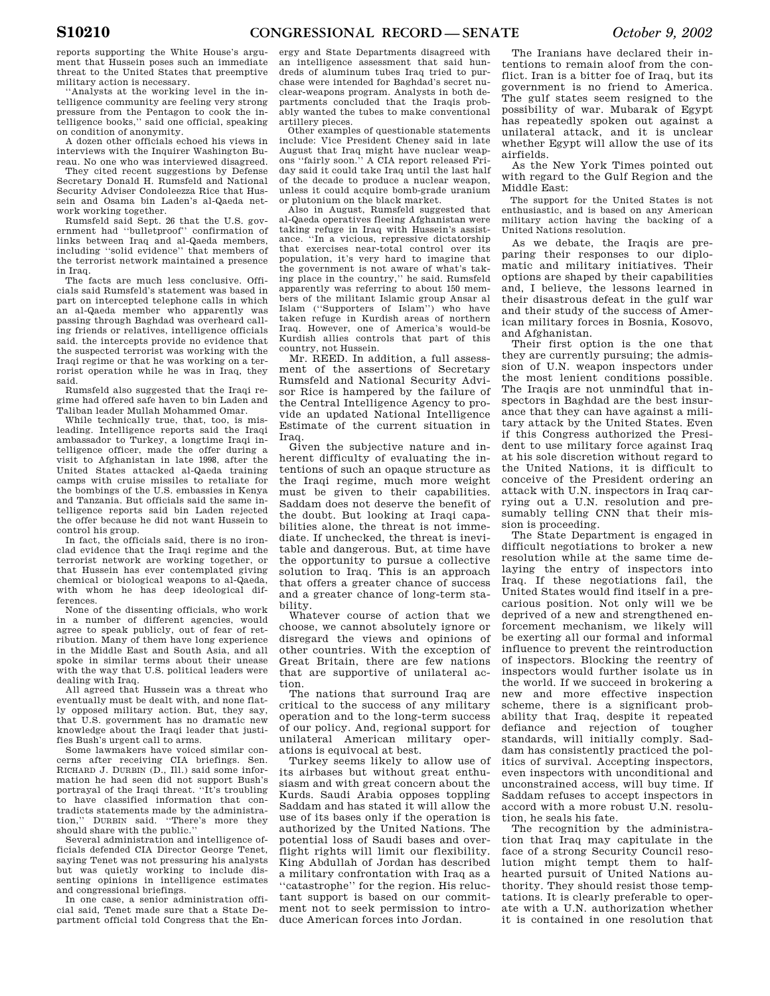reports supporting the White House's argument that Hussein poses such an immediate threat to the United States that preemptive military action is necessary.

''Analysts at the working level in the intelligence community are feeling very strong pressure from the Pentagon to cook the intelligence books,'' said one official, speaking on condition of anonymity.

A dozen other officials echoed his views in interviews with the Inquirer Washington Bureau. No one who was interviewed disagreed.

They cited recent suggestions by Defense Secretary Donald H. Rumsfeld and National Security Adviser Condoleezza Rice that Hussein and Osama bin Laden's al-Qaeda network working together.

Rumsfeld said Sept. 26 that the U.S. government had ''bulletproof'' confirmation of links between Iraq and al-Qaeda members, including ''solid evidence'' that members of the terrorist network maintained a presence in Iraq.

The facts are much less conclusive. Officials said Rumsfeld's statement was based in part on intercepted telephone calls in which an al-Qaeda member who apparently was passing through Baghdad was overheard calling friends or relatives, intelligence officials said. the intercepts provide no evidence that the suspected terrorist was working with the Iraqi regime or that he was working on a terrorist operation while he was in Iraq, they said.

Rumsfeld also suggested that the Iraqi regime had offered safe haven to bin Laden and Taliban leader Mullah Mohammed Omar.

While technically true, that, too, is misleading. Intelligence reports said the Iraqi ambassador to Turkey, a longtime Iraqi intelligence officer, made the offer during a visit to Afghanistan in late 1998, after the United States attacked al-Qaeda training camps with cruise missiles to retaliate for the bombings of the U.S. embassies in Kenya and Tanzania. But officials said the same intelligence reports said bin Laden rejected the offer because he did not want Hussein to control his group.

In fact, the officials said, there is no ironclad evidence that the Iraqi regime and the terrorist network are working together, or that Hussein has ever contemplated giving chemical or biological weapons to al-Qaeda, with whom he has deep ideological differences.

None of the dissenting officials, who work in a number of different agencies, would agree to speak publicly, out of fear of retribution. Many of them have long experience in the Middle East and South Asia, and all spoke in similar terms about their unease with the way that U.S. political leaders were dealing with Iraq.

All agreed that Hussein was a threat who eventually must be dealt with, and none flatly opposed military action. But, they say, that U.S. government has no dramatic new knowledge about the Iraqi leader that justifies Bush's urgent call to arms.

Some lawmakers have voiced similar concerns after receiving CIA briefings. Sen. RICHARD J. DURBIN (D., Ill.) said some information he had seen did not support Bush's portrayal of the Iraqi threat. ''It's troubling to have classified information that contradicts statements made by the administration,'' DURBIN said. ''There's more they should share with the public.''

Several administration and intelligence officials defended CIA Director George Tenet, saying Tenet was not pressuring his analysts but was quietly working to include dissenting opinions in intelligence estimates and congressional briefings.

In one case, a senior administration official said, Tenet made sure that a State Department official told Congress that the En-

ergy and State Departments disagreed with an intelligence assessment that said hundreds of aluminum tubes Iraq tried to purchase were intended for Baghdad's secret nuclear-weapons program. Analysts in both departments concluded that the Iraqis probably wanted the tubes to make conventional artillery pieces.

Other examples of questionable statements include: Vice President Cheney said in late August that Iraq might have nuclear weapons ''fairly soon.'' A CIA report released Friday said it could take Iraq until the last half of the decade to produce a nuclear weapon, unless it could acquire bomb-grade uranium or plutonium on the black market.

Also in August, Rumsfeld suggested that al-Qaeda operatives fleeing Afghanistan were taking refuge in Iraq with Hussein's assistance. ''In a vicious, repressive dictatorship that exercises near-total control over its population, it's very hard to imagine that the government is not aware of what's taking place in the country,'' he said. Rumsfeld apparently was referring to about 150 members of the militant Islamic group Ansar al Islam (''Supporters of Islam'') who have taken refuge in Kurdish areas of northern Iraq. However, one of America's would-be Kurdish allies controls that part of this country, not Hussein.

Mr. REED. In addition, a full assessment of the assertions of Secretary Rumsfeld and National Security Advisor Rice is hampered by the failure of the Central Intelligence Agency to provide an updated National Intelligence Estimate of the current situation in Iraq.

Given the subjective nature and inherent difficulty of evaluating the intentions of such an opaque structure as the Iraqi regime, much more weight must be given to their capabilities. Saddam does not deserve the benefit of the doubt. But looking at Iraqi capabilities alone, the threat is not immediate. If unchecked, the threat is inevitable and dangerous. But, at time have the opportunity to pursue a collective solution to Iraq. This is an approach that offers a greater chance of success and a greater chance of long-term stability.

Whatever course of action that we choose, we cannot absolutely ignore or disregard the views and opinions of other countries. With the exception of Great Britain, there are few nations that are supportive of unilateral action.

The nations that surround Iraq are critical to the success of any military operation and to the long-term success of our policy. And, regional support for unilateral American military operations is equivocal at best.

Turkey seems likely to allow use of its airbases but without great enthusiasm and with great concern about the Kurds. Saudi Arabia opposes toppling Saddam and has stated it will allow the use of its bases only if the operation is authorized by the United Nations. The potential loss of Saudi bases and overflight rights will limit our flexibility. King Abdullah of Jordan has described a military confrontation with Iraq as a ''catastrophe'' for the region. His reluctant support is based on our commitment not to seek permission to introduce American forces into Jordan.

The Iranians have declared their intentions to remain aloof from the conflict. Iran is a bitter foe of Iraq, but its government is no friend to America. The gulf states seem resigned to the possibility of war. Mubarak of Egypt has repeatedly spoken out against a unilateral attack, and it is unclear whether Egypt will allow the use of its airfields.

As the New York Times pointed out with regard to the Gulf Region and the Middle East:

The support for the United States is not enthusiastic, and is based on any American military action having the backing of a United Nations resolution.

As we debate, the Iraqis are preparing their responses to our diplomatic and military initiatives. Their options are shaped by their capabilities and, I believe, the lessons learned in their disastrous defeat in the gulf war and their study of the success of American military forces in Bosnia, Kosovo, and Afghanistan.

Their first option is the one that they are currently pursuing; the admission of U.N. weapon inspectors under the most lenient conditions possible. The Iraqis are not unmindful that inspectors in Baghdad are the best insurance that they can have against a military attack by the United States. Even if this Congress authorized the President to use military force against Iraq at his sole discretion without regard to the United Nations, it is difficult to conceive of the President ordering an attack with U.N. inspectors in Iraq carrying out a U.N. resolution and presumably telling CNN that their mission is proceeding.

The State Department is engaged in difficult negotiations to broker a new resolution while at the same time delaying the entry of inspectors into Iraq. If these negotiations fail, the United States would find itself in a precarious position. Not only will we be deprived of a new and strengthened enforcement mechanism, we likely will be exerting all our formal and informal influence to prevent the reintroduction of inspectors. Blocking the reentry of inspectors would further isolate us in the world. If we succeed in brokering a new and more effective inspection scheme, there is a significant probability that Iraq, despite it repeated defiance and rejection of tougher standards, will initially comply. Saddam has consistently practiced the politics of survival. Accepting inspectors, even inspectors with unconditional and unconstrained access, will buy time. If Saddam refuses to accept inspectors in accord with a more robust U.N. resolution, he seals his fate.

The recognition by the administration that Iraq may capitulate in the face of a strong Security Council resolution might tempt them to halfhearted pursuit of United Nations authority. They should resist those temptations. It is clearly preferable to operate with a U.N. authorization whether it is contained in one resolution that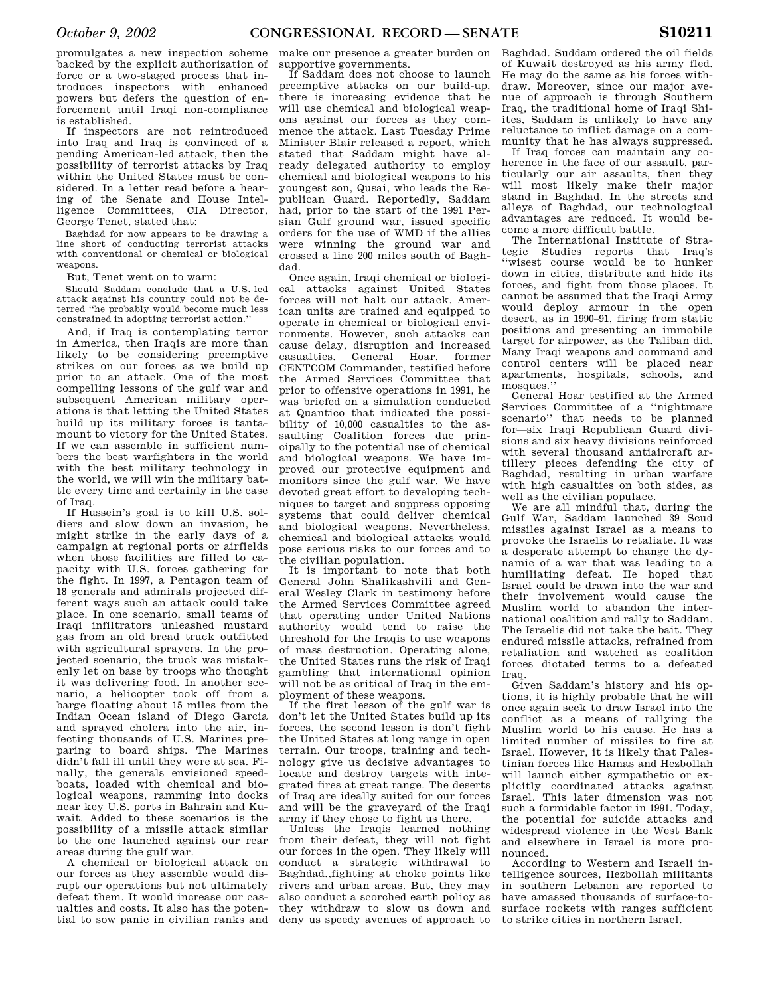promulgates a new inspection scheme backed by the explicit authorization of force or a two-staged process that introduces inspectors with enhanced powers but defers the question of enforcement until Iraqi non-compliance is established.

If inspectors are not reintroduced into Iraq and Iraq is convinced of a pending American-led attack, then the possibility of terrorist attacks by Iraq within the United States must be considered. In a letter read before a hearing of the Senate and House Intelligence Committees, CIA Director, George Tenet, stated that:

Baghdad for now appears to be drawing a line short of conducting terrorist attacks with conventional or chemical or biological weapons.

But, Tenet went on to warn:

Should Saddam conclude that a U.S.-led attack against his country could not be deterred ''he probably would become much less constrained in adopting terrorist action.''

And, if Iraq is contemplating terror in America, then Iraqis are more than likely to be considering preemptive strikes on our forces as we build up prior to an attack. One of the most compelling lessons of the gulf war and subsequent American military operations is that letting the United States build up its military forces is tantamount to victory for the United States. If we can assemble in sufficient numbers the best warfighters in the world with the best military technology in the world, we will win the military battle every time and certainly in the case of Iraq.

If Hussein's goal is to kill U.S. soldiers and slow down an invasion, he might strike in the early days of a campaign at regional ports or airfields when those facilities are filled to capacity with U.S. forces gathering for the fight. In 1997, a Pentagon team of 18 generals and admirals projected different ways such an attack could take place. In one scenario, small teams of Iraqi infiltrators unleashed mustard gas from an old bread truck outfitted with agricultural sprayers. In the projected scenario, the truck was mistakenly let on base by troops who thought it was delivering food. In another scenario, a helicopter took off from a barge floating about 15 miles from the Indian Ocean island of Diego Garcia and sprayed cholera into the air, infecting thousands of U.S. Marines preparing to board ships. The Marines didn't fall ill until they were at sea. Finally, the generals envisioned speedboats, loaded with chemical and biological weapons, ramming into docks near key U.S. ports in Bahrain and Kuwait. Added to these scenarios is the possibility of a missile attack similar to the one launched against our rear areas during the gulf war.

A chemical or biological attack on our forces as they assemble would disrupt our operations but not ultimately defeat them. It would increase our casualties and costs. It also has the potential to sow panic in civilian ranks and

make our presence a greater burden on supportive governments.

If Saddam does not choose to launch preemptive attacks on our build-up, there is increasing evidence that he will use chemical and biological weapons against our forces as they commence the attack. Last Tuesday Prime Minister Blair released a report, which stated that Saddam might have already delegated authority to employ chemical and biological weapons to his youngest son, Qusai, who leads the Republican Guard. Reportedly, Saddam had, prior to the start of the 1991 Persian Gulf ground war, issued specific orders for the use of WMD if the allies were winning the ground war and crossed a line 200 miles south of Baghdad.

Once again, Iraqi chemical or biological attacks against United States forces will not halt our attack. American units are trained and equipped to operate in chemical or biological environments. However, such attacks can cause delay, disruption and increased casualties. General Hoar, former CENTCOM Commander, testified before the Armed Services Committee that prior to offensive operations in 1991, he was briefed on a simulation conducted at Quantico that indicated the possibility of 10,000 casualties to the assaulting Coalition forces due principally to the potential use of chemical and biological weapons. We have improved our protective equipment and monitors since the gulf war. We have devoted great effort to developing techniques to target and suppress opposing systems that could deliver chemical and biological weapons. Nevertheless, chemical and biological attacks would pose serious risks to our forces and to the civilian population.

It is important to note that both General John Shalikashvili and General Wesley Clark in testimony before the Armed Services Committee agreed that operating under United Nations authority would tend to raise the threshold for the Iraqis to use weapons of mass destruction. Operating alone, the United States runs the risk of Iraqi gambling that international opinion will not be as critical of Iraq in the employment of these weapons.

If the first lesson of the gulf war is don't let the United States build up its forces, the second lesson is don't fight the United States at long range in open terrain. Our troops, training and technology give us decisive advantages to locate and destroy targets with integrated fires at great range. The deserts of Iraq are ideally suited for our forces and will be the graveyard of the Iraqi army if they chose to fight us there.

Unless the Iraqis learned nothing from their defeat, they will not fight our forces in the open. They likely will conduct a strategic withdrawal to Baghdad.,fighting at choke points like rivers and urban areas. But, they may also conduct a scorched earth policy as they withdraw to slow us down and deny us speedy avenues of approach to

Baghdad. Suddam ordered the oil fields of Kuwait destroyed as his army fled. He may do the same as his forces withdraw. Moreover, since our major avenue of approach is through Southern Iraq, the traditional home of Iraqi Shiites, Saddam is unlikely to have any reluctance to inflict damage on a community that he has always suppressed.

If Iraq forces can maintain any coherence in the face of our assault, particularly our air assaults, then they will most likely make their major stand in Baghdad. In the streets and alleys of Baghdad, our technological advantages are reduced. It would become a more difficult battle.

The International Institute of Strategic Studies reports that Iraq's ''wisest course would be to hunker down in cities, distribute and hide its forces, and fight from those places. It cannot be assumed that the Iraqi Army would deploy armour in the open desert, as in 1990–91, firing from static positions and presenting an immobile target for airpower, as the Taliban did. Many Iraqi weapons and command and control centers will be placed near apartments, hospitals, schools, and mosques.''

General Hoar testified at the Armed Services Committee of a ''nightmare scenario'' that needs to be planned for—six Iraqi Republican Guard divisions and six heavy divisions reinforced with several thousand antiaircraft artillery pieces defending the city of Baghdad, resulting in urban warfare with high casualties on both sides, as well as the civilian populace.

We are all mindful that, during the Gulf War, Saddam launched 39 Scud missiles against Israel as a means to provoke the Israelis to retaliate. It was a desperate attempt to change the dynamic of a war that was leading to a humiliating defeat. He hoped that Israel could be drawn into the war and their involvement would cause the Muslim world to abandon the international coalition and rally to Saddam. The Israelis did not take the bait. They endured missile attacks, refrained from retaliation and watched as coalition forces dictated terms to a defeated  $Ira<sub>0</sub>$ 

Given Saddam's history and his options, it is highly probable that he will once again seek to draw Israel into the conflict as a means of rallying the Muslim world to his cause. He has a limited number of missiles to fire at Israel. However, it is likely that Palestinian forces like Hamas and Hezbollah will launch either sympathetic or explicitly coordinated attacks against Israel. This later dimension was not such a formidable factor in 1991. Today, the potential for suicide attacks and widespread violence in the West Bank and elsewhere in Israel is more pronounced.

According to Western and Israeli intelligence sources, Hezbollah militants in southern Lebanon are reported to have amassed thousands of surface-tosurface rockets with ranges sufficient to strike cities in northern Israel.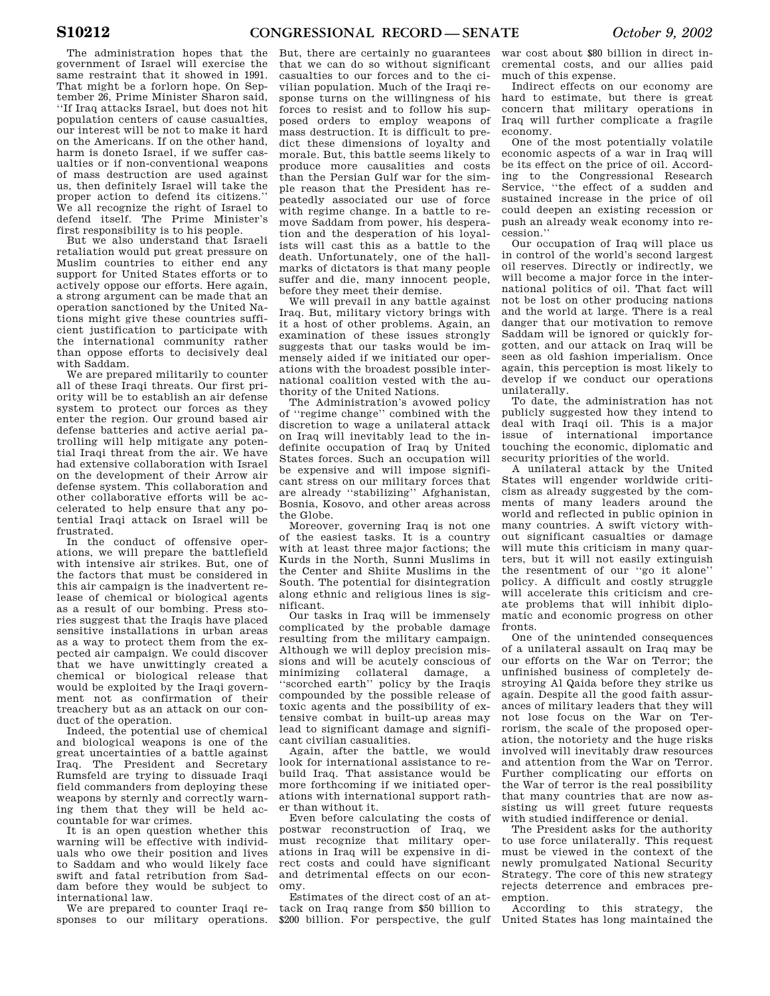The administration hopes that the government of Israel will exercise the same restraint that it showed in 1991. That might be a forlorn hope. On September 26, Prime Minister Sharon said, ''If Iraq attacks Israel, but does not hit population centers of cause casualties, our interest will be not to make it hard on the Americans. If on the other hand, harm is doneto Israel, if we suffer casualties or if non-conventional weapons of mass destruction are used against us, then definitely Israel will take the proper action to defend its citizens.'' We all recognize the right of Israel to defend itself. The Prime Minister's first responsibility is to his people.

But we also understand that Israeli retaliation would put great pressure on Muslim countries to either end any support for United States efforts or to actively oppose our efforts. Here again, a strong argument can be made that an operation sanctioned by the United Nations might give these countries sufficient justification to participate with the international community rather than oppose efforts to decisively deal with Saddam.

We are prepared militarily to counter all of these Iraqi threats. Our first priority will be to establish an air defense system to protect our forces as they enter the region. Our ground based air defense batteries and active aerial patrolling will help mitigate any potential Iraqi threat from the air. We have had extensive collaboration with Israel on the development of their Arrow air defense system. This collaboration and other collaborative efforts will be accelerated to help ensure that any potential Iraqi attack on Israel will be frustrated.

In the conduct of offensive operations, we will prepare the battlefield with intensive air strikes. But, one of the factors that must be considered in this air campaign is the inadvertent release of chemical or biological agents as a result of our bombing. Press stories suggest that the Iraqis have placed sensitive installations in urban areas as a way to protect them from the expected air campaign. We could discover that we have unwittingly created a chemical or biological release that would be exploited by the Iraqi government not as confirmation of their treachery but as an attack on our conduct of the operation.

Indeed, the potential use of chemical and biological weapons is one of the great uncertainties of a battle against Iraq. The President and Secretary Rumsfeld are trying to dissuade Iraqi field commanders from deploying these weapons by sternly and correctly warning them that they will be held accountable for war crimes.

It is an open question whether this warning will be effective with individuals who owe their position and lives to Saddam and who would likely face swift and fatal retribution from Saddam before they would be subject to international law.

We are prepared to counter Iraqi responses to our military operations.

But, there are certainly no guarantees that we can do so without significant casualties to our forces and to the civilian population. Much of the Iraqi response turns on the willingness of his forces to resist and to follow his supposed orders to employ weapons of mass destruction. It is difficult to predict these dimensions of loyalty and morale. But, this battle seems likely to produce more causalities and costs than the Persian Gulf war for the simple reason that the President has repeatedly associated our use of force with regime change. In a battle to remove Saddam from power, his desperation and the desperation of his loyalists will cast this as a battle to the death. Unfortunately, one of the hallmarks of dictators is that many people suffer and die, many innocent people, before they meet their demise.

We will prevail in any battle against Iraq. But, military victory brings with it a host of other problems. Again, an examination of these issues strongly suggests that our tasks would be immensely aided if we initiated our operations with the broadest possible international coalition vested with the authority of the United Nations.

The Administration's avowed policy of ''regime change'' combined with the discretion to wage a unilateral attack on Iraq will inevitably lead to the indefinite occupation of Iraq by United States forces. Such an occupation will be expensive and will impose significant stress on our military forces that are already ''stabilizing'' Afghanistan, Bosnia, Kosovo, and other areas across the Globe.

Moreover, governing Iraq is not one of the easiest tasks. It is a country with at least three major factions; the Kurds in the North, Sunni Muslims in the Center and Shiite Muslims in the South. The potential for disintegration along ethnic and religious lines is significant.

Our tasks in Iraq will be immensely complicated by the probable damage resulting from the military campaign. Although we will deploy precision missions and will be acutely conscious of minimizing collateral damage, a ''scorched earth'' policy by the Iraqis compounded by the possible release of toxic agents and the possibility of extensive combat in built-up areas may lead to significant damage and significant civilian casualities.

Again, after the battle, we would look for international assistance to rebuild Iraq. That assistance would be more forthcoming if we initiated operations with international support rather than without it.

Even before calculating the costs of postwar reconstruction of Iraq, we must recognize that military operations in Iraq will be expensive in direct costs and could have significant and detrimental effects on our economy.

Estimates of the direct cost of an attack on Iraq range from \$50 billion to \$200 billion. For perspective, the gulf United States has long maintained the

war cost about \$80 billion in direct incremental costs, and our allies paid much of this expense.

Indirect effects on our economy are hard to estimate, but there is great concern that military operations in Iraq will further complicate a fragile economy.

One of the most potentially volatile economic aspects of a war in Iraq will be its effect on the price of oil. According to the Congressional Research Service, ''the effect of a sudden and sustained increase in the price of oil could deepen an existing recession or push an already weak economy into recession.''

Our occupation of Iraq will place us in control of the world's second largest oil reserves. Directly or indirectly, we will become a major force in the international politics of oil. That fact will not be lost on other producing nations and the world at large. There is a real danger that our motivation to remove Saddam will be ignored or quickly forgotten, and our attack on Iraq will be seen as old fashion imperialism. Once again, this perception is most likely to develop if we conduct our operations unilaterally.

To date, the administration has not publicly suggested how they intend to deal with Iraqi oil. This is a major issue of international importance touching the economic, diplomatic and security priorities of the world.

A unilateral attack by the United States will engender worldwide criticism as already suggested by the comments of many leaders around the world and reflected in public opinion in many countries. A swift victory without significant casualties or damage will mute this criticism in many quarters, but it will not easily extinguish the resentment of our ''go it alone'' policy. A difficult and costly struggle will accelerate this criticism and create problems that will inhibit diplomatic and economic progress on other fronts.

One of the unintended consequences of a unilateral assault on Iraq may be our efforts on the War on Terror; the unfinished business of completely destroying Al Qaida before they strike us again. Despite all the good faith assurances of military leaders that they will not lose focus on the War on Terrorism, the scale of the proposed operation, the notoriety and the huge risks involved will inevitably draw resources and attention from the War on Terror. Further complicating our efforts on the War of terror is the real possibility that many countries that are now assisting us will greet future requests with studied indifference or denial.

The President asks for the authority to use force unilaterally. This request must be viewed in the context of the newly promulgated National Security Strategy. The core of this new strategy rejects deterrence and embraces preemption.

According to this strategy, the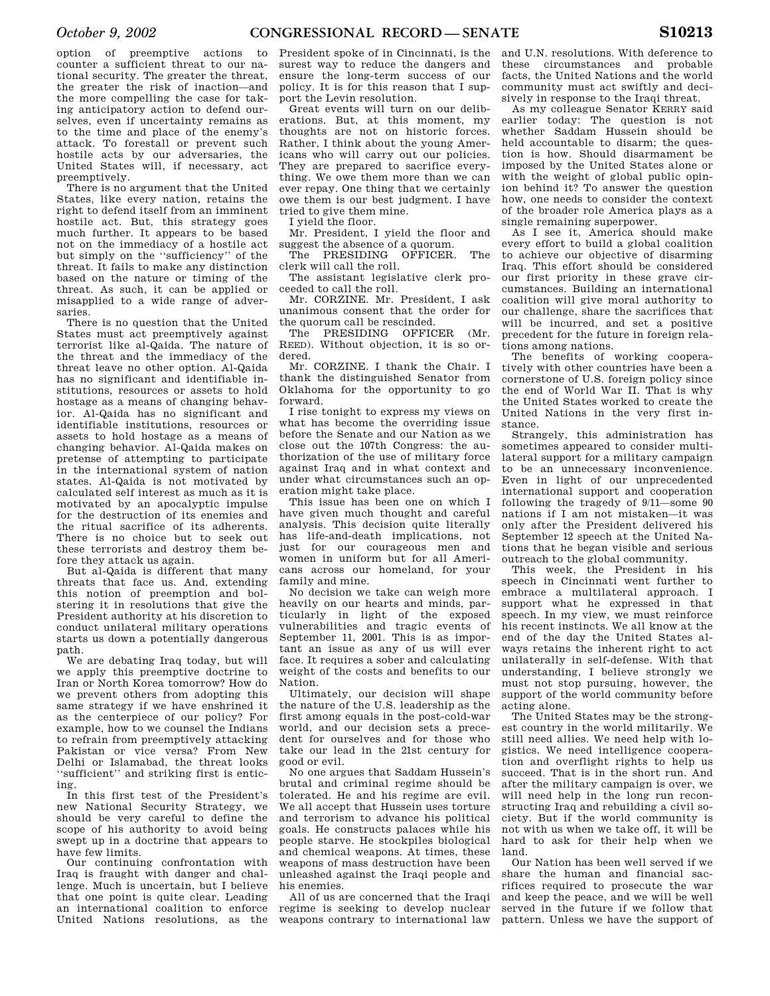option of preemptive actions to counter a sufficient threat to our national security. The greater the threat, the greater the risk of inaction—and the more compelling the case for taking anticipatory action to defend ourselves, even if uncertainty remains as to the time and place of the enemy's attack. To forestall or prevent such hostile acts by our adversaries, the United States will, if necessary, act preemptively.

There is no argument that the United States, like every nation, retains the right to defend itself from an imminent hostile act. But, this strategy goes much further. It appears to be based not on the immediacy of a hostile act but simply on the ''sufficiency'' of the threat. It fails to make any distinction based on the nature or timing of the threat. As such, it can be applied or misapplied to a wide range of adversaries.

There is no question that the United States must act preemptively against terrorist like al-Qaida. The nature of the threat and the immediacy of the threat leave no other option. Al-Qaida has no significant and identifiable institutions, resources or assets to hold hostage as a means of changing behavior. Al-Qaida has no significant and identifiable institutions, resources or assets to hold hostage as a means of changing behavior. Al-Qaida makes on pretense of attempting to participate in the international system of nation states. Al-Qaida is not motivated by calculated self interest as much as it is motivated by an apocalyptic impulse for the destruction of its enemies and the ritual sacrifice of its adherents. There is no choice but to seek out these terrorists and destroy them before they attack us again.

But al-Qaida is different that many threats that face us. And, extending this notion of preemption and bolstering it in resolutions that give the President authority at his discretion to conduct unilateral military operations starts us down a potentially dangerous path.

We are debating Iraq today, but will we apply this preemptive doctrine to Iran or North Korea tomorrow? How do we prevent others from adopting this same strategy if we have enshrined it as the centerpiece of our policy? For example, how to we counsel the Indians to refrain from preemptively attacking Pakistan or vice versa? From New Delhi or Islamabad, the threat looks ''sufficient'' and striking first is enticing.

In this first test of the President's new National Security Strategy, we should be very careful to define the scope of his authority to avoid being swept up in a doctrine that appears to have few limits.

Our continuing confrontation with Iraq is fraught with danger and challenge. Much is uncertain, but I believe that one point is quite clear. Leading an international coalition to enforce United Nations resolutions, as the

President spoke of in Cincinnati, is the surest way to reduce the dangers and ensure the long-term success of our policy. It is for this reason that I support the Levin resolution.

Great events will turn on our deliberations. But, at this moment, my thoughts are not on historic forces. Rather, I think about the young Americans who will carry out our policies. They are prepared to sacrifice everything. We owe them more than we can ever repay. One thing that we certainly owe them is our best judgment. I have tried to give them mine.

I yield the floor.

Mr. President, I yield the floor and suggest the absence of a quorum.

The PRESIDING OFFICER. The clerk will call the roll.

The assistant legislative clerk proceeded to call the roll.

Mr. CORZINE. Mr. President, I ask unanimous consent that the order for the quorum call be rescinded.

The PRESIDING OFFICER (Mr. REED). Without objection, it is so ordered.

Mr. CORZINE. I thank the Chair. I thank the distinguished Senator from Oklahoma for the opportunity to go forward.

I rise tonight to express my views on what has become the overriding issue before the Senate and our Nation as we close out the 107th Congress: the authorization of the use of military force against Iraq and in what context and under what circumstances such an operation might take place.

This issue has been one on which I have given much thought and careful analysis. This decision quite literally has life-and-death implications, not just for our courageous men and women in uniform but for all Americans across our homeland, for your family and mine.

No decision we take can weigh more heavily on our hearts and minds, particularly in light of the exposed vulnerabilities and tragic events of September 11, 2001. This is as important an issue as any of us will ever face. It requires a sober and calculating weight of the costs and benefits to our Nation.

Ultimately, our decision will shape the nature of the U.S. leadership as the first among equals in the post-cold-war world, and our decision sets a precedent for ourselves and for those who take our lead in the 21st century for good or evil.

No one argues that Saddam Hussein's brutal and criminal regime should be tolerated. He and his regime are evil. We all accept that Hussein uses torture and terrorism to advance his political goals. He constructs palaces while his people starve. He stockpiles biological and chemical weapons. At times, these weapons of mass destruction have been unleashed against the Iraqi people and his enemies.

All of us are concerned that the Iraqi regime is seeking to develop nuclear weapons contrary to international law

and U.N. resolutions. With deference to these circumstances and probable facts, the United Nations and the world community must act swiftly and decisively in response to the Iraqi threat.

As my colleague Senator KERRY said earlier today: The question is not whether Saddam Hussein should be held accountable to disarm; the question is how. Should disarmament be imposed by the United States alone or with the weight of global public opinion behind it? To answer the question how, one needs to consider the context of the broader role America plays as a single remaining superpower.

As I see it, America should make every effort to build a global coalition to achieve our objective of disarming Iraq. This effort should be considered our first priority in these grave circumstances. Building an international coalition will give moral authority to our challenge, share the sacrifices that will be incurred, and set a positive precedent for the future in foreign relations among nations.

The benefits of working cooperatively with other countries have been a cornerstone of U.S. foreign policy since the end of World War II. That is why the United States worked to create the United Nations in the very first instance.

Strangely, this administration has sometimes appeared to consider multilateral support for a military campaign to be an unnecessary inconvenience. Even in light of our unprecedented international support and cooperation following the tragedy of 9/11—some 90 nations if I am not mistaken—it was only after the President delivered his September 12 speech at the United Nations that he began visible and serious outreach to the global community.

This week, the President in his speech in Cincinnati went further to embrace a multilateral approach. I support what he expressed in that speech. In my view, we must reinforce his recent instincts. We all know at the end of the day the United States always retains the inherent right to act unilaterally in self-defense. With that understanding, I believe strongly we must not stop pursuing, however, the support of the world community before acting alone.

The United States may be the strongest country in the world militarily. We still need allies. We need help with logistics. We need intelligence cooperation and overflight rights to help us succeed. That is in the short run. And after the military campaign is over, we will need help in the long run reconstructing Iraq and rebuilding a civil society. But if the world community is not with us when we take off, it will be hard to ask for their help when we land.

Our Nation has been well served if we share the human and financial sacrifices required to prosecute the war and keep the peace, and we will be well served in the future if we follow that pattern. Unless we have the support of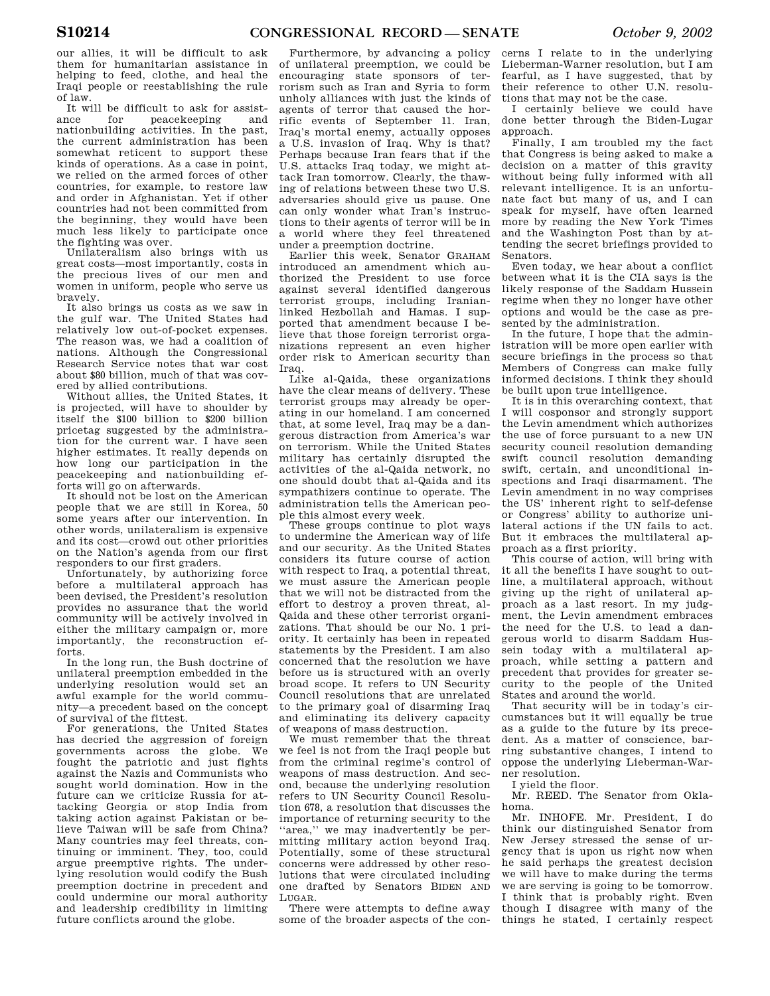our allies, it will be difficult to ask them for humanitarian assistance in helping to feed, clothe, and heal the Iraqi people or reestablishing the rule of law.

It will be difficult to ask for assist-<br>nce for peacekeeping and ance for peacekeeping and nationbuilding activities. In the past, the current administration has been somewhat reticent to support these kinds of operations. As a case in point, we relied on the armed forces of other countries, for example, to restore law and order in Afghanistan. Yet if other countries had not been committed from the beginning, they would have been much less likely to participate once the fighting was over.

Unilateralism also brings with us great costs—most importantly, costs in the precious lives of our men and women in uniform, people who serve us bravely.

It also brings us costs as we saw in the gulf war. The United States had relatively low out-of-pocket expenses. The reason was, we had a coalition of nations. Although the Congressional Research Service notes that war cost about \$80 billion, much of that was covered by allied contributions.

Without allies, the United States, it is projected, will have to shoulder by itself the \$100 billion to \$200 billion pricetag suggested by the administration for the current war. I have seen higher estimates. It really depends on how long our participation in the peacekeeping and nationbuilding efforts will go on afterwards.

It should not be lost on the American people that we are still in Korea, 50 some years after our intervention. In other words, unilateralism is expensive and its cost—crowd out other priorities on the Nation's agenda from our first responders to our first graders.

Unfortunately, by authorizing force before a multilateral approach has been devised, the President's resolution provides no assurance that the world community will be actively involved in either the military campaign or, more importantly, the reconstruction efforts.

In the long run, the Bush doctrine of unilateral preemption embedded in the underlying resolution would set an awful example for the world community—a precedent based on the concept of survival of the fittest.

For generations, the United States has decried the aggression of foreign governments across the globe. We fought the patriotic and just fights against the Nazis and Communists who sought world domination. How in the future can we criticize Russia for attacking Georgia or stop India from taking action against Pakistan or believe Taiwan will be safe from China? Many countries may feel threats, continuing or imminent. They, too, could argue preemptive rights. The underlying resolution would codify the Bush preemption doctrine in precedent and could undermine our moral authority and leadership credibility in limiting future conflicts around the globe.

Furthermore, by advancing a policy of unilateral preemption, we could be encouraging state sponsors of terrorism such as Iran and Syria to form unholy alliances with just the kinds of agents of terror that caused the horrific events of September 11. Iran, Iraq's mortal enemy, actually opposes a U.S. invasion of Iraq. Why is that? Perhaps because Iran fears that if the U.S. attacks Iraq today, we might attack Iran tomorrow. Clearly, the thawing of relations between these two U.S. adversaries should give us pause. One can only wonder what Iran's instructions to their agents of terror will be in a world where they feel threatened under a preemption doctrine.

Earlier this week, Senator GRAHAM introduced an amendment which authorized the President to use force against several identified dangerous terrorist groups, including Iranianlinked Hezbollah and Hamas. I supported that amendment because I believe that those foreign terrorist organizations represent an even higher order risk to American security than Iraq.

Like al-Qaida, these organizations have the clear means of delivery. These terrorist groups may already be operating in our homeland. I am concerned that, at some level, Iraq may be a dangerous distraction from America's war on terrorism. While the United States military has certainly disrupted the activities of the al-Qaida network, no one should doubt that al-Qaida and its sympathizers continue to operate. The administration tells the American people this almost every week.

These groups continue to plot ways to undermine the American way of life and our security. As the United States considers its future course of action with respect to Iraq, a potential threat, we must assure the American people that we will not be distracted from the effort to destroy a proven threat, al-Qaida and these other terrorist organizations. That should be our No. 1 priority. It certainly has been in repeated statements by the President. I am also concerned that the resolution we have before us is structured with an overly broad scope. It refers to UN Security Council resolutions that are unrelated to the primary goal of disarming Iraq and eliminating its delivery capacity of weapons of mass destruction.

We must remember that the threat we feel is not from the Iraqi people but from the criminal regime's control of weapons of mass destruction. And second, because the underlying resolution refers to UN Security Council Resolution 678, a resolution that discusses the importance of returning security to the ''area,'' we may inadvertently be permitting military action beyond Iraq. Potentially, some of these structural concerns were addressed by other resolutions that were circulated including one drafted by Senators BIDEN AND LUGAR.

There were attempts to define away some of the broader aspects of the con-

cerns I relate to in the underlying Lieberman-Warner resolution, but I am fearful, as I have suggested, that by their reference to other U.N. resolutions that may not be the case.

I certainly believe we could have done better through the Biden-Lugar approach.

Finally, I am troubled my the fact that Congress is being asked to make a decision on a matter of this gravity without being fully informed with all relevant intelligence. It is an unfortunate fact but many of us, and I can speak for myself, have often learned more by reading the New York Times and the Washington Post than by attending the secret briefings provided to Senators.

Even today, we hear about a conflict between what it is the CIA says is the likely response of the Saddam Hussein regime when they no longer have other options and would be the case as presented by the administration.

In the future, I hope that the administration will be more open earlier with secure briefings in the process so that Members of Congress can make fully informed decisions. I think they should be built upon true intelligence.

It is in this overarching context, that I will cosponsor and strongly support the Levin amendment which authorizes the use of force pursuant to a new UN security council resolution demanding swift council resolution demanding swift, certain, and unconditional inspections and Iraqi disarmament. The Levin amendment in no way comprises the US' inherent right to self-defense or Congress' ability to authorize unilateral actions if the UN fails to act. But it embraces the multilateral approach as a first priority.

This course of action, will bring with it all the benefits I have sought to outline, a multilateral approach, without giving up the right of unilateral approach as a last resort. In my judgment, the Levin amendment embraces the need for the U.S. to lead a dangerous world to disarm Saddam Hussein today with a multilateral approach, while setting a pattern and precedent that provides for greater security to the people of the United States and around the world.

That security will be in today's circumstances but it will equally be true as a guide to the future by its precedent. As a matter of conscience, barring substantive changes, I intend to oppose the underlying Lieberman-Warner resolution.

I yield the floor.

Mr. REED. The Senator from Oklahoma.

Mr. INHOFE. Mr. President, I do think our distinguished Senator from New Jersey stressed the sense of urgency that is upon us right now when he said perhaps the greatest decision we will have to make during the terms we are serving is going to be tomorrow. I think that is probably right. Even though I disagree with many of the things he stated, I certainly respect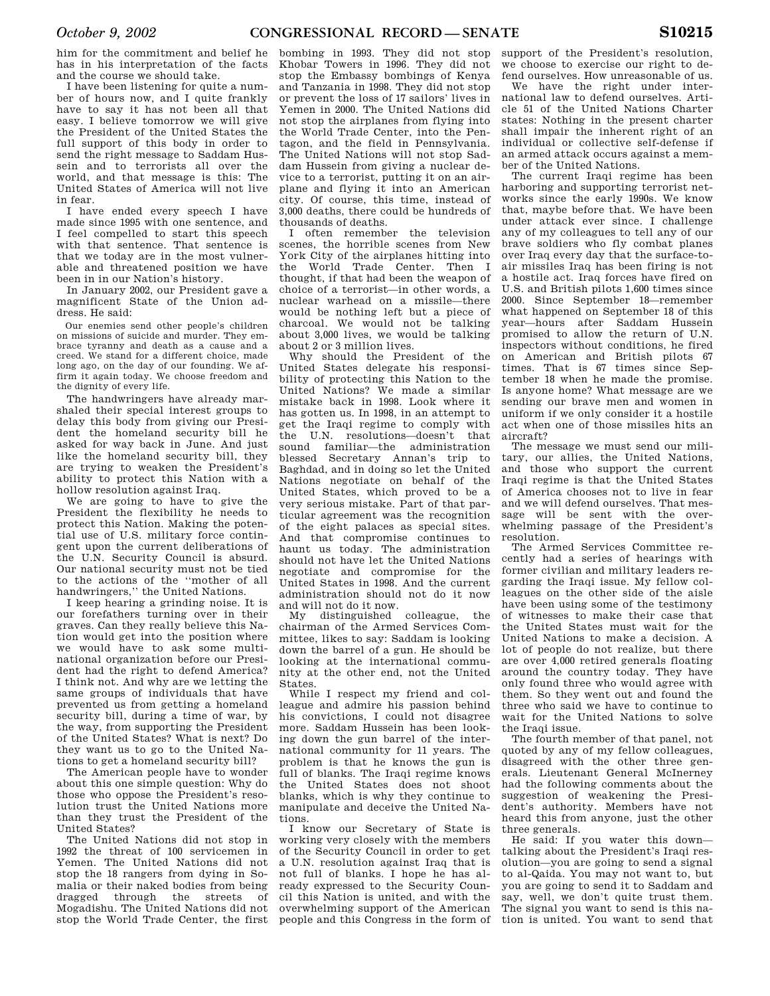him for the commitment and belief he has in his interpretation of the facts and the course we should take.

I have been listening for quite a number of hours now, and I quite frankly have to say it has not been all that easy. I believe tomorrow we will give the President of the United States the full support of this body in order to send the right message to Saddam Hussein and to terrorists all over the world, and that message is this: The United States of America will not live in fear.

I have ended every speech I have made since 1995 with one sentence, and I feel compelled to start this speech with that sentence. That sentence is that we today are in the most vulnerable and threatened position we have been in in our Nation's history.

In January 2002, our President gave a magnificent State of the Union address. He said:

Our enemies send other people's children on missions of suicide and murder. They embrace tyranny and death as a cause and a creed. We stand for a different choice, made long ago, on the day of our founding. We affirm it again today. We choose freedom and the dignity of every life.

The handwringers have already marshaled their special interest groups to delay this body from giving our President the homeland security bill he asked for way back in June. And just like the homeland security bill, they are trying to weaken the President's ability to protect this Nation with a hollow resolution against Iraq.

We are going to have to give the President the flexibility he needs to protect this Nation. Making the potential use of U.S. military force contingent upon the current deliberations of the U.N. Security Council is absurd. Our national security must not be tied to the actions of the ''mother of all handwringers,'' the United Nations.

I keep hearing a grinding noise. It is our forefathers turning over in their graves. Can they really believe this Nation would get into the position where we would have to ask some multinational organization before our President had the right to defend America? I think not. And why are we letting the same groups of individuals that have prevented us from getting a homeland security bill, during a time of war, by the way, from supporting the President of the United States? What is next? Do they want us to go to the United Nations to get a homeland security bill?

The American people have to wonder about this one simple question: Why do those who oppose the President's resolution trust the United Nations more than they trust the President of the United States?

The United Nations did not stop in 1992 the threat of 100 servicemen in Yemen. The United Nations did not stop the 18 rangers from dying in Somalia or their naked bodies from being dragged through the streets of Mogadishu. The United Nations did not stop the World Trade Center, the first

bombing in 1993. They did not stop Khobar Towers in 1996. They did not stop the Embassy bombings of Kenya and Tanzania in 1998. They did not stop or prevent the loss of 17 sailors' lives in Yemen in 2000. The United Nations did not stop the airplanes from flying into the World Trade Center, into the Pentagon, and the field in Pennsylvania. The United Nations will not stop Saddam Hussein from giving a nuclear device to a terrorist, putting it on an airplane and flying it into an American city. Of course, this time, instead of 3,000 deaths, there could be hundreds of thousands of deaths.

I often remember the television scenes, the horrible scenes from New York City of the airplanes hitting into the World Trade Center. Then I thought, if that had been the weapon of choice of a terrorist—in other words, a nuclear warhead on a missile—there would be nothing left but a piece of charcoal. We would not be talking about 3,000 lives, we would be talking about 2 or 3 million lives.

Why should the President of the United States delegate his responsibility of protecting this Nation to the United Nations? We made a similar mistake back in 1998. Look where it has gotten us. In 1998, in an attempt to get the Iraqi regime to comply with the U.N. resolutions—doesn't that sound familiar—the administration blessed Secretary Annan's trip to Baghdad, and in doing so let the United Nations negotiate on behalf of the United States, which proved to be a very serious mistake. Part of that particular agreement was the recognition of the eight palaces as special sites. And that compromise continues to haunt us today. The administration should not have let the United Nations negotiate and compromise for the United States in 1998. And the current administration should not do it now and will not do it now.

My distinguished colleague, the chairman of the Armed Services Committee, likes to say: Saddam is looking down the barrel of a gun. He should be looking at the international community at the other end, not the United States.

While I respect my friend and colleague and admire his passion behind his convictions, I could not disagree more. Saddam Hussein has been looking down the gun barrel of the international community for 11 years. The problem is that he knows the gun is full of blanks. The Iraqi regime knows the United States does not shoot blanks, which is why they continue to manipulate and deceive the United Nations.

I know our Secretary of State is working very closely with the members of the Security Council in order to get a U.N. resolution against Iraq that is not full of blanks. I hope he has already expressed to the Security Council this Nation is united, and with the overwhelming support of the American people and this Congress in the form of

support of the President's resolution, we choose to exercise our right to defend ourselves. How unreasonable of us.

We have the right under international law to defend ourselves. Article 51 of the United Nations Charter states: Nothing in the present charter shall impair the inherent right of an individual or collective self-defense if an armed attack occurs against a member of the United Nations.

The current Iraqi regime has been harboring and supporting terrorist networks since the early 1990s. We know that, maybe before that. We have been under attack ever since. I challenge any of my colleagues to tell any of our brave soldiers who fly combat planes over Iraq every day that the surface-toair missiles Iraq has been firing is not a hostile act. Iraq forces have fired on U.S. and British pilots 1,600 times since 2000. Since September 18—remember what happened on September 18 of this year—hours after Saddam Hussein promised to allow the return of U.N. inspectors without conditions, he fired on American and British pilots 67 times. That is 67 times since September 18 when he made the promise. Is anyone home? What message are we sending our brave men and women in uniform if we only consider it a hostile act when one of those missiles hits an aircraft?

The message we must send our military, our allies, the United Nations, and those who support the current Iraqi regime is that the United States of America chooses not to live in fear and we will defend ourselves. That message will be sent with the overwhelming passage of the President's resolution.

The Armed Services Committee recently had a series of hearings with former civilian and military leaders regarding the Iraqi issue. My fellow colleagues on the other side of the aisle have been using some of the testimony of witnesses to make their case that the United States must wait for the United Nations to make a decision. A lot of people do not realize, but there are over 4,000 retired generals floating around the country today. They have only found three who would agree with them. So they went out and found the three who said we have to continue to wait for the United Nations to solve the Iraqi issue.

The fourth member of that panel, not quoted by any of my fellow colleagues, disagreed with the other three generals. Lieutenant General McInerney had the following comments about the suggestion of weakening the President's authority. Members have not heard this from anyone, just the other three generals.

He said: If you water this down talking about the President's Iraqi resolution—you are going to send a signal to al-Qaida. You may not want to, but you are going to send it to Saddam and say, well, we don't quite trust them. The signal you want to send is this nation is united. You want to send that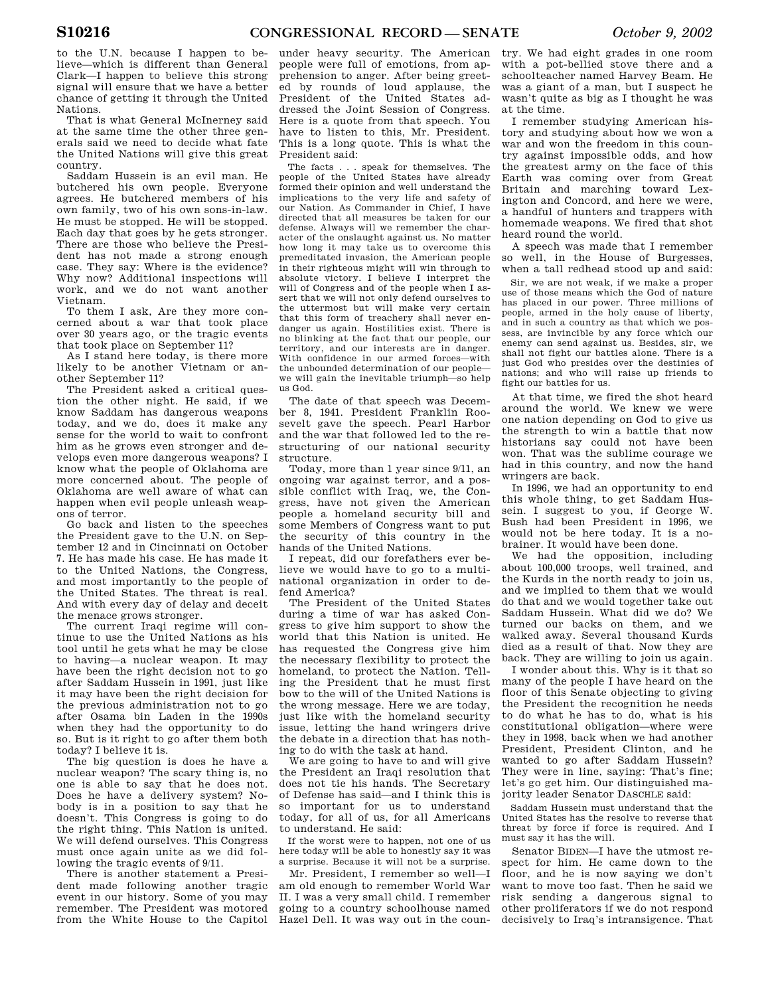to the U.N. because I happen to believe—which is different than General Clark—I happen to believe this strong signal will ensure that we have a better chance of getting it through the United Nations.

That is what General McInerney said at the same time the other three generals said we need to decide what fate the United Nations will give this great country.

Saddam Hussein is an evil man. He butchered his own people. Everyone agrees. He butchered members of his own family, two of his own sons-in-law. He must be stopped. He will be stopped. Each day that goes by he gets stronger. There are those who believe the President has not made a strong enough case. They say: Where is the evidence? Why now? Additional inspections will work, and we do not want another Vietnam.

To them I ask, Are they more concerned about a war that took place over 30 years ago, or the tragic events that took place on September 11?

As I stand here today, is there more likely to be another Vietnam or another September 11?

The President asked a critical question the other night. He said, if we know Saddam has dangerous weapons today, and we do, does it make any sense for the world to wait to confront him as he grows even stronger and develops even more dangerous weapons? I know what the people of Oklahoma are more concerned about. The people of Oklahoma are well aware of what can happen when evil people unleash weapons of terror.

Go back and listen to the speeches the President gave to the U.N. on September 12 and in Cincinnati on October 7. He has made his case. He has made it to the United Nations, the Congress, and most importantly to the people of the United States. The threat is real. And with every day of delay and deceit the menace grows stronger.

The current Iraqi regime will continue to use the United Nations as his tool until he gets what he may be close to having—a nuclear weapon. It may have been the right decision not to go after Saddam Hussein in 1991, just like it may have been the right decision for the previous administration not to go after Osama bin Laden in the 1990s when they had the opportunity to do so. But is it right to go after them both today? I believe it is.

The big question is does he have a nuclear weapon? The scary thing is, no one is able to say that he does not. Does he have a delivery system? Nobody is in a position to say that he doesn't. This Congress is going to do the right thing. This Nation is united. We will defend ourselves. This Congress must once again unite as we did following the tragic events of 9/11.

There is another statement a President made following another tragic event in our history. Some of you may remember. The President was motored from the White House to the Capitol

under heavy security. The American people were full of emotions, from apprehension to anger. After being greeted by rounds of loud applause, the President of the United States addressed the Joint Session of Congress. Here is a quote from that speech. You have to listen to this, Mr. President. This is a long quote. This is what the President said:

The facts . . . speak for themselves. The people of the United States have already formed their opinion and well understand the implications to the very life and safety of our Nation. As Commander in Chief, I have directed that all measures be taken for our defense. Always will we remember the character of the onslaught against us. No matter how long it may take us to overcome this premeditated invasion, the American people in their righteous might will win through to absolute victory. I believe I interpret the will of Congress and of the people when I assert that we will not only defend ourselves to the uttermost but will make very certain that this form of treachery shall never endanger us again. Hostilities exist. There is no blinking at the fact that our people, our territory, and our interests are in danger. With confidence in our armed forces—with the unbounded determination of our people we will gain the inevitable triumph—so help us God.

The date of that speech was December 8, 1941. President Franklin Roosevelt gave the speech. Pearl Harbor and the war that followed led to the restructuring of our national security structure.

Today, more than 1 year since 9/11, an ongoing war against terror, and a possible conflict with Iraq, we, the Congress, have not given the American people a homeland security bill and some Members of Congress want to put the security of this country in the hands of the United Nations.

I repeat, did our forefathers ever believe we would have to go to a multinational organization in order to defend America?

The President of the United States during a time of war has asked Congress to give him support to show the world that this Nation is united. He has requested the Congress give him the necessary flexibility to protect the homeland, to protect the Nation. Telling the President that he must first bow to the will of the United Nations is the wrong message. Here we are today, just like with the homeland security issue, letting the hand wringers drive the debate in a direction that has nothing to do with the task at hand.

We are going to have to and will give the President an Iraqi resolution that does not tie his hands. The Secretary of Defense has said—and I think this is so important for us to understand today, for all of us, for all Americans to understand. He said:

If the worst were to happen, not one of us here today will be able to honestly say it was a surprise. Because it will not be a surprise.

Mr. President, I remember so well—I am old enough to remember World War II. I was a very small child. I remember going to a country schoolhouse named Hazel Dell. It was way out in the coun-

try. We had eight grades in one room with a pot-bellied stove there and a schoolteacher named Harvey Beam. He was a giant of a man, but I suspect he wasn't quite as big as I thought he was at the time.

I remember studying American history and studying about how we won a war and won the freedom in this country against impossible odds, and how the greatest army on the face of this Earth was coming over from Great Britain and marching toward Lexington and Concord, and here we were, a handful of hunters and trappers with homemade weapons. We fired that shot heard round the world.

A speech was made that I remember so well, in the House of Burgesses, when a tall redhead stood up and said:

Sir, we are not weak, if we make a proper use of those means which the God of nature has placed in our power. Three millions of people, armed in the holy cause of liberty, and in such a country as that which we possess, are invincible by any force which our enemy can send against us. Besides, sir, we shall not fight our battles alone. There is a just God who presides over the destinies of nations; and who will raise up friends to fight our battles for us.

At that time, we fired the shot heard around the world. We knew we were one nation depending on God to give us the strength to win a battle that now historians say could not have been won. That was the sublime courage we had in this country, and now the hand wringers are back.

In 1996, we had an opportunity to end this whole thing, to get Saddam Hussein. I suggest to you, if George W. Bush had been President in 1996, we would not be here today. It is a nobrainer. It would have been done.

We had the opposition, including about 100,000 troops, well trained, and the Kurds in the north ready to join us, and we implied to them that we would do that and we would together take out Saddam Hussein. What did we do? We turned our backs on them, and we walked away. Several thousand Kurds died as a result of that. Now they are back. They are willing to join us again.

I wonder about this. Why is it that so many of the people I have heard on the floor of this Senate objecting to giving the President the recognition he needs to do what he has to do, what is his constitutional obligation—where were they in 1998, back when we had another President, President Clinton, and he wanted to go after Saddam Hussein? They were in line, saying: That's fine; let's go get him. Our distinguished majority leader Senator DASCHLE said:

Saddam Hussein must understand that the United States has the resolve to reverse that threat by force if force is required. And I must say it has the will.

Senator BIDEN—I have the utmost respect for him. He came down to the floor, and he is now saying we don't want to move too fast. Then he said we risk sending a dangerous signal to other proliferators if we do not respond decisively to Iraq's intransigence. That